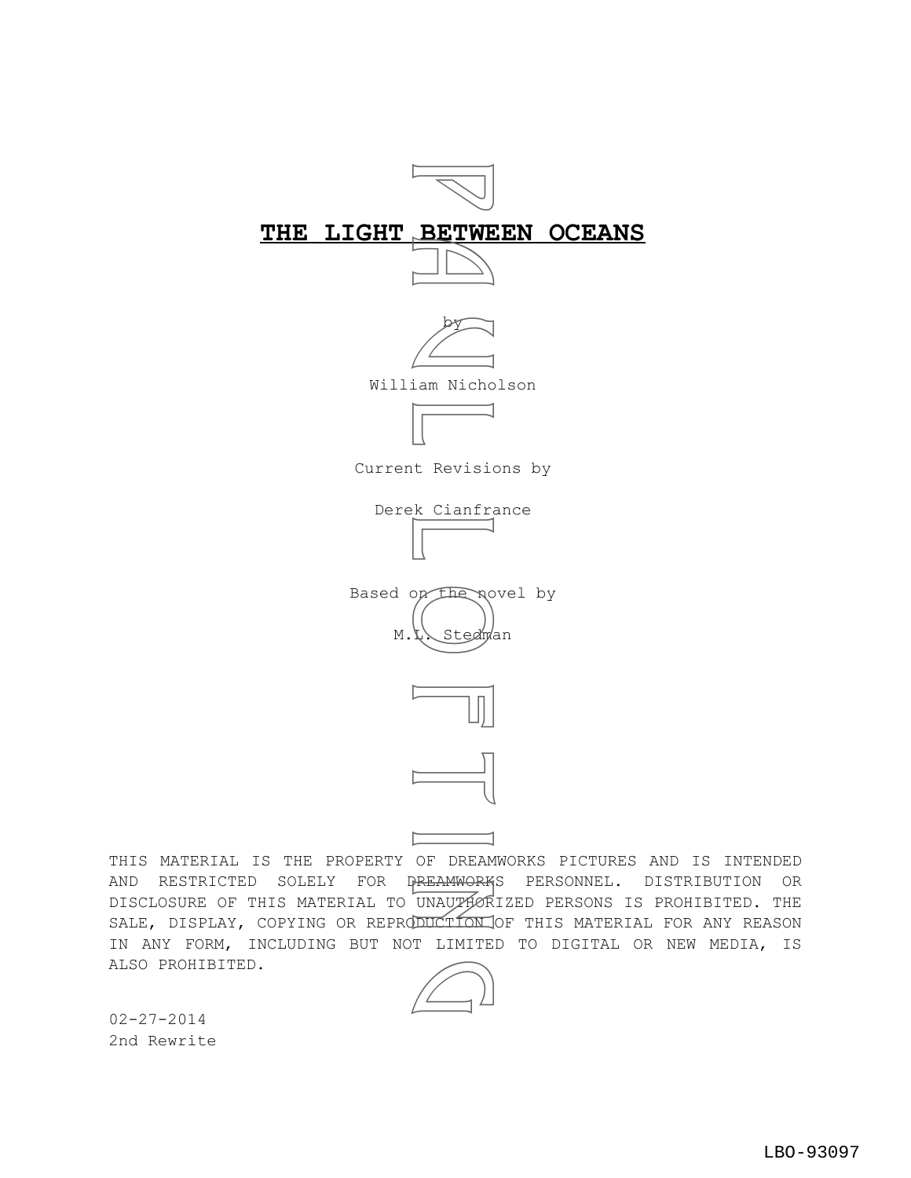



Current Revisions by







THIS MATERIAL IS THE PROPERTY OF DREAMWORKS PICTURES AND IS INTENDED AND RESTRICTED SOLELY FOR DREAMWORKS PERSONNEL. DISTRIBUTION OR DISCLOSURE OF THIS MATERIAL TO UNAUTHORIZED PERSONS IS PROHIBITED. THE SALE, DISPLAY, COPYING OR REPRODUCTION OF THIS MATERIAL FOR ANY REASON IN ANY FORM, INCLUDING BUT NOT LIMITED TO DIGITAL OR NEW MEDIA, IS ALSO PROHIBITED.



02-27-2014 2nd Rewrite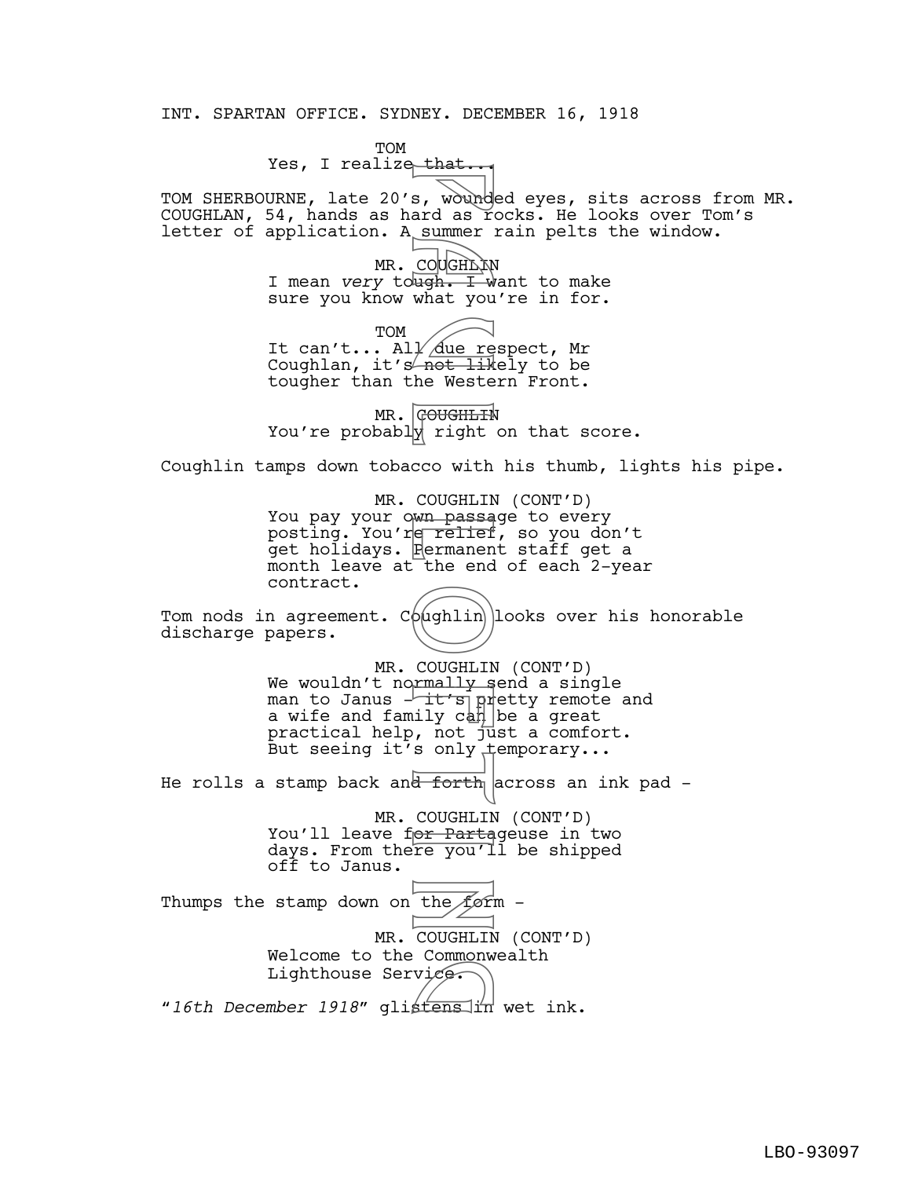INT. SPARTAN OFFICE. SYDNEY. DECEMBER 16, 1918

TOM Yes, I realize that...

TOM SHERBOURNE, late 20's, wounded eyes, sits across from MR. COUGHLAN, 54, hands as hard as rocks. He looks over Tom's letter of application. A summer rain pelts the window.

> MR. COUGHIDIN I mean *very* tough. I want to make sure you know what you're in for.

TOM It can't... All *Aue* respect, Mr Coughlan, it's not likely to be tougher than the Western Front.

MR. GOUGHLIN You're probably right on that score.

Coughlin tamps down tobacco with his thumb, lights his pipe.

MR. COUGHLIN (CONT'D) You pay your own passage to every posting. You're relief, so you don't get holidays. Permanent staff get a month leave at the end of each 2-year contract.

Tom nods in agreement.  $C\phi(\text{ghlin})$  looks over his honorable discharge papers.

MR. COUGHLIN (CONT'D) We wouldn't normally send a single man to Janus - it's pretty remote and a wife and family  $c$ an be a great practical help, not just a comfort. But seeing it's only temporary... s, wound<br>summer<br>COUGHAN what you<br>ugh. I you<br>ugh. I you<br>het like western in the Western oughlin<br>premanent coughlin<br>coughlin<br>coughlin<br>coughlin<br>coughlin<br>s only tright<br>s only the end<br>oughlin<br>s only tright<br>s only tright<br>s only

He rolls a stamp back and forth across an ink pad -

MR. COUGHLIN (CONT'D) You'll leave for Partageuse in two days. From there you'll be shipped off to Janus.

LBO-93097

Thumps the stamp down on the form -MR. COUGHLIN (CONT'D) Welcome to the Commonwealth Lighthouse Service. werome to the commonweardh<br>Lighthouse Service.<br>"16th December 1918" glistens in wet ink.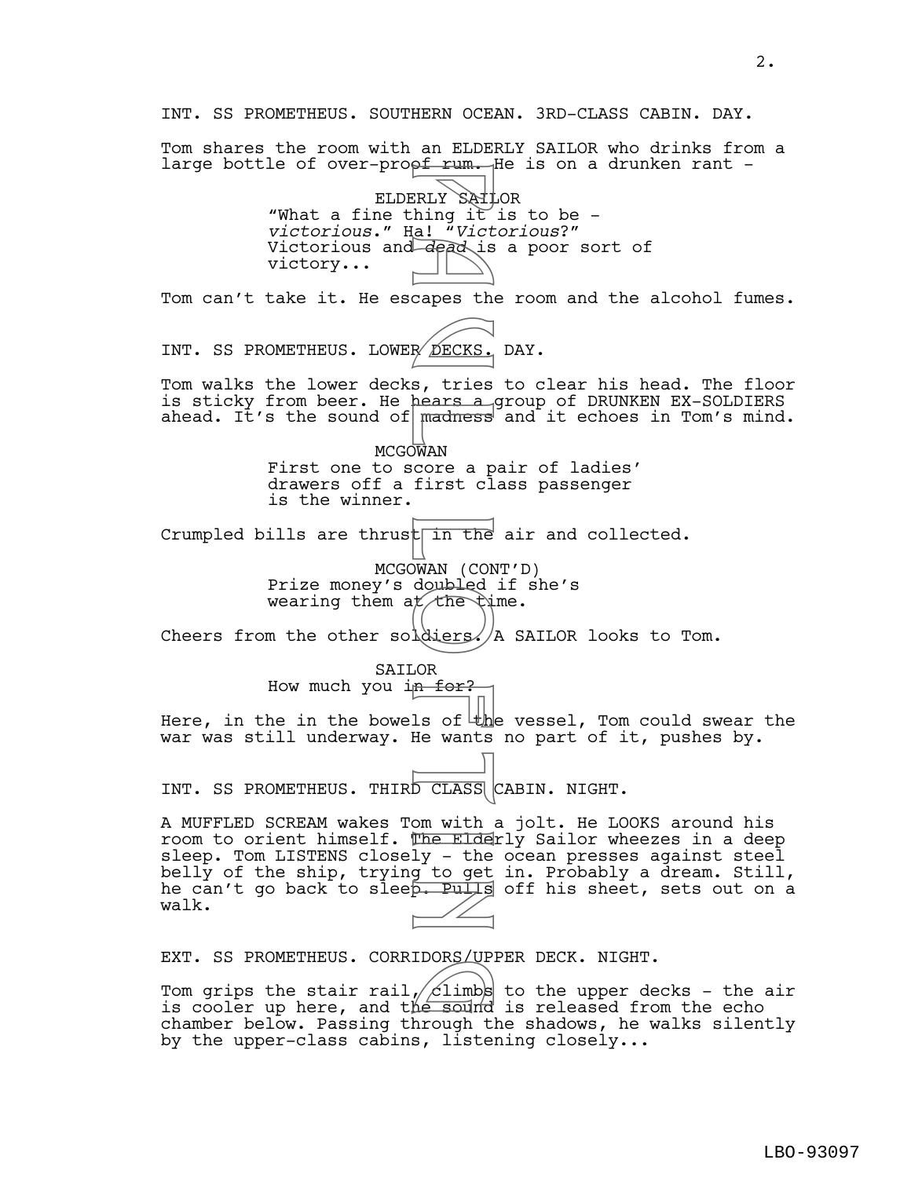INT. SS PROMETHEUS. SOUTHERN OCEAN. 3RD-CLASS CABIN. DAY. Tom shares the room with an ELDERLY SAILOR who drinks from a large bottle of over-proof rum. He is on a drunken rant -ELDERLY SAILOR "What a fine thing it is to be *victorious*." Ha! "*Victorious*?" Victorious and *dead* is a poor sort of victory... Tom can't take it. He escapes the room and the alcohol fumes. INT. SS PROMETHEUS. LOWER DECKS. DAY. Tom walks the lower decks, tries to clear his head. The floor is sticky from beer. He hears a group of DRUNKEN EX-SOLDIERS ahead. It's the sound of  $\sqrt{m}$  madness and it echoes in Tom's mind. **MCGOWAN** First one to score a pair of ladies' drawers off a first class passenger is the winner. Crumpled bills are thrust  $\frac{1}{n}$  the air and collected. MCGOWAN (CONT'D) Prize money's doubled if she's wearing them  $a \nmid \mathcal{L}$  the  $\mathcal{L}$  ime. Cheers from the other soldiers.  $/A$  SAILOR looks to Tom. SAILOR How much you in for? Here, in the in the bowels of  $\frac{1}{k}$  vessel, Tom could swear the war was still underway. He wants no part of it, pushes by. INT. SS PROMETHEUS. THIRD CLASS CABIN. NIGHT. A MUFFLED SCREAM wakes Tom with a jolt. He LOOKS around his room to orient himself. The Elderly Sailor wheezes in a deep sleep. Tom LISTENS closely - the ocean presses against steel belly of the ship, trying to get in. Probably a dream. Still, he can't go back to sleep. Pulls off his sheet, sets out on a walk. EXT. SS PROMETHEUS. CORRIDORS/UPPER DECK. NIGHT. Tom grips the stair rail,  $\sqrt{c}$ limbs to the upper decks – the air EAI. SS PROMEINEOS. CORRIDORS/OPPER DECK. NIGHI.<br>Tom grips the stair rail, climbs to the upper decks - the a<br>is cooler up here, and the sound is released from the echo chamber below. Passing through the shadows, he walks silently by the upper-class cabins, listening closely... ERLY SAIL<br>
ERLY SAIL<br>
in the all "Vict"<br>
capes the DECKS.<br>
s, tries<br>
madness<br>
s, tries<br>
madness<br>
MAN core a p<br>
DWAN (CON)<br>
JWAN (CON)<br>
doubled<br>
t in the list of the wants<br>
Lought of the wants<br>
D CLASS<br>
on with<br>
D CLASS<br>
on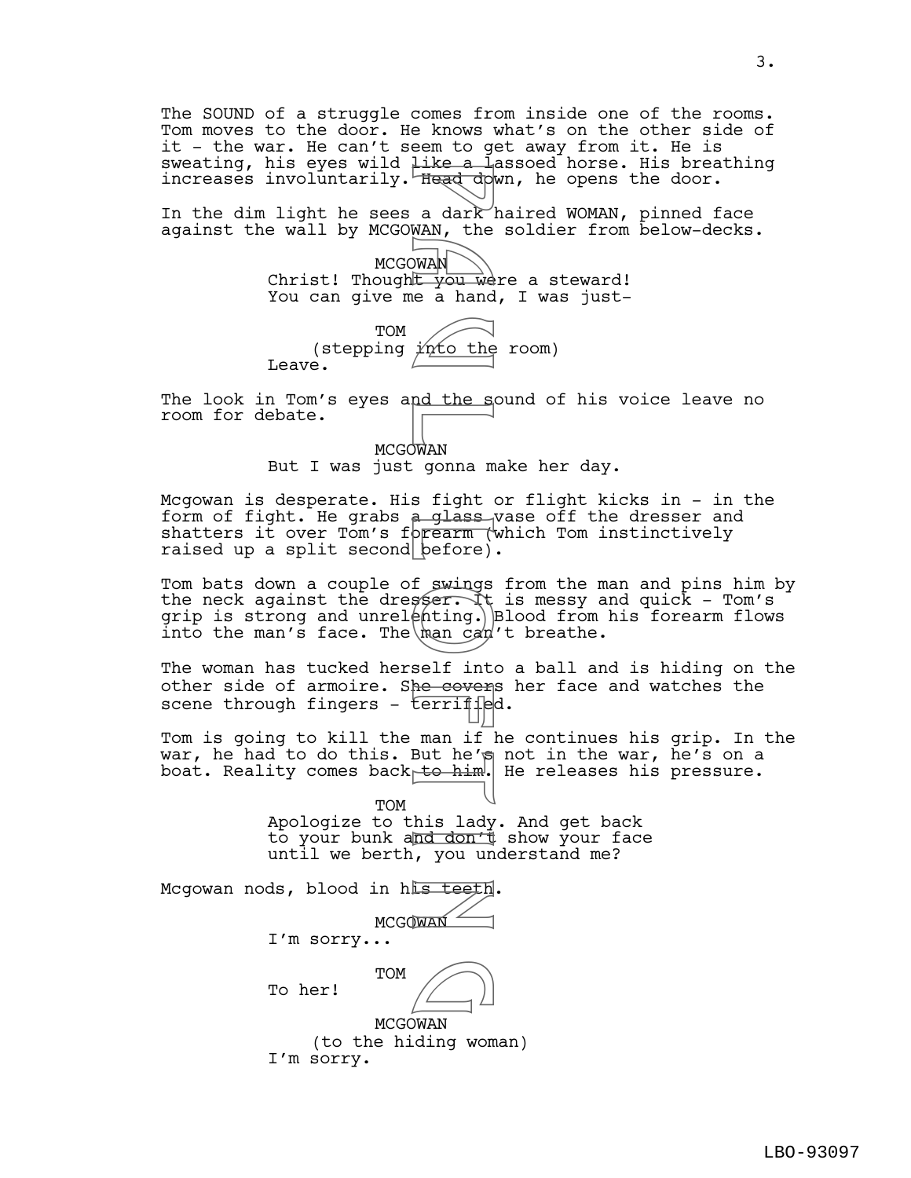The SOUND of a struggle comes from inside one of the rooms. Tom moves to the door. He knows what's on the other side of it - the war. He can't seem to get away from it. He is sweating, his eyes wild like a lassoed horse. His breathing increases involuntarily. Head down, he opens the door.

In the dim light he sees a dark haired WOMAN, pinned face against the wall by MCGOWAN, the soldier from below-decks.

> **MCGOWAN** Christ! Thought you were a steward! You can give me a hand, I was just-

TOM (stepping  $\sqrt{\gamma}$  the room) Leave.

The look in Tom's eyes and the sound of his voice leave no room for debate.

> **MCGOWAN** But I was just gonna make her day.

Mcgowan is desperate. His fight or flight kicks in - in the form of fight. He grabs a glass vase off the dresser and shatters it over Tom's forearm (which Tom instinctively raised up a split second  $\vert$  before).

Tom bats down a couple of swings from the man and pins him by the neck against the dresser. It is messy and quick - Tom's grip is strong and unrel $\phi$ hting.) Blood from his forearm flows into the man's face. The man can't breathe.

The woman has tucked herself into a ball and is hiding on the other side of armoire. She covers her face and watches the scene through fingers - terrified.

Tom is going to kill the man if he continues his grip. In the war, he had to do this. But he's not in the war, he's on a boat. Reality comes back to him. He releases his pressure.

> TOM Apologize to this lady. And get back to your bunk and don't show your face until we berth, you understand me?

Mcgowan nods, blood in his teeth. **MCGOWAN** I'm sorry... TOM To her! MCGOWAN Free a dark<br>
Head dow<br>
MAN, the<br>
WAN, the<br>
P a hand<br>
P a hand<br>
P a hand<br>
P a hand<br>
P a hand<br>
P a sight<br>
P a glass<br>
P a glass<br>
P a glass<br>
P a glass<br>
P a glass<br>
P a glass<br>
P a glass<br>
P a glass<br>
P a glass<br>
P a glass<br>
P a seri  $\bigcirc$ 

(to the hiding woman) I'm sorry.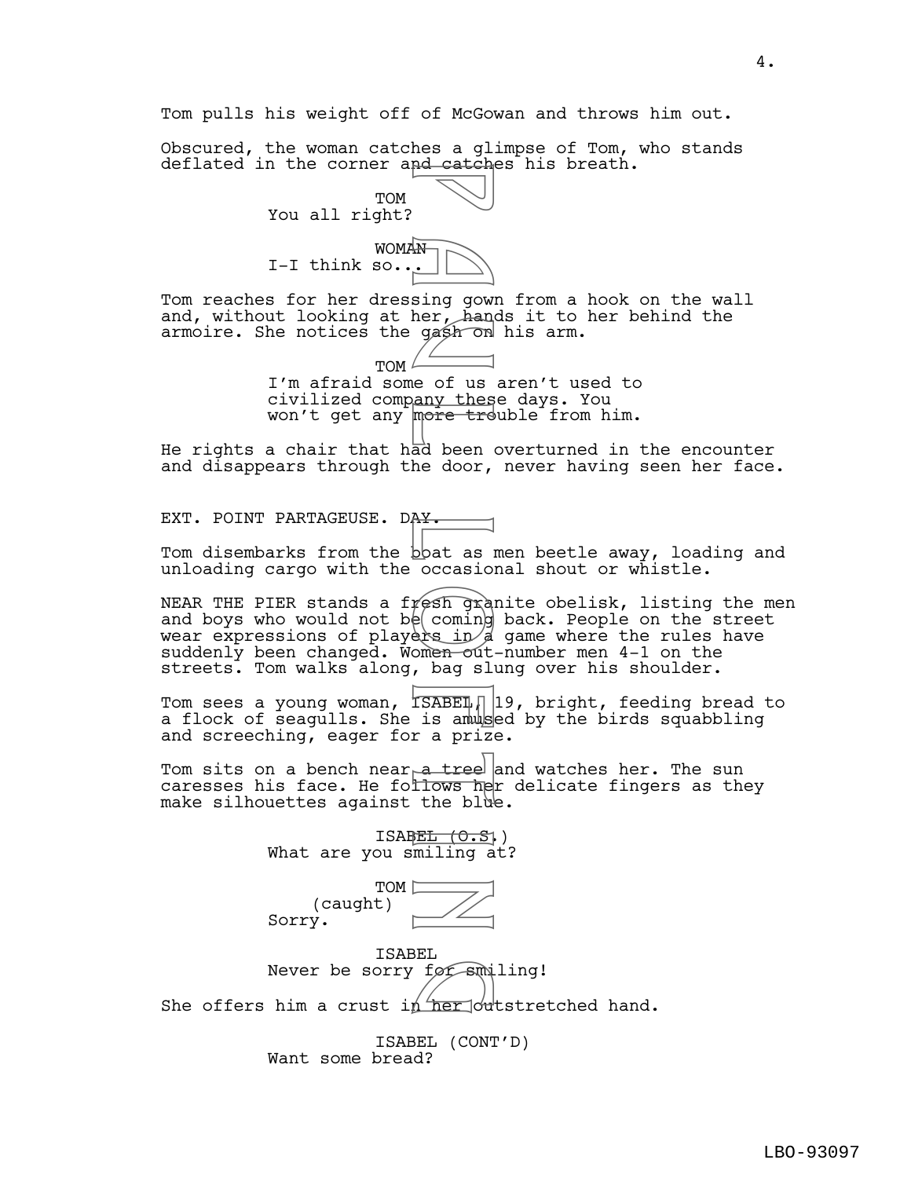Tom pulls his weight off of McGowan and throws him out.

Obscured, the woman catches a glimpse of Tom, who stands deflated in the corner and catches his breath.

> TOM You all right?



Tom reaches for her dressing gown from a hook on the wall and, without looking at her, hands it to her behind the armoire. She notices the gash on his arm.

> TOM<sup>1</sup> I'm afraid some of us aren't used to civilized company these days. You won't get any more trouble from him.

He rights a chair that had been overturned in the encounter and disappears through the door, never having seen her face.

EXT. POINT PARTAGEUSE. DAY.

Tom disembarks from the bbat as men beetle away, loading and unloading cargo with the occasional shout or whistle.

NEAR THE PIER stands a fresh granite obelisk, listing the men and boys who would not b $e$  coming back. People on the street wear expressions of players in  $d$  game where the rules have suddenly been changed. Women out-number men 4-1 on the streets. Tom walks along, bag slung over his shoulder. M . Ing gown<br>
sing gown<br>
sing gown<br>
e of us<br>
any thes<br>
de of us<br>
more treat<br>
ad been<br>
de door,<br>
A A v.<br>
boat as l<br>
port as l<br>
port as l<br>
port as l<br>
org sing<br>
of coming<br>
of the port bag slump<br>
. bag slump<br>
. bag slump<br>
. a

Tom sees a young woman, ISABEI<sub>1</sub> 19, bright, feeding bread to a flock of seagulls. She is amused by the birds squabbling and screeching, eager for a prize.

Tom sits on a bench near $_\mathsf{P}$ a tree and watches her. The sun caresses his face. He fo<del>llows h</del>er delicate fingers as they make silhouettes against the blue.

> ISABEL  $(0.5)$ What are you smiling at?



ISABEL Never be sorry for smiling! Never be sorry for smiling!<br>She offers him a crust in her outstretched hand.

> ISABEL (CONT'D) Want some bread?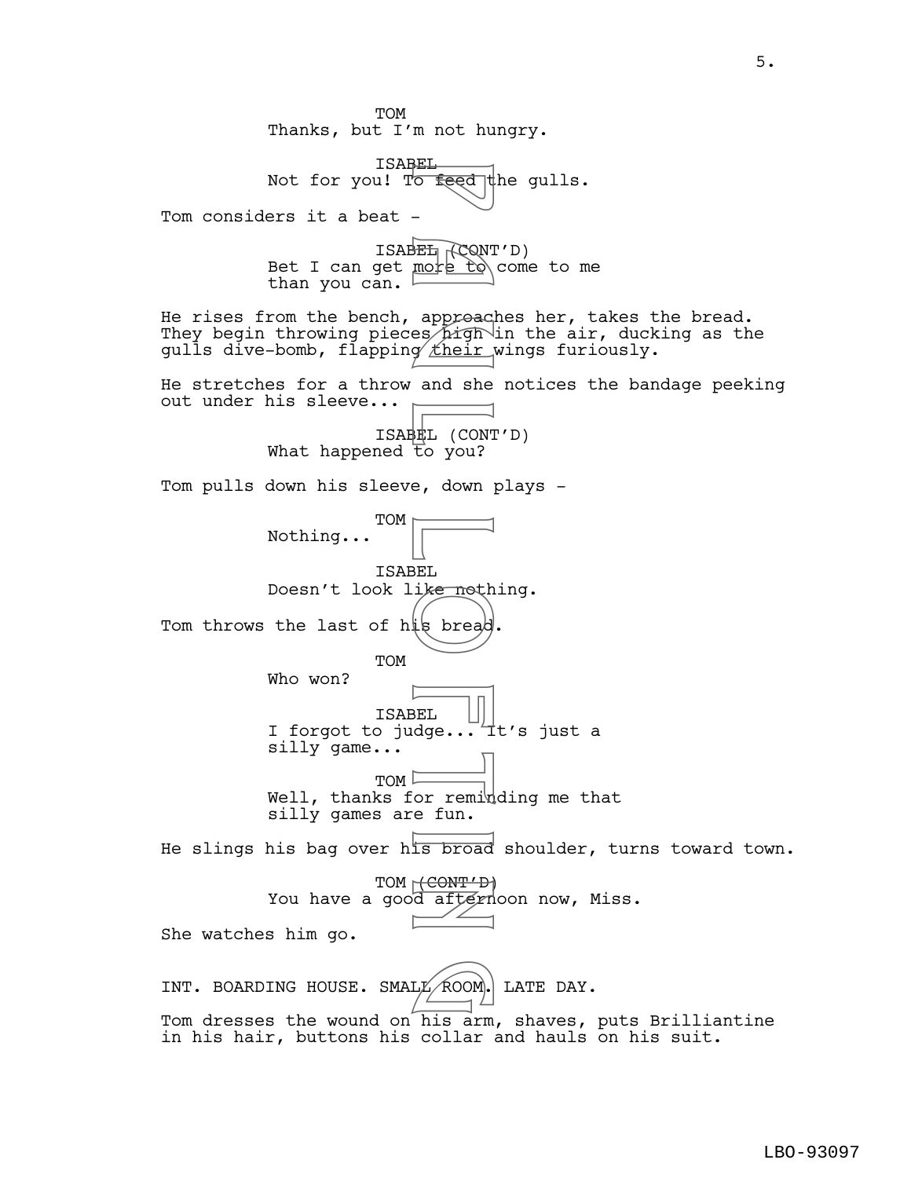TOM Thanks, but I'm not hungry. ISABEL Not for you! To feed the gulls. Tom considers it a beat -ISABEL ROONT'D) Bet I can get  $\text{mot} \to \text{co}$  come to me than you can. He rises from the bench, approaches her, takes the bread. They begin throwing pieces pigh in the air, ducking as the gulls dive-bomb, flapping their wings furiously. He stretches for a throw and she notices the bandage peeking out under his sleeve... ISABEL (CONT'D) What happened to you? Tom pulls down his sleeve, down plays - TOM Nothing... ISABEL Doesn't look like nothing. Tom throws the last of his bread **TOM** Who won? ISABEL I forgot to judge...  $\pm t$ 's just a silly game...  $TOM \nightharpoonup$ Well, thanks for reminding me that silly games are fun. He slings his bag over his broad shoulder, turns toward town. TOM (CONT'D) You have a good afternoon now, Miss. She watches him go. INT. BOARDING HOUSE. SMAL $\not\!\!\!\!\!/\times$  ROOM. LATE DAY. Tom dresses the wound on his arm, shaves, puts Brilliantine in his hair, buttons his collar and hauls on his suit. P feed<br>
-<br>
The feed<br>
-<br>
B approacle for the induced<br>
and she g their<br>
and she g the induced<br>
B after is bread<br>
B after induced<br>
Control or remin<br>
B after induced<br>
Control or remin<br>
Control of the fundation LE ROOM.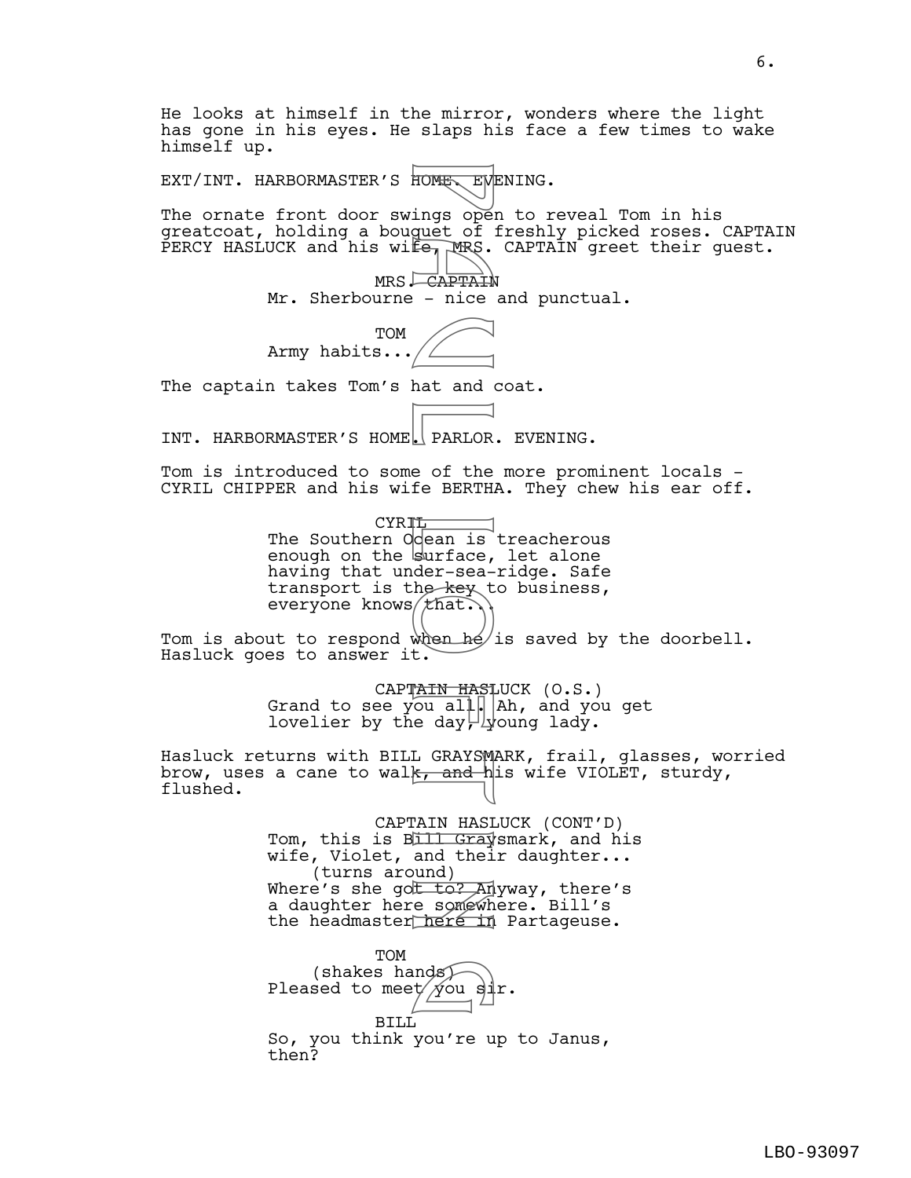He looks at himself in the mirror, wonders where the light has gone in his eyes. He slaps his face a few times to wake himself up. EXT/INT. HARBORMASTER'S HOME. EVENING. The ornate front door swings open to reveal Tom in his greatcoat, holding a bouquet of freshly picked roses. CAPTAIN PERCY HASLUCK and his wife, MRS. CAPTAIN greet their guest. MRS. CAPTAIN Mr. Sherbourne - nice and punctual. TOM Army habits... The captain takes Tom's hat and coat. INT. HARBORMASTER'S HOME. PARLOR. EVENING. Tom is introduced to some of the more prominent locals - CYRIL CHIPPER and his wife BERTHA. They chew his ear off. CYRIL<sup>-</sup> The Southern Ocean is treacherous enough on the surface, let alone having that under-sea-ridge. Safe transport is the key to business, everyone knows  $t$  hat. Tom is about to respond when  $h$ e is saved by the doorbell. Hasluck goes to answer it. CAPTAIN HASLUCK (O.S.) Grand to see you all.  $|$  Ah, and you get lovelier by the day  $\frac{1}{2}$  voung lady. Hasluck returns with BILL GRAYSMARK, frail, glasses, worried brow, uses a cane to walk, and his wife VIOLET, sturdy, flushed. CAPTAIN HASLUCK (CONT'D) Tom, this is B<del>ill Gray</del>smark, and his wife, Violet, and their daughter... (turns around) Where's she got to? Anyway, there's a daughter here somewhere. Bill's the headmaster here in Partageuse. TOM (shakes hands) Pleased to meet $/\cancel{y}$ ou sir. BILL So, you think you're up to Janus, then? FONE EVER EVER EVER EVER EVER EVER EVER CAPTAIN - nice<br>
CAPTAIN - nice<br>
- nice<br>
- nice<br>
- nice<br>
- nice<br>
- nice<br>
- captain<br>
- nice<br>
- day<br>
- that<br>
- department<br>
- that<br>
- that<br>
- that<br>
- that<br>
- that<br>
- that<br>
- that<br>
- that nds)<br>t/ you si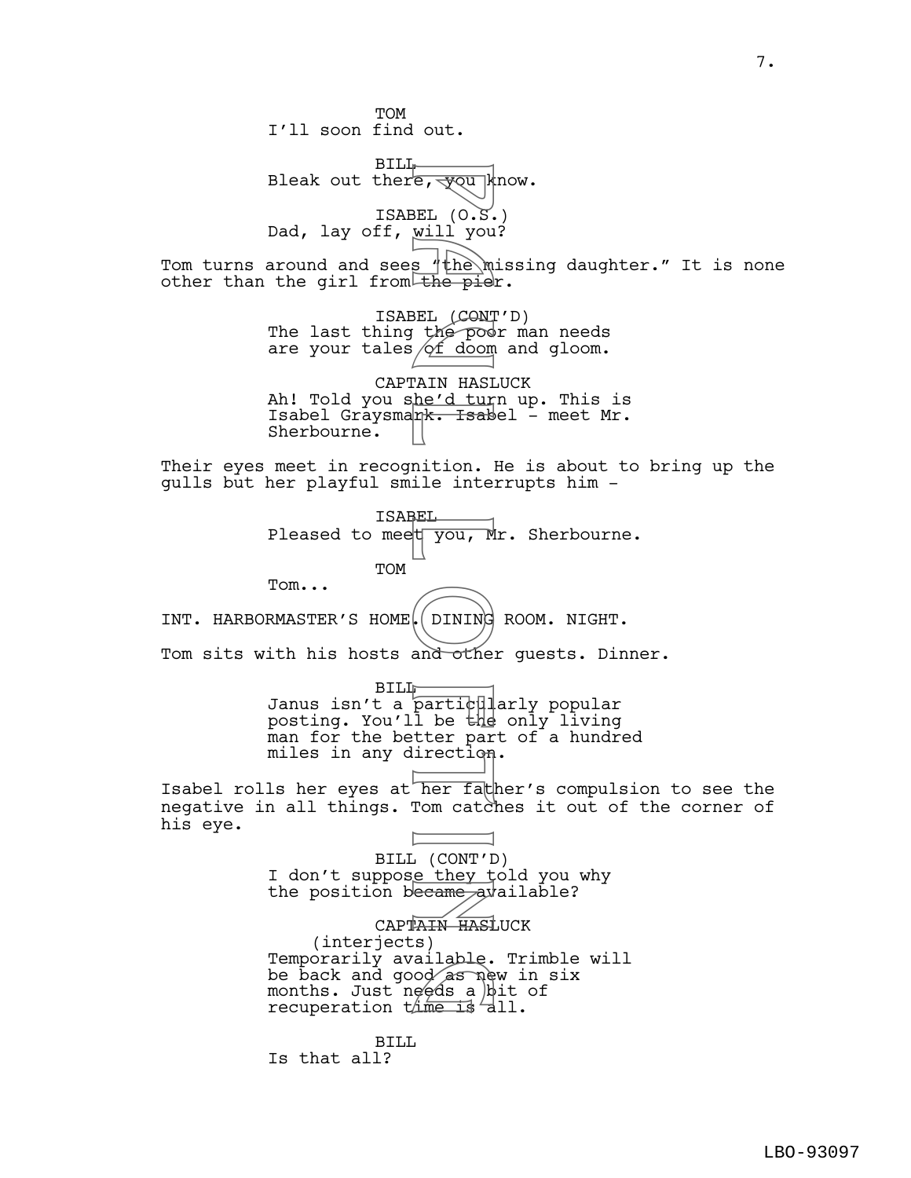TOM I'll soon find out. BILL Bleak out there,  $\frac{1}{\sqrt{2}}$  know. ISABEL (O.S.) Dad, lay off, will you? Tom turns around and sees 'the missing daughter." It is none other than the girl from the pier. ISABEL (CONT'D) The last thing the poor man needs are your tales  $\sqrt{2f}$  doom and gloom. CAPTAIN HASLUCK Ah! Told you s<u>he'd tur</u>n up. This is Isabel Graysman<del>k. Isab</del>el – meet Mr. Sherbourne. Their eyes meet in recognition. He is about to bring up the gulls but her playful smile interrupts him - ISABEL Pleased to meet  $\overline{y}$  ou, Mr. Sherbourne. TOM Tom... INT. HARBORMASTER'S HOME. DINING ROOM. NIGHT. Tom sits with his hosts and other guests. Dinner. BILL Janus isn't a particularly popular posting. You'll be the only living man for the better part of a hundred miles in any direction. Isabel rolls her eyes at her father's compulsion to see the negative in all things. Tom catches it out of the corner of his eye. BILL (CONT'D) I don't suppose they told you why the position became available? CAPTAIN HASLUCK (interjects) Temporarily available. Trimble will Temporarily available. Trimble<br>be back and good as new in six<br>months. Just needs a bit of<br>recuperation time is all. months. Just needs a bit of recuperation this is all. BILL Is that all? F a will you k<br>
SEL (O.S. will you k<br>
SEL (CONT the pied of doom<br>
SEL (CONT the pied turns in the pied turns in the pied turns in the dum<br>
mition. In the first internation in the second to the turn of the second<br>
particula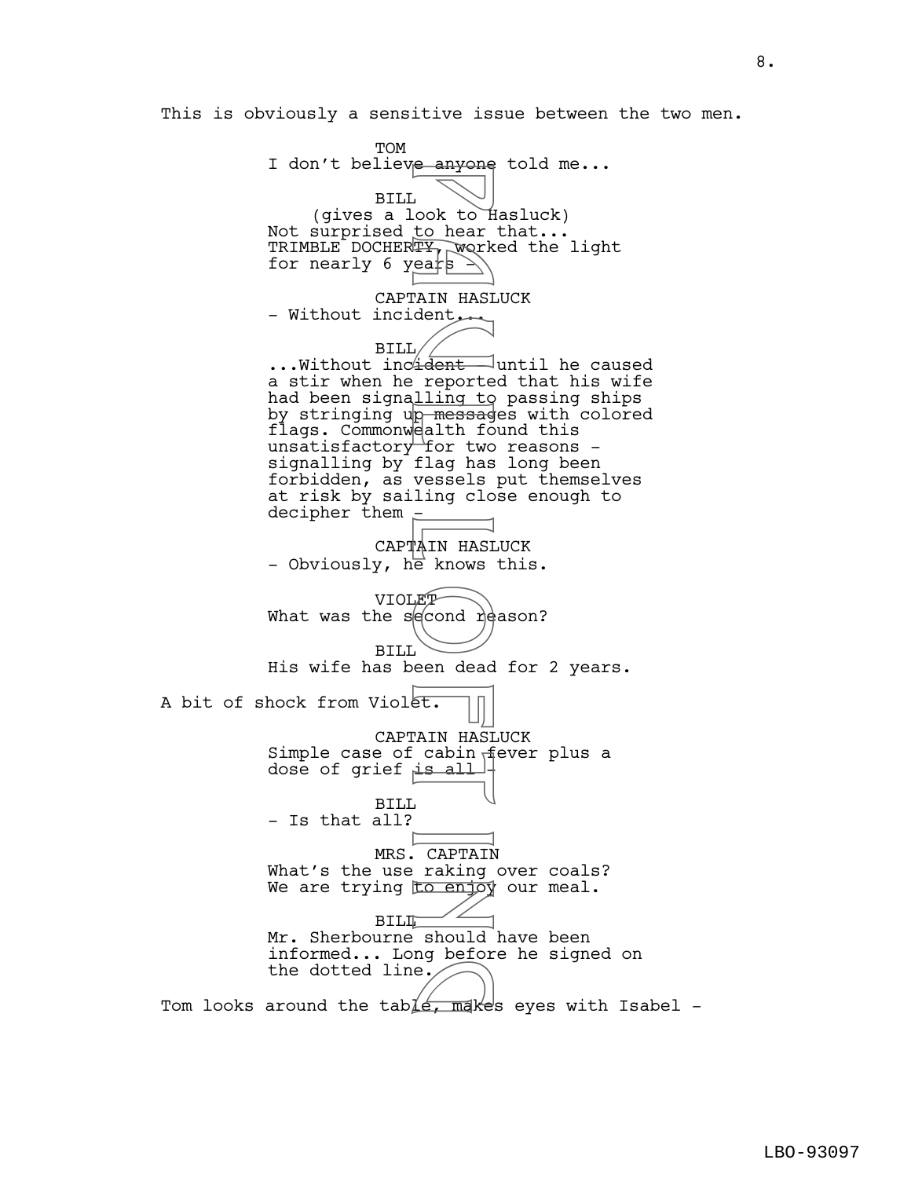This is obviously a sensitive issue between the two men.

**TOM** I don't believe anyone told me... BILL (gives a look to Hasluck) Not surprised to hear that... TRIMBLE DOCHERTY, worked the light for nearly 6 years  $\geq$ CAPTAIN HASLUCK - Without incident... BILL ...Without inc<del>ident -</del> until he caused a stir when he reported that his wife had been signalling to passing ships by stringing up messages with colored flags. Commonwealth found this unsatisfactory for two reasons signalling by flag has long been forbidden, as vessels put themselves at risk by sailing close enough to decipher them -CAPTAIN HASLUCK - Obviously, he knows this. VIOLET What was the second reason? BILL His wife has been dead for 2 years. A bit of shock from Violet. CAPTAIN HASLUCK Simple case of cabin fever plus a dose of grief  $is all$ BILL - Is that all? MRS. CAPTAIN What's the use raking over coals? We are trying to enjoy our meal. **BILL** Mr. Sherbourne should have been informed... Long before he signed on the dotted line. This is the dotted line.<br>Tom looks around the table, makes eyes with Isabel e duyone<br>
cook to hear<br>
early work<br>
early work<br>
early work<br>
dent reporte<br>
ling to message<br>
ealth for two<br>
flag has<br>
vessels<br>
ling closes in the knows<br>
From dead<br>
From dead<br>
From dead<br>
From dead<br>
From dead<br>
From dead<br>
From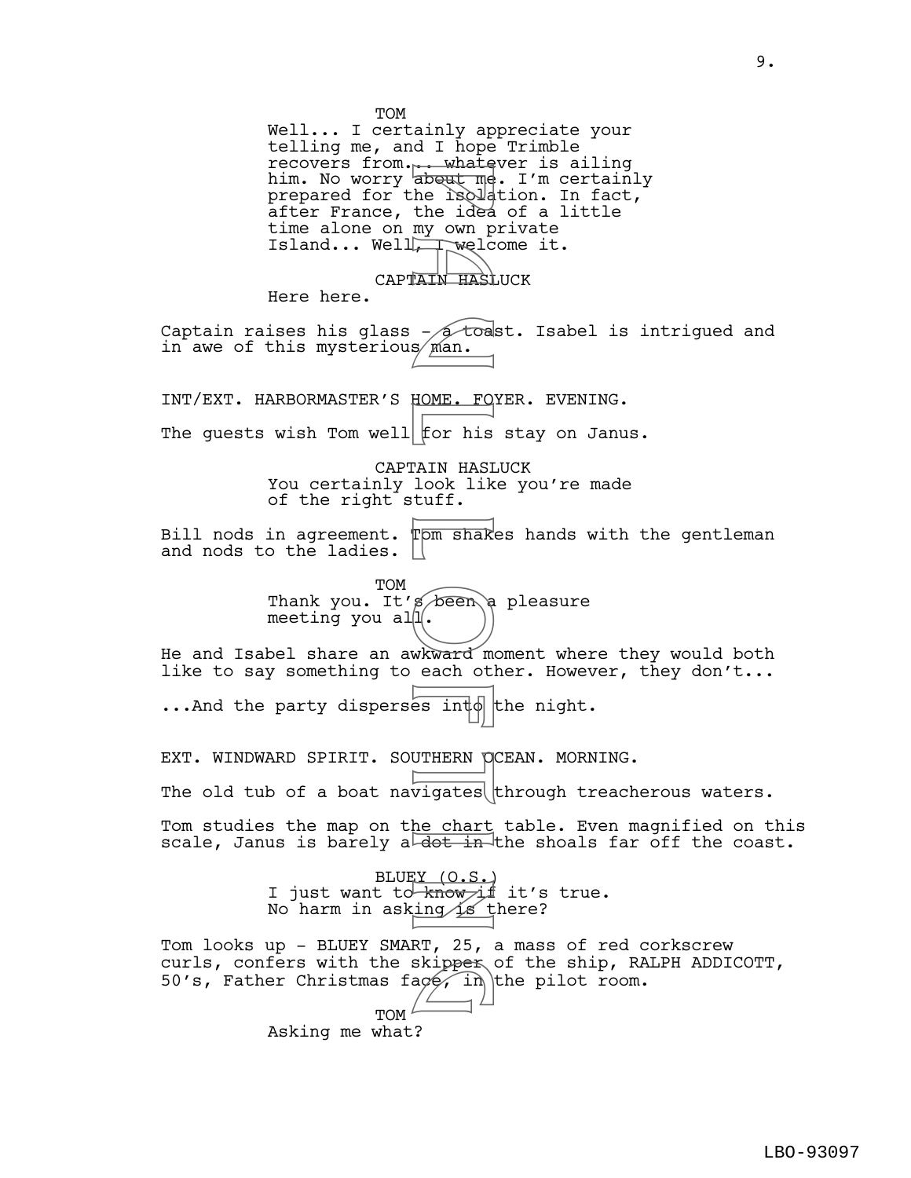TOM Well... I certainly appreciate your telling me, and I hope Trimble recovers from... whatever is ailing him. No worry ab<del>out me</del>. I'm certainly prepared for the isolation. In fact, after France, the idea of a little time alone on my own private Island... Well, welcome it. CAPTAIN HASLUCK Here here. Captain raises his glass  $-\sqrt{10}$  toast. Isabel is intrigued and in awe of this mysterious/ $m$ an. INT/EXT. HARBORMASTER'S HOME. FOYER. EVENING. The guests wish Tom well  $f$ or his stay on Janus. CAPTAIN HASLUCK You certainly look like you're made of the right stuff. Bill nods in agreement. Tom shakes hands with the gentleman and nods to the ladies. | TOM Thank you. It's been a pleasure meeting you all. He and Isabel share an awkward moment where they would both like to say something to each other. However, they don't...  $\ldots$  And the party disperses into the night. EXT. WINDWARD SPIRIT. SOUTHERN OCEAN. MORNING. The old tub of a boat navigates through treacherous waters. Tom studies the map on the chart table. Even magnified on this scale, Janus is barely a  $\overline{dot + in}$  the shoals far off the coast. BLUEY (O.S.) I just want to  $\overrightarrow{know}$  it's true. No harm in asking is there? Tom looks up - BLUEY SMART, 25, a mass of red corkscrew curls, confers with the skipper of the ship, RALPH ADDICOTT, 50's, Father Christmas face, in the pilot room. TOM $^t$ Asking me what? France about me<br>
about me<br>
he isola<br>
the idea<br>
my own pwelc<br>
where idea<br>
man.<br>
FOME. FO<br>
s Man.<br>
HOME. FO<br>
for his<br>
LOME. FO<br>
for his<br>
LOME. FO<br>
for his<br>
LOME. FO<br>
for his<br>
LOME. FO<br>
for his<br>
LOME. FO<br>
for his<br>
LOME. FO<br>
f g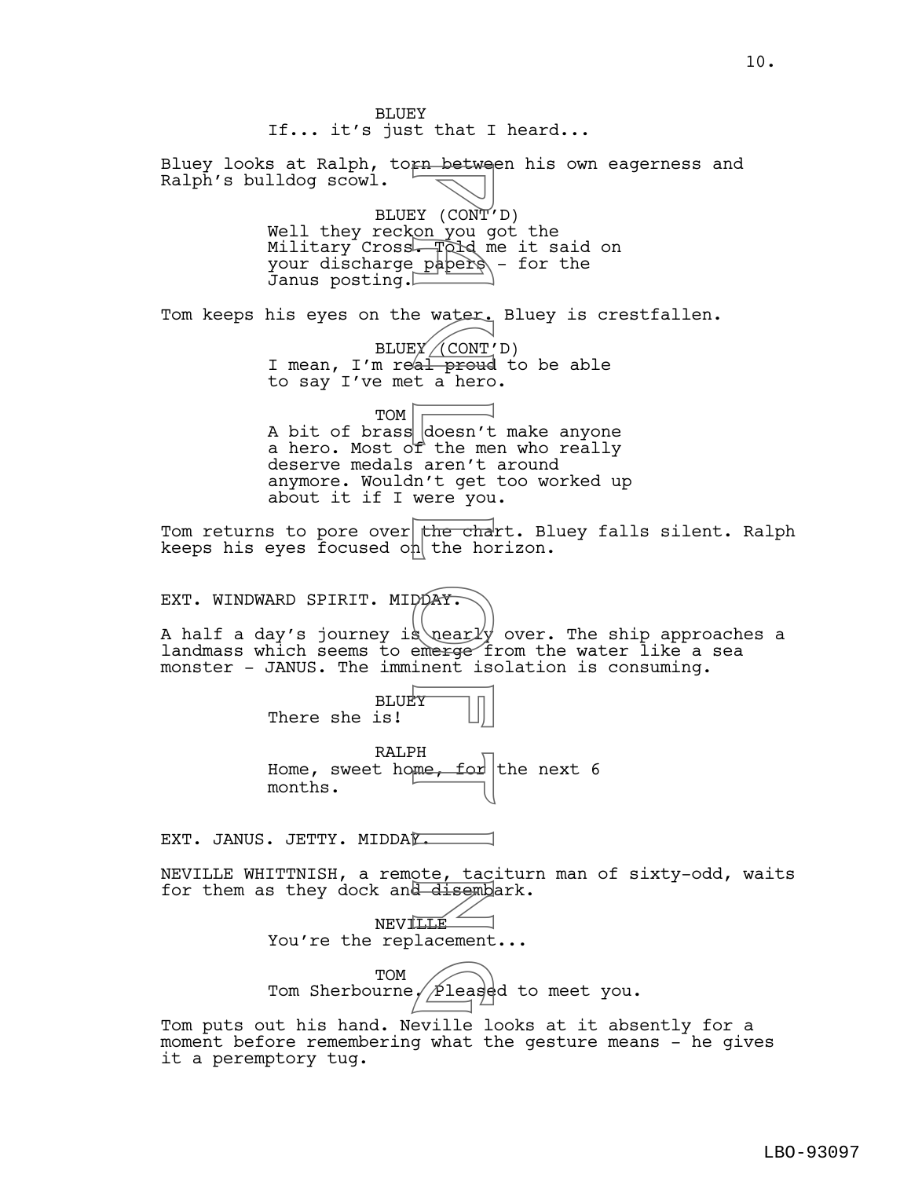BLUEY If... it's just that I heard... Bluey looks at Ralph, torn between his own eagerness and Ralph's bulldog scowl. BLUEY (CONT'D) Well they reckon you got the Military Cross. Told me it said on your discharge papers - for the Janus posting. Tom keeps his eyes on the water. Bluey is crestfallen. BLUEY\_\_(CONT'D) I mean, I'm real proud to be able to say I've met a hero. TOM A bit of brass doesn't make anyone a hero. Most of the men who really deserve medals aren't around anymore. Wouldn't get too worked up about it if I were you. Tom returns to pore over the chart. Bluey falls silent. Ralph keeps his eyes focused on the horizon. EXT. WINDWARD SPIRIT. MIDDAY. A half a day's journey is nearly over. The ship approaches a landmass which seems to emerge from the water like a sea monster - JANUS. The imminent isolation is consuming. BLUEY There she is! RALPH Home, sweet home, for the next 6 months. EXT. JANUS. JETTY. MIDDAY. NEVILLE WHITTNISH, a remote, taciturn man of sixty-odd, waits for them as they dock and disembark. **NEVILLE** You're the replacement... TOM Tom Sherbourne,  $\cancel{\sqrt{2}}$ leased to meet you. Tom puts out his hand. Neville looks at it absently for a moment before remembering what the gesture means - he gives Find Becker<br>
EX (CONT')<br>
Papers<br>
Papers<br>
Papers<br>
EX (CONT')<br>
Papers<br>
EX (CONT')<br>
al proud<br>
doesn't get<br>
The aren't get<br>
In't get<br>
The chains<br>
The chains<br>
Papers<br>
Papers<br>
Papers<br>
Papers<br>
Papers<br>
Papers<br>
Papers<br>
Papers<br>
Pape Please

it a peremptory tug.

10.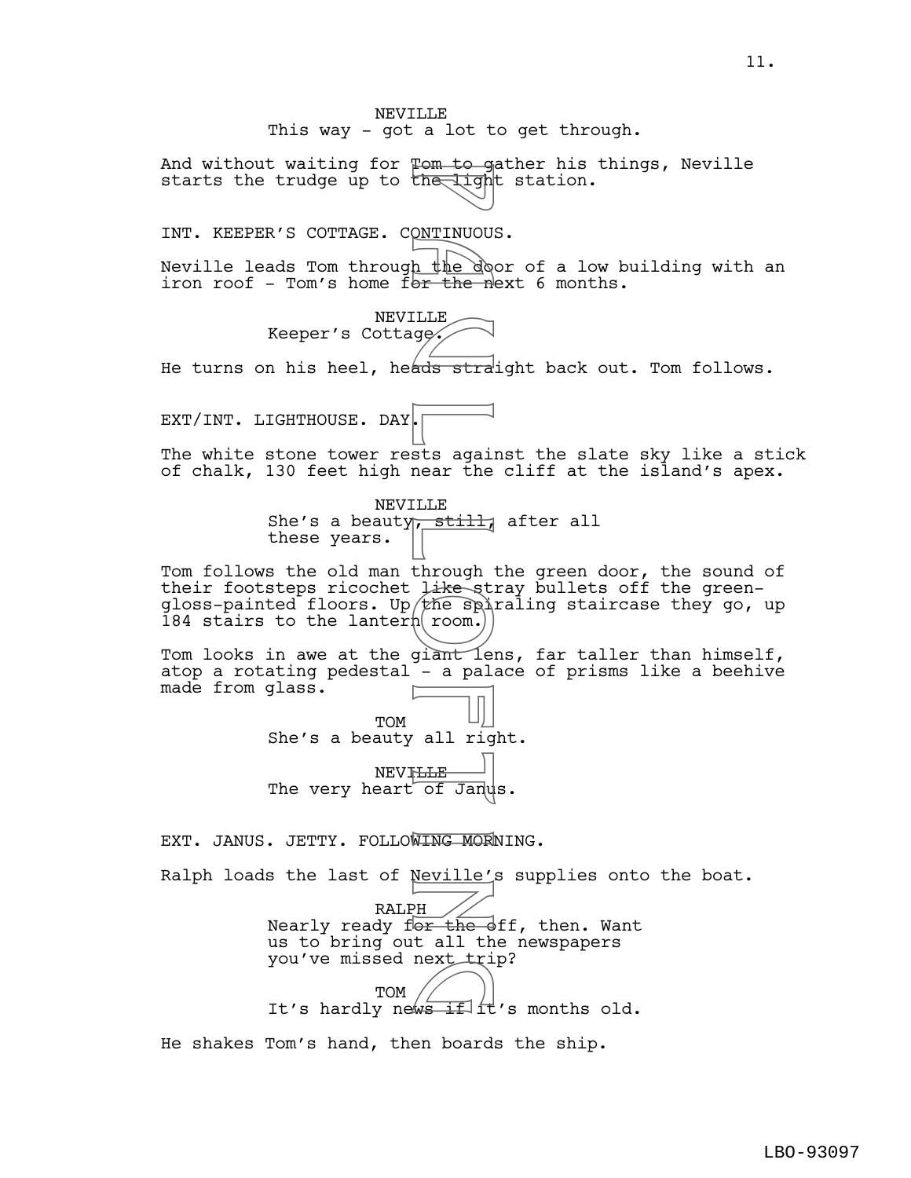NEVILLE This way - got a lot to get through. And without waiting for Tom to gather his things, Neville starts the trudge up to the light station. INT. KEEPER'S COTTAGE. CONTINUOUS. Neville leads Tom through the door of a low building with an iron roof - Tom's home f<del>or the n</del>ext 6 months. NEVILLE Keeper's Cottage. He turns on his heel, heads straight back out. Tom follows. EXT/INT. LIGHTHOUSE. DAY. The white stone tower rests against the slate sky like a stick of chalk, 130 feet high near the cliff at the island's apex. NEVILLE She's a beauty<sub>1</sub>, still, after all these years. Tom follows the old man through the green door, the sound of their footsteps ricochet like stray bullets off the greengloss-painted floors. Up the spiraling staircase they go, up 184 stairs to the lantern room.) Tom looks in awe at the giant lens, far taller than himself, atop a rotating pedestal - a palace of prisms like a beehive made from glass. TOM She's a beauty all right. **NEVILLE** The very heart of Janus. EXT. JANUS. JETTY. FOLLOWING MORNING. Ralph loads the last of Neville's supplies onto the boat. RALPH Nearly ready for the off, then. Want us to bring out all the newspapers you've missed next trip? TOM you ve missed next tip:<br>TOM TOM TOM TOM TOM TOM TOM SECTIVE STATES OF THE STATES OF THE STATES OF THE STATE OF THE STATE OF THE STATE STATES OF THE STATE STATES OF THE STATE STATES OF THE STATE STATES OF THE STATE STATES O p a the downlinuous<br>
h the downlinuous<br>
h the downlinuous<br>
sts againear the<br>
sts againear the<br>
LE still<br>
through like spin<br>
thrownline<br>
pl room.<br>
all right and repair<br>
in the spin of January<br>
MING MOR<br>
Neville',<br>
tall the

He shakes Tom's hand, then boards the ship.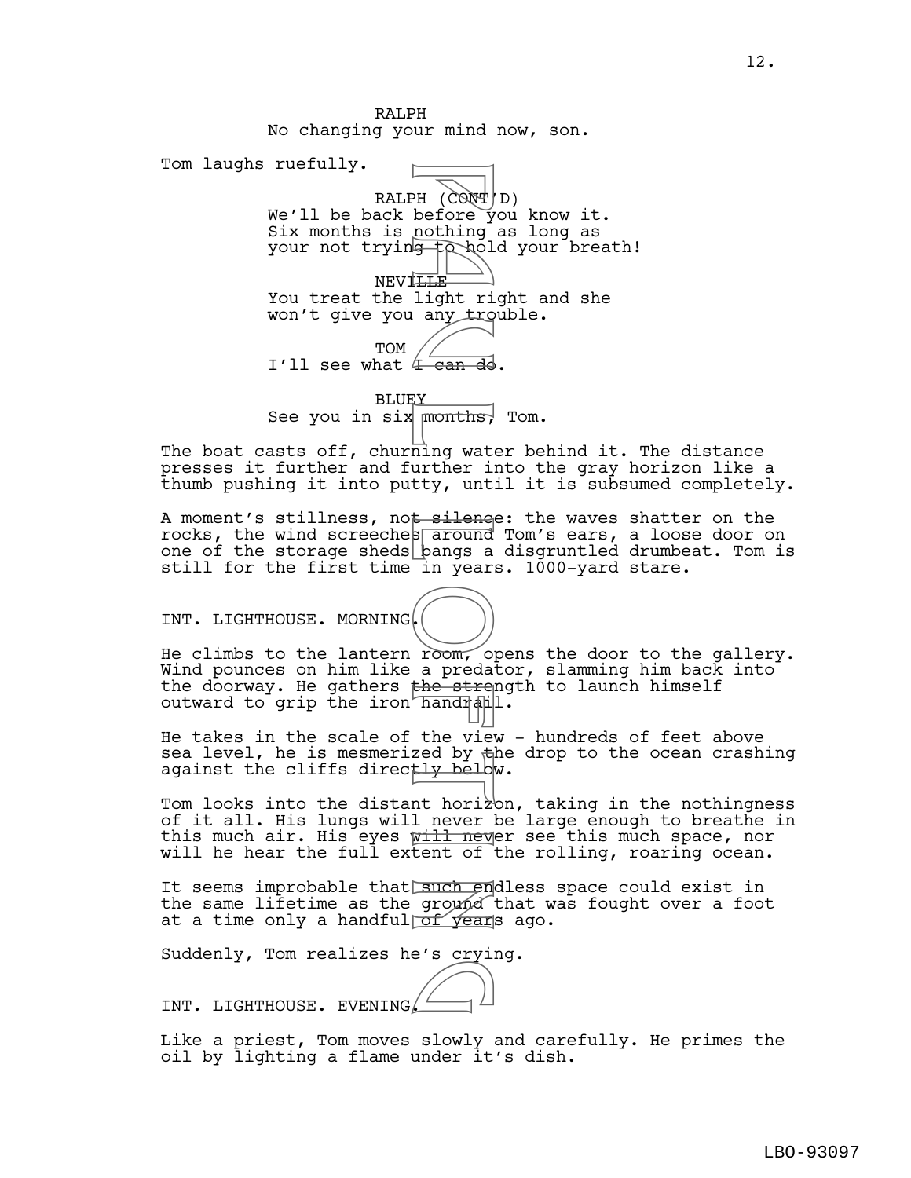RALPH No changing your mind now, son. Tom laughs ruefully. RALPH  $(\overrightarrow{CONT} | D)$ We'll be back before you know it. Six months is nothing as long as your not trying to hold your breath! NEVI<del>LLE</del> You treat the light right and she won't give you any trouble. TOM I'll see what  $4$  can do. PH (CONT)<br>
PH (CONT)<br>
before y<br>
nothing<br>
s any tro<br>
any tro<br>
any tro<br>
<br>
The silence<br>
of the silence<br>
s areda<br>
in year;<br>
a preda<br>
the strep<br>
a preda<br>
the view<br>
the view<br>
the view<br>
the view<br>
the view<br>
the view<br>
the view<br>
the

**BLUEY** See you in six  $m$  months, Tom.

The boat casts off, churning water behind it. The distance presses it further and further into the gray horizon like a thumb pushing it into putty, until it is subsumed completely.

A moment's stillness, not silence: the waves shatter on the rocks, the wind screeches  $\overline{\text{around}}$  Tom's ears, a loose door on one of the storage sheds  $\frac{1}{2}$  bangs a disgruntled drumbeat. Tom is still for the first time in years. 1000-yard stare.

INT. LIGHTHOUSE. MORNING.



He climbs to the lantern room, opens the door to the gallery. Wind pounces on him like a predator, slamming him back into the doorway. He gathers the strength to launch himself outward to grip the iron handrall.

He takes in the scale of the view - hundreds of feet above sea level, he is mesmerized by  $\frac{1}{2}$ he drop to the ocean crashing against the cliffs directly below.

Tom looks into the distant horizon, taking in the nothingness of it all. His lungs will never be large enough to breathe in this much air. His eyes will never see this much space, nor will he hear the full extent of the rolling, roaring ocean.

It seems improbable that such endless space could exist in the same lifetime as the ground that was fought over a foot at a time only a handfullof vears ago.

Suddenly, Tom realizes he's crying.

INT. LIGHTHOUSE. EVENING. g

Like a priest, Tom moves slowly and carefully. He primes the oil by lighting a flame under it's dish.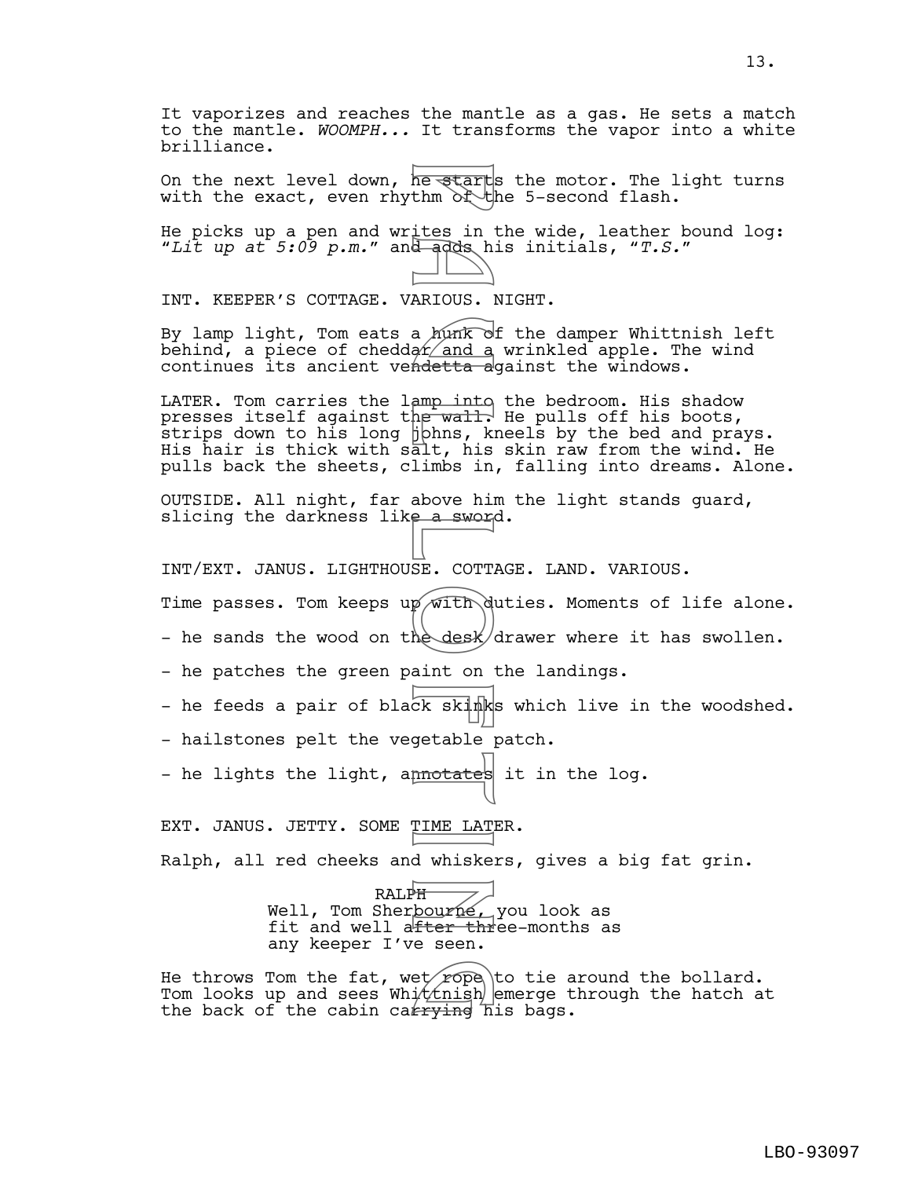It vaporizes and reaches the mantle as a gas. He sets a match to the mantle. *WOOMPH...* It transforms the vapor into a white brilliance.

On the next level down, he starts the motor. The light turns with the exact, even rhythm  $\partial \hat{\zeta}$  the 5-second flash.

He picks up a pen and writes in the wide, leather bound log: "*Lit up at 5:09 p.m.*" and adds his initials, "*T.S.*"

INT. KEEPER'S COTTAGE. VARIOUS. NIGHT.

By lamp light, Tom eats a hunk of the damper Whittnish left behind, a piece of cheddar and a wrinkled apple. The wind continues its ancient vendetta against the windows.

LATER. Tom carries the lamp into the bedroom. His shadow presses itself against the wall. He pulls off his boots,  $\overline{\text{s}}$ trips down to his long  $\overline{\text{b}}$ bhns, kneels by the bed and prays. His hair is thick with salt, his skin raw from the wind. He pulls back the sheets, climbs in, falling into dreams. Alone. Frame Start<br>
thm of the start<br>
dendes in the start<br>
dendes in the start of the start of the start of the start of the start<br>
ampling, kiss and a sword of the start of the desk<br>
aint on the desk<br>
aint on the desk<br>
aint on t

OUTSIDE. All night, far above him the light stands guard, slicing the darkness like a sword.

INT/EXT. JANUS. LIGHTHOUSE. COTTAGE. LAND. VARIOUS.

Time passes. Tom keeps up with duties. Moments of life alone.

- he sands the wood on the desk/drawer where it has swollen.

- he patches the green paint on the landings.

- he feeds a pair of black skinks which live in the woodshed.

- hailstones pelt the vegetable patch.

- he lights the light, a<del>nnotate</del>s it in the log.

EXT. JANUS. JETTY. SOME TIME LATER.

Ralph, all red cheeks and whiskers, gives a big fat grin.

RALPH Well, Tom Sherbourne, you look as fit and well after three-months as any keeper I've seen.

He throws Tom the fat, wet rope to tie around the bollard. He throws Tom the fat, wet rope to tie around the bollard.<br>Tom looks up and sees Whittnish emerge through the hatch at<br>the back of the cabin carrying his bags. the back of the cabin carrying his bags.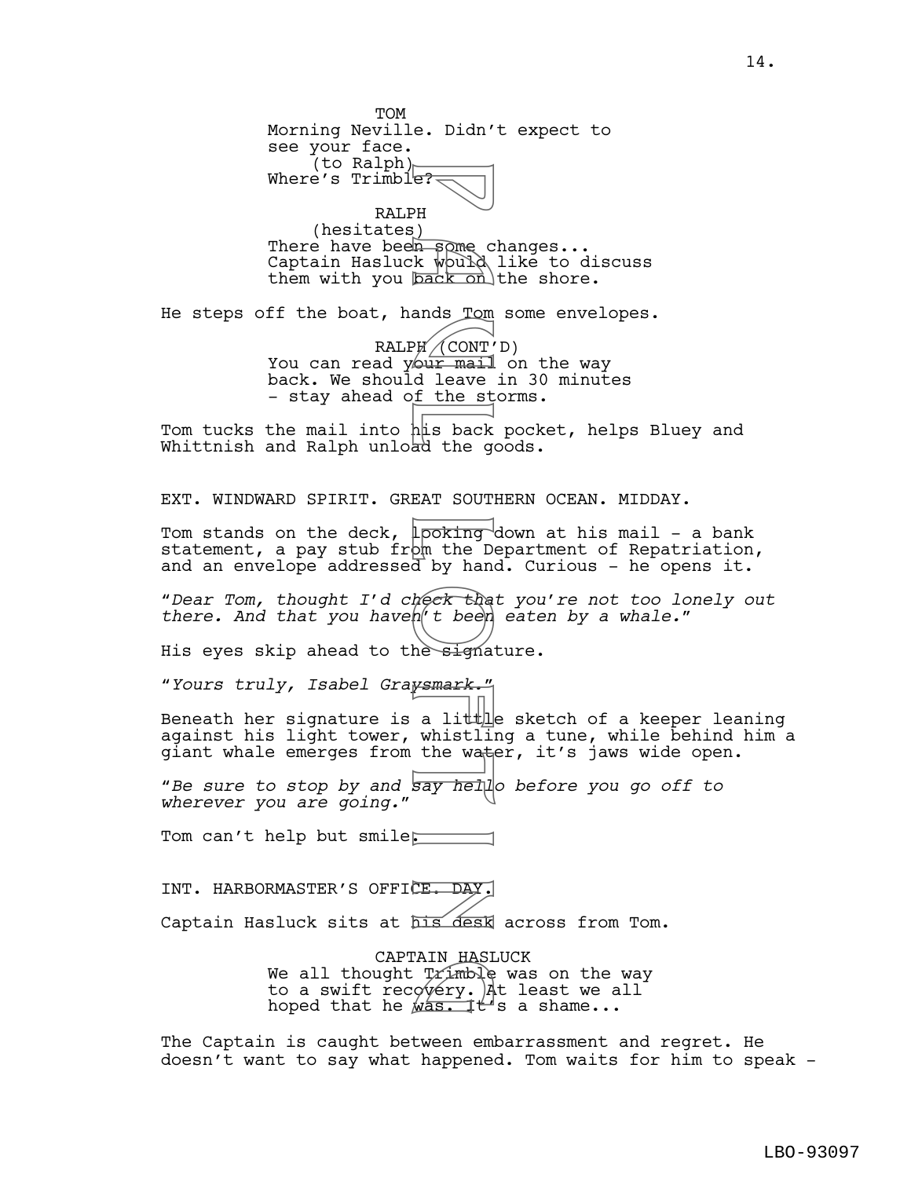TOM Morning Neville. Didn't expect to see your face. (to Ralph) Where's Trimble? RALPH (hesitates) There have been some changes... Captain Hasluck would like to discuss them with you  $\overline{back\; \text{on}}$  the shore. He steps off the boat, hands Tom some envelopes.  $RALPH / (CONT'D)$ You can read your mail on the way back. We should leave in 30 minutes - stay ahead of the storms. Tom tucks the mail into his back pocket, helps Bluey and Whittnish and Ralph unload the goods. EXT. WINDWARD SPIRIT. GREAT SOUTHERN OCEAN. MIDDAY. Tom stands on the deck, 1 po<del>king d</del>own at his mail - a bank statement, a pay stub from the Department of Repatriation, and an envelope addressed by hand. Curious - he opens it. "*Dear Tom, thought I'd check that you're not too lonely out there. And that you haven't been eaten by a whale.*" His eyes skip ahead to the signature. "*Yours truly, Isabel Graysmark.*" Beneath her signature is a litt $\frac{1}{k}$ e sketch of a keeper leaning against his light tower, whistling a tune, while behind him a giant whale emerges from the water, it's jaws wide open. "*Be sure to stop by and say hello before you go off to wherever you are going.*" Tom can't help but smile. INT. HARBORMASTER'S OFFICE. DAY. Captain Hasluck sits at his desk across from Tom. CAPTAIN HASLUCK We all thought  $Trimb$  was on the way to a swift recovery. At least we all hoped that he  $\sqrt{a}$ s. It's a shame... The Captain is caught between embarrassment and regret. He e:<br>
PH<br>
() k wpurd<br>
ands Tom<br>
() k wpurd<br>
ands Tom<br>
and Leave<br>
d Leave<br>
f the star SOUT<br>
looking<br>
a d Leave<br>
EAT SOUT<br>
looking<br>
the best than<br>
d by hand<br>
the signa<br> *posing*<br>
a little water<br>
a little water<br>
a little water<br> AIN HASI<br>. Trimble<br>. gvery<br>. Mas

doesn't want to say what happened. Tom waits for him to speak -

14.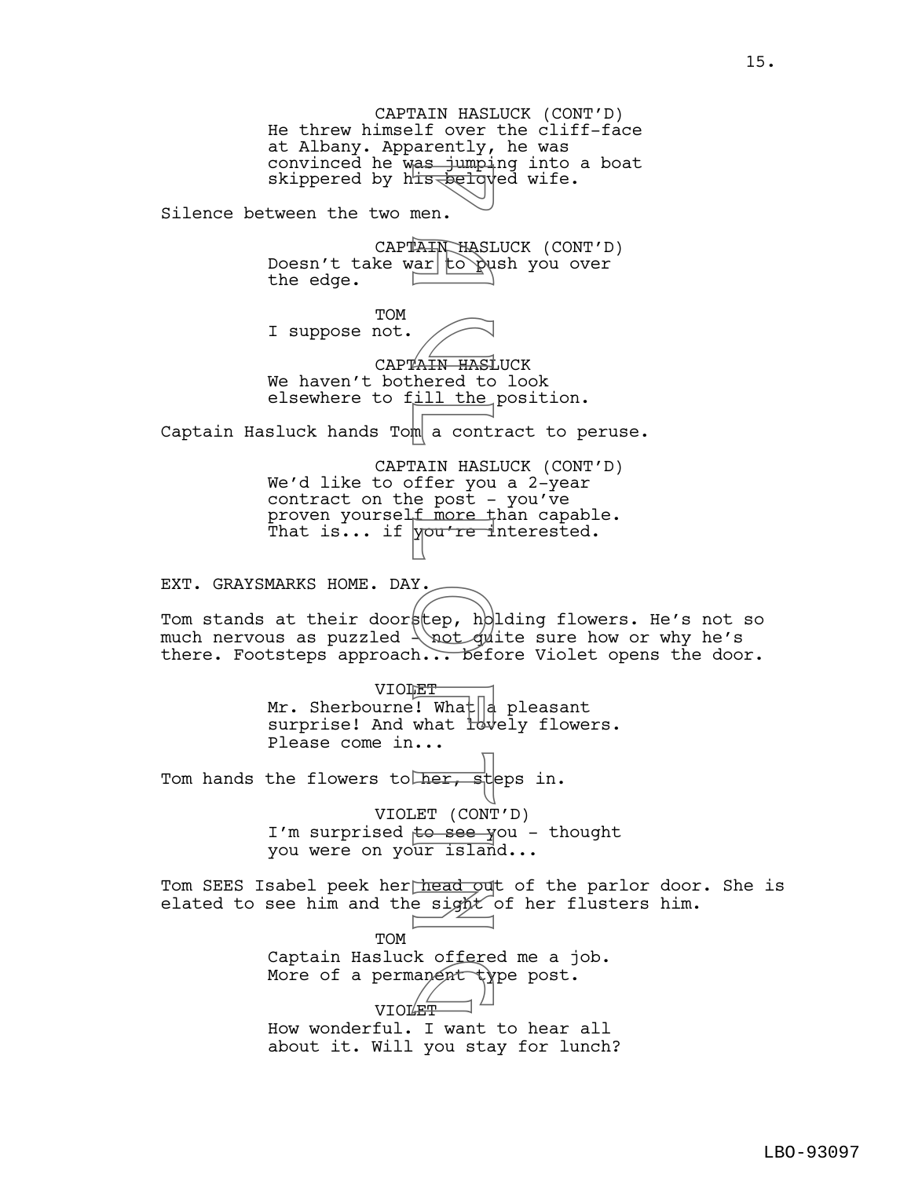CAPTAIN HASLUCK (CONT'D) He threw himself over the cliff-face at Albany. Apparently, he was convinced he was jumping into a boat skippered by h<del>is belo</del>ved wife. Silence between the two men. CAPTAIN HASLUCK (CONT'D) Doesn't take war to push you over the edge. TOM I suppose not. CAPTAIN HASLUCK We haven't bothered to look elsewhere to fill the position. Captain Hasluck hands Tom a contract to peruse. CAPTAIN HASLUCK (CONT'D) We'd like to offer you a 2-year contract on the post - you've proven yourself more than capable. That is... if  $\gamma$ ou're interested. EXT. GRAYSMARKS HOME. DAY. Tom stands at their doorstep, holding flowers. He's not so much nervous as puzzled  $\{\not\}$  and sure how or why he's there. Footsteps approach... before Violet opens the door. VIOLET Mr. Sherbourne! What  $\begin{bmatrix} a \\ c \end{bmatrix}$  pleasant surprise! And what lowely flowers. Please come in... Tom hands the flowers to her, steps in. VIOLET (CONT'D) I'm surprised to see you - thought you were on your island... Tom SEES Isabel peek her head out of the parlor door. She is elated to see him and the sight of her flusters him. TOM Captain Hasluck offered me a job. More of a permanent type post.<br>
Where of a permanent type post. VIOLET How wonderful. I want to hear all about it. Will you stay for lunch? E FORCE CONT<br>
The a contribution of the search of the search of the search of the search of the search of the search of the search of the search of the search of the search of the search of the search of the search of the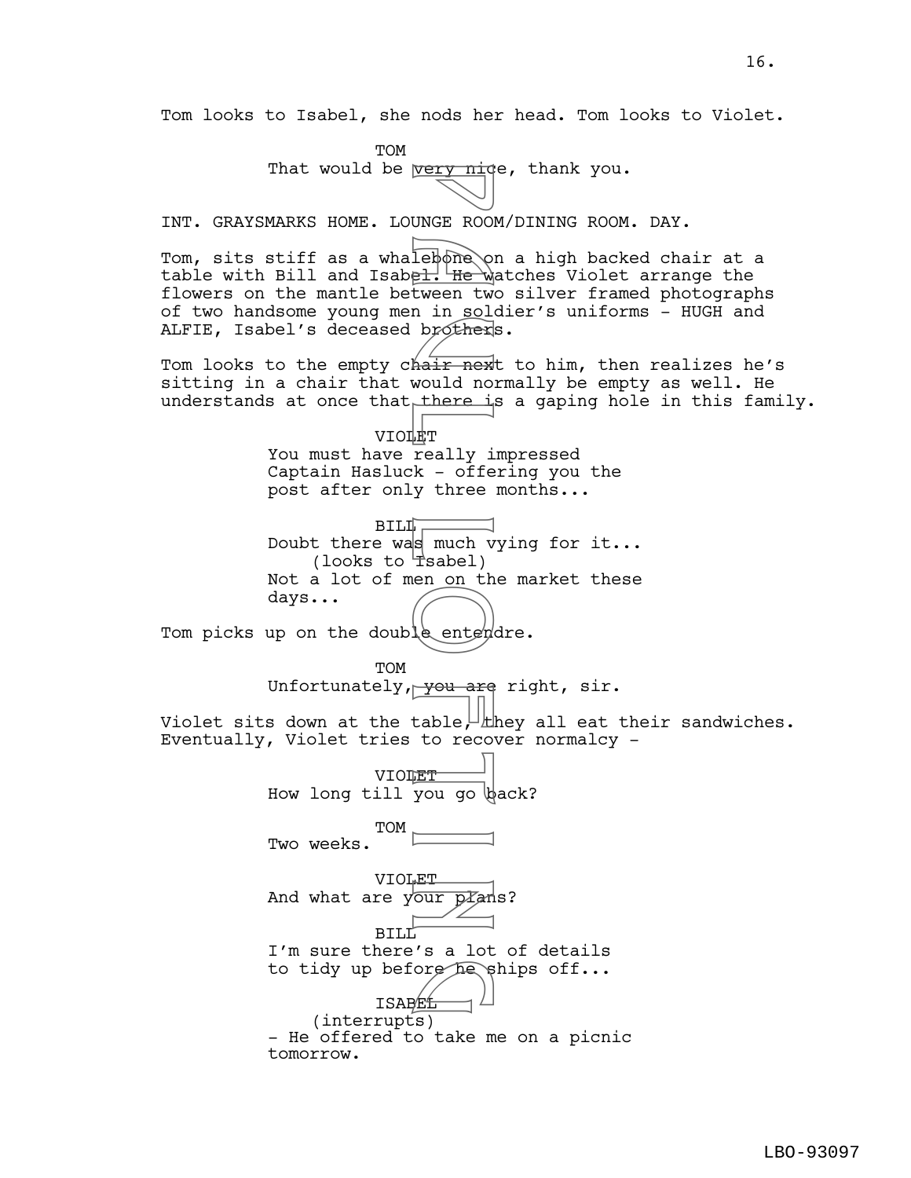Tom looks to Isabel, she nods her head. Tom looks to Violet.

**TOM** That would be  $very niqe, thank you.$ </u> INT. GRAYSMARKS HOME. LOUNGE ROOM/DINING ROOM. DAY. Tom, sits stiff as a whalebone on a high backed chair at a table with Bill and Isabel. He watches Violet arrange the flowers on the mantle between two silver framed photographs of two handsome young men in soldier's uniforms - HUGH and ALFIE, Isabel's deceased brothers. Tom looks to the empty chair next to him, then realizes he's sitting in a chair that would normally be empty as well. He understands at once that there is a gaping hole in this family. VIOLET You must have really impressed Captain Hasluck - offering you the post after only three months...  $BILI<sub>r</sub>$ Doubt there was much vying for it...  $($ looks to  $\exists$ sabel) Not a lot of men on the market these days... Tom picks up on the double entendre. **TOM** Unfortunately, you are right, sir. Violet sits down at the table,  $\perp$  they all eat their sandwiches. Eventually, Violet tries to recover normalcy - VIOLET<sup>-</sup> How long till you go back? TOM Two weeks. VIOLET And what are your  $p\mathcal{I}$ ans? BILL<sup>'</sup> I'm sure there's a lot of details to tidy up before he ships off...<br>
ISAREL ISABEL (interrupts) - He offered to take me on a picnic tomorrow. Very nid<br>
lebone<br>
Qui He Windows<br>
Lebone<br>
Contrast He Windows<br>
hair nex<br>
would not<br>
hair nex<br>
would not<br>
there if<br>
<br>
K - offe<br>
s much v<br>
Tsabel)<br>
Tsabel<br>
to recover<br>
Tyou are<br>
table, there if<br>  $\frac{1}{2}$ <br>
Tyou are<br>
table, t

16.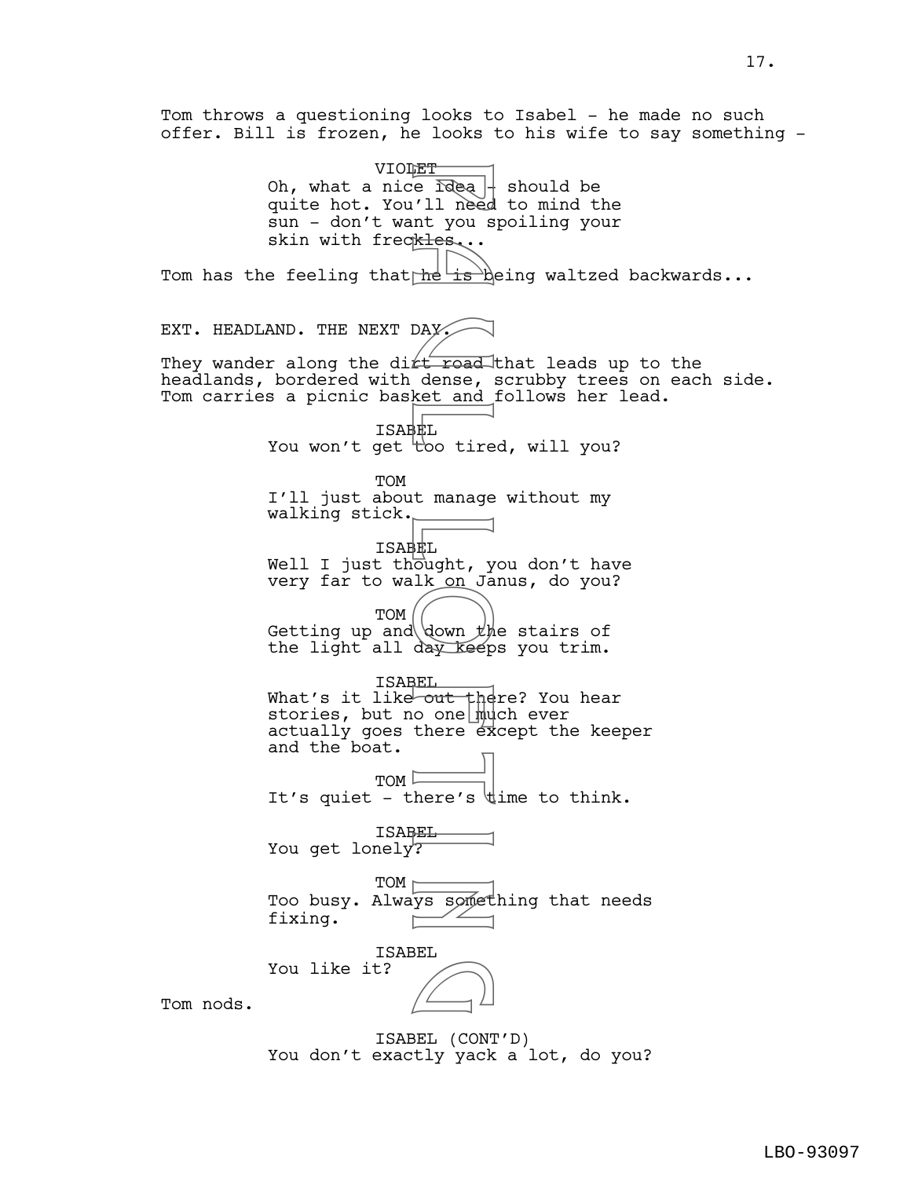Tom throws a questioning looks to Isabel - he made no such offer. Bill is frozen, he looks to his wife to say something - VIOLET Oh, what a nice  $\frac{1}{2}$   $\frac{1}{2}$  should be quite hot. You'll need to mind the sun - don't want you spoiling your skin with freckles... Tom has the feeling that  $\frac{h}{k}$  is being waltzed backwards... EXT. HEADLAND. THE NEXT DAY. They wander along the dirt road that leads up to the headlands, bordered with dense, scrubby trees on each side. Tom carries a picnic basket and follows her lead. ISABEL You won't get  $\overline{t}$  too tired, will you? TOM I'll just about manage without my walking stick. ISABEL Well I just thought, you don't have very far to walk on Janus, do you? TOM Getting up and down  $\sharp$ he stairs of the light all day keeps you trim. ISABEL What's it like<del> out there? You hear</del> stories, but no one much ever actually goes there  $\vec{e}$  cept the keeper and the boat.  $TOM \nightharpoonup$ It's quiet - there's  $\forall$ ime to think. ISABEL You get lonely? TOM  $\vdash$ Too busy. Always something that needs fixing. ISABEL You like it? Tom nods. ISABEL (CONT'D) Free Idea<br>
'll need<br>
'll need<br>
'll need<br>
he is by<br>
the is by<br>
the is by<br>
the is by<br>
ket and<br>
ket and<br>
HEL<br>
too tire<br>
t manage<br>
HEL<br>
Lik on Ja<br>
day keep<br>
HEL<br>
down the day keep<br>
HEL<br>
there s<br>
HEL<br>
there s<br>
HEL<br>
there s<br>
HEL  $\Box$ 

You don't exactly yack a lot, do you?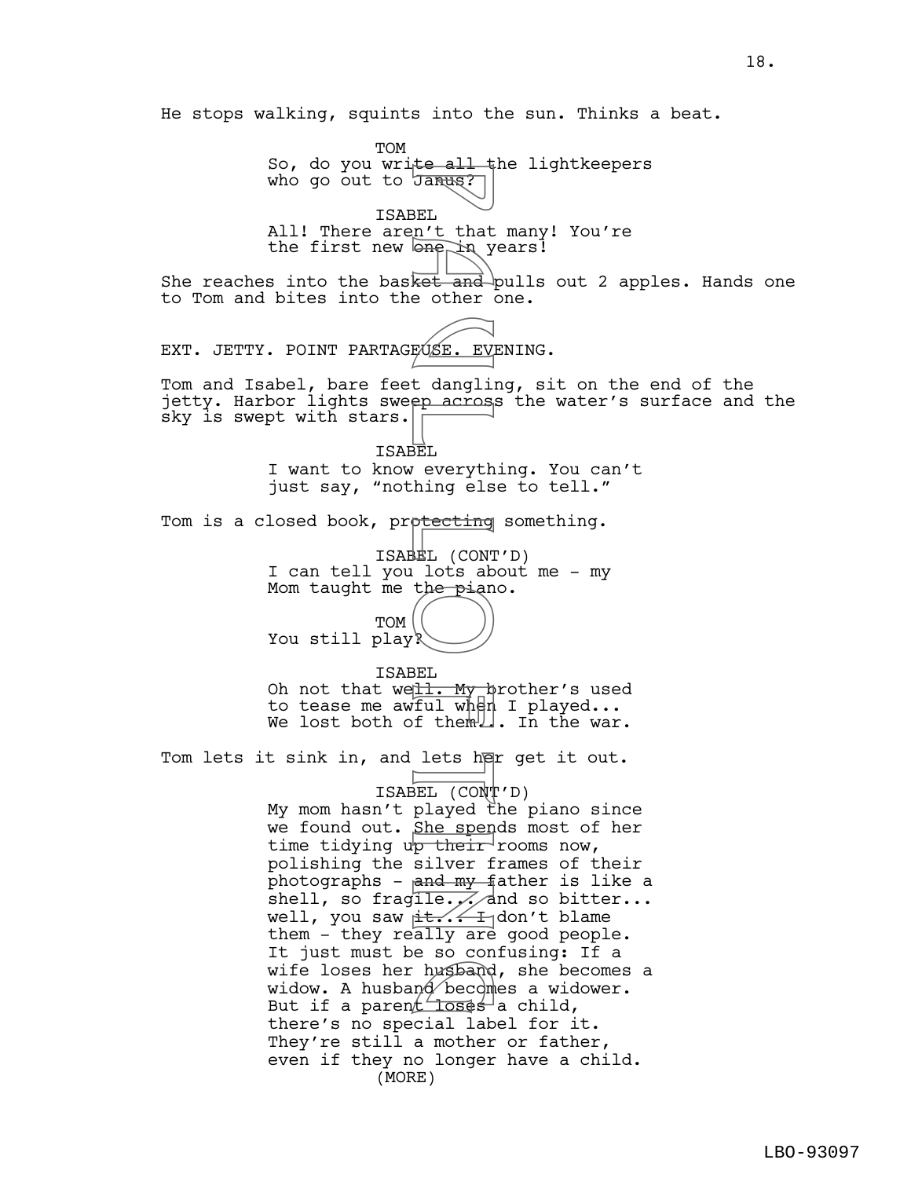He stops walking, squints into the sun. Thinks a beat. TOM So, do you write all the lightkeepers who go out to Janus? ISABEL All! There aren't that many! You're the first new  $\Theta$  in years! She reaches into the basket and pulls out 2 apples. Hands one to Tom and bites into the other one. EXT. JETTY. POINT PARTAGEUSE. EVENING. Tom and Isabel, bare feet dangling, sit on the end of the jetty. Harbor lights sweep across the water's surface and the sky is swept with stars. ISABEL I want to know everything. You can't just say, "nothing else to tell." Tom is a closed book, prp<del>tecting</del> something. ISABEL (CONT'D) I can tell you lots about me - my Mom taught me the piano. TOM You still play? ISABEL Oh not that we<u>ll. My </u>hrother's used to tease me awful when I played... We lost both of them. In the war. Tom lets it sink in, and lets her get it out. ISABEL (CONT'D) My mom hasn't played the piano since we found out. She spends most of her time tidying up their rooms now, polishing the silver frames of their photographs -  $and  $my$ -father is like a$ shell, so fragile.  $\frac{1}{2}$  and so bitter... well, you saw it... I don't blame them - they really are good people. It just must be so confusing: If a wife loses her husband, she becomes a widow. A husband becomes a widower. wife loses her husband, she bec<br>widow. A husband becomes a wido<br>But if a parent loses a child, there's no special label for it. They're still a mother or father, even if they no longer have a child. (MORE) BEL n't that<br>BEL n't that<br>BEL n't that<br>Ret and other and<br>FOSE. EVISE. EVISE. EVISE. EVISE. EVISE. EVISE. EVISE.<br>The particular of the particular of the particular of the particular of the particular of the particular of th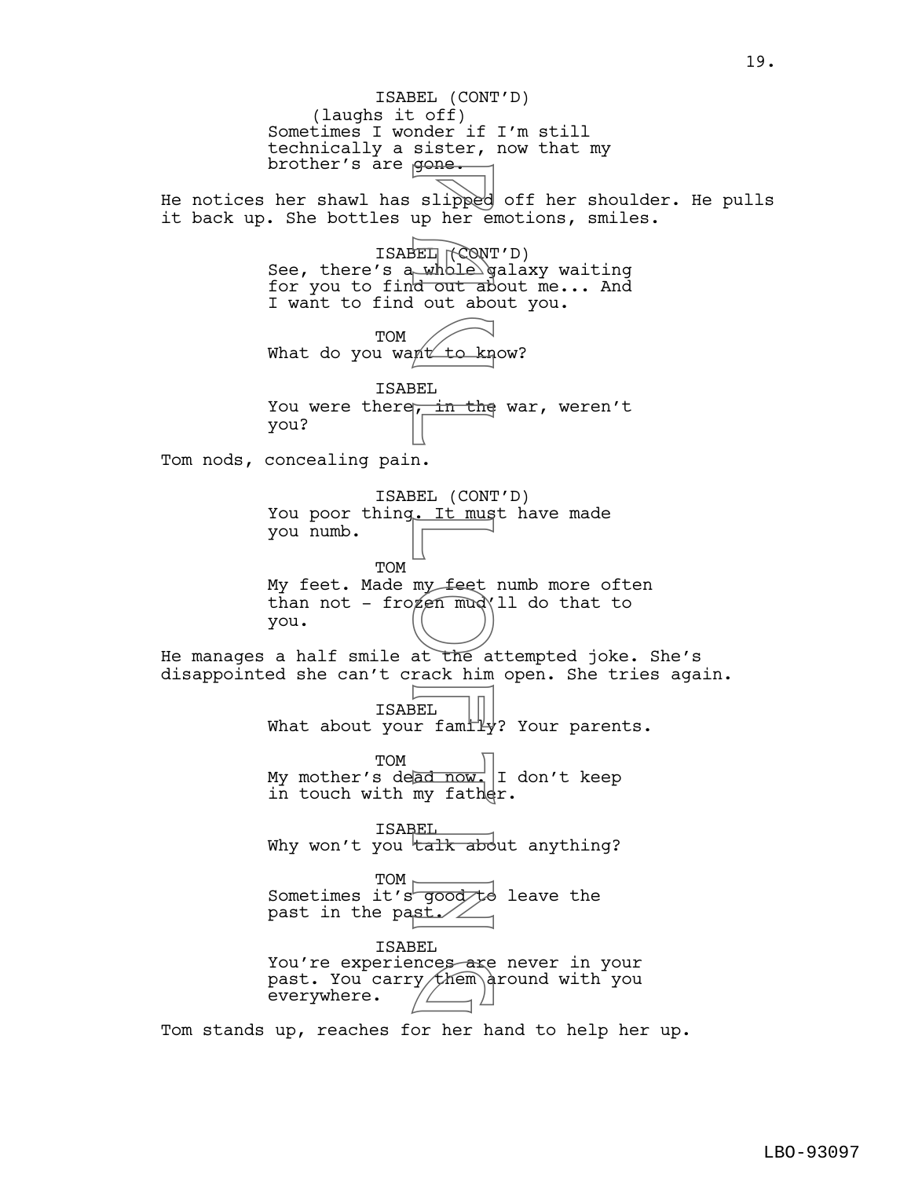(laughs it off) Sometimes I wonder if I'm still technically a sister, now that my brother's are gone. He notices her shawl has slipped off her shoulder. He pulls it back up. She bottles up her emotions, smiles. ISABEL (CONT'D) See, there's a whole galaxy waiting for you to find out about me... And I want to find out about you. TOM What do you want to know? ISABEL You were there, in the war, weren't you? Tom nods, concealing pain. ISABEL (CONT'D) You poor thing. It must have made you numb. TOM My feet. Made my feet numb more often than not - frozen mud\ll do that to you. He manages a half smile at the attempted joke. She's disappointed she can't crack him open. She tries again. ISABEL What about your family? Your parents. TOM My mother's dead now. I don't keep in touch with my father. ISABEL Why won't you talk about anything? TOM Sometimes it's good to leave the past in the past./ $\angle$ ISABEL You're experiences are never in your past. You carry them around with you everywhere. ISABEL (CONT'D) slipped<br>slipped<br>BEL whole give to kn<br>dout about about<br>BEL in the<br>BEL in the ack him<br>ny feet<br>at the and<br>my feet<br>at the and<br>my fath<br>ad now<br>my fath<br>ad now<br>my fath<br>ad now<br>my fath<br>ad now<br>my fath<br>sEL<br>r family<br>doughted nces are<br>y them a

Tom stands up, reaches for her hand to help her up.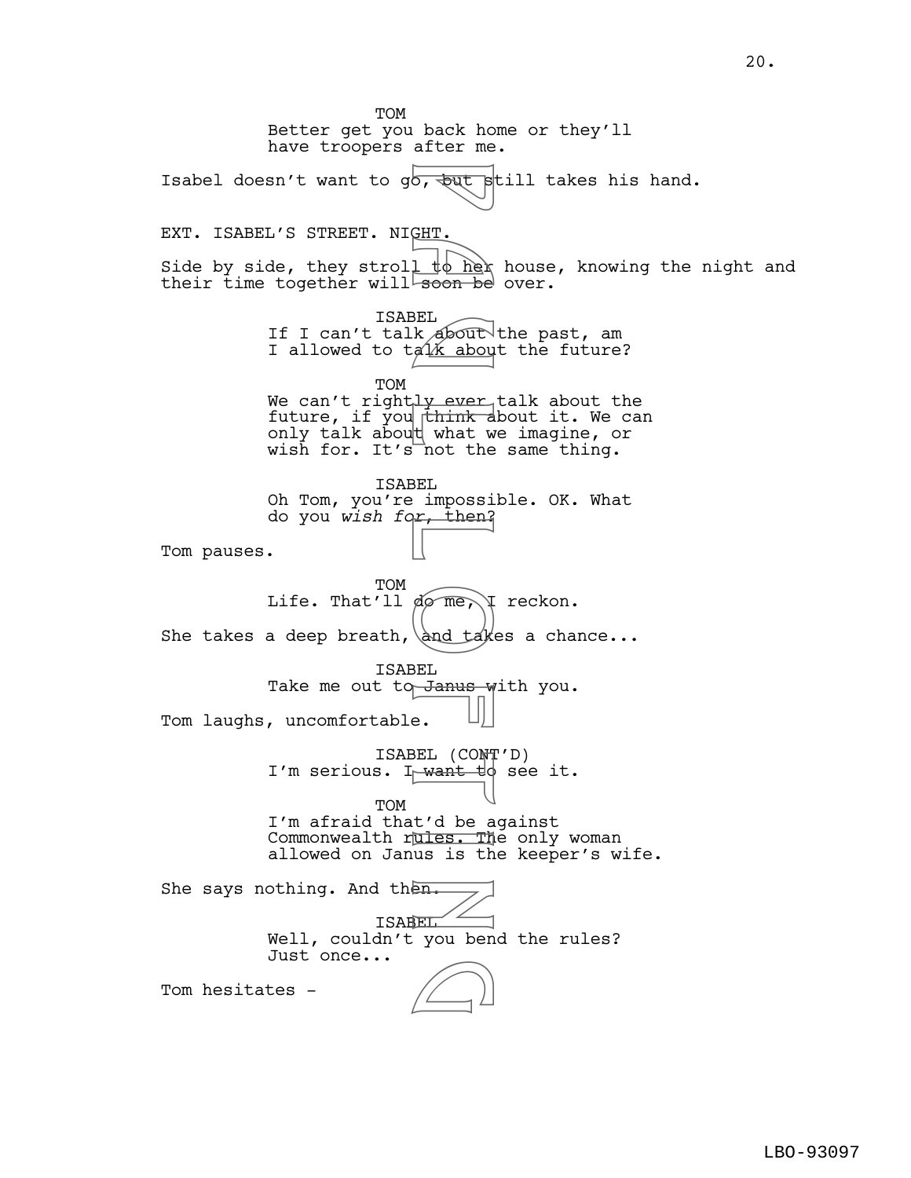TOM Better get you back home or they'll have troopers after me. Isabel doesn't want to go,  $\frac{1}{x}$  is the still takes his hand. EXT. ISABEL'S STREET. NIGHT. Side by side, they stroll  $\frac{1}{k}$  here house, knowing the night and their time together will soon be over. ISABEL If I can't talk about the past, am I allowed to  $t \notin \mathcal{U}$  about the future? TOM We can't rightly ever talk about the future, if you think about it. We can only talk abou $\natural$  what we imagine, or wish for. It's not the same thing. ISABEL Oh Tom, you're impossible. OK. What do you *wish for*, then? Tom pauses. **TOM** Life. That'll  $\phi$  me, I reckon. She takes a deep breath, and takes a chance... ISABEL Take me out to Janus with you. Tom laughs, uncomfortable. ISABEL (CONT'D) I'm serious. I want to see it. TOM I'm afraid that'd be against Commonwealth rules. The only woman allowed on Janus is the keeper's wife. She says nothing. And then. ISABEL Well, couldn't you bend the rules? Just once... Tom hesitates b, but soon be<br>B a 1 to her<br>B a 1 to her<br>a 1 to her<br>a 1 to her<br>and the what where<br>B and take and take<br>and take and take<br>B and take and take<br>B and take and take<br>and take and take<br>t'd be a<br>self the and take<br>t'd be a<br>minimize  $\bigcirc$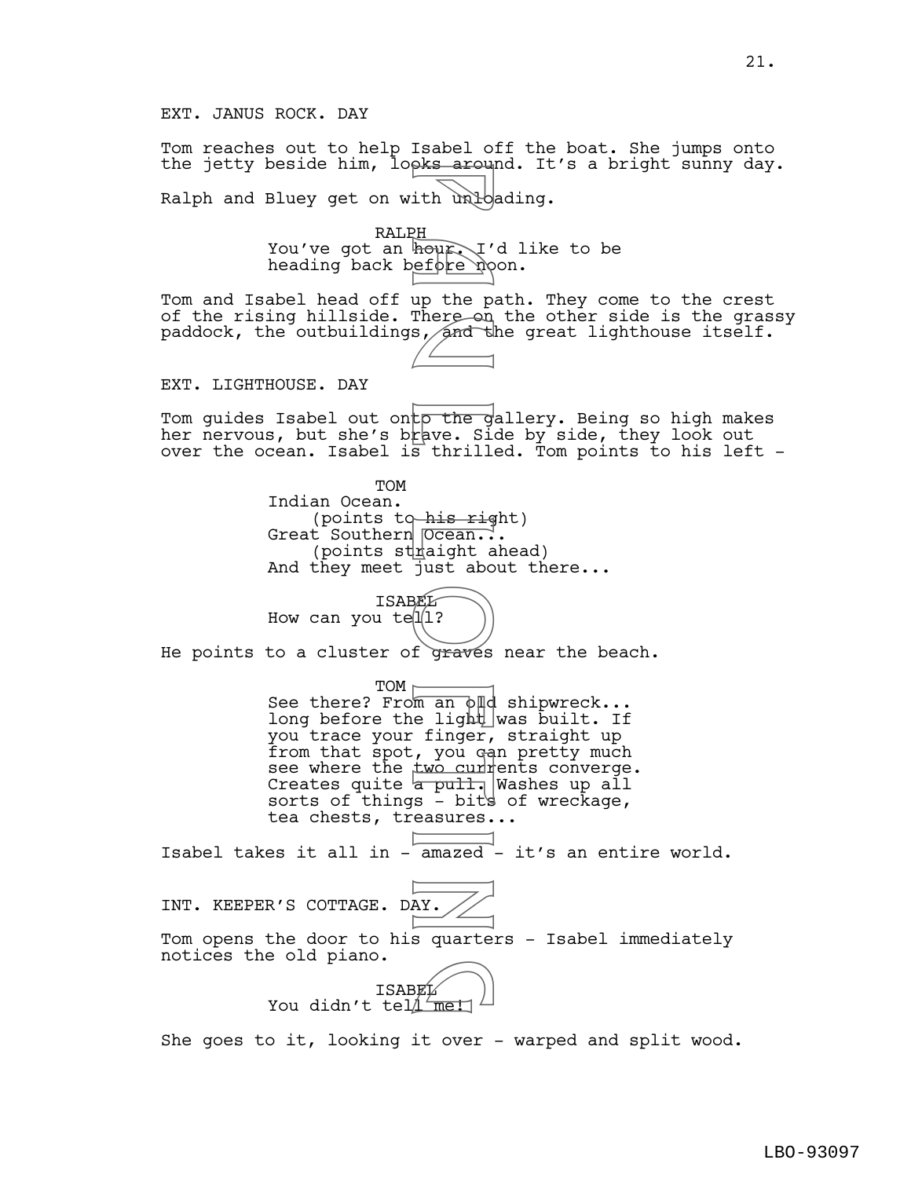Tom reaches out to help Isabel off the boat. She jumps onto the jetty beside him, looks around. It's a bright sunny day. Ralph and Bluey get on with unloading.

> RALPH You've got an hour. I'd like to be heading back before noon.

Tom and Isabel head off up the path. They come to the crest of the rising hillside. There on the other side is the grassy paddock, the outbuildings, and the great lighthouse itself.

EXT. LIGHTHOUSE. DAY

Tom quides Isabel out onto the gallery. Being so high makes her nervous, but she's brave. Side by side, they look out over the ocean. Isabel is thrilled. Tom points to his left -

> TOM Indian Ocean. (points to his right) Great Southern <del>Ocean..</del>.  $(points$  sthaight ahead) And they meet just about there...



He points to a cluster of graves near the beach.

TOM See there? From an  $\phi$  and shipwreck... long before the light was built. If you trace your finger, straight up from that spot, you can pretty much see where the two currents converge. Creates quite <del>a pull.</del> Washes up all sorts of things  $-$  bits of wreckage, tea chests, treasures... Whour I'm a more on<br>
the up the panel of the computer of the distribution of the distribution<br>
Figure . Since the distribution of the distribution of the distribution<br>
Equation is thrill<br>
Figure . Since the distribution of

Isabel takes it all in - amazed - it's an entire world.



She goes to it, looking it over - warped and split wood.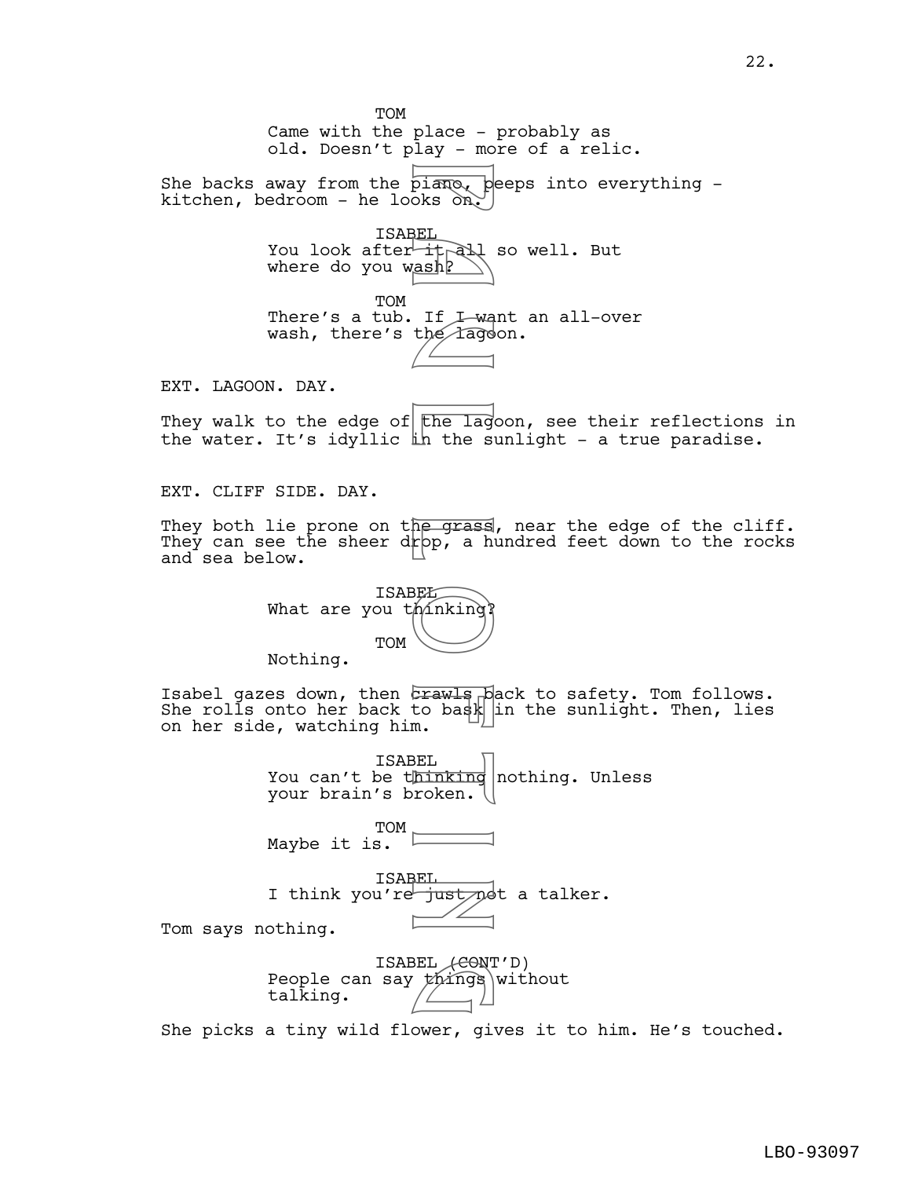TOM Came with the place - probably as old. Doesn't play - more of a relic. She backs away from the  $\overline{\text{pi}}$ <sub> $\overline{\text{max}}$ , peeps into everything -</sub> kitchen, bedroom - he looks on. ISABEL You look after it all so well. But where do you w<u>ash?</u> TOM There's a tub. If I want an all-over wash, there's the lagoon. EXT. LAGOON. DAY. They walk to the edge of  $t$  the lagoon, see their reflections in the water. It's idyllic in the sunlight - a true paradise. EXT. CLIFF SIDE. DAY. They both lie prone on the grass, near the edge of the cliff. They can see the sheer dr $p$ , a hundred feet down to the rocks and sea below. **ISABEL** What are you thinking? TOM Nothing. Isabel gazes down, then crawls pack to safety. Tom follows. She rolls onto her back to bask  $\frac{1}{n}$  the sunlight. Then, lies on her side, watching him. ISABEL You can't be thinking nothing. Unless your brain's broken. TOM Maybe it is. ISABEL I think you're just not a talker. Tom says nothing. ISABEL (CONT'D) People can say things without talking. She picks a tiny wild flower, gives it to him. He's touched. piano, b<br>piano, b<br>sEL<br>ash<br>in the fago<br>drawls phe grass<br>pp, a high the single section of the single<br>frawls phe grass<br>for a high the single section of the single<br>m.<br>BEL<br>hinking<br>roken. g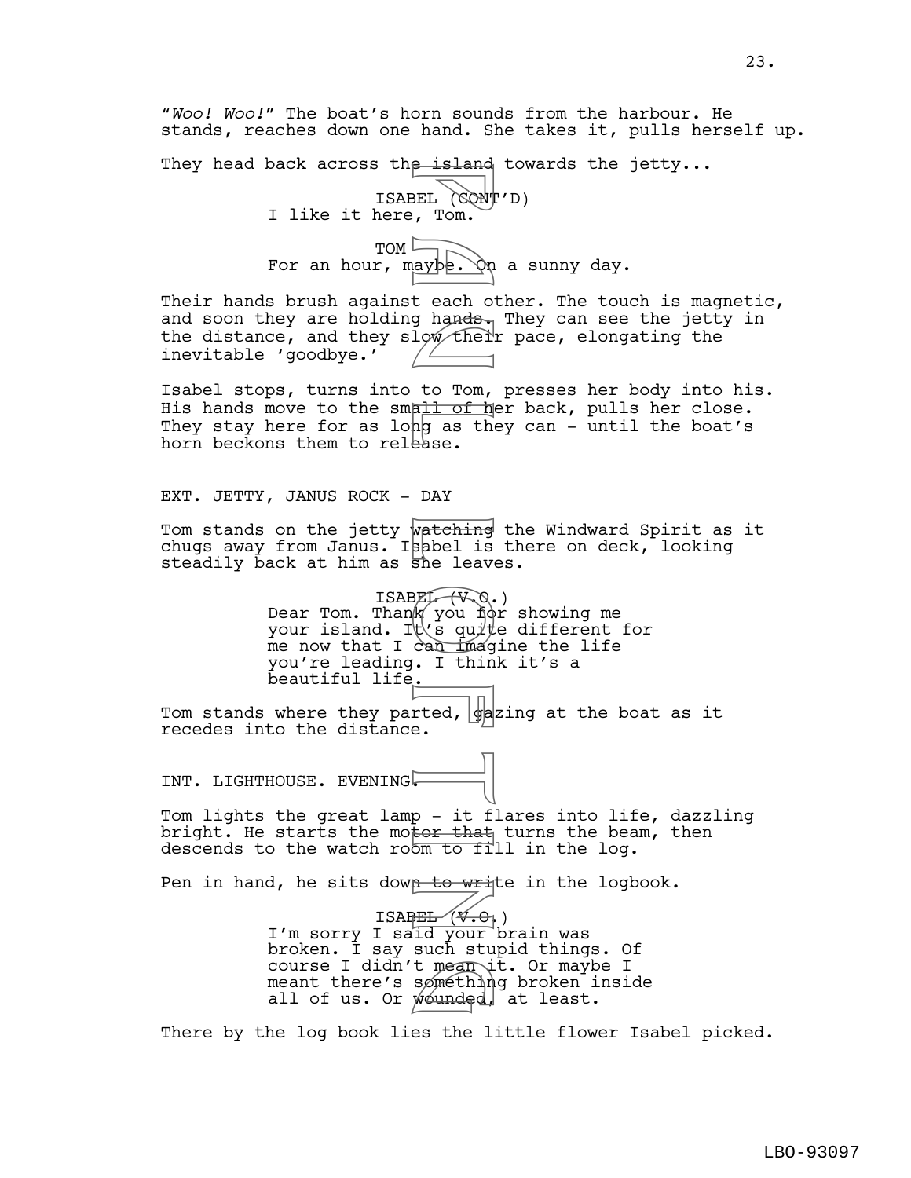"*Woo! Woo!*" The boat's horn sounds from the harbour. He stands, reaches down one hand. She takes it, pulls herself up.

They head back across th<del>e island</del> towards the jetty...

ISABEL (CONT'D) I like it here, Tom.

TOM For an hour, maybe. On a sunny day.

Their hands brush against each other. The touch is magnetic, and soon they are holding hands. They can see the jetty in the distance, and they slow their pace, elongating the inevitable 'goodbye.'

Isabel stops, turns into to Tom, presses her body into his. His hands move to the small of her back, pulls her close. They stay here for as lohg as they can - until the boat's horn beckons them to release.

EXT. JETTY, JANUS ROCK - DAY

Tom stands on the jetty wa<del>tching</del> the Windward Spirit as it chugs away from Janus. Isabel is there on deck, looking steadily back at him as she leaves.

 $ISBNF(\sqrt{x},\mathbb{Q})$ .) Dear Tom. Than $\mathbb k'$  you for showing me your island. It\s quite different for me now that I can imagine the life you're leading. I think it's a beautiful life. BEL (CONT)<br>BEL (CONT)<br>BEL (CONT)<br>teach of hands<br>teach of hands the state.<br>to Tom, hands the state of the state of the state of the state of the state of the state of the state of the state of the state of the state of the

Tom stands where they parted,  $\frac{1}{2}$ azing at the boat as it recedes into the distance.

INT. LIGHTHOUSE. EVENING

Tom lights the great lamp - it flares into life, dazzling bright. He starts the motor that turns the beam, then descends to the watch room to fill in the log.

Pen in hand, he sits down to write in the logbook.

ISA<del>BEL (V.O.</del>) I'm sorry I sa<del>ld your b</del>rain was broken. I say such stupid things. Of course I didn't mean it. Or maybe I meant there's something broken inside all of us. Or wounded, at least. t mean i<br>sømethin<br>younded,

There by the log book lies the little flower Isabel picked.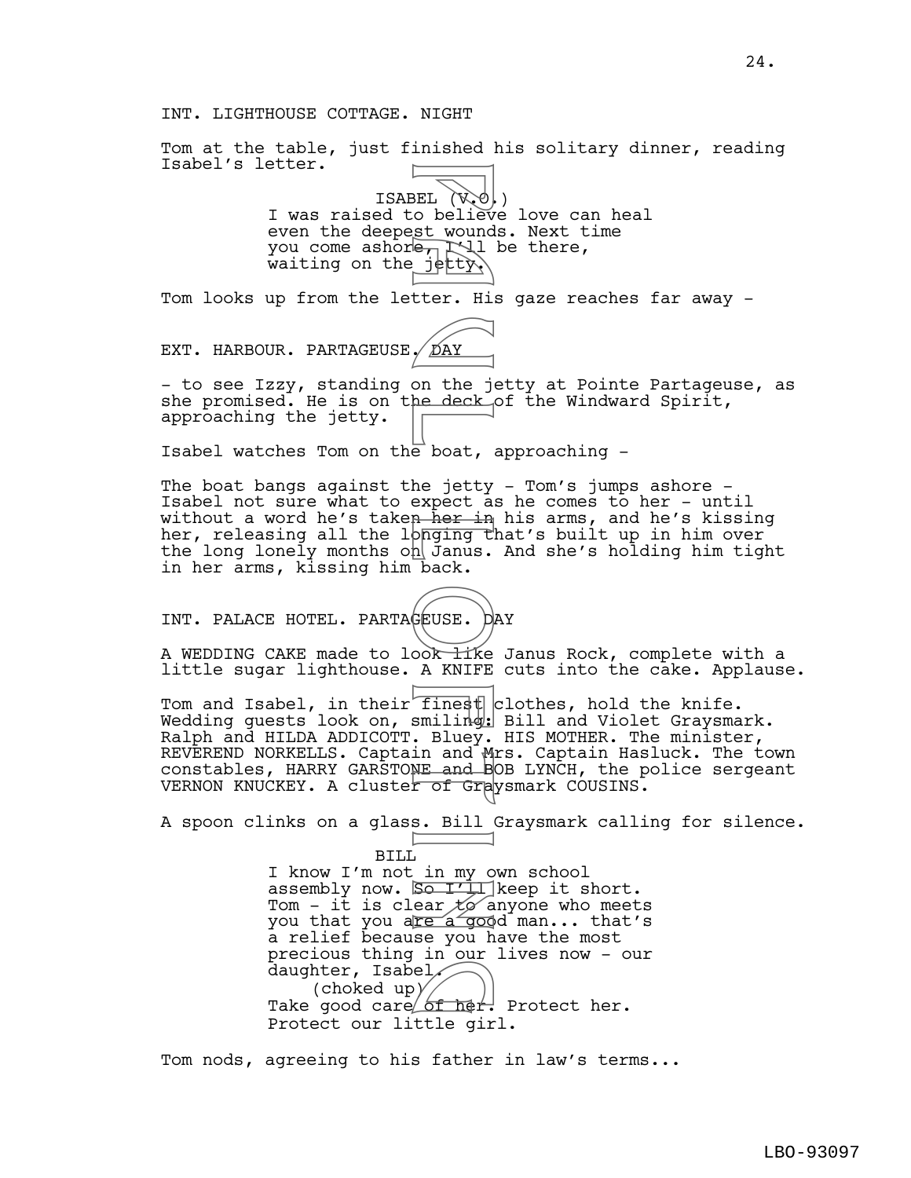Tom at the table, just finished his solitary dinner, reading Isabel's letter.

> ISABEL (V.O.) I was raised to believe love can heal even the deepest wounds. Next time you come ashore,  $\Box$  be there, waiting on the jetty.

Tom looks up from the letter. His gaze reaches far away -

EXT. HARBOUR. PARTAGEUSE. DAY

- to see Izzy, standing on the jetty at Pointe Partageuse, as she promised. He is on the deck of the Windward Spirit, approaching the jetty.

Isabel watches Tom on the boat, approaching -

The boat bangs against the jetty - Tom's jumps ashore -Isabel not sure what to expect as he comes to her - until without a word he's taken her in his arms, and he's kissing her, releasing all the longing that's built up in him over the long lonely months on Janus. And she's holding him tight in her arms, kissing him back.

INT. PALACE HOTEL. PARTAGEUSE. DAY

A WEDDING CAKE made to look like Janus Rock, complete with a little sugar lighthouse. A KNIFE cuts into the cake. Applause.

Tom and Isabel, in their finest clothes, hold the knife. Wedding quests look on, smiling: Bill and Violet Graysmark. Ralph and HILDA ADDICOTT. Bluey. HIS MOTHER. The minister, REVEREND NORKELLS. Captain and Mrs. Captain Hasluck. The town constables, HARRY GARSTONE and BOB LYNCH, the police sergeant VERNON KNUCKEY. A cluster of Graysmark COUSINS.

A spoon clinks on a glass. Bill Graysmark calling for silence.

BILL I know I'm not in my own school assembly now. Sonit keep it short. Tom - it is clear  $\cancel{t}$  anyone who meets you that you a<u>re a goo</u>d man... that's a relief because you have the most precious thing in our lives now - our daughter, Isabel, (choked up) daughter, Isabel<br>
(choked up)<br>
Take good care of her. Protect her. Protect our little girl. BEL (Webst wound<br>
BEL (Webst wound<br>
st wound<br>
tter. His (Party on the jetty<br>
on the jetty<br>
on the jetty<br>
on the jetty<br>
on the jetty<br>
a her in the deck<br>
a her in the boat.<br>
A KNIFE<br>
finest in and Band Band<br>
in and Band Band

Tom nods, agreeing to his father in law's terms...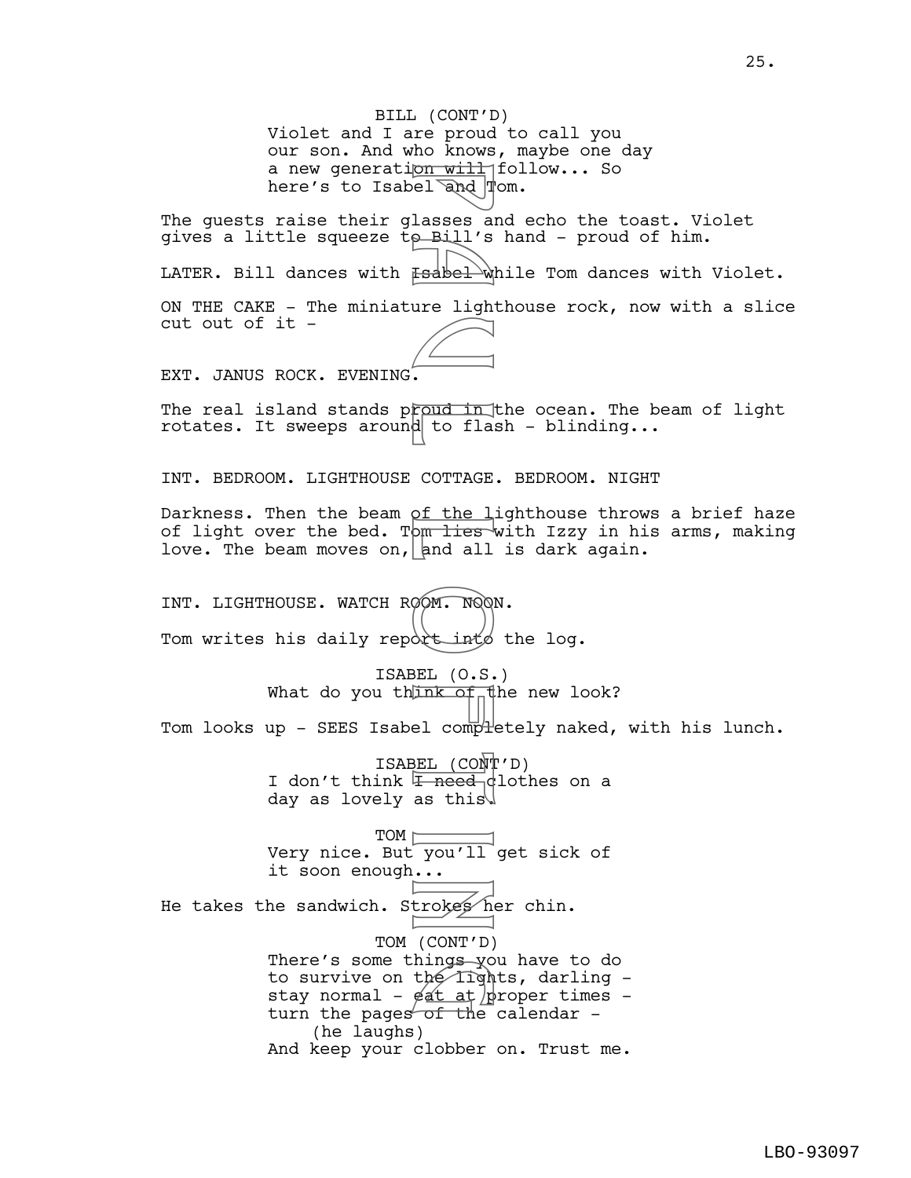BILL (CONT'D) Violet and I are proud to call you our son. And who knows, maybe one day a new generation will follow... So here's to Isabel and  $\mathbb{T}$ om. The guests raise their glasses and echo the toast. Violet gives a little squeeze  $\overline{t}$  Bill's hand - proud of him. LATER. Bill dances with  $F=4b$  while Tom dances with Violet. ON THE CAKE - The miniature lighthouse rock, now with a slice cut out of it - EXT. JANUS ROCK. EVENING. The real island stands proud in the ocean. The beam of light rotates. It sweeps around to flash - blinding... INT. BEDROOM. LIGHTHOUSE COTTAGE. BEDROOM. NIGHT Darkness. Then the beam of the lighthouse throws a brief haze of light over the bed. Tom lies with Izzy in his arms, making love. The beam moves on, and all is dark again. INT. LIGHTHOUSE. WATCH ROOM. NOON. Tom writes his daily report into the log. ISABEL (O.S.) What do you think of the new look? Tom looks up - SEES Isabel comp $H$ etely naked, with his lunch. ISABEL (CONT'D) I don't think  $\sqrt{1 + \text{need}}$  dlothes on a day as lovely as this.  $TOM \longmapsto$ Very nice. But you'll get sick of it soon enough... He takes the sandwich. Strokes her chin. TOM (CONT'D) There's some things you have to do to survive on the lights, darling  $-$ There's some things you have to do<br>to survive on the lights, darling -<br>stay normal - eat at proper times -<br>turn the pages of the calendar turn the pages of the calendar  $-$ (he laughs) And keep your clobber on. Trust me. pn will<br>
el and I<br>
lasses and<br>
lasses and I<br>
stabel ure light<br>
fabel ure light<br>
(COTTAGE of the light)<br>
of the light<br>
(CONT of Lasses and all<br>
DOM. NOOI<br>
and all<br>
(CONT D)<br>
BEL (CONT D)<br>
...<br>
<br>
Linked COTTAGE<br>
as this<br>
<br>
(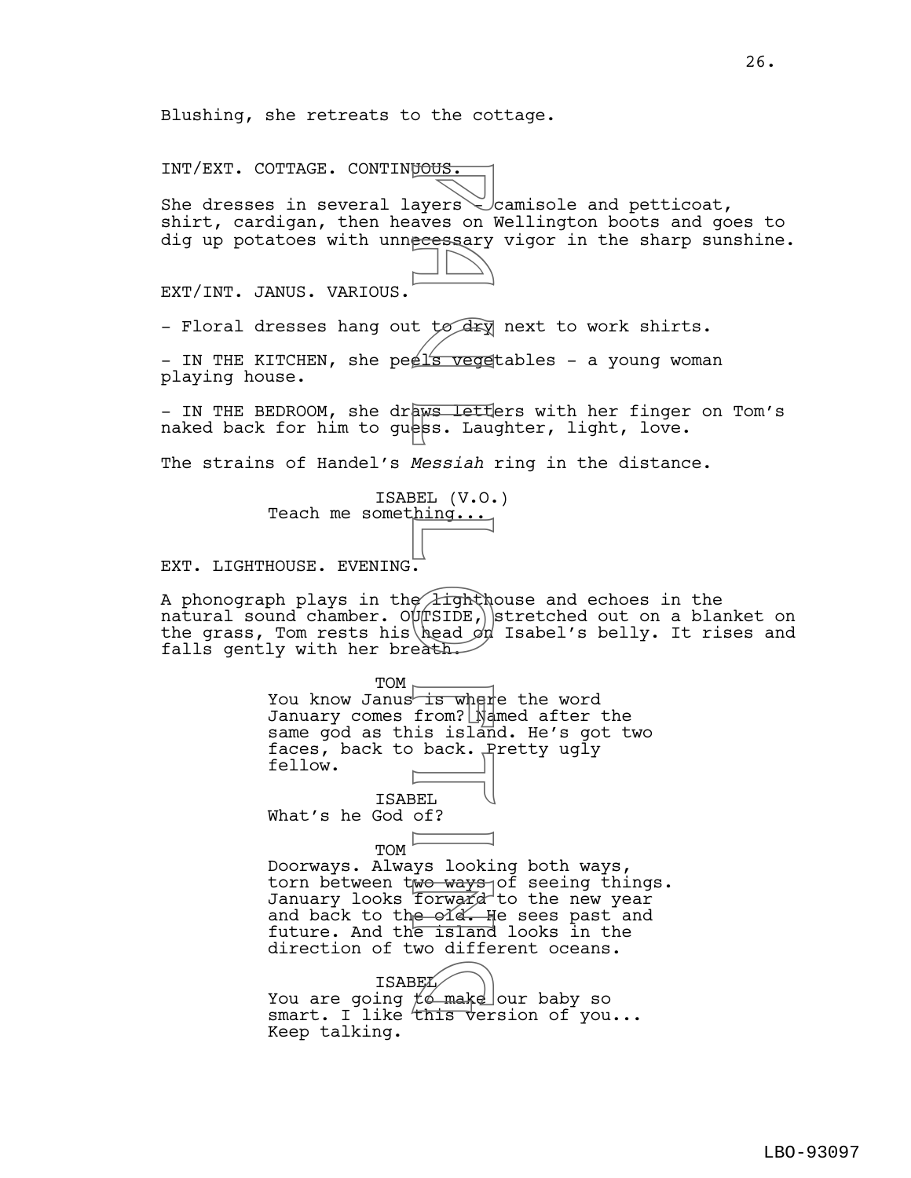Blushing, she retreats to the cottage.

INT/EXT. COTTAGE. CONTINUOUS. She dresses in several layers  $\gtrsim$  camisole and petticoat, shirt, cardigan, then heaves on Wellington boots and goes to dig up potatoes with unnecessary vigor in the sharp sunshine. EXT/INT. JANUS. VARIOUS. - Floral dresses hang out to dry next to work shirts. - IN THE KITCHEN, she peel's vegetables - a young woman playing house. - IN THE BEDROOM, she draws letters with her finger on Tom's naked back for him to guess. Laughter, light, love. The strains of Handel's *Messiah* ring in the distance. ISABEL (V.O.) Teach me something... EXT. LIGHTHOUSE. EVENING. A phonograph plays in the lighthouse and echoes in the natural sound chamber. OUTSIDE, stretched out on a blanket on the grass, Tom rests his head  $\phi$ d Isabel's belly. It rises and falls gently with her breath. TOM<sub>r</sub> You know Janus is where the word January comes from?  $\mathbb N$  and after the same god as this island. He's got two faces, back to back. Pretty ugly fellow. ISABEL What's he God of? TOM Doorways. Always looking both ways, torn between two ways of seeing things. January looks forward to the new year and back to the old. He sees past and future. And the island looks in the direction of two different oceans. **ISABEL** You are going  $\not\!\!\!\!/ \phi$  make our baby so ISABEL<br>You are going to make our baby so<br>smart. I like this version of you... Keep talking. P a u l L o f t i n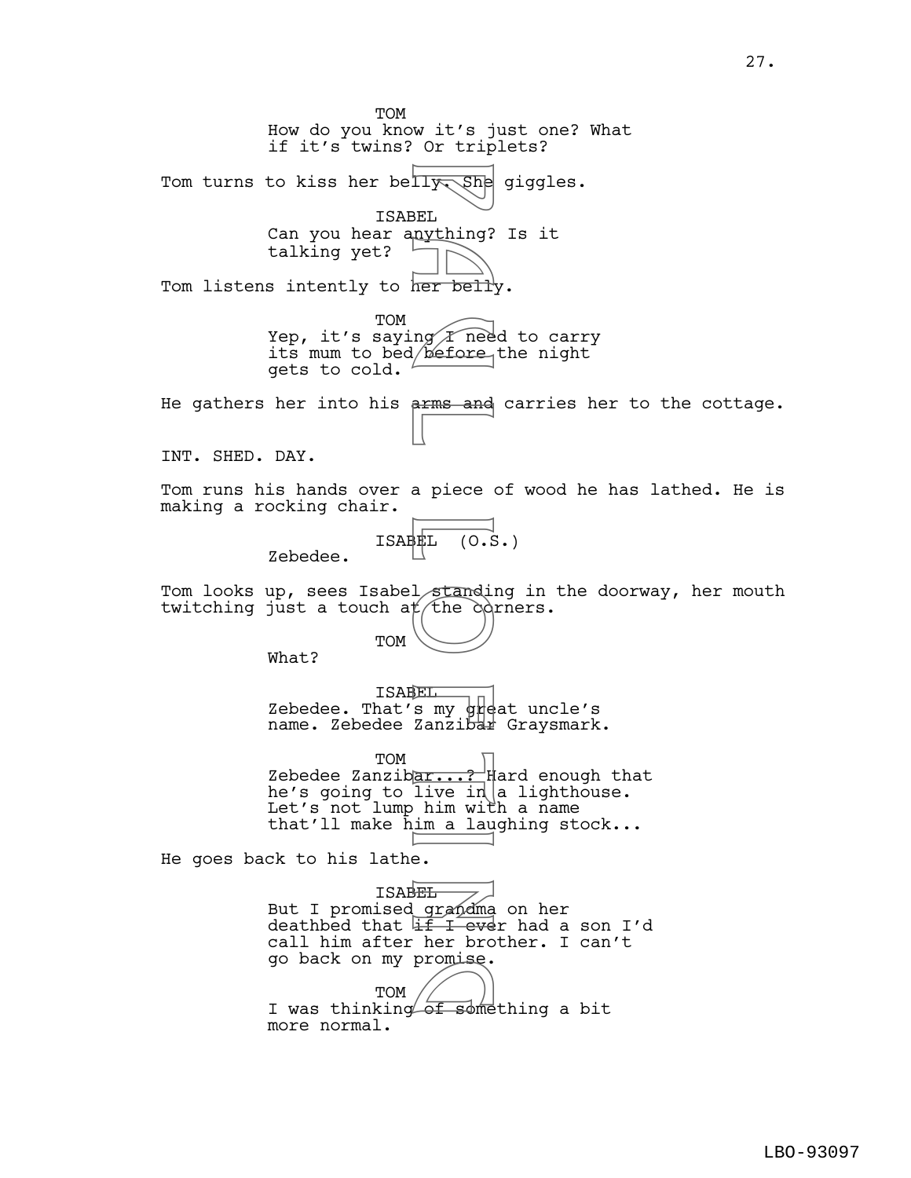TOM How do you know it's just one? What if it's twins? Or triplets? Tom turns to kiss her belly  $\sqrt{She}$  giggles. ISABEL Can you hear anything? Is it talking yet? Tom listens intently to her belly. TOM Yep, it's saying  $\cal I$  need to carry its mum to bed/before the night gets to cold. He gathers her into his arms and carries her to the cottage. INT. SHED. DAY. Tom runs his hands over a piece of wood he has lathed. He is making a rocking chair.  $ISBNL (0.5.)$ Zebedee. Tom looks up, sees Isabel standing in the doorway, her mouth twitching just a touch at the corners. TOM What? ISABEL Zebedee. That's my  $\frac{1}{2}$  at uncle's name. Zebedee Zanzibar Graysmark. TOM Zebedee Zanzibar...?  $\sharp$  ard enough that he's going to live in $\vert$ a lighthouse. Let's not lump him with a name that'll make him a laughing stock... He goes back to his lathe. ISABEL But I promised grandma on her deathbed that  $\overline{{\mathbb{H}}\; {\mathbb{I}}}$  ever had a son I'd call him after her brother. I can't go back on my promise. TOM I was thinking of something a bit g more normal. Figures and<br>BEL nything?<br>BEL nything?<br>Ing *T* nee<br>A per below<br>arms and<br>a piece<br>arms and<br>a piece<br>arms and<br>Le standing<br>Le standing<br>in with the conditions in with<br>live in within with<br>live in within with<br>the conditions in with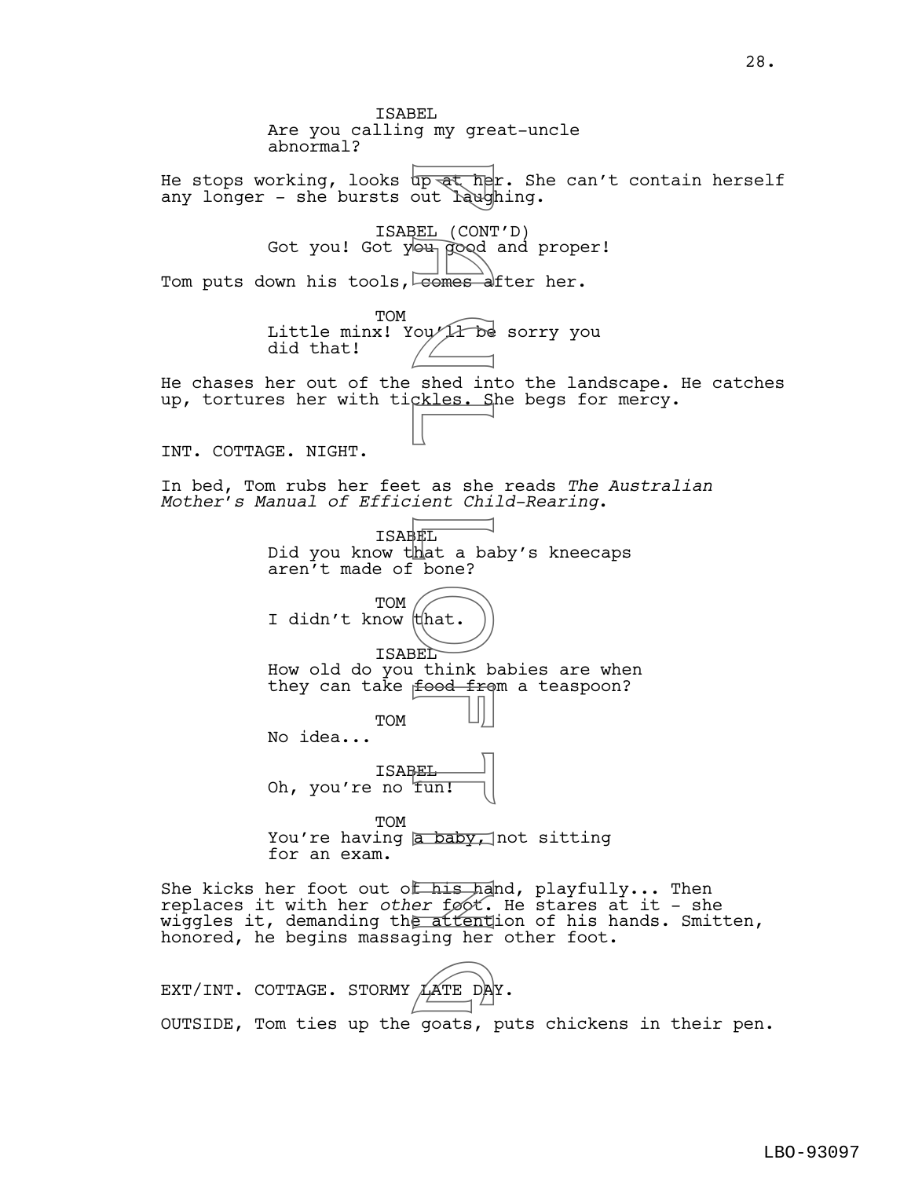ISABEL Are you calling my great-uncle abnormal? He stops working, looks up at her. She can't contain herself any longer - she bursts out laughing. ISABEL (CONT'D) Got you! Got you good and proper! Tom puts down his tools, comes after her. **TOM** Little minx! You/1 be sorry you did that! He chases her out of the shed into the landscape. He catches up, tortures her with tickles. She begs for mercy. INT. COTTAGE. NIGHT. In bed, Tom rubs her feet as she reads *The Australian Mother's Manual of Efficient Child-Rearing*. ISABEL Did you know that a baby's kneecaps aren't made of bone? TOM I didn't know that. ISABEL How old do you think babies are when they can take  $f$ ood from a teaspoon? TOM No idea... ISABEL Oh, you're no fun! **TOM** You're having a baby, not sitting for an exam. She kicks her foot out of his hand, playfully... Then replaces it with her *other* foot. He stares at it - she wiggles it, demanding the attention of his hands. Smitten, honored, he begins massaging her other foot. EXT/INT. COTTAGE. STORMY  $\cancel{\text{A}}$ ATE DAY. p at he<br>self (CONT)<br>BEL (CONT)<br>Self our prood<br>comes a<br>shed in<br>ckles. Self that a base?<br>FL think b<br>self that bone?<br>(that bone?)<br>FL think b<br>food from in the start of the start of the start of the start of the start of the st LATE DA

OUTSIDE, Tom ties up the goats, puts chickens in their pen.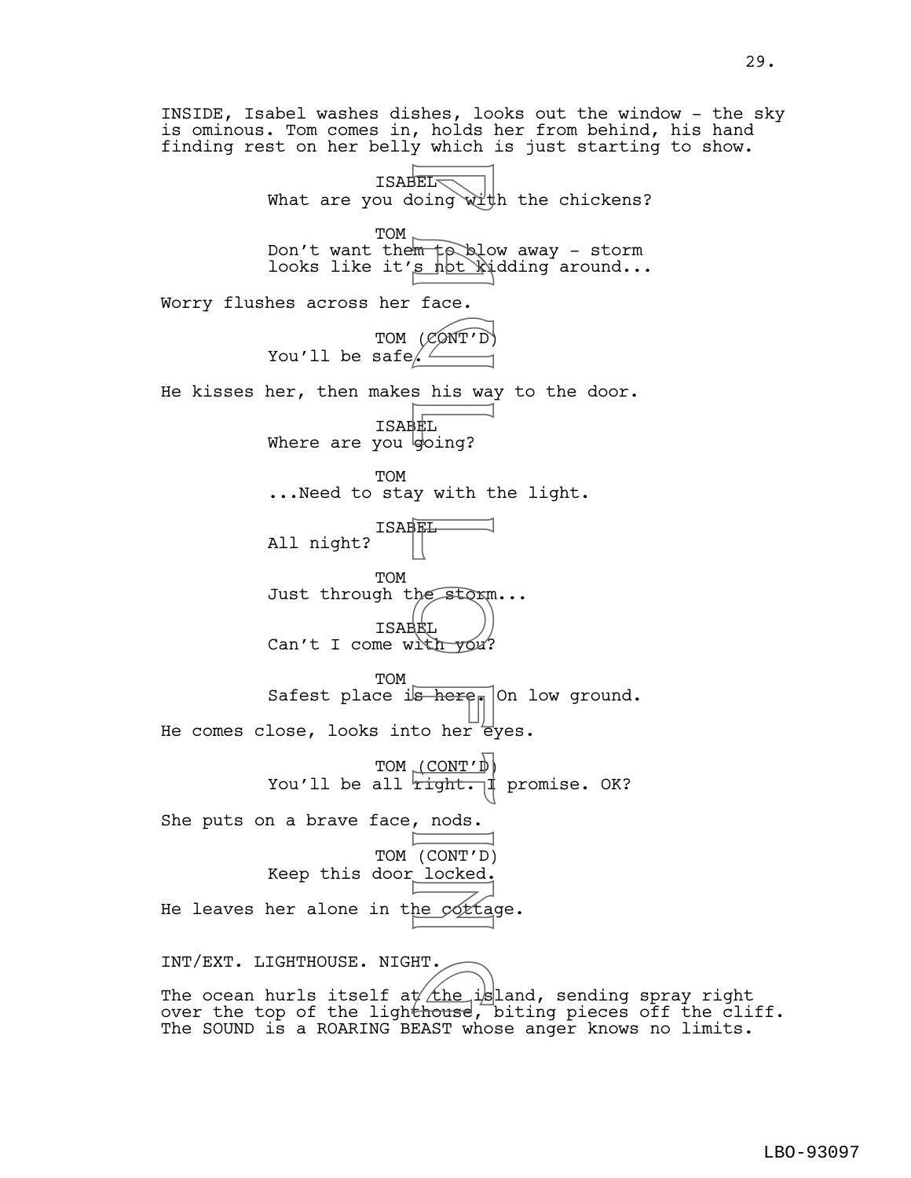INSIDE, Isabel washes dishes, looks out the window - the sky is ominous. Tom comes in, holds her from behind, his hand finding rest on her belly which is just starting to show. **ISABEL** What are you doing with the chickens? TOM  $_{\sim}$ Don't want them to blow away - storm looks like it'<u>s not kidding</u> around... Worry flushes across her face. TOM (CONT'D) You'll be safe/ $\angle$ He kisses her, then makes his way to the door. ISABEL Where are you going? TOM ...Need to stay with the light. ISABEL All night? TOM Just through the storm... ISABEL Can't I come with  $y \circ u$ ? **TOM** Safest place is here. On low ground. He comes close, looks into her eyes. TOM (CONT'D) You'll be all  $right.$   $\parallel$  promise. OK? She puts on a brave face, nods. TOM (CONT'D) Keep this door locked. He leaves her alone in the cottage. INT/EXT. LIGHTHOUSE. NIGHT. The ocean hurls itself at  $\Delta t$ he island, sending spray right INT/EXT. LIGHTHOUSE. NIGHT.<br>The ocean hurls itself at the island, sending spray right<br>over the top of the ligh<del>thouse</del>, biting pieces off the cliff. The SOUND is a ROARING BEAST whose anger knows no limits. P a u l L o f t i n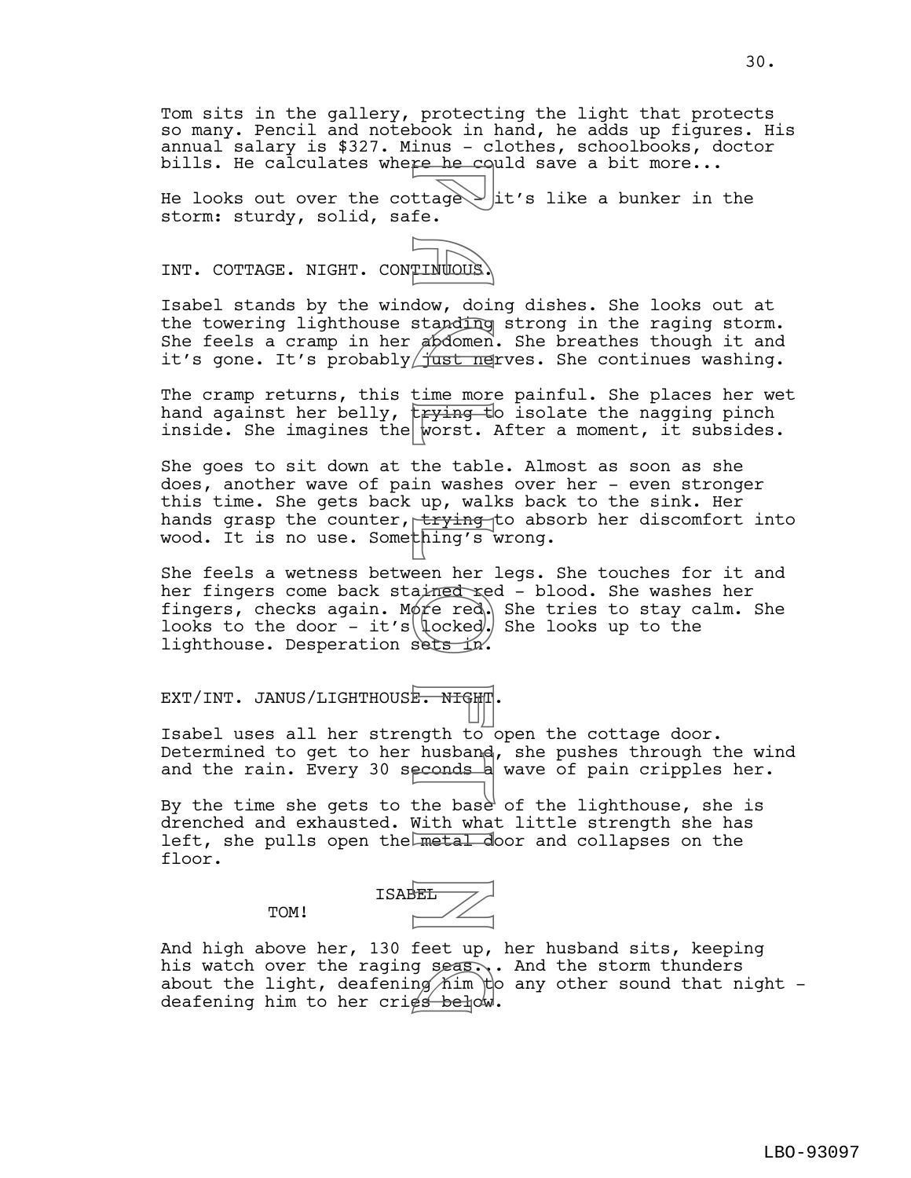Tom sits in the gallery, protecting the light that protects so many. Pencil and notebook in hand, he adds up figures. His annual salary is \$327. Minus - clothes, schoolbooks, doctor bills. He calculates where he could save a bit more...

He looks out over the cottage  $\searrow$  lit's like a bunker in the storm: sturdy, solid, safe.

INT. COTTAGE. NIGHT. CONTINUOUS.

Isabel stands by the window, doing dishes. She looks out at the towering lighthouse standing strong in the raging storm. She feels a cramp in her abdomen. She breathes though it and it's gone. It's probably  $\frac{1}{100}$  ives. She continues washing.

The cramp returns, this time more painful. She places her wet hand against her belly,  $\frac{1}{2}$  the isolate the nagging pinch inside. She imagines the worst. After a moment, it subsides.

She goes to sit down at the table. Almost as soon as she does, another wave of pain washes over her - even stronger this time. She gets back up, walks back to the sink. Her hands grasp the counter,  $t$ trying to absorb her discomfort into wood. It is no use. Something's wrong. Franchischer (tage)<br>
Thulous, doing abdomen<br>
dow, doing abdomen<br>
dow, doing abdomen<br>
dow, doing abdomen<br>
down the mericing of the table<br>
the the investment of the base<br>
alimeted (locked)<br>
sets in:<br>
Mith to dusband<br>
econds

She feels a wetness between her legs. She touches for it and her fingers come back stained red - blood. She washes her fingers, checks again. Mote red. She tries to stay calm. She looks to the door - it's  $\left(\frac{\cos\theta}{\cos\theta}\right)$  she looks up to the lighthouse. Desperation sets in.

EXT/INT. JANUS/LIGHTHOUSE. NIGHT.

TOM!

Isabel uses all her strength to open the cottage door. Determined to get to her husband, she pushes through the wind and the rain. Every 30 seconds a wave of pain cripples her.

By the time she gets to the base of the lighthouse, she is drenched and exhausted. With what little strength she has left, she pulls open the metal door and collapses on the floor.

ISABEL /

And high above her, 130 feet up, her husband sits, keeping his watch over the raging seas... And the storm thunders about the light, deafening him to any other sound that night deafening him to her cries below. g seas.<br>ng him t<br>es below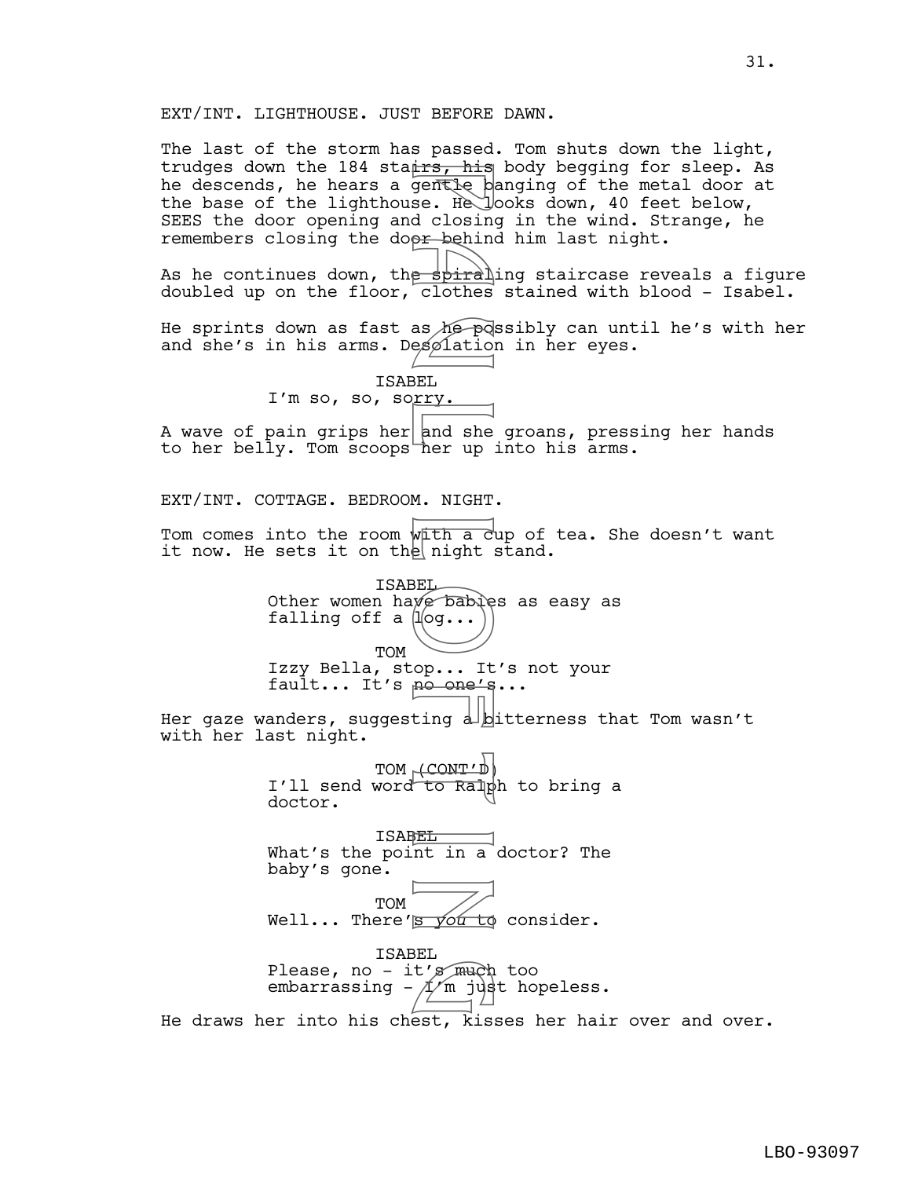The last of the storm has passed. Tom shuts down the light, trudges down the 184 stairs, his body begging for sleep. As he descends, he hears a gentle banging of the metal door at the base of the lighthouse. He looks down, 40 feet below, SEES the door opening and closing in the wind. Strange, he remembers closing the dopr behind him last night.

As he continues down, th<del>e spira</del>ling staircase reveals a figure doubled up on the floor, clothes stained with blood - Isabel.

He sprints down as fast as he possibly can until he's with her and she's in his arms. Desolation in her eyes.

> ISABEL I'm so, so, sorry.

A wave of pain grips her and she groans, pressing her hands to her belly. Tom scoops her up into his arms.

EXT/INT. COTTAGE. BEDROOM. NIGHT.

Tom comes into the room with a cup of tea. She doesn't want it now. He sets it on the night stand.

ISABEL Other women have babies as easy as falling off a  $\mu$ og... TOM Izzy Bella, stop... It's not your fault... It's no one's... Fraction is the spiral described to the spiral design to the spiral design of the spiral design of the spiral design of the spiral design of the spiral design of the spiral design of the spiral design of the spiral design

Her gaze wanders, suggesting  $d\Delta$ bitterness that Tom wasn't with her last night.

> TOM (CONT'D) I'll send word to Ralph to bring a doctor.

**ISAREL** What's the point in a doctor? The baby's gone.

TOM Well... There's you to consider.

ISABEL Please, no - it's  $m\phi$  too embarrassing –  $\not\!\!\!\!\Lambda/\!\!\!\!\Lambda$  just hopeless. t's much<br>I'm jus

He draws her into his chest, kisses her hair over and over.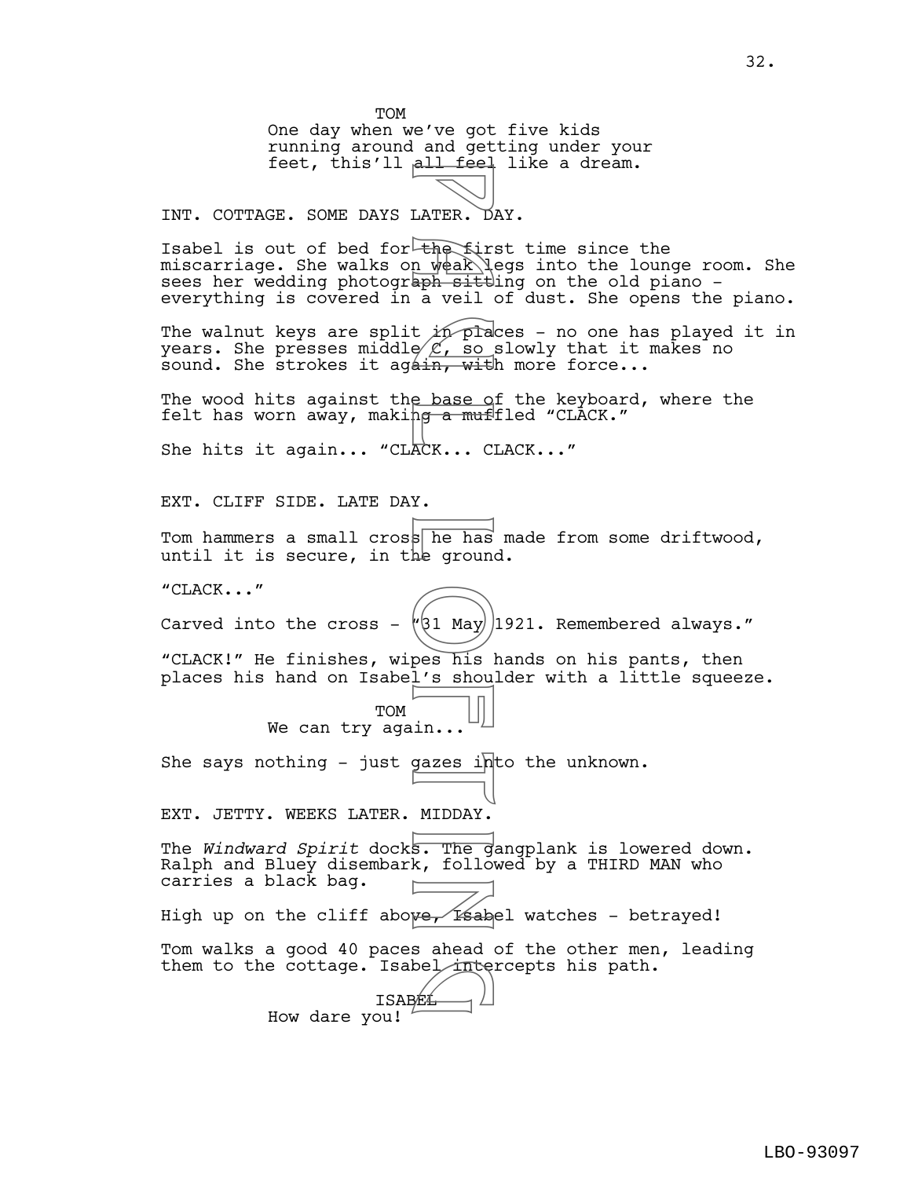TOM One day when we've got five kids running around and getting under your feet, this'll all feel like a dream. INT. COTTAGE. SOME DAYS LATER. DAY. Isabel is out of bed for the first time since the miscarriage. She walks on weak legs into the lounge room. She sees her wedding photograph sittling on the old piano everything is covered in a veil of dust. She opens the piano. The walnut keys are split  $\nu$  places - no one has played it in years. She presses middle $/ \mathscr{L}$ , so slowly that it makes no sound. She strokes it agath, with more force... The wood hits against the base of the keyboard, where the felt has worn away, making <del>a muf</del>fled "CLACK." She hits it again... "CLACK... CLACK..." EXT. CLIFF SIDE. LATE DAY. Tom hammers a small cross he has made from some driftwood, until it is secure, in the ground. "CLACK..." Carved into the cross -  $\sqrt{31}$  May 1921. Remembered always." "CLACK!" He finishes, wipes his hands on his pants, then places his hand on Isabel's shoulder with a little squeeze. TOM We can try again... She says nothing - just gazes into the unknown. EXT. JETTY. WEEKS LATER. MIDDAY. The *Windward Spirit* docks. The gangplank is lowered down. Ralph and Bluey disembark, followed by a THIRD MAN who carries a black bag. High up on the cliff above, is abel watches - betrayed! Tom walks a good 40 paces ahead of the other men, leading them to the cottage. Isabel intercepts his path.<br>
ISABEL ISABEL How dare you! Example 12 and the first density of the first density of the first density of the site of the site of the plane of the plane of the plane of the plane of the plane of the plane of the plane of the plane of the plane of the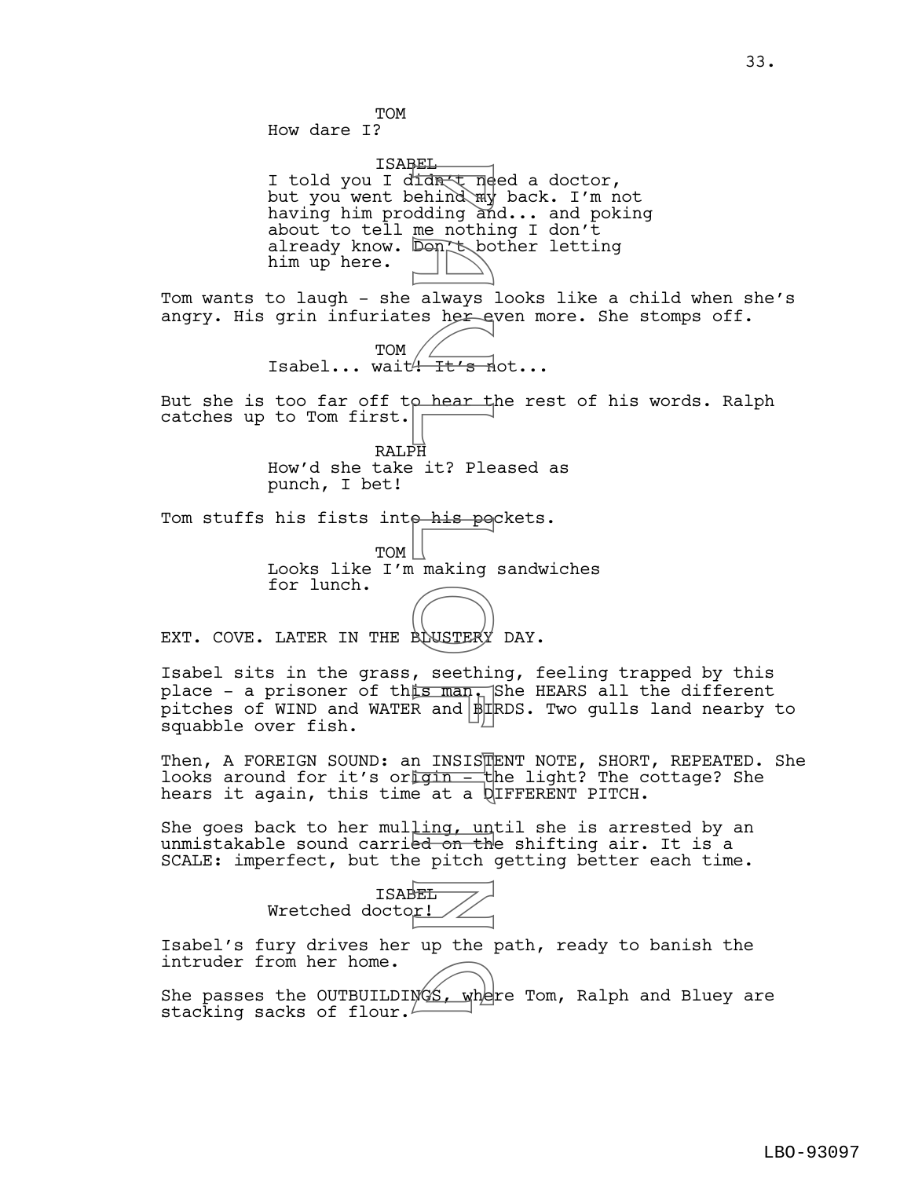TOM How dare I?

ISABEL I told you I di<del>dn(t need a doctor,</del> but you went behind my back. I'm not having him prodding and... and poking about to tell me nothing I don't already know. Don tobother letting him up here. Fidnet network to the modular to the modular to the modular to the anti-<br>always here to always a hear to always the control of the same of the modular to the modular to the modular making on the pitch of pitch of the pitch

Tom wants to laugh - she always looks like a child when she's angry. His grin infuriates her even more. She stomps off.

> TOM Isabel... wait<del><sup>4</sup> It's n</del>ot...

But she is too far off to hear the rest of his words. Ralph catches up to Tom first.

> RALPH How'd she take it? Pleased as punch, I bet!

Tom stuffs his fists inte his pockets.

TOM Looks like I'm making sandwiches for lunch.

EXT. COVE. LATER IN THE BOUSTERY DAY.

Isabel sits in the grass, seething, feeling trapped by this place - a prisoner of this man. She HEARS all the different pitches of WIND and WATER and BIRDS. Two gulls land nearby to squabble over fish.

Then, A FOREIGN SOUND: an INSIS $\overline{\mathbb{P}}$ ENT NOTE, SHORT, REPEATED. She looks around for it's origin - the light? The cottage? She hears it again, this time at a DIFFERENT PITCH.

She goes back to her mulling, until she is arrested by an unmistakable sound carried on the shifting air. It is a SCALE: imperfect, but the pitch getting better each time.



Isabel's fury drives her up the path, ready to banish the intruder from her home.

intruder from her home.<br>She passes the OUTBUILDINGS, where Tom, Ralph and Bluey are<br>stacking sacks of flour stacking sacks of flour.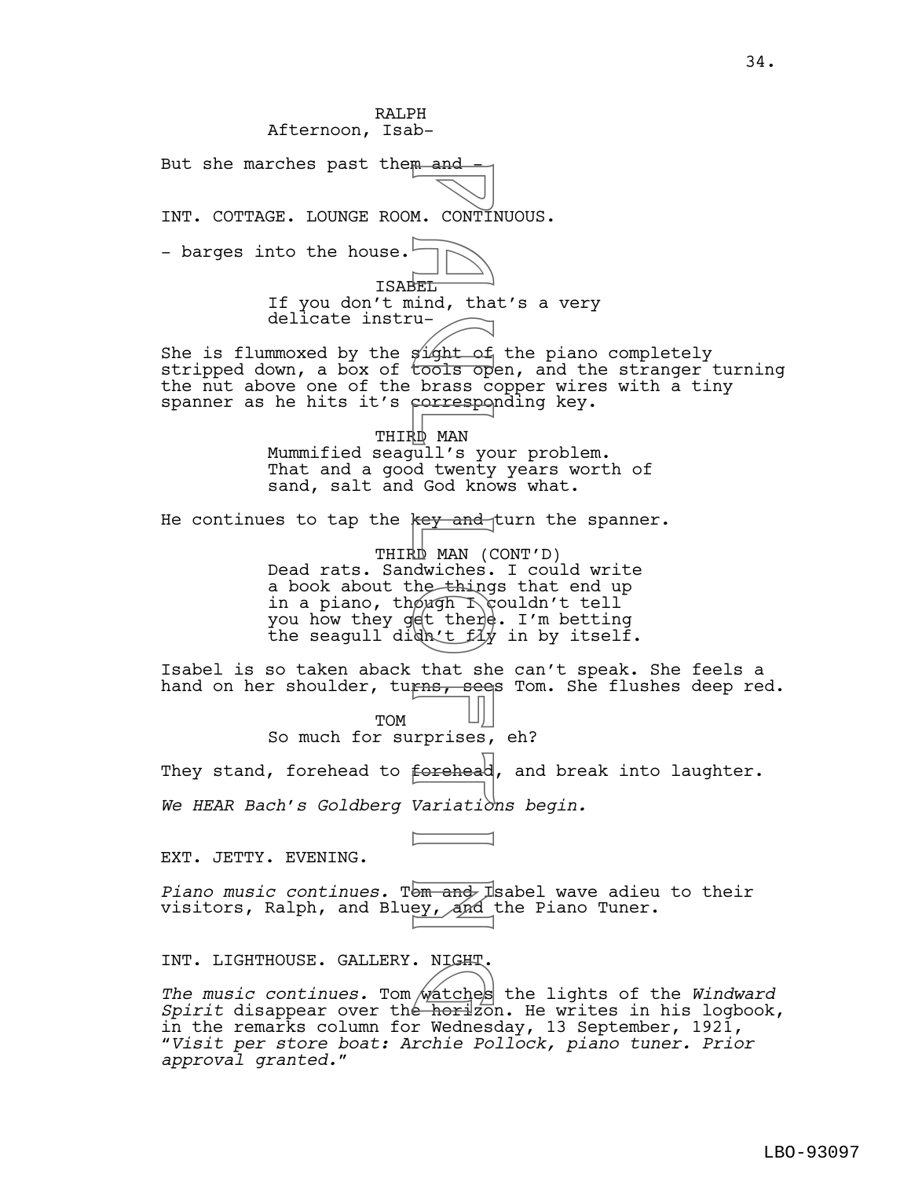RALPH Afternoon, Isab-But she marches past them and INT. COTTAGE. LOUNGE ROOM. CONTINUOUS. - barges into the house.<sup>1</sup> ISABEL If you don't mind, that's a very delicate instru-She is flummoxed by the  $\sin \theta$  the piano completely stripped down, a box of  $\overline{\text{tools}}$  open, and the stranger turning the nut above one of the brass copper wires with a tiny spanner as he hits it's corresponding key. THIRD MAN Mummified seagull's your problem. That and a good twenty years worth of sand, salt and God knows what. He continues to tap the  $key$  and turn the spanner. THIRD MAN (CONT'D) Dead rats. Sandwiches. I could write a book about the things that end up in a piano, though  $\sqrt{2}$  couldn't tell you how they get there. I'm betting the seagull didn't  $f\ddot{x}$  in by itself. Isabel is so taken aback that she can't speak. She feels a hand on her shoulder, turns, sees Tom. She flushes deep red. TOM So much for surprises, eh? They stand, forehead to forehead, and break into laughter. *We HEAR Bach's Goldberg Variations begin.* EXT. JETTY. EVENING. *Piano music continues.* Tom and Isabel wave adieu to their visitors, Ralph, and Bluey, and the Piano Tuner. INT. LIGHTHOUSE. GALLERY. NIGHT. *The music continues.* Tom watches the lights of the *Windward*  g *Spirit* disappear over the horizon. He writes in his logbook, in the remarks column for Wednesday, 13 September, 1921, "*Visit per store boat: Archie Pollock, piano tuner. Prior approval granted.*" M. CONTINE THE CONTINUM CONTINUM CONTINUM CONTINUM CONTINUM CONTINUM CONTINUM CONTINUM CONTINUM CONTINUM CONTINUM CONTINUM CONTINUM CONTINUM CONTINUM CONTINUM CONTINUM CONTINUM CONTINUM CONTINUM CONTINUM CONTINUM CONTINUM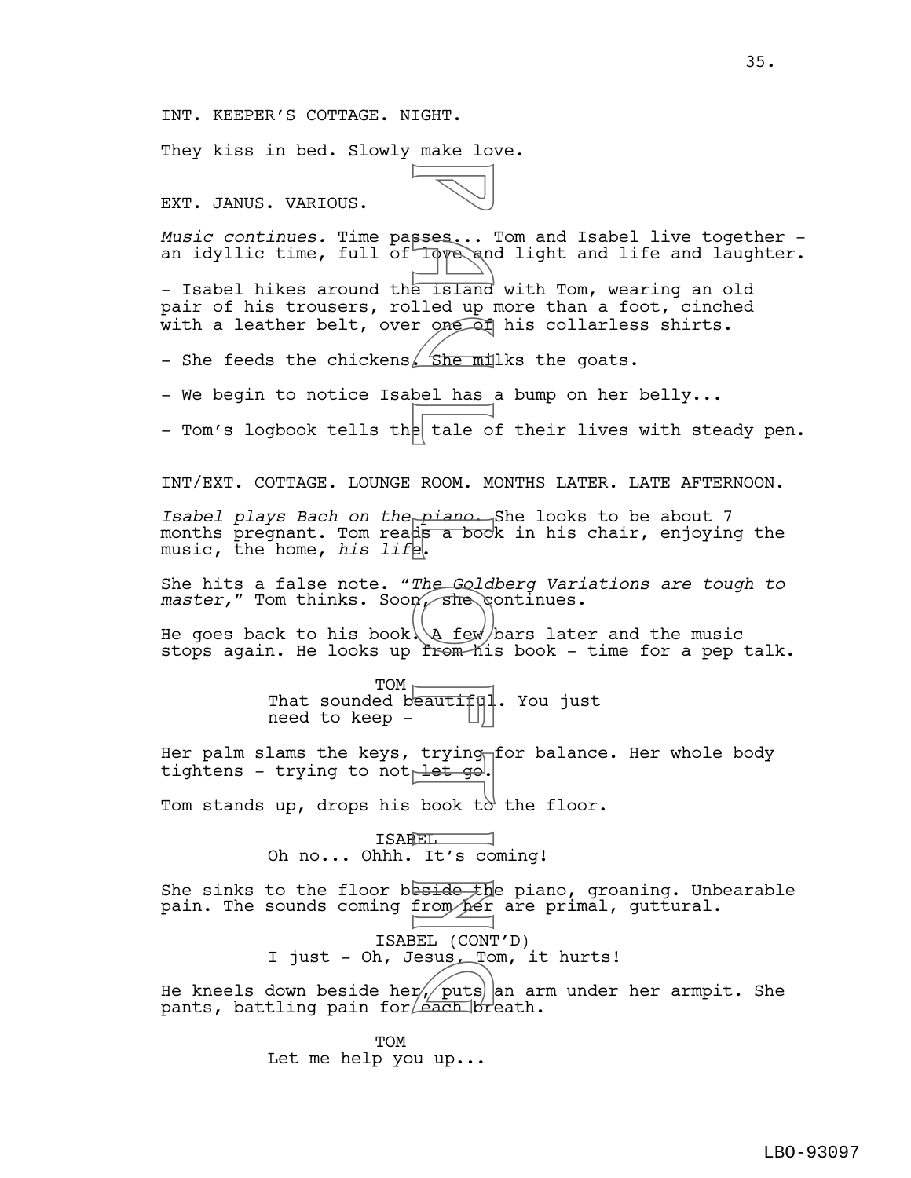They kiss in bed. Slowly make love.

EXT. JANUS. VARIOUS.

*Music continues.* Time passes... Tom and Isabel live together an idyllic time, full of love and light and life and laughter. - Isabel hikes around the island with Tom, wearing an old pair of his trousers, rolled up more than a foot, cinched with a leather belt, over one of his collarless shirts. - She feeds the chickens. She milks the goats. - We begin to notice Isabel has a bump on her belly... - Tom's logbook tells the tale of their lives with steady pen. INT/EXT. COTTAGE. LOUNGE ROOM. MONTHS LATER. LATE AFTERNOON. *Isabel plays Bach on the piano*. She looks to be about 7 months pregnant. Tom reads a book in his chair, enjoying the music, the home, *his life*. She hits a false note. *"The Goldberg Variations are tough to master*," Tom thinks. Soon, she continues. He goes back to his book $\setminus$  few bars later and the music stops again. He looks up from his book - time for a pep talk.  $TOM$   $\vdash$ That sounded beautiful. You just need to keep - Her palm slams the keys, trying for balance. Her whole body tightens - trying to not let go. Tom stands up, drops his book t $\delta$  the floor. ISABEL Oh no... Ohhh. It's coming! She sinks to the floor beside the piano, groaning. Unbearable pain. The sounds coming from her are primal, guttural. ISABEL (CONT'D) I just - Oh, Jesus, Tom, it hurts! He kneels down beside her $/$  puts  $\vert$  an arm under her armpit. She pants, battling pain for  $\epsilon$  ach breath. **TOM** Let me help you up... Sess...<br>
Forecalled up in the familied up in the familied up in the familied up in the fact of the fact of the fact of the families of the fact of the families of the fact of the fact of the fact of the fact of the fact of r<br>The puts<br>Leach br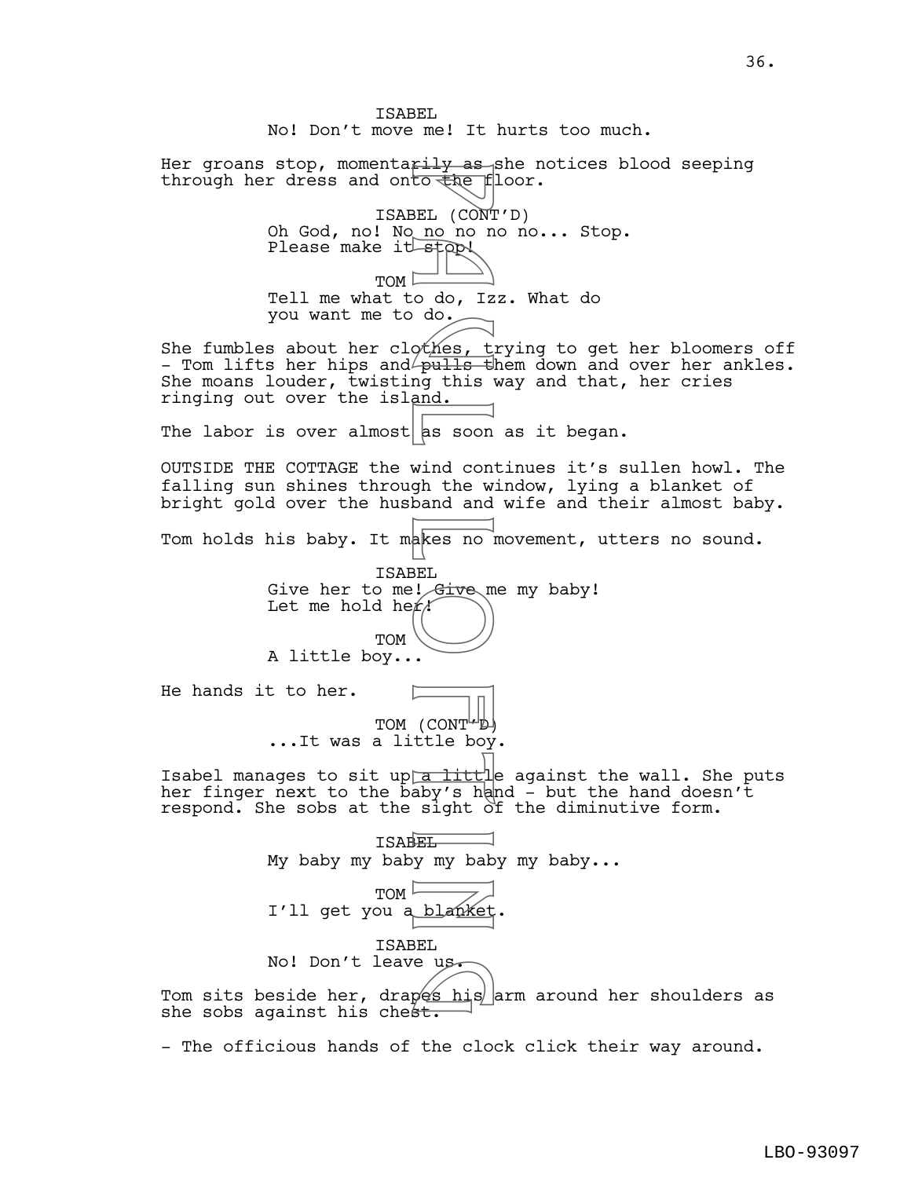ISABEL No! Don't move me! It hurts too much. Her groans stop, momentarily as she notices blood seeping through her dress and onto the floor. ISABEL (CONT'D) Oh God, no! No no no no no... Stop. Please make it stop!  $TOM \nightharpoonup$ Tell me what to do, Izz. What do you want me to do. She fumbles about her clothes, trying to get her bloomers off - Tom lifts her hips and $\ell$ pu<del>lls t</del>hem down and over her ankles. She moans louder, twisting this way and that, her cries ringing out over the island. The labor is over almost as soon as it began. OUTSIDE THE COTTAGE the wind continues it's sullen howl. The falling sun shines through the window, lying a blanket of bright gold over the husband and wife and their almost baby. Tom holds his baby. It makes no movement, utters no sound. ISABEL Give her to me! Give me my baby! Let me hold her TOM A little boy... He hands it to her. TOM (CONT'D) ...It was a little boy. Isabel manages to sit up a little against the wall. She puts her finger next to the  $\bar{\text{b}}$ aby's hand - but the hand doesn't respond. She sobs at the sight of the diminutive form. ISABEL My baby my baby my baby my baby... TOM I'll get you a blanket ISABEL No! Don't leave us. No! Don't leave us.<br>Tom sits beside her, drapes his arm around her shoulders as<br>she sobs against his chest. she sobs against his chest. Figure 1<br>
BEL (CONT do LE )<br>
BEL (CONT do LE )<br>
DE CONT do LE )<br>
DE CONT do LE )<br>
DE CONT de LE DO MOND de LE DO MOND de LE DO MOND de LE DO MOND de LE DO MOND DE LE DO MOND DE LE DO MOND DE LE DO MOND DE LE DO MOND DE LE

- The officious hands of the clock click their way around.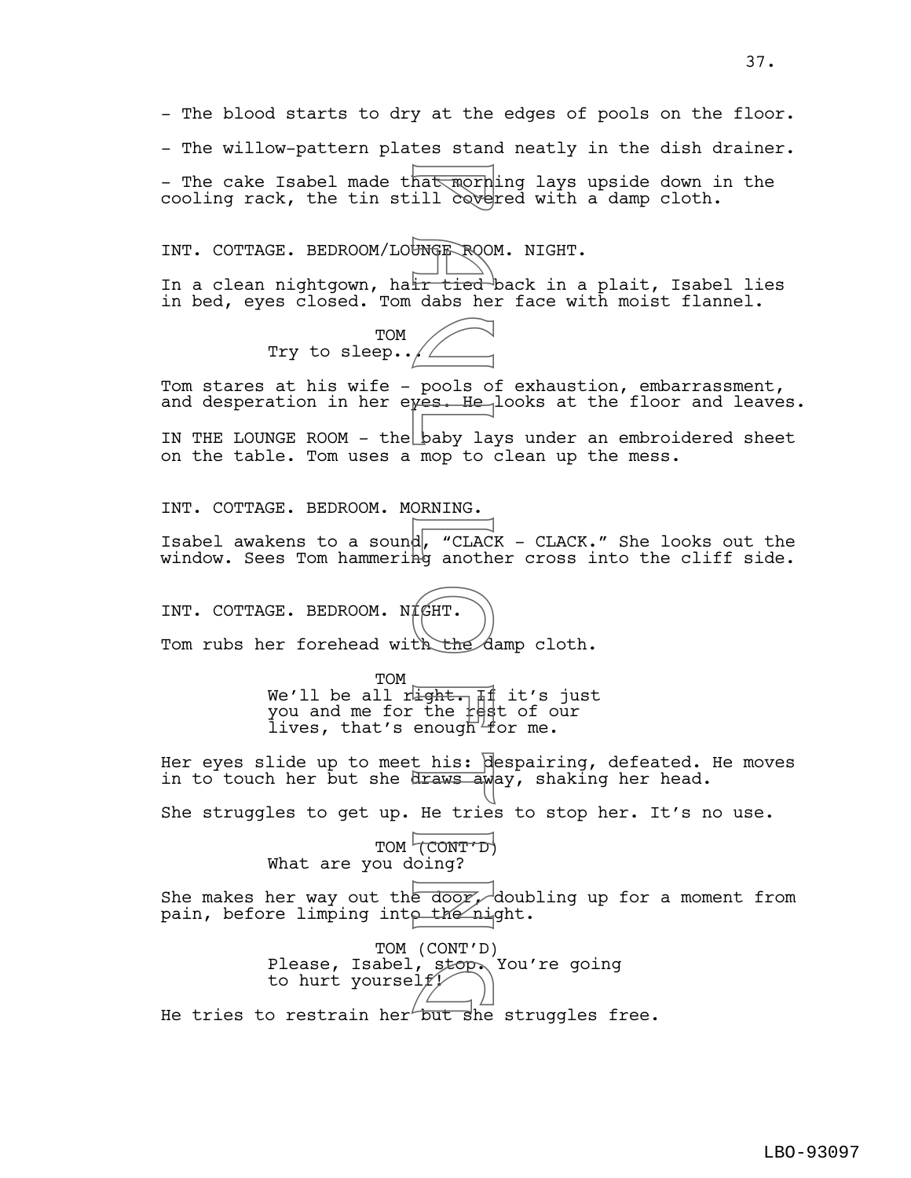- The blood starts to dry at the edges of pools on the floor. - The willow-pattern plates stand neatly in the dish drainer. - The cake Isabel made that mornling lays upside down in the cooling rack, the tin still covered with a damp cloth. INT. COTTAGE. BEDROOM/LOUNGE ROOM. NIGHT. In a clean nightgown, hatt tied back in a plait, Isabel lies in bed, eyes closed. Tom dabs her face with moist flannel. TOM Try to sleep../ Tom stares at his wife - pools of exhaustion, embarrassment, and desperation in her eyes. He looks at the floor and leaves. IN THE LOUNGE ROOM - the baby lays under an embroidered sheet on the table. Tom uses a mop to clean up the mess. INT. COTTAGE. BEDROOM. MORNING. Isabel awakens to a sound, "CLACK - CLACK." She looks out the window. Sees Tom hammering another cross into the cliff side. INT. COTTAGE. BEDROOM. NIGHT. Tom rubs her forehead with the damp cloth. TOM We'll be all r<del>lght. If</del> it's just you and me for the rest of our lives, that's enough for me. Her eyes slide up to meet his: despairing, defeated. He moves in to touch her but she draws away, shaking her head. She struggles to get up. He tries to stop her. It's no use. TOM (CONT'D) What are you doing? She makes her way out the door, doubling up for a moment from pain, before limping into the night. TOM (CONT'D) Please, Isabel, stop. You're going<br>to hurt yourself? to hurt yourself/ Matmorn<br>
ill cove<br>
ir tied<br>
dabs he<br>
pools o:<br>
pools o:<br>
pools o:<br>
pools o:<br>
pools o:<br>
pools o:<br>
pools o:<br>
pools o:<br>
mop to o<br>
ORNING.<br>
d, "CLAC another and he<br>
d, "CLAC another"<br>
d, "CLAC another"<br>
d, "CLAC another"<br>
d, "

He tries to restrain her but she struggles free.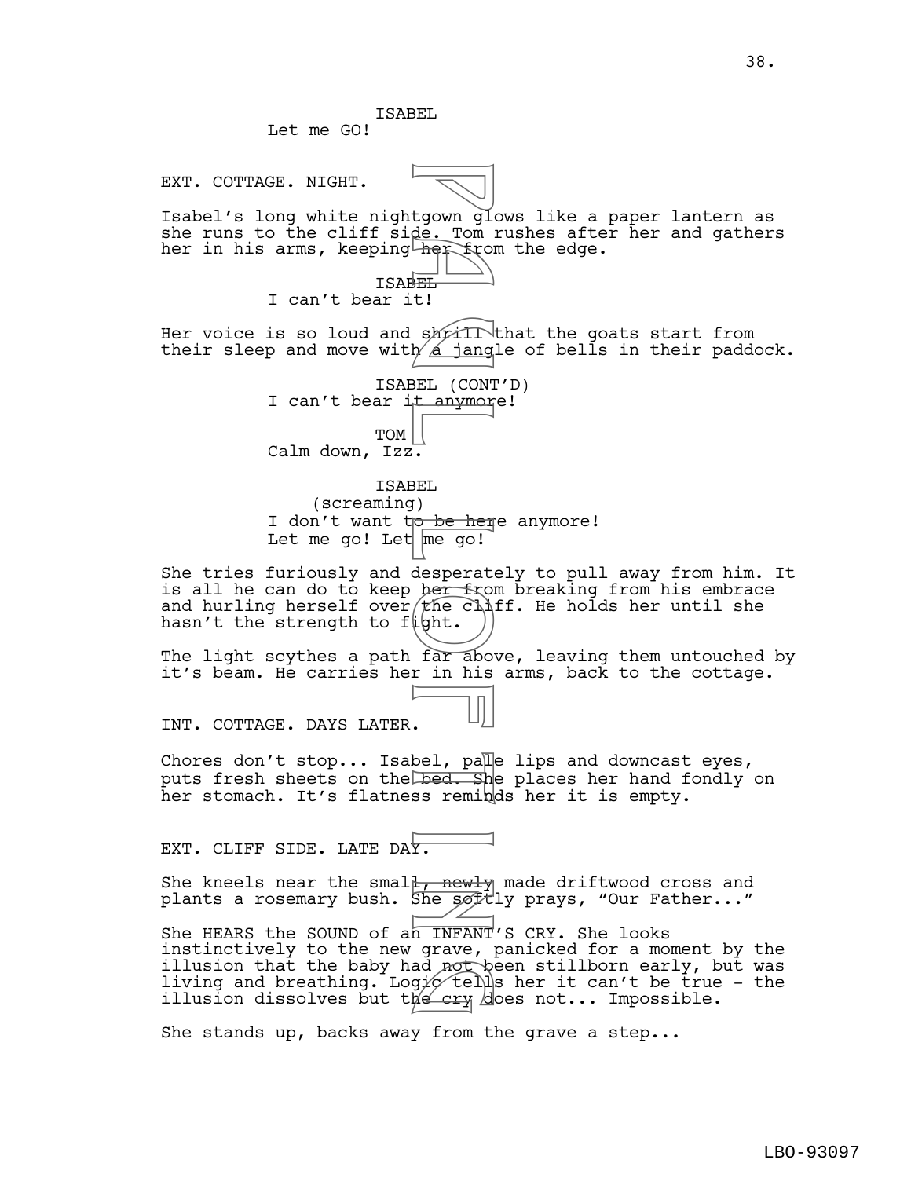ISABEL Let me GO!

EXT. COTTAGE. NIGHT.



Isabel's long white nightgown glows like a paper lantern as she runs to the cliff side. Tom rushes after her and gathers her in his arms, keeping her from the edge.

> ISABEL I can't bear it!

Her voice is so loud and shoill that the goats start from their sleep and move with  $\Delta$  jangle of bells in their paddock.

ISABEL (CONT'D) I can't bear it anymore! TOM Calm down, Izz. tgown gle. Tom<br>
de. Tom<br>
de. Tom<br>
her from<br>
EL (CONT<br>
BEL (CONT<br>
BEL (CONT<br>
LET 1990)<br>
De her from<br>
desperater<br>
from his<br>
desperater<br>
from his<br>
desperater<br>
from his<br>
desperater<br>
from his<br>
desperater<br>
from his<br>
desperater<br>

ISABEL (screaming) I don't want t<del>o be her</del>e anymore! Let me go! Let  $m$ e go!

She tries furiously and desperately to pull away from him. It is all he can do to keep her from breaking from his embrace and hurling herself over  $t$  he cliff. He holds her until she hasn't the strength to fight.

The light scythes a path far above, leaving them untouched by it's beam. He carries her in his arms, back to the cottage.

INT. COTTAGE. DAYS LATER.

Chores don't stop... Isabel, pale lips and downcast eyes, puts fresh sheets on the bed. She places her hand fondly on her stomach. It's flatness reminds her it is empty.

EXT. CLIFF SIDE. LATE DAY.

She kneels near the smal<del>l, newly</del> made driftwood cross and plants a rosemary bush. She søftly prays, "Our Father..."

She HEARS the SOUND of an INFANT'S CRY. She looks instinctively to the new grave, panicked for a moment by the illusion that the baby had not been stillborn early, but was living and breathing. Log $\not\!\varphi\!\not\!\in\!\mathbb{N}$ s her it can't be true – the illusion dissolves but the cry does not... Impossible. ad not b<br>g*ic* tell<br>he cry d

She stands up, backs away from the grave a step...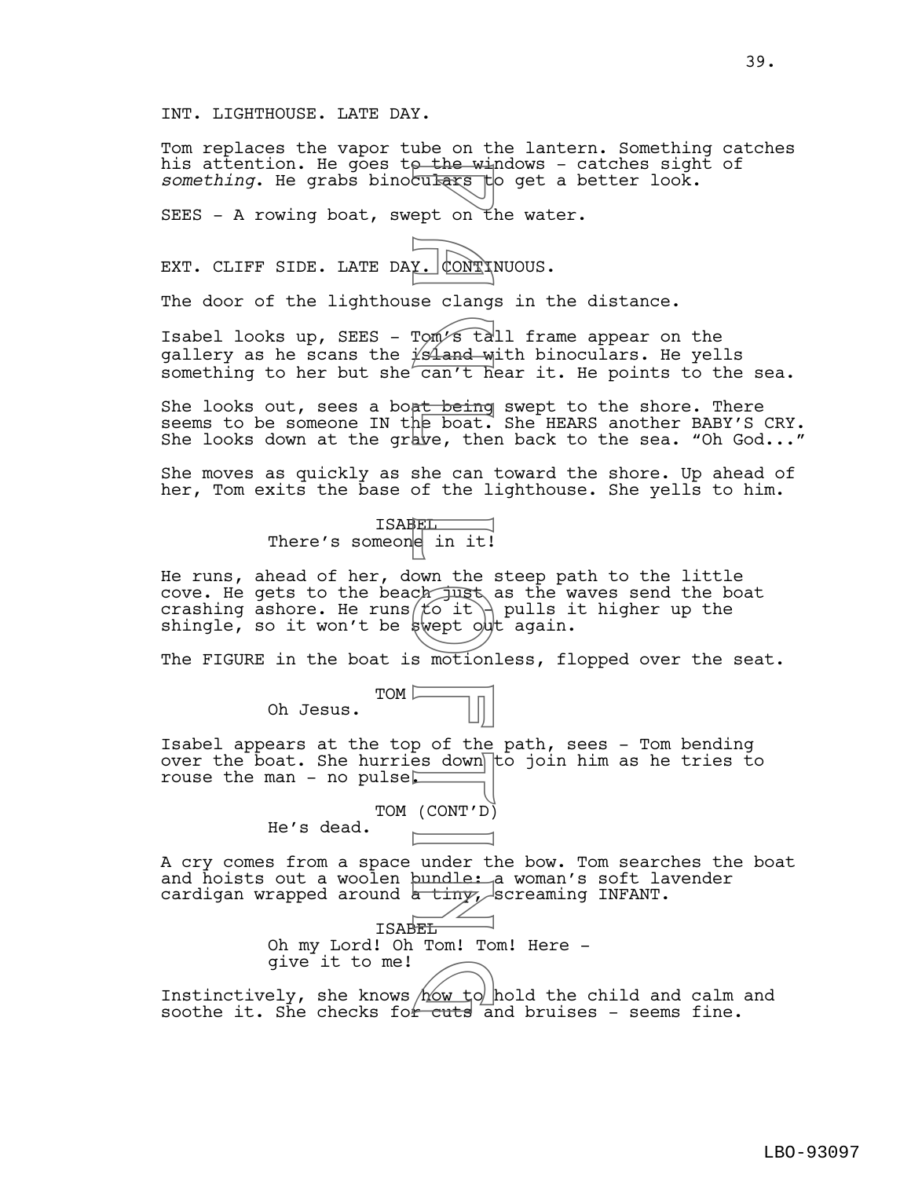## INT. LIGHTHOUSE. LATE DAY.

Tom replaces the vapor tube on the lantern. Something catches his attention. He goes to the windows - catches sight of something. He grabs binoculars to get a better look.

SEES - A rowing boat, swept on the water.

EXT. CLIFF SIDE. LATE DAY.  $\downarrow$  ONT INUOUS.

The door of the lighthouse clangs in the distance.

Isabel looks up, SEES - Tom's tall frame appear on the gallery as he scans the  $i$ sland with binoculars. He yells something to her but she  $\overline{can't}$  hear it. He points to the sea.

She looks out, sees a boat being swept to the shore. There seems to be someone IN the boat. She HEARS another BABY'S CRY. She looks down at the grave, then back to the sea. "Oh God..."

She moves as quickly as she can toward the shore. Up ahead of her, Tom exits the base of the lighthouse. She yells to him.



He runs, ahead of her, down the steep path to the little cove. He gets to the beach just as the waves send the boat crashing ashore. He runs $f$ o it $\rightarrow$  pulls it higher up the shingle, so it won't be swept out again. p the wiles on the wiles on the wiles on the clange on the second on the second can't he boat.<br>In the boat, the second the boat of the second the limit!<br>Second the limit!<br>We find the second the second the second the commun

The FIGURE in the boat is motionless, flopped over the seat.



Isabel appears at the top of the path, sees - Tom bending over the boat. She hurries down to join him as he tries to rouse the man - no pulse

> TOM (CONT'D) He's dead.

give it to me!

A cry comes from a space under the bow. Tom searches the boat and hoists out a woolen bundle: a woman's soft lavender cardigan wrapped around <del>a tiny, s</del>creaming INFANT.



give it to me!<br>Instinctively, she knows how to hold the child and calm and<br>soothe it she checks for cuts and bruises - seems fine soothe it. She checks for cuts and bruises - seems fine.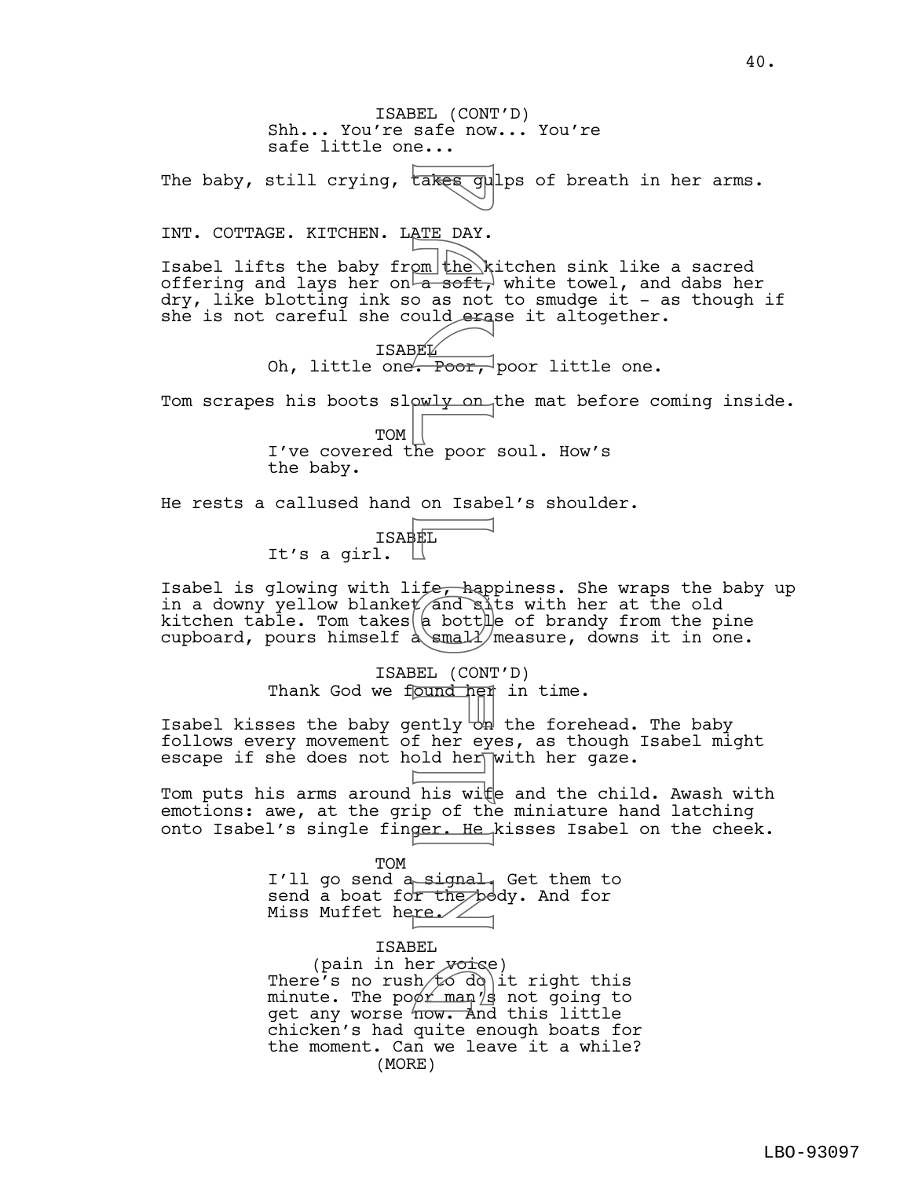ISABEL (CONT'D) Shh... You're safe now... You're safe little one... The baby, still crying, takes gulps of breath in her arms. INT. COTTAGE. KITCHEN. LATE DAY. Isabel lifts the baby from the kitchen sink like a sacred offering and lays her on<del>ta soft,</del> white towel, and dabs her dry, like blotting ink so as not to smudge it - as though if she is not careful she could erase it altogether. **ISABEL** Oh, little one. Poor, poor little one. Tom scrapes his boots slowly on the mat before coming inside. TOM I've covered the poor soul. How's the baby. He rests a callused hand on Isabel's shoulder. ISABEL It's a girl. Isabel is glowing with life, happiness. She wraps the baby up in a downy yellow blanket and sits with her at the old kitchen table. Tom takes $\vert$  bottle of brandy from the pine cupboard, pours himself  $\frac{1}{\text{measurable}}$ , downs it in one. ISABEL (CONT'D) Thank God we found her in time. Isabel kisses the baby gently  $\forall$ h the forehead. The baby follows every movement of her eyes, as though Isabel might escape if she does not hold her $\sqrt{w}$ ith her gaze. Tom puts his arms around his wite and the child. Awash with emotions: awe, at the grip of the miniature hand latching onto Isabel's single finger. He kisses Isabel on the cheek. TOM I'll go send a signal. Get them to send a boat for the body. And for Miss Muffet here. ISABEL (pain in her  $y$ oise) There's no rush to do it right this minute. The po $\cancel{\sigma}$ r man $'$ s not going to (pain in her voise)<br>There's no rush to do it right this<br>minute. The poor man s not going to<br>get any worse now. And this little chicken's had quite enough boats for E DAY.<br>
ATE DAY.<br>
OM the k o as not deray<br>
B a soft, Poor, why on Isabe<br>
Poor on Isabe<br>
Duly on Isabe<br>
B a bottly on Isabe<br>
B a bottly on Isabe<br>
B a bottly on Isabe<br>
B a bottly on a same of the signal<br>
P his with the poor

> the moment. Can we leave it a while? (MORE)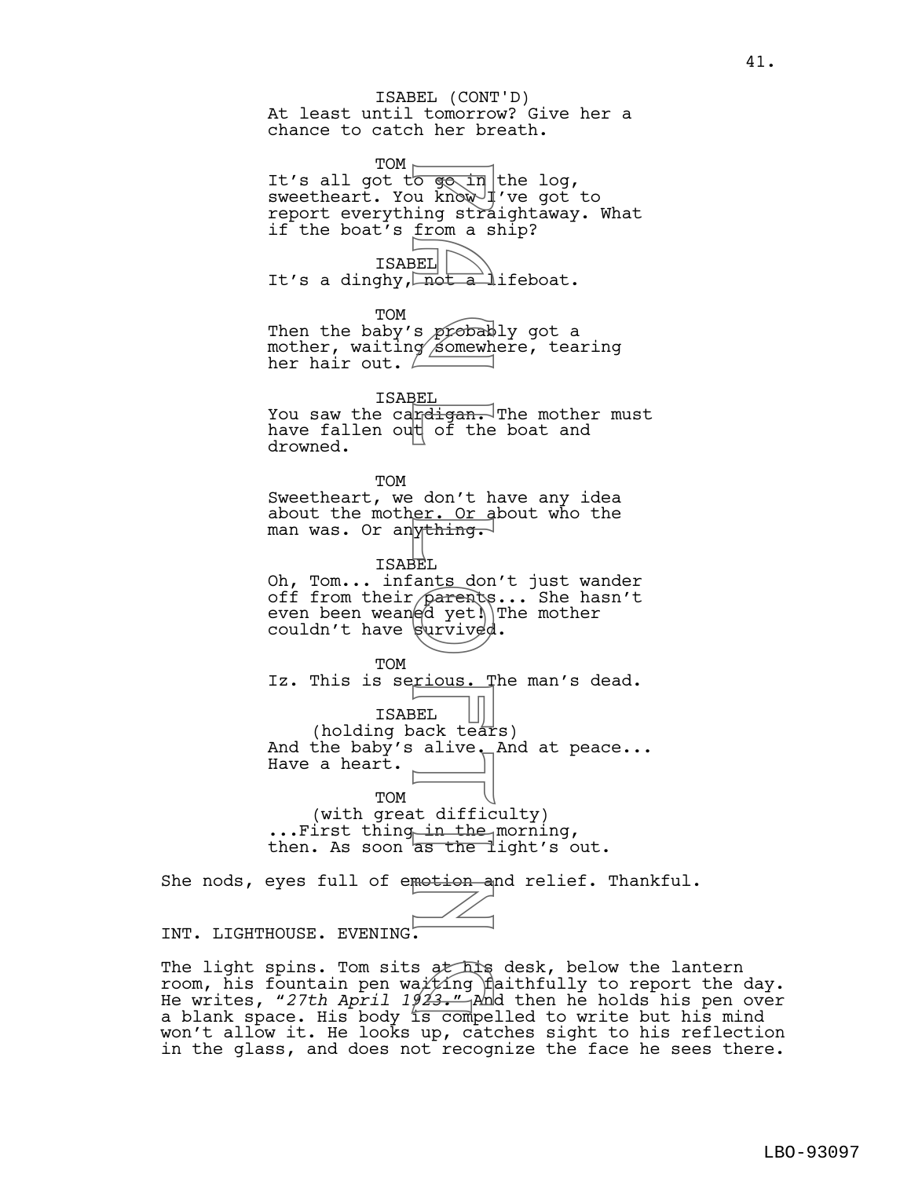At least until tomorrow? Give her a chance to catch her breath. ISABEL (CONT'D)

TOM  $\vdash$ It's all got t<del>o go in</del> the log, sweetheart. You know I've got to report everything straightaway. What if the boat's from a ship?

ISABEL It's a dinghy,  $\sqrt{not}$  a lifeboat.

TOM

Then the baby's probably got a mother, waiting somewhere, tearing her hair out.  $\angle$ 

ISABEL You saw the cardigan. The mother must have fallen out of the boat and drowned.

TOM Sweetheart, we don't have any idea about the mother. Or about who the man was. Or anything.

ISABEL Oh, Tom... infants don't just wander off from their pa<del>re</del>nts... She hasn't even been wean@d yet!\|The mother couldn't have  $\frac{1}{2}$  couldn't have  $\frac{1}{2}$ 

TOM Iz. This is serious. The man's dead. ISABEL (holding back tears) And the baby's alive. And at peace... Have a heart. For a unity of the state of the state of the state of the don't have a spectral of the don't have a spectral of the don't have a spectral of the don't have set of the don't have set of the direction of the state of the sta

TOM (with great difficulty) ...First thing in the morning, then. As soon as the light's out.

She nods, eyes full of emotion and relief. Thankful.

INT. LIGHTHOUSE. EVENING.

The light spins. Tom sits at his desk, below the lantern room, his fountain pen wa $\not\!t$ ing faithfully to report the day. The light spins. Tom sits at his desk, below the lantern<br>room, his fountain pen wa*iti*ng faithfully to report the day.<br>He writes, "27th April 1923." And then he holds his pen over a blank space. His body is compelled to write but his mind won't allow it. He looks up, catches sight to his reflection in the glass, and does not recognize the face he sees there.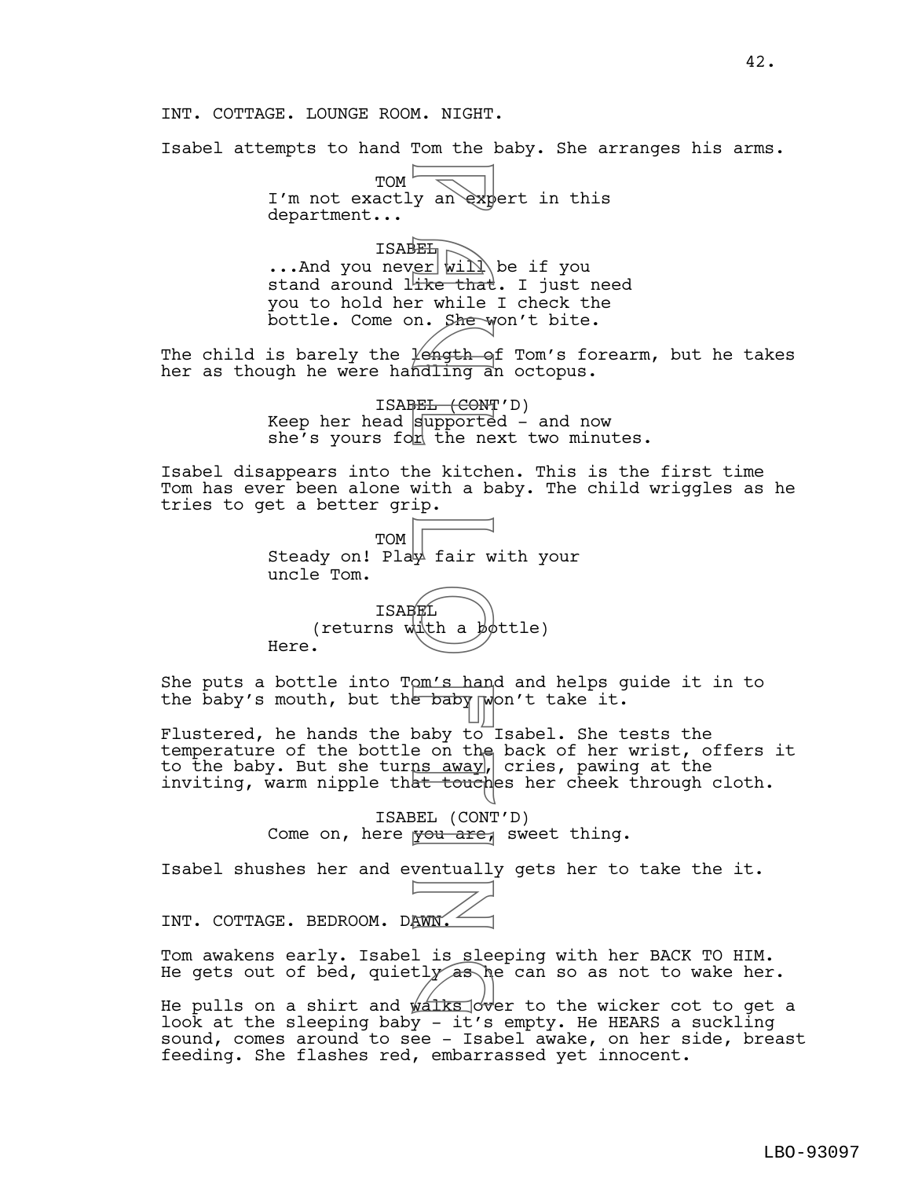INT. COTTAGE. LOUNGE ROOM. NIGHT.

Isabel attempts to hand Tom the baby. She arranges his arms.

 $TOM$ I'm not exactly an expert in this department...

ISABEL ...And you never will be if you stand around like that. I just need you to hold her while I check the bottle. Come on. She won't bite. For a mexical contract of the that<br>
For will be that<br>
For while that<br>
For while the that<br>
For while the Manufacture of the Richard<br>
Support the ne kitch<br>
With a be white to the baby to interact to the<br>
Daby to interact to

The child is barely the  $\frac{1}{2}$  of Tom's forearm, but he takes her as though he were handling an octopus.

> ISABEL (CONT'D) Keep her head  $\frac{1}{2}$  keep her head  $\frac{1}{2}$  and now she's yours for the next two minutes.

Isabel disappears into the kitchen. This is the first time Tom has ever been alone with a baby. The child wriggles as he tries to get a better grip.

| TOM TOM TOM TOM Steady on! Play fair with your<br>uncle Tom. |              |  |  |
|--------------------------------------------------------------|--------------|--|--|
|                                                              | <b>TSABR</b> |  |  |

(returns  $\text{width} a \cancel{b}$  dttle) Here.

She puts a bottle into Tom's hand and helps guide it in to the baby's mouth, but the baby  $\gamma$  won't take it.

Flustered, he hands the baby to Isabel. She tests the temperature of the bottle on the back of her wrist, offers it to the baby. But she tur<u>ns away</u>, cries, pawing at the inviting, warm nipple that touches her cheek through cloth.

> ISABEL (CONT'D) Come on, here you are, sweet thing.

Isabel shushes her and eventually gets her to take the it.

INT. COTTAGE. BEDROOM. DAWN.

Tom awakens early. Isabel is sleeping with her BACK TO HIM. He gets out of bed, quietly as he can so as not to wake her.<br>He pulls on a shirt and walks over to the wicker cot to get a

He pulls on a shirt and  $\frac{\sqrt{3}}{2}$  over to the wicker cot to get a look at the sleeping baby - it's empty. He HEARS a suckling sound, comes around to see - Isabel awake, on her side, breast feeding. She flashes red, embarrassed yet innocent.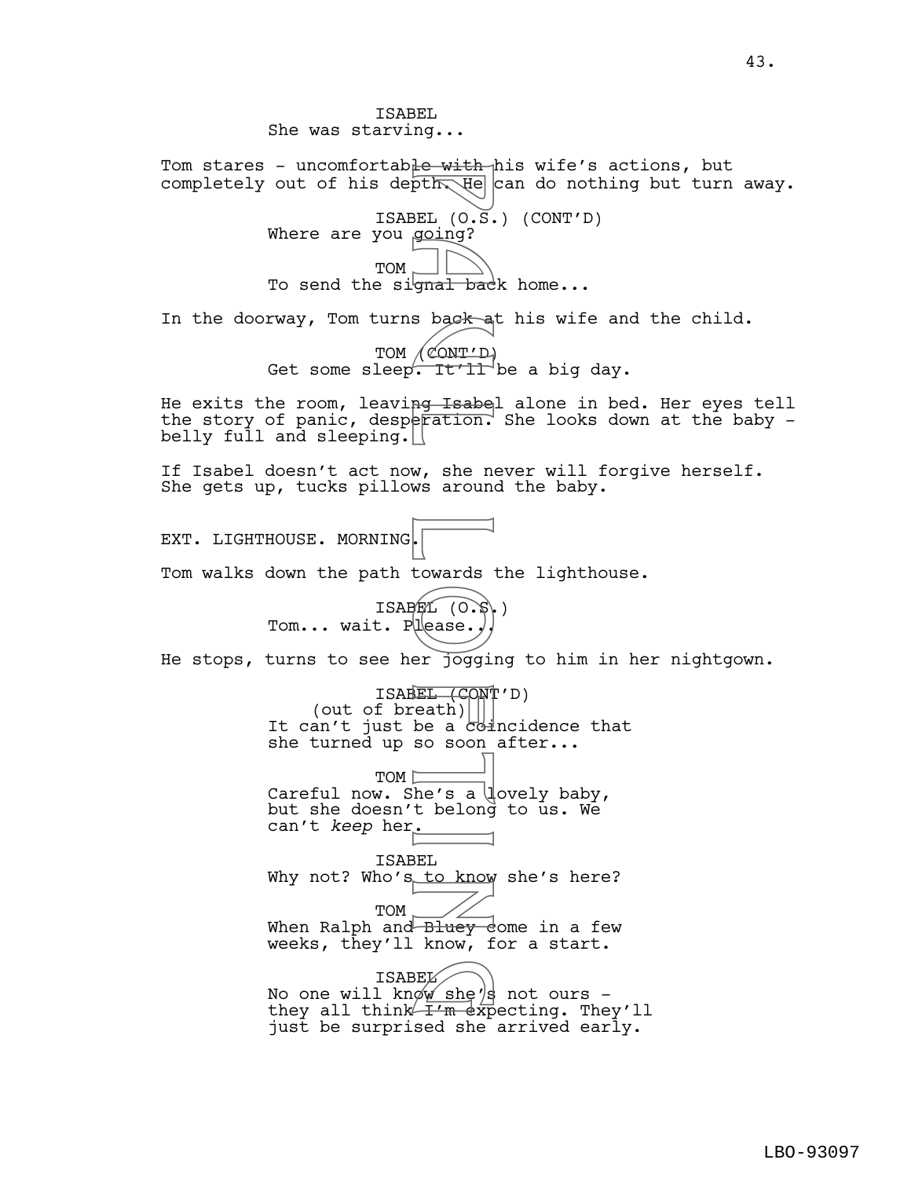ISABEL She was starving... Tom stares - uncomfortable with his wife's actions, but completely out of his depth  $H_{\text{e}}$  can do nothing but turn away. ISABEL  $(0.\bar{S})$  (CONT'D) Where are you going? TOM To send the signal back home... In the doorway, Tom turns back at his wife and the child. TOM (CONT'D) Get some sleep. It'll be a big day. He exits the room, leaving Isabel alone in bed. Her eyes tell the story of panic, desperation. She looks down at the baby  $$ belly full and sleeping. If Isabel doesn't act now, she never will forgive herself. She gets up, tucks pillows around the baby. EXT. LIGHTHOUSE. MORNING. Tom walks down the path towards the lighthouse. ISABEL (O.S.) Tom... wait. Please.. He stops, turns to see her jogging to him in her nightgown. ISABEL (CONT'D) (out of breath) It can't just be a  $c$ -dincidence that she turned up so soon after... TOM<sup>[-</sup> Careful now. She's a lovely baby, but she doesn't belong to us. We can't *keep* her. ISABEL Why not? Who's to know she's here? TOM When Ralph and Bluey dome in a few weeks, they'll know, for a start. ISABEL ISABEL<br>No one will know she's not ours -<br>they all think T'm expecting. They they all think  $I'm$  expecting. They'll just be surprised she arrived early. For With He<br>pth He<br>pth He<br>s back a<br>going?<br>gnal back<br>s back a<br>s back a<br>s back a<br>w, she numeration.<br>W, she numeration.<br>W, she numeration.<br>W, she numeration.<br>EL (CONT)<br>lease.)<br>EL (CONT)<br>lease.)<br>EL (CONT)<br>lease.)<br>EL (CONT)<br>lea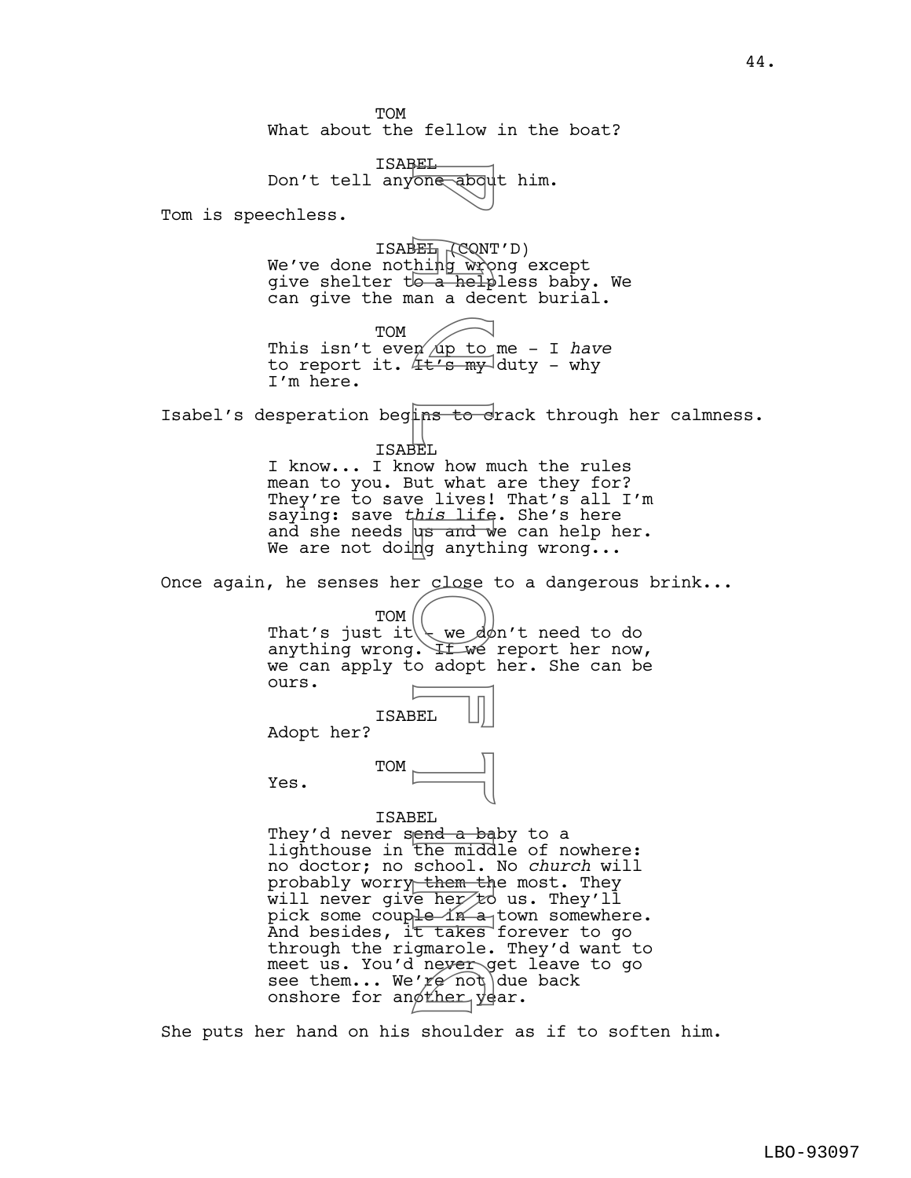TOM What about the fellow in the boat?

ISABEL Don't tell anyone about him.

Tom is speechless.

ISABEL (CONT'D) We've done not<u>hing wr</u>ong except give shelter to a helpless baby. We can give the man a decent burial.

TOM This isn't even  $\pi$  to me - I have to report it.  $4t's my$ -duty - why I'm here.

Isabel's desperation begins to crack through her calmness.

ISABEL

I know... I know how much the rules mean to you. But what are they for? They're to save lives! That's all I'm saying: save *this* life. She's here and she needs  $\mu s$  and we can help her. We are not doing anything wrong...

Once again, he senses her close to a dangerous brink...

TOM<sub>I</sub> That's just it  $\setminus$  we don't need to do anything wrong. If we report her now, we can apply to adopt her. She can be ours.

ISABEL Adopt her?

TOM Yes.

ISABEL

They'd never send a baby to a lighthouse in the middle of nowhere: no doctor; no school. No *church* will probably worry them the most. They will never give her to us. They'll pick some coup<del>le in a town</del> somewhere. And besides, it takes forever to go through the rigmarole. They'd want to meet us. You'd never get leave to go see them... We're not due back meet us. You'd nev<del>er g</del>et<br>see them... We'*re* not due<br>onshore for anøther year. Fore about<br>
Thing wrote a help<br>
hing wrote a help<br>
a help<br>
a help<br>
a help<br>
a help<br>
a help<br>
IEL<br>
wrote lives!<br>
ins to dives!<br>
ins to dives!<br>
ins to dives!<br>
ins to dives!<br>
ins ife<br>
ing anyth<br>
relose<br>
ing anyth<br>
relose<br>
in th

She puts her hand on his shoulder as if to soften him.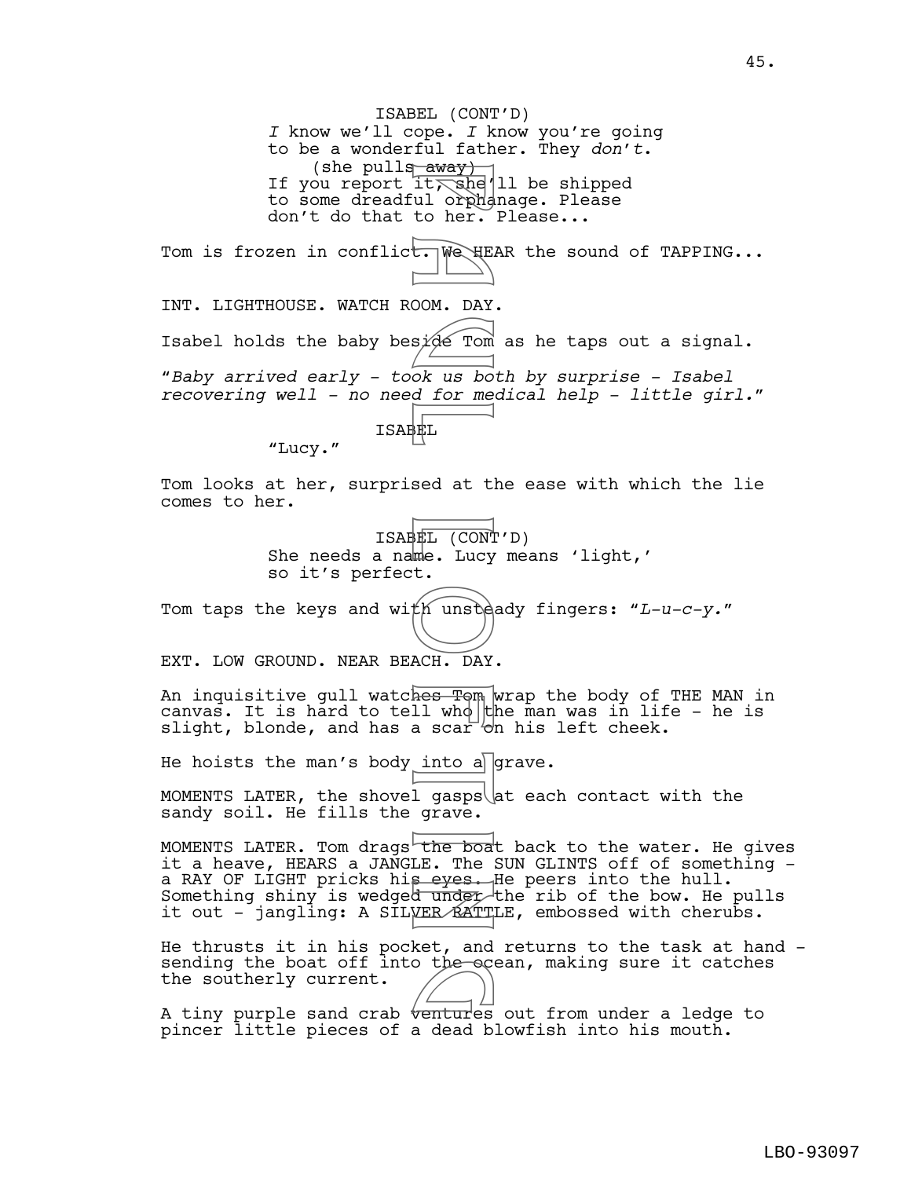ISABEL (CONT'D) *I* know we'll cope. *I* know you're going to be a wonderful father. They *don't*.<br>(she pulls away) (she pulls  $\frac{away}{ct}$ )<br>If you report it, she'll be shipped to some dreadful orphanage. Please don't do that to her. Please...

Tom is frozen in conflict. We HEAR the sound of TAPPING...

INT. LIGHTHOUSE. WATCH ROOM. DAY. Isabel holds the baby besi $\phi$ e Tom as he taps out a signal. "*Baby arrived early - took us both by surprise - Isabel recovering well - no need for medical help - little girl.*" ISABEL away)<br>
it, she've it, she've it, she've it, she've it<br>
boom. DAY<br>
side Tom<br>
ok us boom. DAY<br>
ok us boom. DAY<br>
sed at t!<br>
sed at t!<br>
HEL (CONT me. Lucy<br>
HEL (CONT me. Lucy<br>
HEL (CONT me. Lucy<br>
HEL (CONT me. Lucy<br>
HEL (CONT

"Lucy."

Tom looks at her, surprised at the ease with which the lie comes to her.

> ISABEL (CONT'D) She needs a name. Lucy means 'light,' so it's perfect.

Tom taps the keys and with unsteady fingers: "*L-u-c-y.*"

EXT. LOW GROUND. NEAR BEACH. DAY.

An inquisitive gull watches Tom wrap the body of THE MAN in canvas. It is hard to tell who the man was in life - he is slight, blonde, and has a scar  $\overline{b}$  his left cheek.

He hoists the man's body into a grave.

MOMENTS LATER, the shovel gasps  $\det$  each contact with the sandy soil. He fills the grave.

MOMENTS LATER. Tom drags the boat back to the water. He gives it a heave, HEARS a JANGLE. The SUN GLINTS off of something a RAY OF LIGHT pricks his eyes. He peers into the hull. Something shiny is wedged under the rib of the bow. He pulls it out - jangling: A SILVER RATTLE, embossed with cherubs.

He thrusts it in his pocket, and returns to the task at hand sending the boat off into the ocean, making sure it catches<br>the southerly current. the southerly current.

A tiny purple sand crab  $\overline{b}$  ventures out from under a ledge to pincer little pieces of a dead blowfish into his mouth.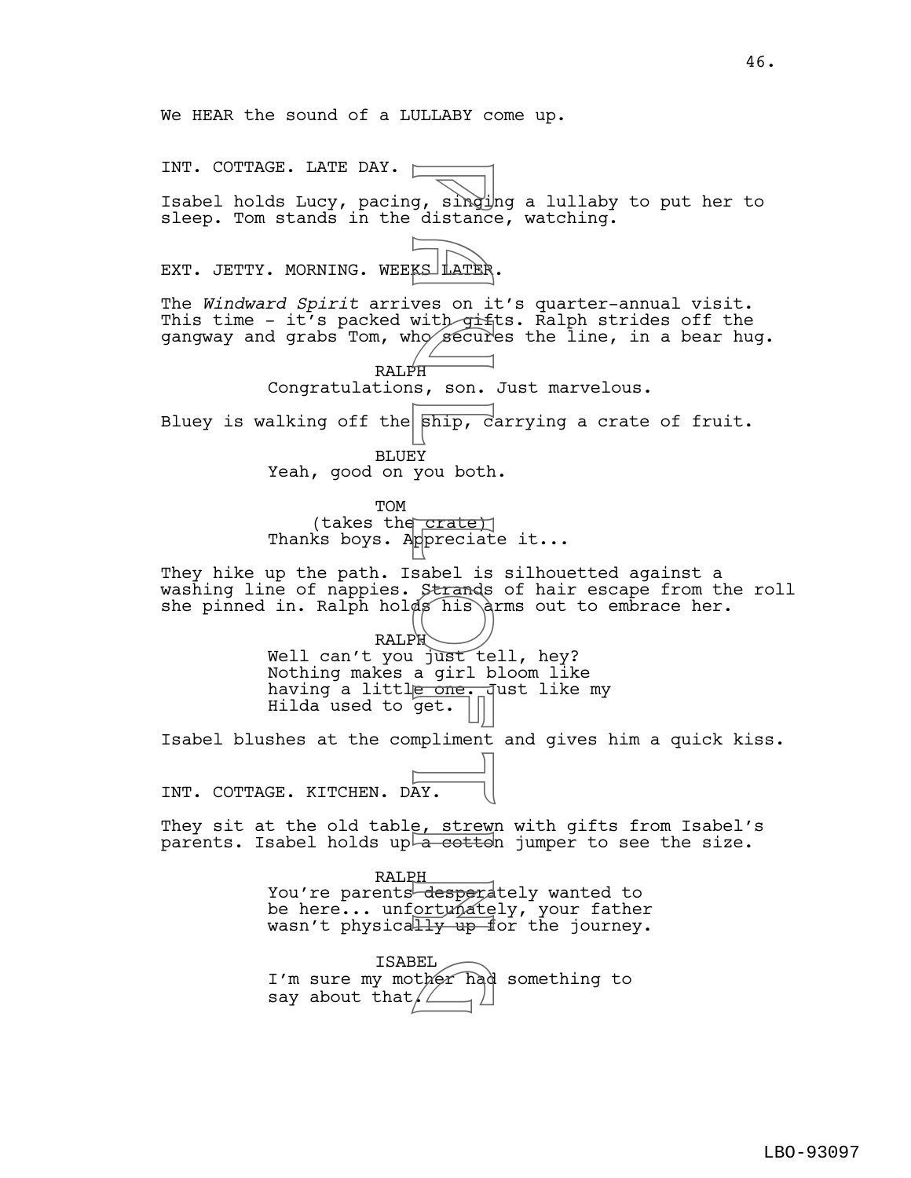We HEAR the sound of a LULLABY come up.

say about that  $\angle$ 

INT. COTTAGE. LATE DAY.  $\square$ Isabel holds Lucy, pacing, singing a lullaby to put her to sleep. Tom stands in the distance, watching. EXT. JETTY. MORNING. WEEKS LATER. The *Windward Spirit* arrives on it's quarter-annual visit. This time - it's packed with  $q$ ifts. Ralph strides off the gangway and grabs Tom, who secures the line, in a bear hug. RALPH Congratulations, son. Just marvelous. Bluey is walking off the  $\frac{1}{\pi}$   $\frac{1}{\pi}$  carrying a crate of fruit. BLUEY Yeah, good on you both. TOM (takes the crate) Thanks boys. Appreciate it... They hike up the path. Isabel is silhouetted against a washing line of nappies. Strands of hair escape from the roll she pinned in. Ralph holds his arms out to embrace her. RALPH Well can't you just tell, hey? Nothing makes a girl bloom like having a littl<del>e one. J</del>ust like my Hilda used to get. Isabel blushes at the compliment and gives him a quick kiss. INT. COTTAGE. KITCHEN. DAY. They sit at the old table, strewn with gifts from Isabel's parents. Isabel holds up  $\overline{a}$  cottoh jumper to see the size. RALP<u>H</u> You're parents desperdtely wanted to be here... unfortunately, your father wasn't physically up for the journey. ISABEL I'm sure my mother had something to g, singlistance<br>
Wess on it distance<br>
Wess on it diffused by<br>
PH as, son.<br>
Finip, carried by<br>
PH a settle sabel is<br>
Strands his distance<br>
Strands his distance<br>
M just te girl by<br>
PH just te girl bone.<br>
PH a girl bone.<br>
PH BEL<br>ther had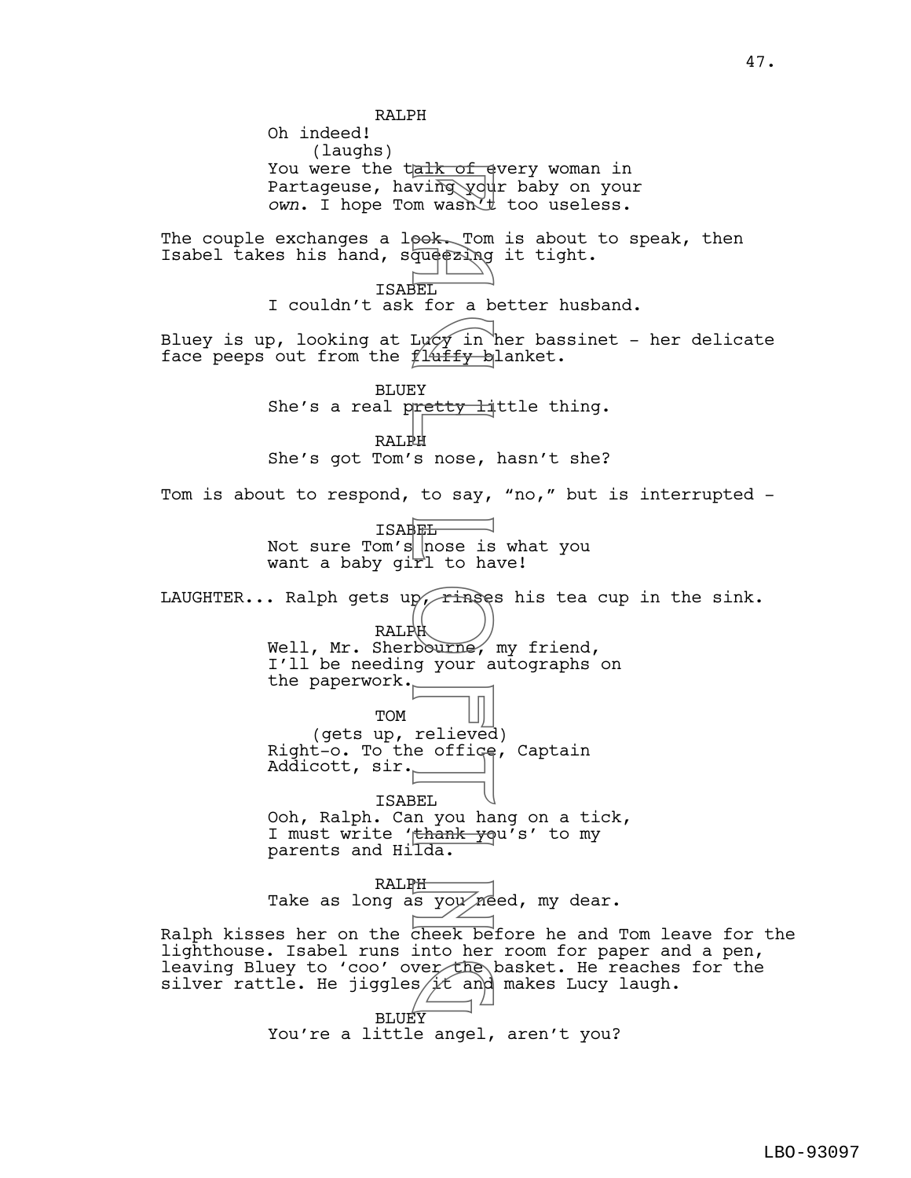RALPH Oh indeed! (laughs) You were the talk of every woman in Partageuse, having your baby on your *own*. I hope Tom wasn't too useless. The couple exchanges a look. Tom is about to speak, then Isabel takes his hand, squeezing it tight. ISABEL I couldn't ask for a better husband. Bluey is up, looking at Lucy in her bassinet - her delicate face peeps out from the  $f14$ iffy blanket. BLUEY She's a real pretty little thing. RALPH She's got Tom's nose, hasn't she? Tom is about to respond, to say, "no," but is interrupted - ISABEL Not sure Tom's  $|$  nose is what you want a baby girl to have! LAUGHTER... Ralph gets up, rinses his tea cup in the sink. RALPH Well, Mr. Sherbourne, my friend, I'll be needing your autographs on the paperwork. TOM (gets up, relieved) Right-o. To the office, Captain Addicott, sir. ISABEL Ooh, Ralph. Can you hang on a tick, I must write 'thank you's' to my parents and Hilda. RALPH Take as long as you need, my dear. Ralph kisses her on the cheek before he and Tom leave for the lighthouse. Isabel runs into her room for paper and a pen, leaving Bluey to 'coo' over the basket. He reaches for the silver rattle. He jiggles $\cancel{\sharp} \mathcal{K}$  and makes Lucy laugh. BLUEY<sup>T</sup> You're a little angel, aren't you? a k of each ving you<br>wash. Tom wash. Tom<br>pok. Tom wash. Tom<br>dudezing<br>EL for a b<br>flury in<br>Flury in<br>Flury in<br>Flury in<br>s nose, to say,<br>Hanse is nose, to say,<br>Flury in<br>a nose is ringe:<br>Flury your a<br>pourne, your a<br>relieved your verthe<br>sit and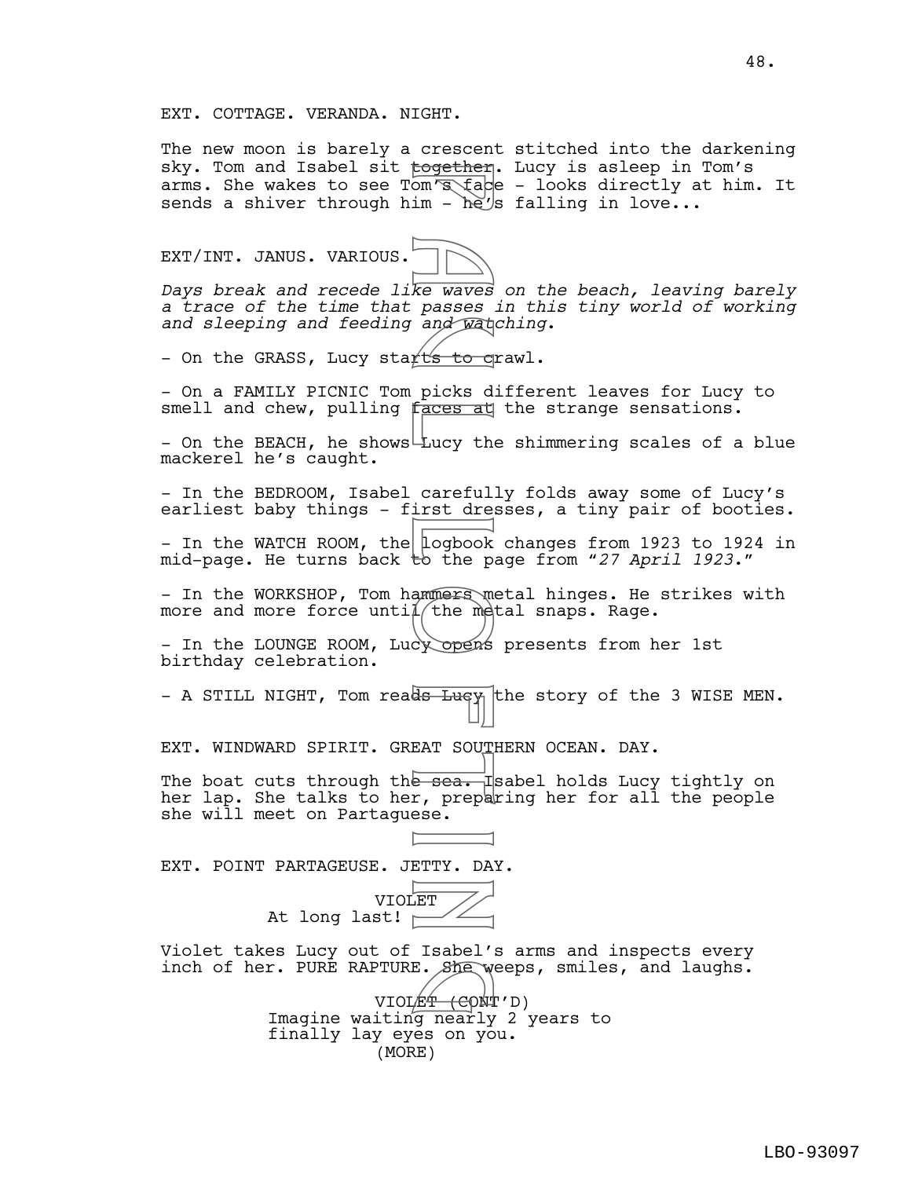The new moon is barely a crescent stitched into the darkening sky. Tom and Isabel sit together. Lucy is asleep in Tom's arms. She wakes to see Tom's face - looks directly at him. It sends a shiver through him -  $\hbar e'$ s falling in love...

EXT/INT. JANUS. VARIOUS.

*Days break and recede like waves on the beach, leaving barely a trace of the time that passes in this tiny world of working and sleeping and feeding and watching*.

- On the GRASS, Lucy start's to crawl.

- On a FAMILY PICNIC Tom picks different leaves for Lucy to smell and chew, pulling faces at the strange sensations.

- On the BEACH, he shows Lucy the shimmering scales of a blue mackerel he's caught.

- In the BEDROOM, Isabel carefully folds away some of Lucy's earliest baby things - first dresses, a tiny pair of booties.

- In the WATCH ROOM, the Logbook changes from 1923 to 1924 in mid-page. He turns back to the page from "*27 April 1923*."

- In the WORKSHOP, Tom hammers metal hinges. He strikes with more and more force unti $1/t$ he metal snaps. Rage.

- In the LOUNGE ROOM, Lucy opens presents from her 1st birthday celebration.

- A STILL NIGHT, Tom reads  $\frac{L}{L}$  the story of the 3 WISE MEN.

EXT. WINDWARD SPIRIT. GREAT SOUTHERN OCEAN. DAY.

The boat cuts through the sea. Isabel holds Lucy tightly on her lap. She talks to her, preparing her for all the people she will meet on Partaguese. pogether<br>
om Tack in - he's<br>
im - he's<br>
ke waves<br>
and Wat<br>
faces and Wat<br>
faces at<br>
faces at<br>
tucy the careful<br>
Lucy the careful<br>
Lucy the metal<br>
(the metal<br>
(the metal)<br>
(the metal)<br>
(the metal)<br>
(the metal)<br>
(the metal)<br>

EXT. POINT PARTAGEUSE. JETTY. DAY.

VIOLET At long last!  $\vdash$ 

Violet takes Lucy out of Isabel's arms and inspects every inch of her. PURE RAPTURE. She weeps, smiles, and laughs.

TURE. She weeps<br>VIOLE<del>T (C</del>ONT'D) Imagine waiting nearly 2 years to finally lay eyes on you. (MORE)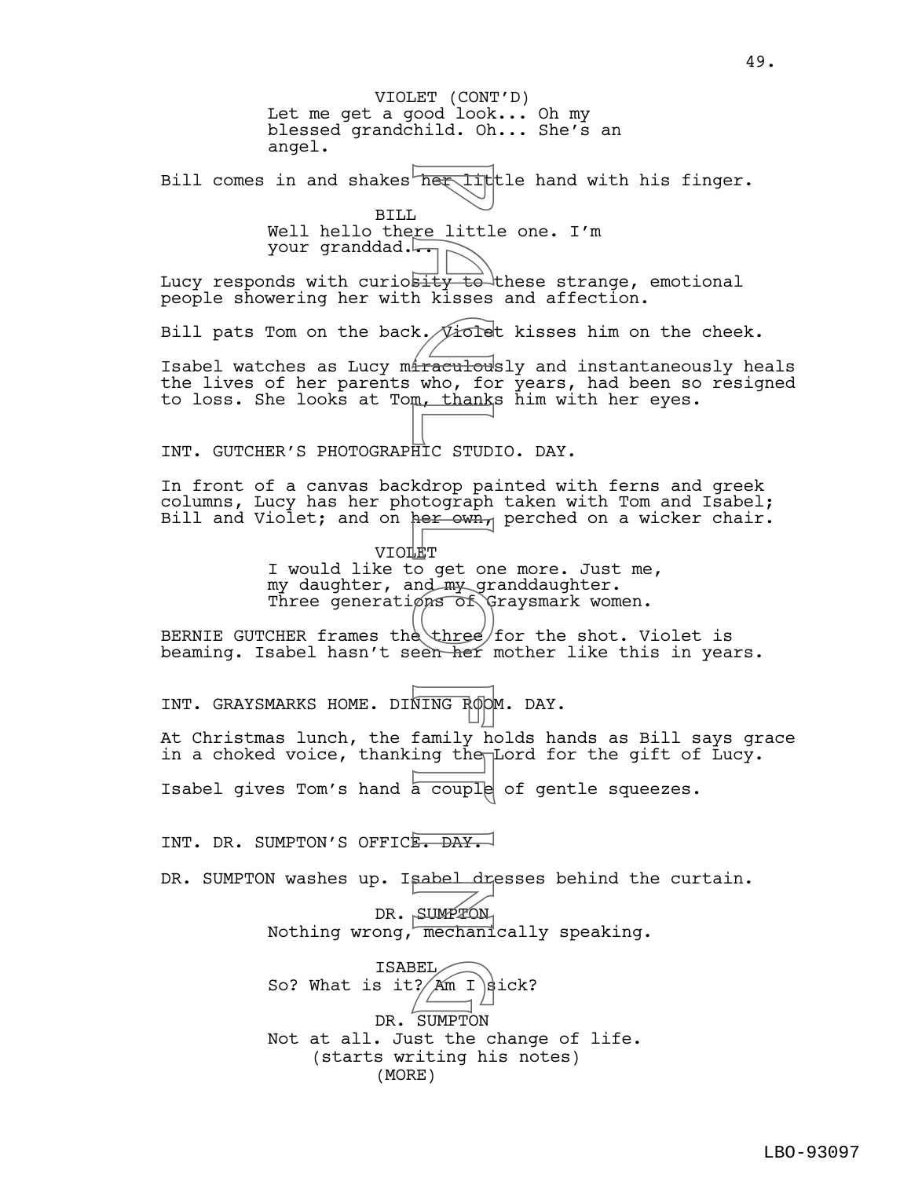Let me get a good look... Oh my blessed grandchild. Oh... She's an angel. Bill comes in and shakes her little hand with his finger. BILL Well hello there little one. I'm your granddad... Lucy responds with curiosity to these strange, emotional people showering her with kisses and affection. Bill pats Tom on the back.  $\sqrt{10}$  old kisses him on the cheek. Isabel watches as Lucy miraculously and instantaneously heals the lives of her parents who, for years, had been so resigned to loss. She looks at Tom, thanks him with her eyes. INT. GUTCHER'S PHOTOGRAPHIC STUDIO. DAY. In front of a canvas backdrop painted with ferns and greek columns, Lucy has her photograph taken with Tom and Isabel; Bill and Violet; and on her own, perched on a wicker chair. VIOLET I would like to get one more. Just me, my daughter, and my granddaughter. Three generations of Graysmark women. BERNIE GUTCHER frames the three for the shot. Violet is beaming. Isabel hasn't seen her mother like this in years. INT. GRAYSMARKS HOME. DINING ROOM. DAY. At Christmas lunch, the family holds hands as Bill says grace in a choked voice, thanking the Lord for the gift of Lucy. Isabel gives Tom's hand a couple of gentle squeezes. INT. DR. SUMPTON'S OFFICE. DAY. DR. SUMPTON washes up. Isabel dresses behind the curtain. DR. SUMPTON Nothing wrong, mechanically speaking. ISABEL So? What is it?  $Am I \div$ DR. SUMPTON Not at all. Just the change of life. (starts writing his notes) VIOLET (CONT'D) (MORE) The situal to the situation of the situation of the state of the state of the state of the state of the state of the state of the state of the state of the state of the state of the state of the state of the state of the s BEL<br>
? Am I B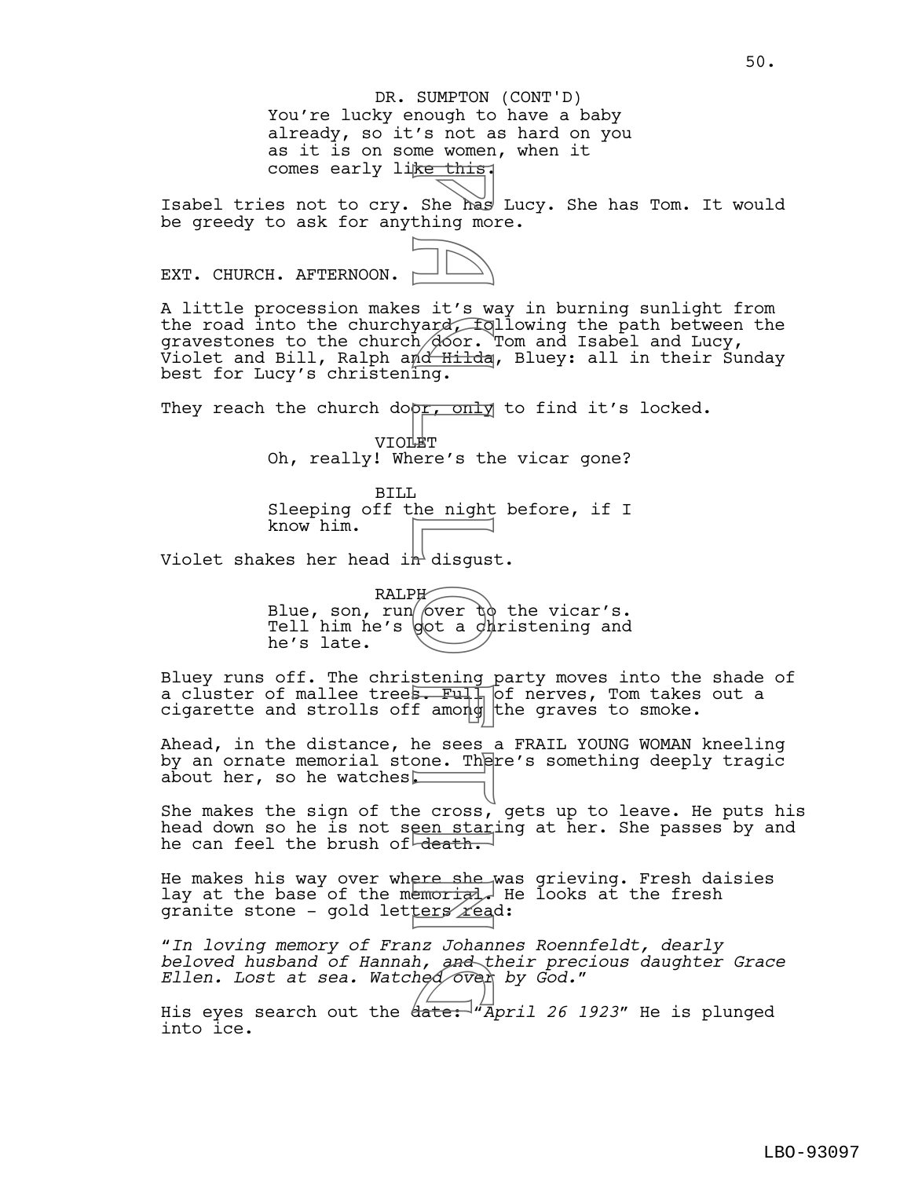## You're lucky enough to have a baby already, so it's not as hard on you as it is on some women, when it comes early like this. DR. SUMPTON (CONT'D)

Isabel tries not to cry. She has Lucy. She has Tom. It would be greedy to ask for anything more.

EXT. CHURCH. AFTERNOON.

A little procession makes it's way in burning sunlight from the road into the churchyard, following the path between the gravestones to the church  $\beta$ oor. Tom and Isabel and Lucy, Violet and Bill, Ralph an<del>d Hilda</del>, Bluey: all in their Sunday best for Lucy's christening. For this<br>She has<br>thing mond thing<br>ing. or, only<br>mond thing.<br>Den cond disgus:<br>P a mond disgus:<br>P a mond disgus:<br>P a mond disgus:<br>P a cross,<br>stening<br>f a mond disgus:<br>F a F uller a change of the sees one. The<br>f a mond disgus:

They reach the church dopr, only to find it's locked.

VIOLET Oh, really! Where's the vicar gone?

BILL Sleeping off the night before, if I know him.

Violet shakes her head in disqust.

RALPH Blue, son, run  $\int \sqrt{v} \, dv$  the vicar's. Tell him he's dot a dhristening and he's late.

Bluey runs off. The christening party moves into the shade of a cluster of mallee trees. Full of nerves, Tom takes out a cigarette and strolls off among the graves to smoke.

Ahead, in the distance, he sees a FRAIL YOUNG WOMAN kneeling by an ornate memorial stone. There's something deeply tragic about her, so he watches $\square$ 

She makes the sign of the cross, gets up to leave. He puts his head down so he is not seen staring at her. She passes by and he can feel the brush of death.

He makes his way over where she was grieving. Fresh daisies lay at the base of the memorial. He looks at the fresh granite stone - gold letters read:

"*In loving memory of Franz Johannes Roennfeldt, dearly beloved husband of Hannah, and their precious daughter Grace Beloved husband of Hannah, and their prec*<br>Ellen. Lost at sea. Watched over by God."<br>His eves search out the date: "April 26 1

His eyes search out the date: "*April 26 1923*" He is plunged into ice.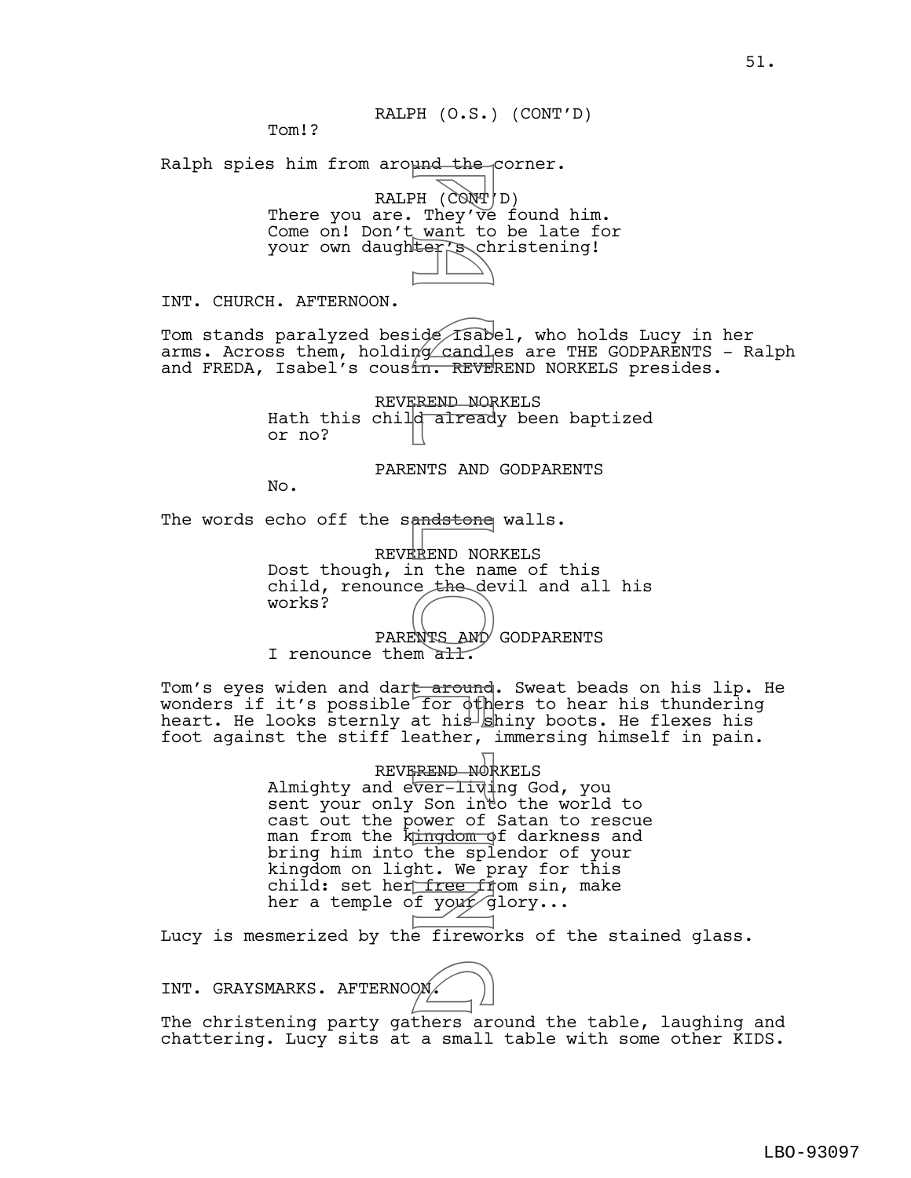RALPH (O.S.) (CONT'D)

Tom!?

Ralph spies him from around the corner.

RALPH (CONT'D) There you are. They've found him. Come on! Don't want to be late for your own daughter's christening!

INT. CHURCH. AFTERNOON.

Tom stands paralyzed beside Isabel, who holds Lucy in her arms. Across them, holding candles are THE GODPARENTS - Ralph and FREDA, Isabel's cousin. REVEREND NORKELS presides.

> REVEREND NORKELS Hath this child already been baptized or no?

> > PARENTS AND GODPARENTS

No.

The words echo off the sandstone walls.

REVEREND NORKELS Dost though, in the name of this child, renounce the devil and all his works? PARENTS AND GODPARENTS

I renounce them all.

Tom's eyes widen and dart around. Sweat beads on his lip. He wonders if it's possible for others to hear his thundering heart. He looks sternly at his shiny boots. He flexes his foot against the stiff leather, immersing himself in pain.

REVEREND NORKELS Almighty and ever-living God, you sent your only Son into the world to cast out the power of Satan to rescue man from the kund mot darkness and bring him into the splendor of your kingdom on light. We pray for this child: set her<del>free fr</del>om sin, make her a temple of your glory... PH (CONT)<br>
PH (CONT)<br>
They've<br>
want to ch<br>
ter's ch<br>
ter's ch<br>
for same and<br>
for dth is slight.<br>
REND NOF<br>
REND NOF<br>
REND NOF<br>
REND NOF<br>
REND NOF<br>
REND NOF<br>
REND NOF<br>
REND NOF<br>
REND NOF<br>
REND NOF<br>
REND NOF<br>
REND NOF<br>
REND

Lucy is mesmerized by the fireworks of the stained glass.

INT. GRAYSMARKS. AFTERNOON.

 $\boxed{p}$ 

The christening party gathers around the table, laughing and chattering. Lucy sits at a small table with some other KIDS.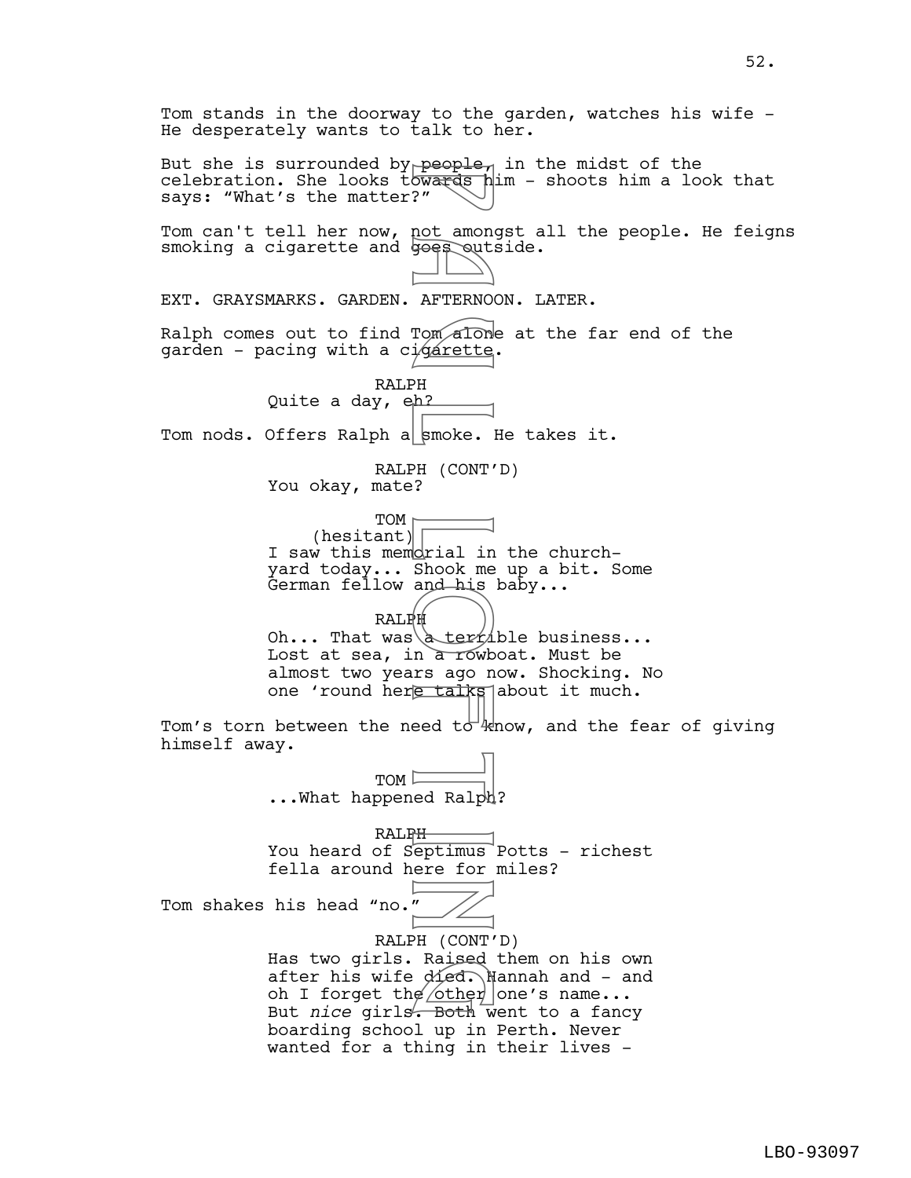Tom stands in the doorway to the garden, watches his wife - He desperately wants to talk to her. But she is surrounded by people<sub> $1$ </sub> in the midst of the celebration. She looks towards him - shoots him a look that says: "What's the matter?" Tom can't tell her now, not amongst all the people. He feigns smoking a cigarette and goes outside. EXT. GRAYSMARKS. GARDEN. AFTERNOON. LATER. Ralph comes out to find Tom alone at the far end of the garden - pacing with a cigarette. RALPH Quite a day, eh? Tom nods. Offers Ralph a  $|$ smoke. He takes it. RALPH (CONT'D) You okay, mate? TOM<sub>I</sub>  $(hesitant)$ I saw this memorial in the churchyard today... Shook me up a bit. Some German fellow and his baby... RALPH Oh... That was  $\text{terzible business...}$ Lost at sea, in a rowboat. Must be almost two years ago now. Shocking. No one 'round here talks about it much. Tom's torn between the need to  $kmv$ , and the fear of giving himself away. TOM <sup>[</sup> ...What happened Ralph? RALPH You heard of Septimus Potts - richest fella around here for miles? Tom shakes his head "no." RALPH (CONT'D) Has two girls. Raised them on his own after his wife  $\partial \mathcal{L} = \partial \mathcal{L}$  and - and has two giris. Raised them on his ow<br>after his wife died. Nannah and - an<br>oh I forget the other one's name...<br>But *nice* girls Both went to a fancy But *nice* girls. Both went to a fancy boarding school up in Perth. Never wanted for a thing in their lives - People<br>
owards<br>
?" not among<br>
?" not among<br>
?" Tom along<br>
AFTERNOG<br>
PH (CONT )<br>
PH (CONT )<br>
PH (CONT )<br>
PH a terri<br>
Led Ralp<br>
PH a terri<br>
Led Ralp<br>
PH derri<br>
PH a terri<br>
Raterri<br>
PH a terri<br>
Raterri<br>
PH a terri<br>
Raterri<br>
P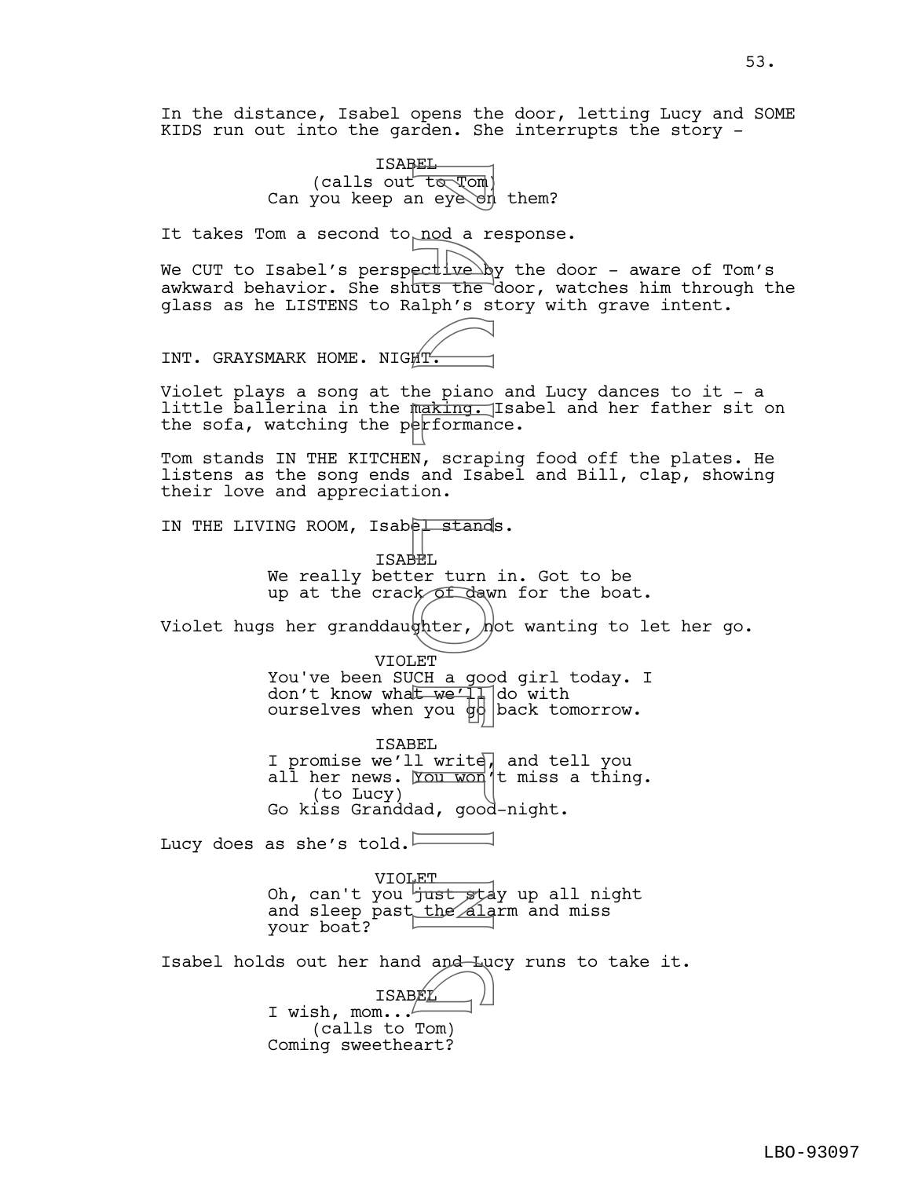In the distance, Isabel opens the door, letting Lucy and SOME KIDS run out into the garden. She interrupts the story -

> ISABEL  $(calls out  $t$  or  $T$$ Can you keep an eye on them?

It takes Tom a second to<sub>plod</sub> a response.

We CUT to Isabel's perspective  $by$  the door - aware of Tom's awkward behavior. She shuts the door, watches him through the glass as he LISTENS to Ralph's story with grave intent.

INT. GRAYSMARK HOME. NIGHT.

Violet plays a song at the piano and Lucy dances to it - a little ballerina in the making. Isabel and her father sit on the sofa, watching the performance.

Tom stands IN THE KITCHEN, scraping food off the plates. He listens as the song ends and Isabel and Bill, clap, showing their love and appreciation.

IN THE LIVING ROOM, Isabel stands.

ISABEL We really better turn in. Got to be up at the crack of dawn for the boat.

Violet hugs her granddaughter,  $n$ ot wanting to let her go.

VIOLET

You've been SUCH a good girl today. I don't know wha<del>t we'll</del> do with ourselves when you  $\frac{1}{9}$  back tomorrow.

ISABEL I promise we'll write, and tell you all her news. You won't miss a thing. (to Lucy) Go kiss Granddad, good-night. Friday to Tompassion and a reduced a reduced a reduced a reduced a reduced a reduced a reduced a reduced a maximum of the piano and Isabel and a series of dawn of dawn of dawn and the weak of dawn and the weak of dawn and

Lucy does as she's told.

VIOLET Oh, can't you <del>'just sta</del>y up all night and sleep past the alarm and miss your boat?

Isabel holds out her hand and Lucy runs to take it.<br>
ISABEL

ISABEL I wish, mom... $\ell$ (calls to Tom) Coming sweetheart?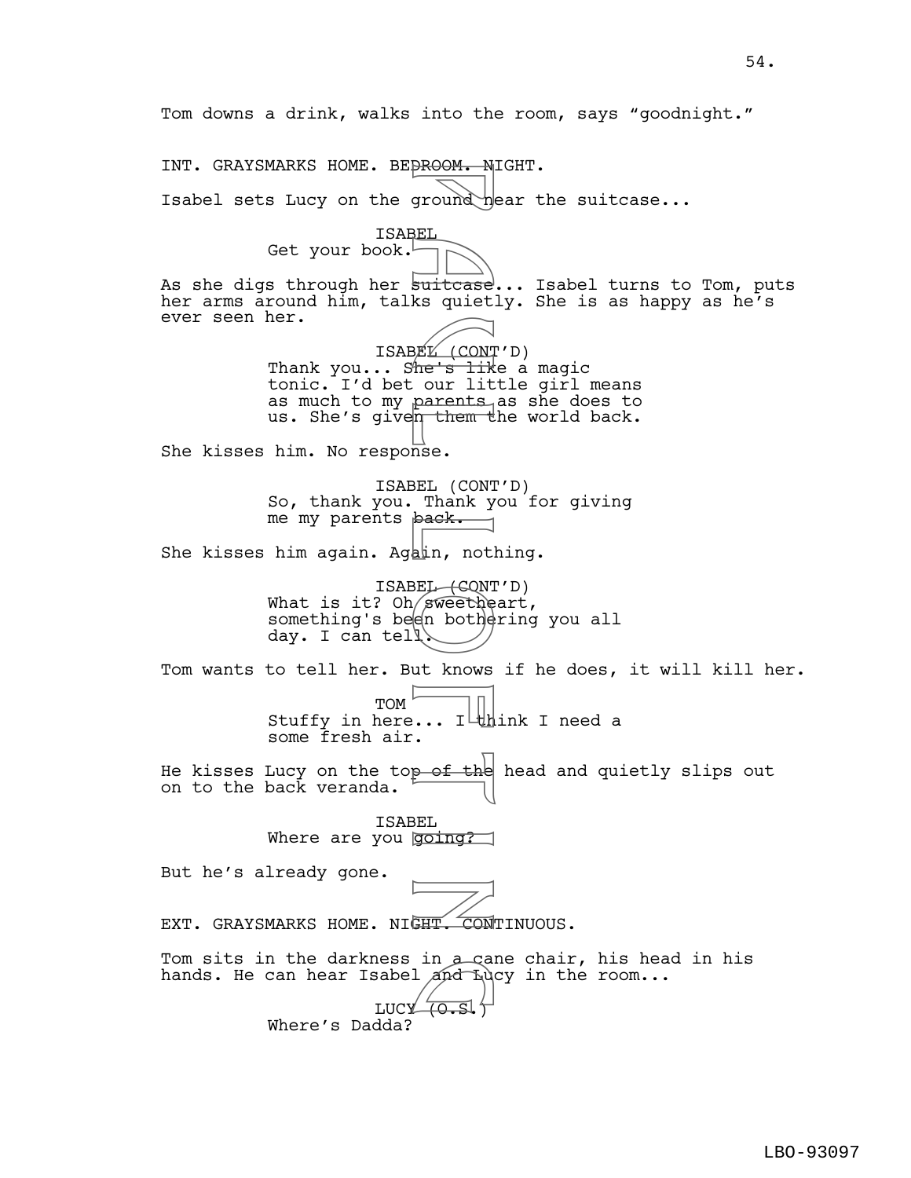Tom downs a drink, walks into the room, says "goodnight." INT. GRAYSMARKS HOME. BEDROOM. NIGHT. Isabel sets Lucy on the ground near the suitcase... ISABEL Get your book. As she digs through her suitcase... Isabel turns to Tom, puts her arms around him, talks quietly. She is as happy as he's ever seen her. ISABEL (CONT'D) Thank you... S<del>he's lik</del>e a magic tonic. I'd bet our little girl means as much to my parents as she does to us. She's given them the world back. She kisses him. No response. ISABEL (CONT'D) So, thank you. Thank you for giving me my parents back. She kisses him again. Again, nothing. ISABEL (CONT'D) What is it?  $Oh/gWeet$  heart, something's been bothering you all day. I can tell. Tom wants to tell her. But knows if he does, it will kill her. TOM Stuffy in here... I  $\frac{1}{1}$  ink I need a some fresh air. He kisses Lucy on the top of the head and quietly slips out on to the back veranda. ISABEL Where are you going? But he's already gone. EXT. GRAYSMARKS HOME. NIGHT. CONTINUOUS. Tom sits in the darkness in  $a$  cane chair, his head in his hands. He can hear Isabel and Lucy in the room... ress in a ca<br>sabel and Lu<br>LUCY (0.S.) Where's Dadda? P a u l L o f t i n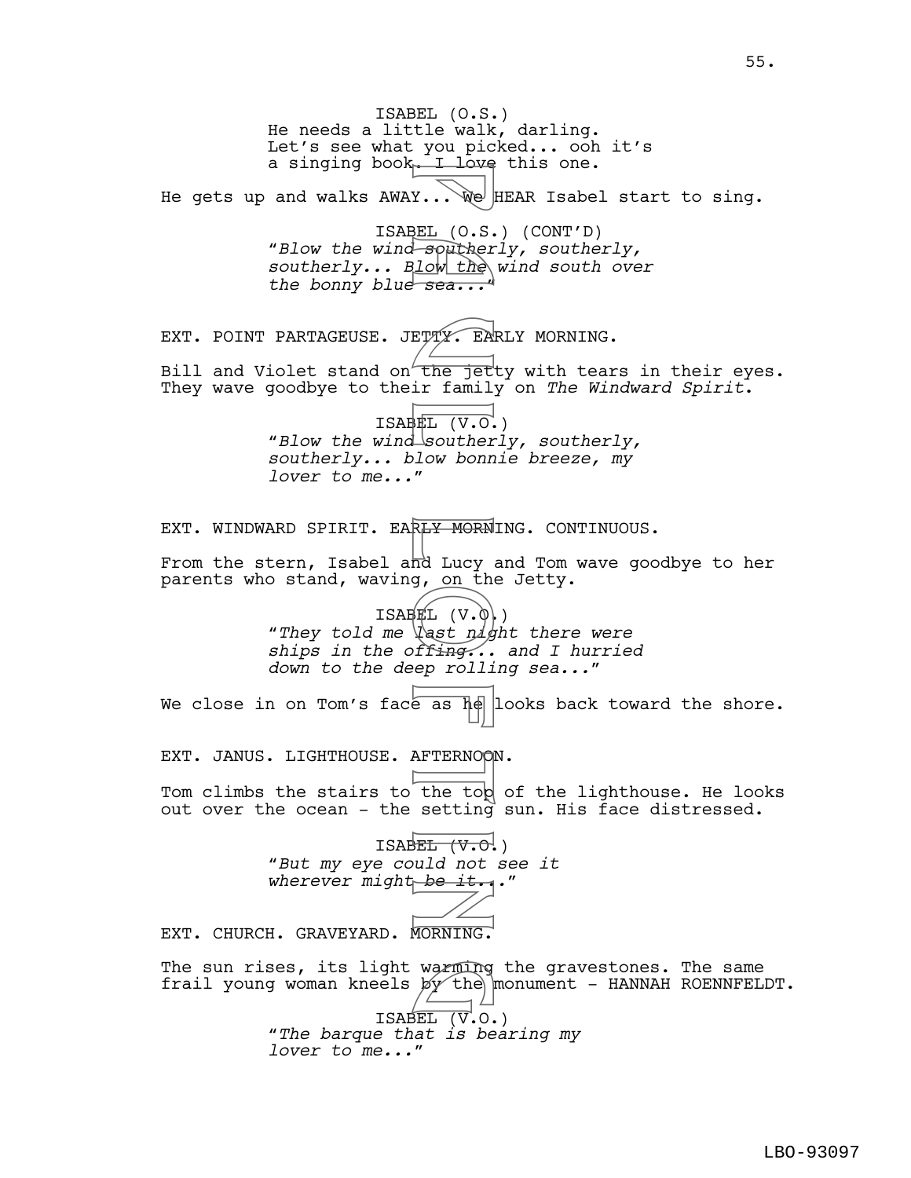ISABEL (O.S.) He needs a little walk, darling. Let's see what you picked... ooh it's a singing book. I love this one. He gets up and walks  $AWAY...$  We HEAR Isabel start to sing. ISABEL (O.S.) (CONT'D) *"Blow the wind southerly, southerly, southerly... Blow the wind south over the bonny blue sea..."* EXT. POINT PARTAGEUSE. JETTY. EARLY MORNING. Bill and Violet stand on the jetty with tears in their eyes. They wave goodbye to their family on *The Windward Spirit*. ISABEL (V.O.) *"Blow the wind southerly, southerly, southerly... blow bonnie breeze, my lover to me..."* EXT. WINDWARD SPIRIT. EAR<del>LY MORN</del>ING. CONTINUOUS. From the stern, Isabel and Lucy and Tom wave goodbye to her parents who stand, waving, on the Jetty.  $ISBNL (V.0)$ *"They told me last night there were ships in the offing... and I hurried down to the deep rolling sea..."* We close in on Tom's face as  $\frac{1}{2}$  looks back toward the shore. EXT. JANUS. LIGHTHOUSE. AFTERNOON. Tom climbs the stairs to the top of the lighthouse. He looks out over the ocean - the setting sun. His face distressed. ISABEL  $(\forall \cdot \Theta)$ "*But my eye could not see it*  wherever might be it... EXT. CHURCH. GRAVEYARD. MORNING. The sun rises, its light warming the gravestones. The same frail young woman kneels  $p\mathbf{y}'$  the monument - HANNAH ROENNFELDT. ISABEL (V.O.) "*The barque that is bearing my lover to me...*" F a u C.S.<br>
BEL (O.S. Souther<br>
B low the sea...<br>
B How the sea...<br>
ETTY. EN<br>
ETTY. EN<br>
The jet family<br>
BEL (V.O. souther<br>
MORNING.<br>
THE (V.O. The top setting<br>
F as he less the top setting<br>
BEL (V.O. The top setting<br>
HEL (V warming<br>by the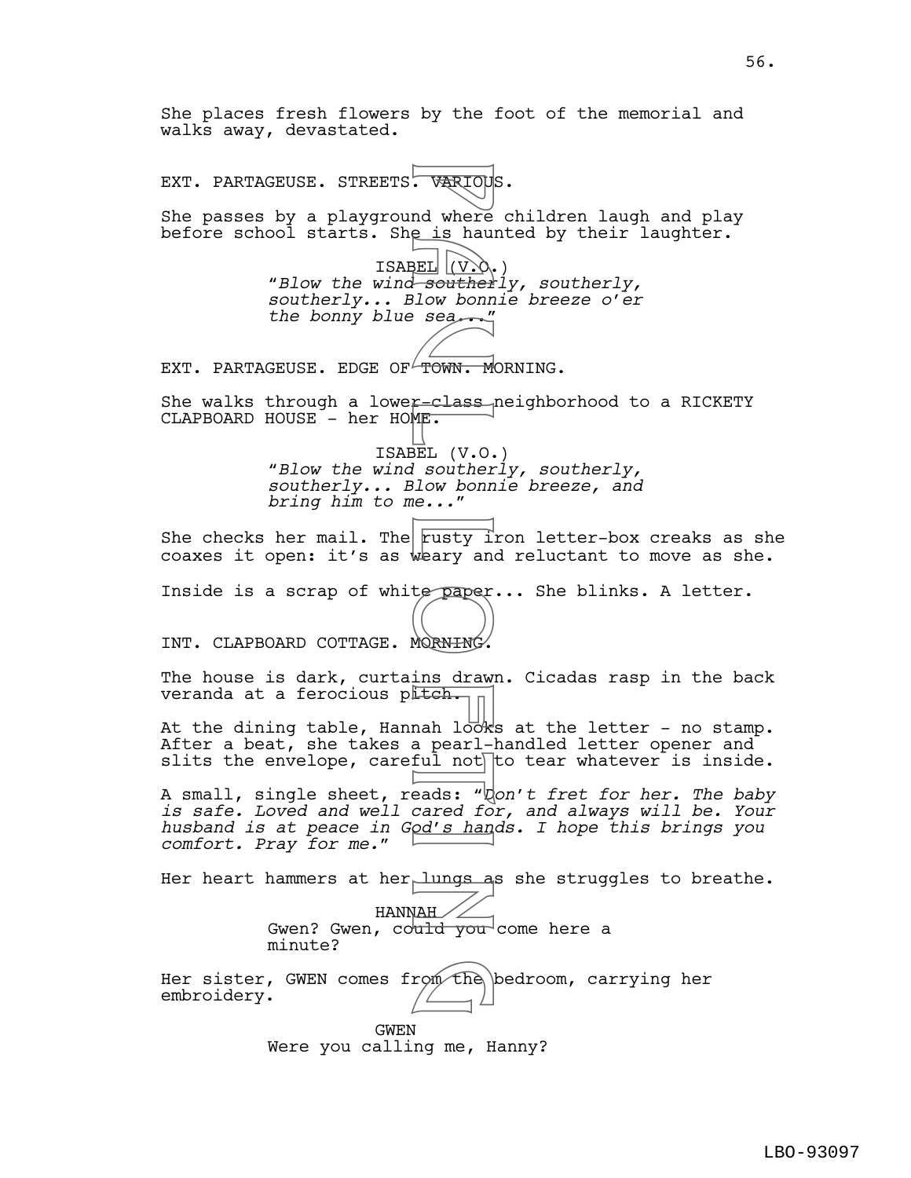She places fresh flowers by the foot of the memorial and walks away, devastated. EXT. PARTAGEUSE. STREETS. VARIOUS. She passes by a playground where children laugh and play before school starts. She is haunted by their laughter. ISABEL (V.O.) "*Blow the wind southerly, southerly, southerly... Blow bonnie breeze o'er the bonny blue sea...*" EXT. PARTAGEUSE. EDGE OF TOWN. MORNING. She walks through a lower-class neighborhood to a RICKETY CLAPBOARD HOUSE - her HOME. ISABEL (V.O.) "*Blow the wind southerly, southerly, southerly... Blow bonnie breeze, and bring him to me...*" She checks her mail. The rusty iron letter-box creaks as she coaxes it open: it's as weary and reluctant to move as she. Inside is a scrap of white paper... She blinks. A letter. INT. CLAPBOARD COTTAGE. MORNING. The house is dark, curtains drawn. Cicadas rasp in the back veranda at a ferocious pltch. At the dining table, Hannah looks at the letter - no stamp. After a beat, she takes a pearl-handled letter opener and slits the envelope, careful not to tear whatever is inside. A small, single sheet, reads: "*Don't fret for her. The baby is safe. Loved and well cared for, and always will be. Your husband is at peace in God's hands. I hope this brings you comfort. Pray for me.*" Her heart hammers at her lungs as she struggles to breathe. HANNAH Gwen? Gwen, could you come here a minute? Her sister, GWEN comes from the bedroom, carrying her embroidery. GWEN Were you calling me, Hanny? FORTON CONTROLL CONTROLL CONTROLL CONTROLL CONTROLL CONTROLL CONTROLL CONTROLL CONTROLL CONTROLL CONTROLL CONTROLL CONTROLL CONTROLL CONTROLL CONTROLL CONTROLL CONTROLL CONTROLL CONTROLL CONTROLL CONTROLL CONTROLL CONTROLL rom the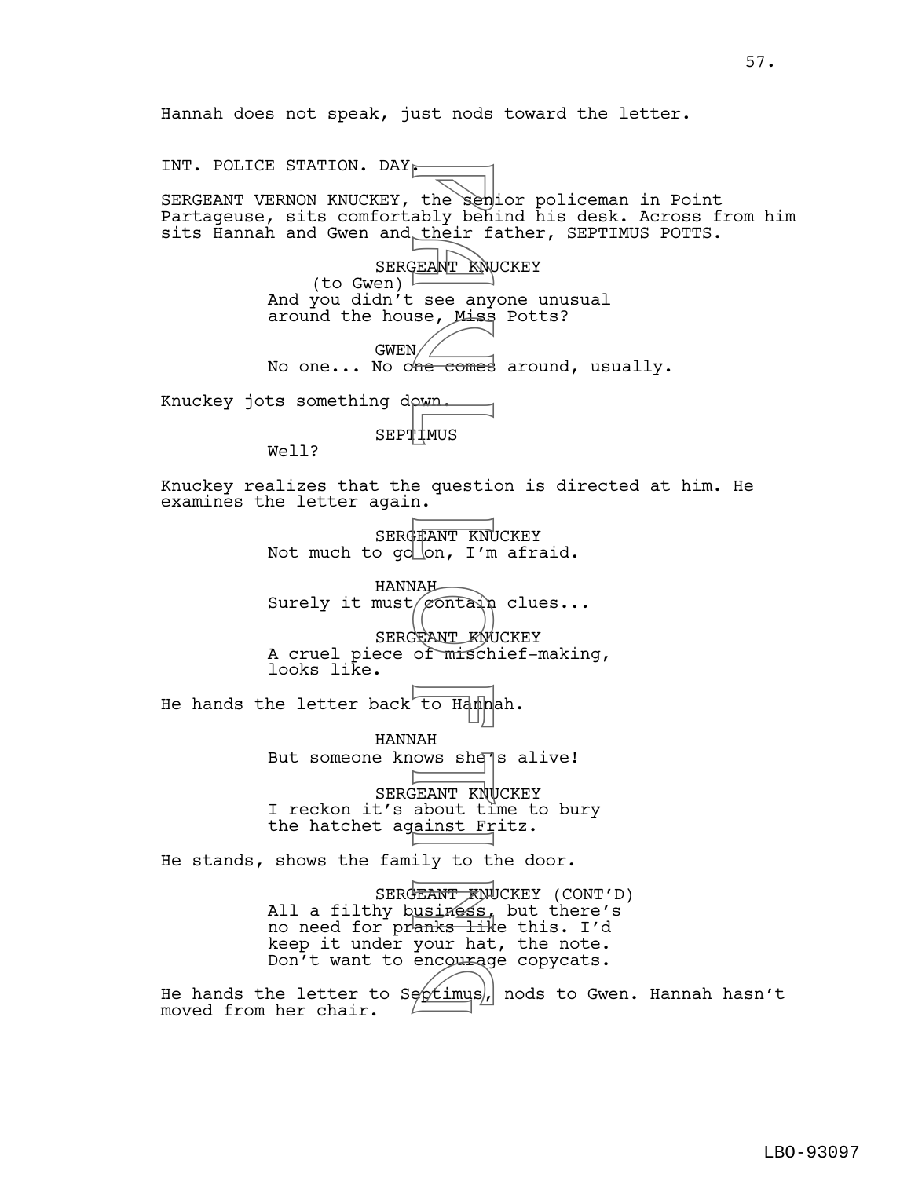Hannah does not speak, just nods toward the letter.

INT. POLICE STATION. DAY. SERGEANT VERNON KNUCKEY, the senior policeman in Point Partageuse, sits comfortably behind his desk. Across from him sits Hannah and Gwen and their father, SEPTIMUS POTTS. SERGEANT KNUCKEY (to Gwen)  $\frac{1}{2}$ And you didn't see anyone unusual around the house, Miss Potts?  $GWEN/\angle$ No one... No one comes around, usually. Knuckey jots something down. SEPTIMUS Well? Knuckey realizes that the question is directed at him. He examines the letter again. SERGEANT KNUCKEY Not much to go on, I'm afraid. HANNAH Surely it must  $\sqrt{\epsilon}$  clues... SERGEANT KNUCKEY A cruel piece of mischief-making, looks like. He hands the letter back to Hannah. HANNAH But someone knows she<sup>7</sup>s alive! SERGEANT KNUCKEY I reckon it's about time to bury the hatchet against Fritz. He stands, shows the family to the door. SERGEANT KNUCKEY (CONT'D) All a filthy b<u>usiness,</u> but there's no need for pranks like this. I'd keep it under your hat, the note. Don't want to encourage copycats. Don't want to encourage copycats.<br>He hands the letter to Soptimus, nods to Gwen. Hannah hasn't moved from her chair. the sendy behinds about the sendy behinds of their figures.<br>
THEANT KNUS are any me comes<br>
where comes<br>
where  $\frac{1}{1000}$  and  $\frac{1}{1000}$  for figures.<br>
THEANT KNUS and the sending of misch about the sender of misch about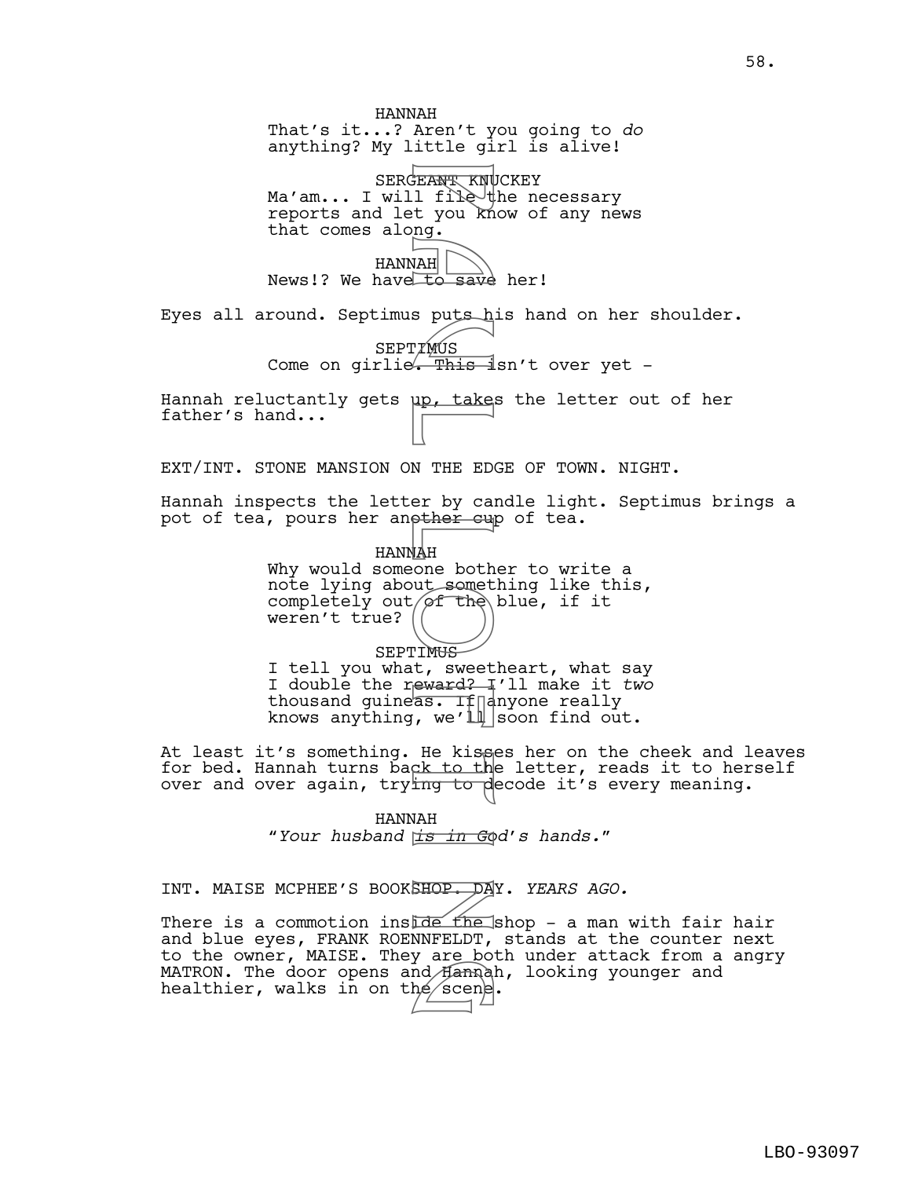HANNAH That's it...? Aren't you going to *do* anything? My little girl is alive! SERGEANT KNUCKEY Ma'am... I will file the necessary reports and let you know of any news that comes along. HANNAH News!? We have to save her! Eyes all around. Septimus puts his hand on her shoulder. SEPTIMUS Come on girlie. This  $\frac{1}{2}$ sn't over yet -Hannah reluctantly gets <u>up, take</u>s the letter out of her father's hand... EXT/INT. STONE MANSION ON THE EDGE OF TOWN. NIGHT. Hannah inspects the letter by candle light. Septimus brings a pot of tea, pours her another cup of tea. HANNAH Why would someone bother to write a note lying about something like this, completely out  $of$  the blue, if it weren't true? SEPTIMU<del>S</del> I tell you what, sweetheart, what say I double the reward? I'll make it *two* thousand guine  $\overline{\text{as.}}$  If  $\overline{\text{left}}$  anyone really knows anything, we'l $\parallel$  soon find out. At least it's something. He kisses her on the cheek and leaves for bed. Hannah turns back to the letter, reads it to herself over and over again, trying to decode it's every meaning. HANNAH "*Your husband is in God's hands.*" INT. MAISE MCPHEE'S BOOKSHOP. DAY. *YEARS AGO.* PEANT KNU<br>
EEANT KNU<br>
1 file to knu<br>
1 file to knu<br>
1 mg.<br>
1 TMUS<br>
P a puts his<br>
1 P a up, takes<br>
1 P a up, takes<br>
1 MH a up, takes<br>
2 puts and computed<br>
1 MH<br>
1 MH a swert<br>
1 File kiss<br>
2 if a computed<br>
1 File kiss<br>
2 if

There is a commotion instale the shop - a man with fair hair and blue eyes, FRANK ROENNFELDT, stands at the counter next to the owner, MAISE. They are both under attack from a angry MATRON. The door opens and Hannah, looking younger and healthier, walks in on the scene. nd Hanna<br>he scene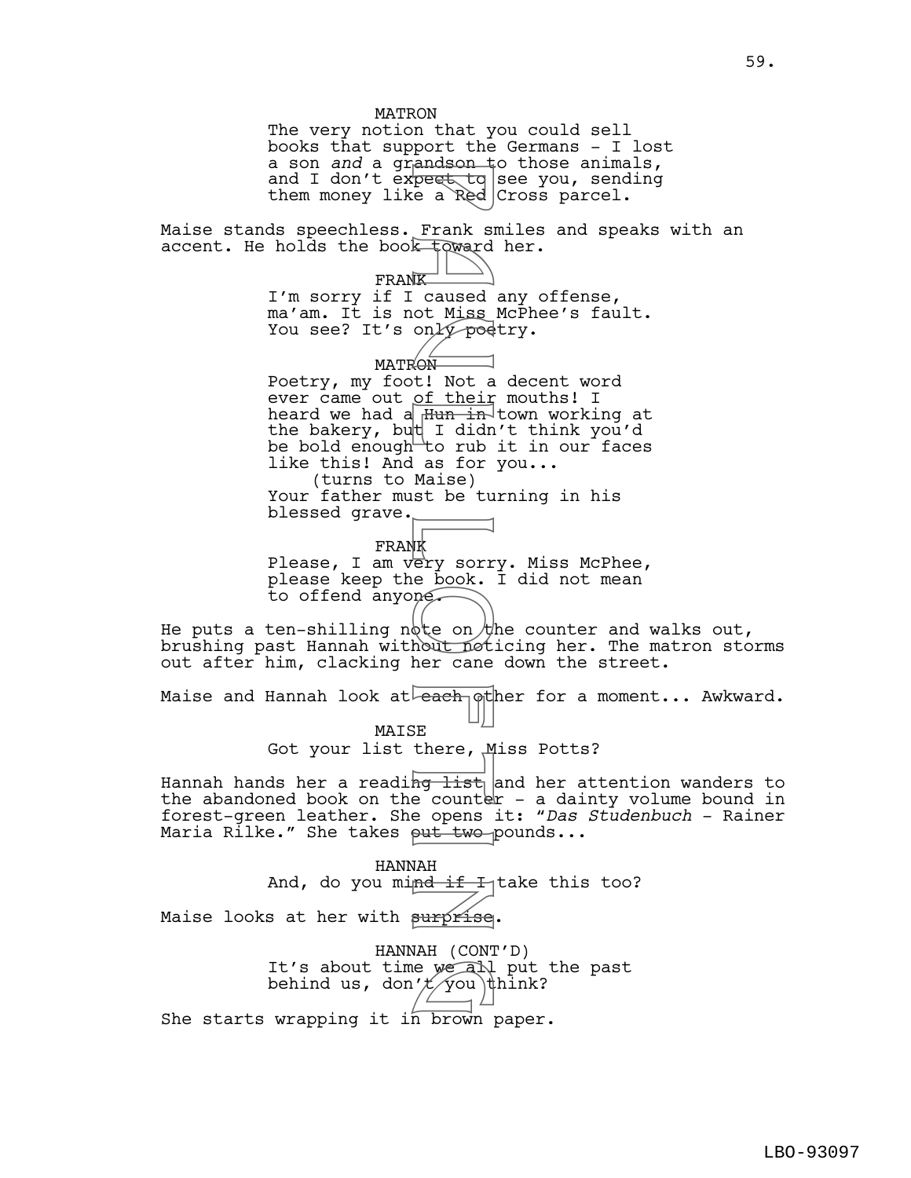MATRON The very notion that you could sell books that support the Germans - I lost a son *and* a grandson to those animals, and I don't ex<del>pect to</del> see you, sending them money like a Red Cross parcel. Maise stands speechless. Frank smiles and speaks with an accent. He holds the book toward her. **FRANK** I'm sorry if I caused any offense, ma'am. It is not Miss McPhee's fault. You see? It's only poetry. MATRON Poetry, my foot! Not a decent word ever came out of their mouths! I heard we had a  $\frac{Hun}{h}$  town working at the bakery, but I didn't think you'd be bold enough to rub it in our faces like this! And as for you... (turns to Maise) Your father must be turning in his blessed grave. FRANK Please, I am very sorry. Miss McPhee, please keep the book. I did not mean to offend anyone. He puts a ten-shilling note on the counter and walks out, brushing past Hannah without noticing her. The matron storms out after him, clacking her cane down the street. Maise and Hannah look at  $\overline{e$ ach other for a moment... Awkward. MAISE Got your list there, Miss Potts? Hannah hands her a reading list and her attention wanders to the abandoned book on the counter  $-$  a dainty volume bound in forest-green leather. She opens it: "*Das Studenbuch* - Rainer Maria Rilke." She takes put two pounds... HANNAH And, do you mi<del>nd if I</del> take this too? Maise looks at her with surprise. HANNAH (CONT'D) It's about time we all put the past behind us, don' $\not\!\!\!\!/ \times \gamma$ ou\think? She starts wrapping it in brown paper. peat to Frank side of the Frank side of the Frank side of Red Koward (K) caused of their in the I didn rub as for Maise be tu as for Maise is the conduction of the Main Counter of the Counter of the Counter of the Counter e we all<br>'*t y*ou t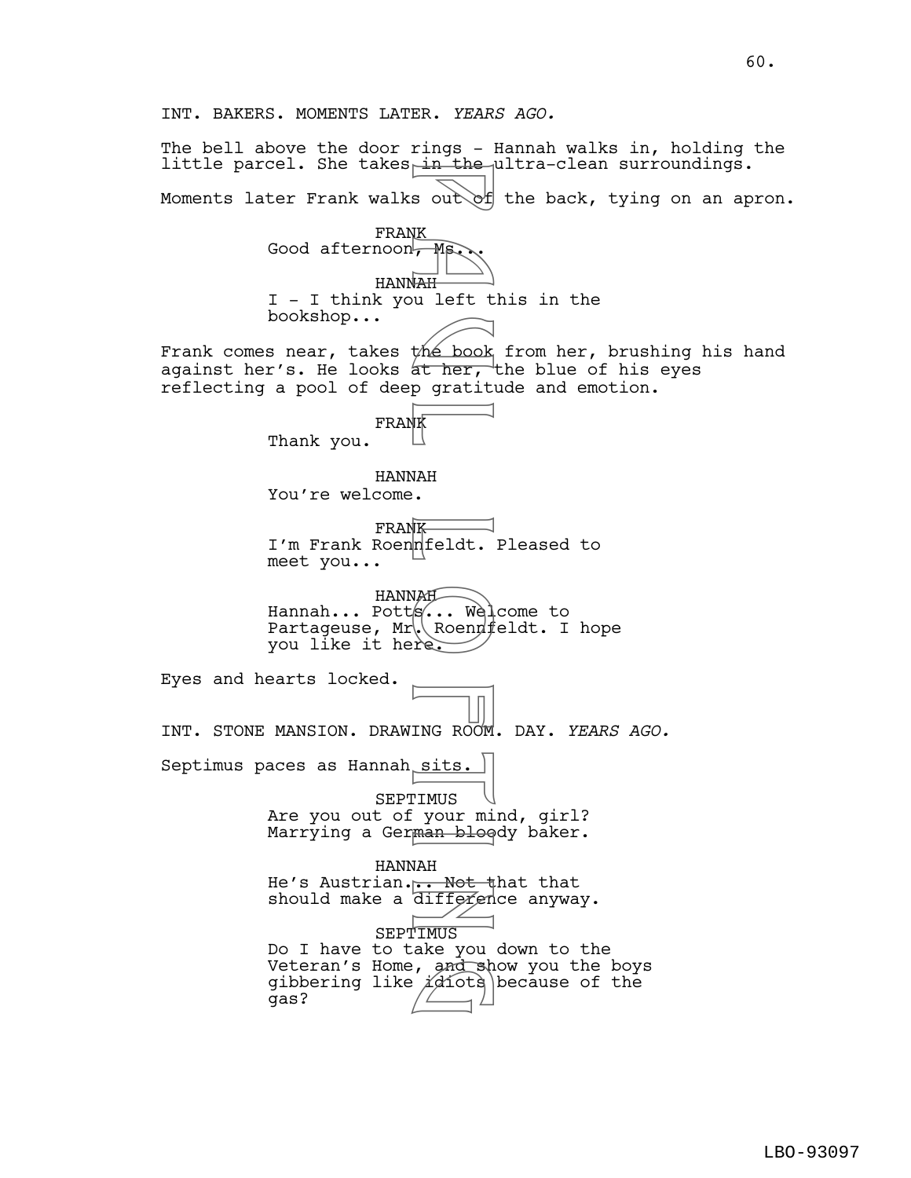INT. BAKERS. MOMENTS LATER. *YEARS AGO.* The bell above the door rings - Hannah walks in, holding the little parcel. She takes in the ultra-clean surroundings. Moments later Frank walks out of the back, tying on an apron. FRANK Good afternoon, Ms HANNAH I - I think you left this in the bookshop... Frank comes near, takes the book from her, brushing his hand against her's. He looks at her, the blue of his eyes reflecting a pool of deep gratitude and emotion. FRANK Thank you. HANNAH You're welcome. FRANK I'm Frank Roennfeldt. Pleased to meet you... HANNAH Hannah... Potts... Welcome to Partageuse,  $Mr\&\$ Roennfeldt. I hope you like it here. Eyes and hearts locked. INT. STONE MANSION. DRAWING ROOM. DAY. *YEARS AGO.* Septimus paces as Hannah sits. SEPTIMUS Are you out of your mind, girl? Marrying a German bloody baker. HANNAH He's Austrian... Not that that should make a difference anyway. SEPTIMUS Do I have to take you down to the Veteran's Home, and show you the boys gibbering like  $i$ diots because of the gas? E a ut of the book<br>
F MS out of<br>
We left t<br>
the book<br>
at her,<br>
p gratit<br>
K a fer,<br>
R at her,<br>
R at her,<br>
R at her,<br>
R at her,<br>
R at her,<br>
R and the book<br>
re,<br>
P a sits.<br>
P and bloom<br>
F and bloom<br>
T MUS your miniman bloom<br> , and sh<br>(*i*diots)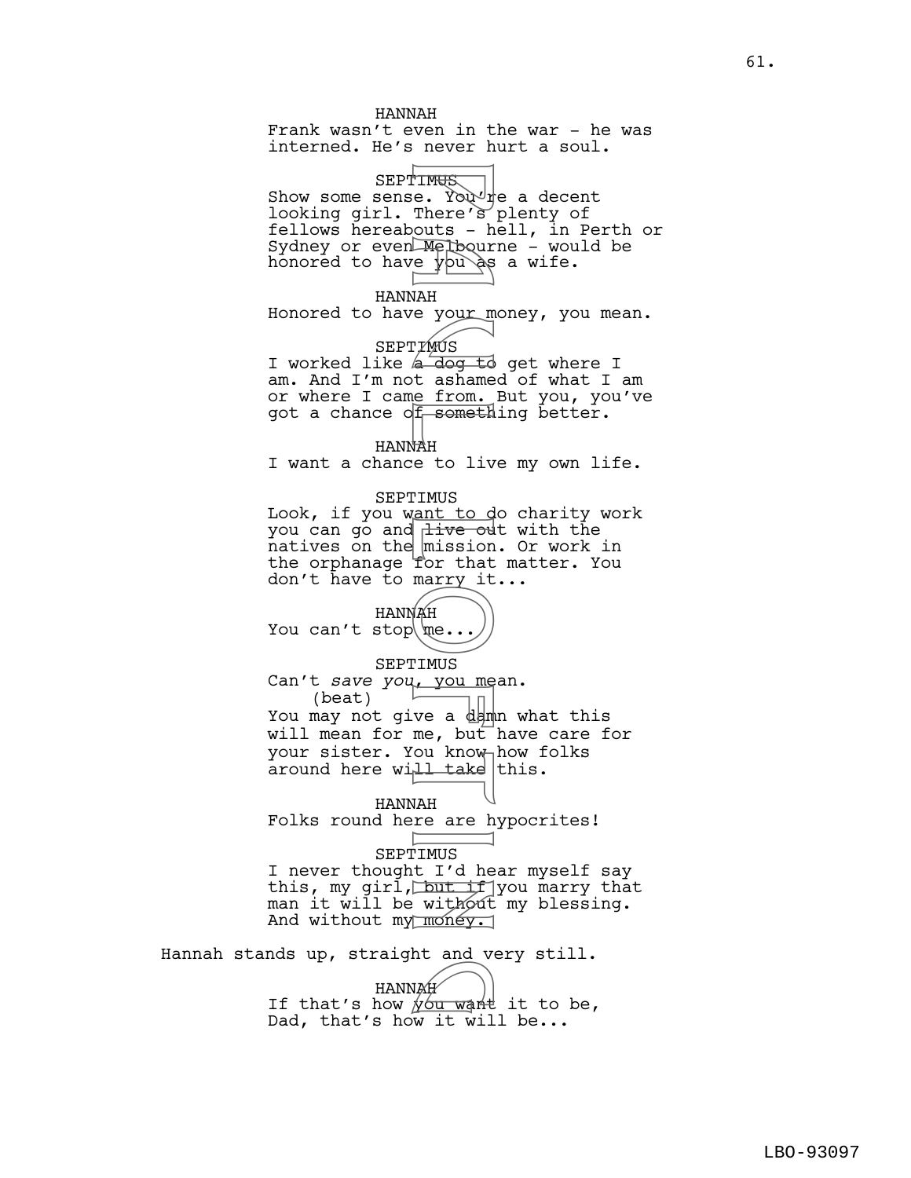HANNAH Frank wasn't even in the war - he was interned. He's never hurt a soul. SEPTIM<del>US</del> Show some sense. You<sup>d</sup>re a decent looking girl. There's plenty of fellows hereabouts - hell, in Perth or Sydney or even  $M$ elbourne – would be honored to have  $y \circ \partial s$  a wife. HANNAH Honored to have your money, you mean. SEPTIMUS I worked like a dog to get where I am. And I'm not ashamed of what I am or where I came from. But you, you've got a chance of something better. HANNAH I want a chance to live my own life. SEPTIMUS Look, if you want to do charity work you can go and live out with the  ${\small \bar{\text{n}}}$ atives on the  ${\small \bar{\text{m}}}$ ission. Or work in the orphanage for that matter. You don't have to marry it... HANNAH You can't stop  $\mathbb{R}\ldots$ SEPTIMUS Can't *save you*, you mean. (beat) (beat)<br>You may not give a damn what this will mean for me, but have care for your sister. You know how folks around here will take this. HANNAH Folks round here are hypocrites! SEPTIMUS I never thought I'd hear myself say this, my girl, but if you marry that man it will be without my blessing. And without my money. Hannah stands up, straight and very still. HANNAH HANNAH<br>If that's how you want it to be, FINES e. Your There's hours - hours - hours - hours - hours - hours - hours - hours - hours - hours - hours - hours - hours - hours - hours - hours - hours - hours - hours - hours - hours - hours - hours - hours - hours -

Dad, that's how it will be...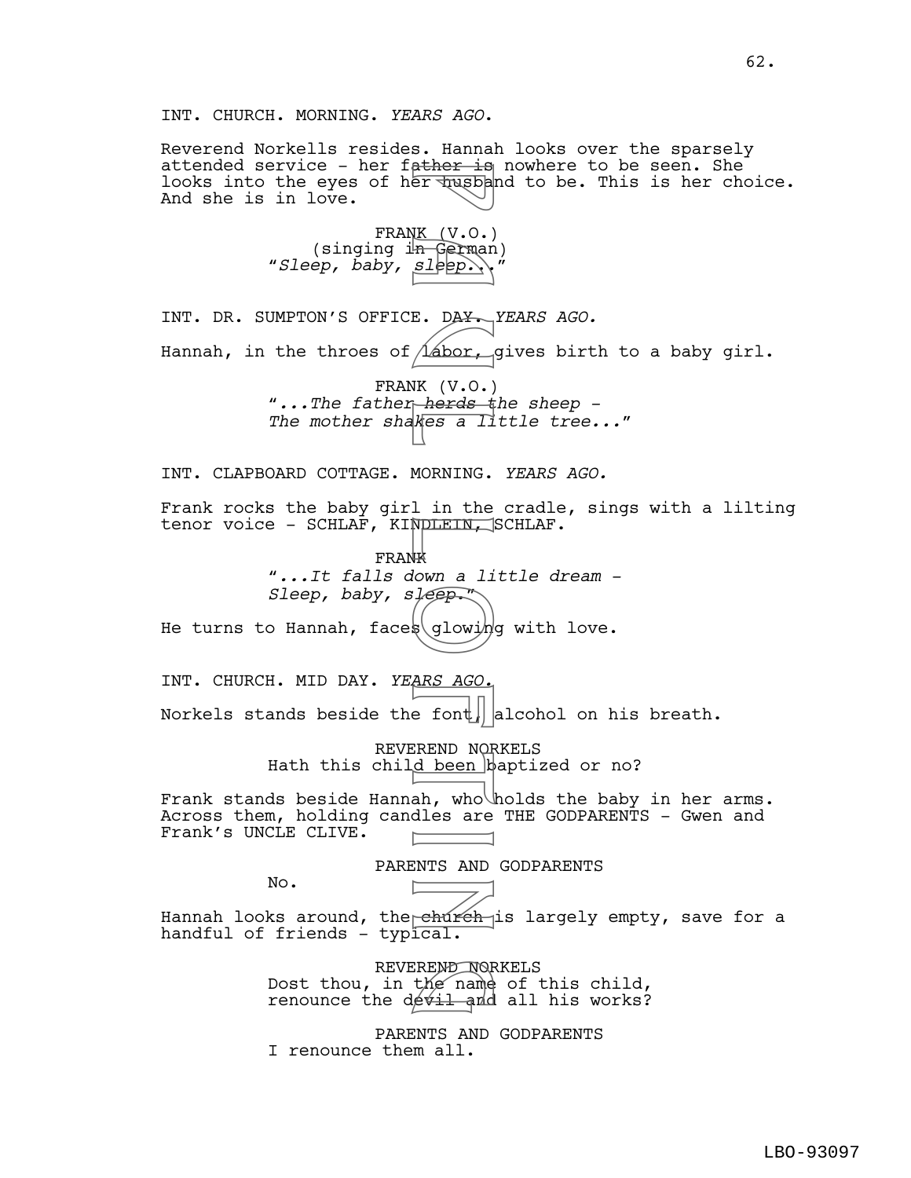62.

INT. CHURCH. MORNING. *YEARS AGO*.

Reverend Norkells resides. Hannah looks over the sparsely attended service - her father is nowhere to be seen. She looks into the eyes of her  $\frac{1}{2}$  and to be. This is her choice. And she is in love.

> FRANK (V.O.)<br>(singing in German) "Sleep, baby, sleep.\\'

INT. DR. SUMPTON'S OFFICE. DAY. *YEARS AGO.* Hannah, in the throes of  $\Lambda$ abor, gives birth to a baby girl. FRANK (V.O.) *"...The father herds the sheep - The mother shakes a little tree..."* INT. CLAPBOARD COTTAGE. MORNING. *YEARS AGO.* Frank rocks the baby girl in the cradle, sings with a lilting tenor voice - SCHLAF, KINDLEIN, SCHLAF. FRANK *"...It falls down a little dream - Sleep, baby, sleep.*" He turns to Hannah, faces glowing with love. INT. CHURCH. MID DAY. *YEARS AGO.* Norkels stands beside the font alcohol on his breath. REVEREND NORKELS Hath this child been baptized or no? Frank stands beside Hannah, who holds the baby in her arms. Across them, holding candles are THE GODPARENTS - Gwen and Frank's UNCLE CLIVE. PARENTS AND GODPARENTS No. Hannah looks around, the<sub>l</sub>e<del>húréh i</del>s largely empty, save for a handful of friends – typical. REVEREND NORKELS Dost thou, in the name of this child, REVEREND NORKELS<br>Dost thou, in the name of this child,<br>renounce the devil and all his works? ather 18<br>
er Tusba<br>
K (V.O.)<br>
Sleep.<br>
Labor,<br>
K (V.O.)<br>
Sleep.<br>
Labor,<br>
Labor,<br>
Labor,<br>
MORNING.<br>
Li*teep.*<br>
MORNING.<br>
Li*teep.*<br>
MORNING.<br>
Li*teep.*<br>
Sleep.<br>
Sleep.<br>
Sleep.<br>
Sleep.<br>
Sleep.<br>
Sleep.<br>
Sleep.<br>
Sleep.<br>
Sleep.<br>

> PARENTS AND GODPARENTS I renounce them all.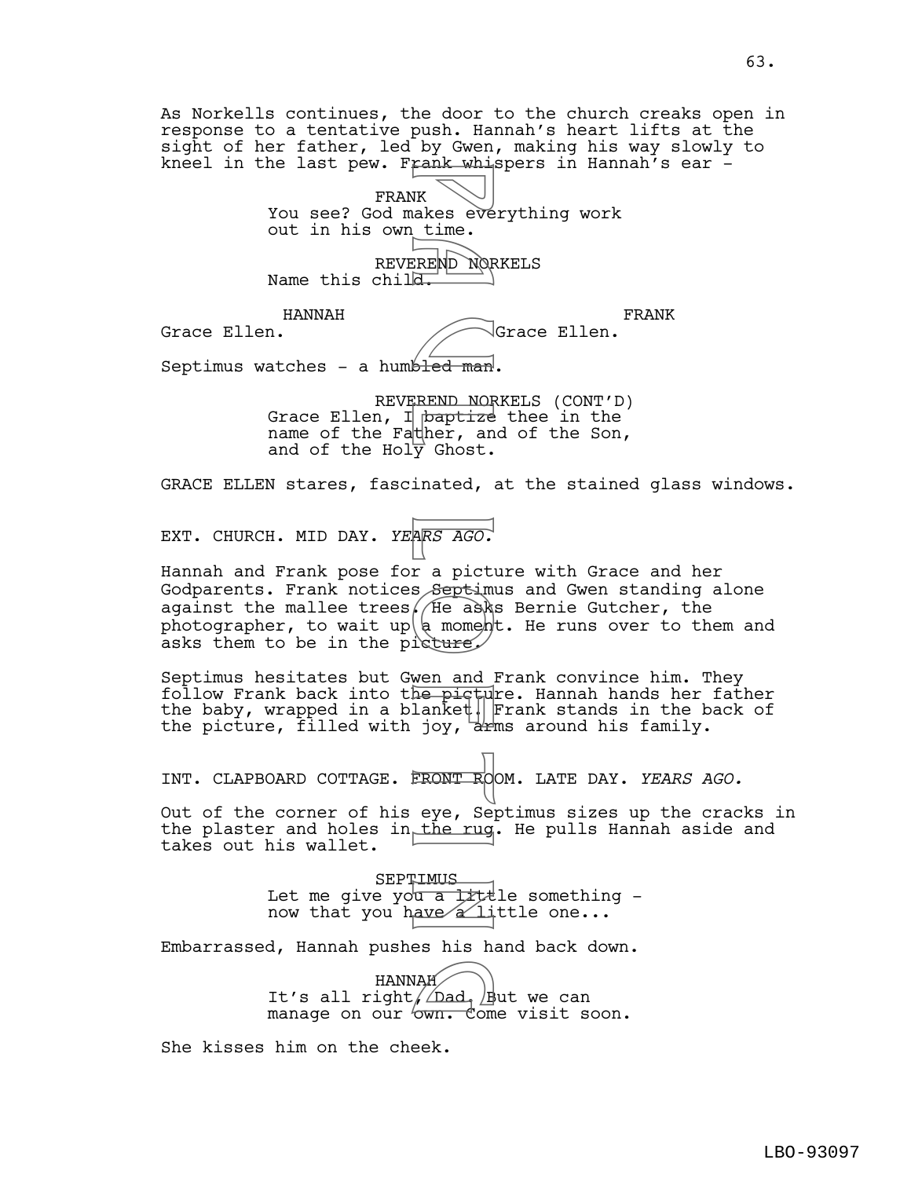sight of her father, led by Gwen, making his way slowly to kneel in the last pew. Frank whispers in Hannah's ear -FRANK You see? God makes everything work out in his own time. REVEREND NORKELS Name this child. HANNAH Grace Ellen. FRANK Grace Ellen. Septimus watches - a humbled man. REVEREND NORKELS (CONT'D) Grace Ellen, I baptize thee in the name of the Father, and of the Son, and of the Holy Ghost. GRACE ELLEN stares, fascinated, at the stained glass windows. EXT. CHURCH. MID DAY. *YEARS AGO.* Hannah and Frank pose for a picture with Grace and her Godparents. Frank notices Septimus and Gwen standing alone against the mallee trees. (He asks Bernie Gutcher, the photographer, to wait up  $\phi$  moment. He runs over to them and asks them to be in the picture Septimus hesitates but Gwen and Frank convince him. They follow Frank back into the picture. Hannah hands her father the baby, wrapped in a blanket. Frank stands in the back of the picture, filled with joy,  $\frac{1}{2}$  around his family. INT. CLAPBOARD COTTAGE. FRONT ROOM. LATE DAY. *YEARS AGO.* Out of the corner of his eye, Septimus sizes up the cracks in the plaster and holes in the rug. He pulls Hannah aside and takes out his wallet. **SEPTIMUS** Let me give you a little something  $$ now that you have  $\alpha$  little one... Embarrassed, Hannah pushes his hand back down. HANNAH HANNAH<br>It's all right, Dad. But we can manage on our own. Come visit soon. She kisses him on the cheek. WE UNEAR SEE THE MORE CREND NOR<br>
EREND NOR<br>
EREND NOR<br>
EREND NOR<br>
EREND NOR<br>
EREND NOR<br>
PREND NOR<br>
PREND NOR<br>
THE A MORE CREAM<br>
THE A MORE CREAM<br>
THE A MORE CREAM<br>
INCREAM<br>
THE A MORE CREAM<br>
THE A MORE CREAM<br>
THE A MORE CR

As Norkells continues, the door to the church creaks open in response to a tentative push. Hannah's heart lifts at the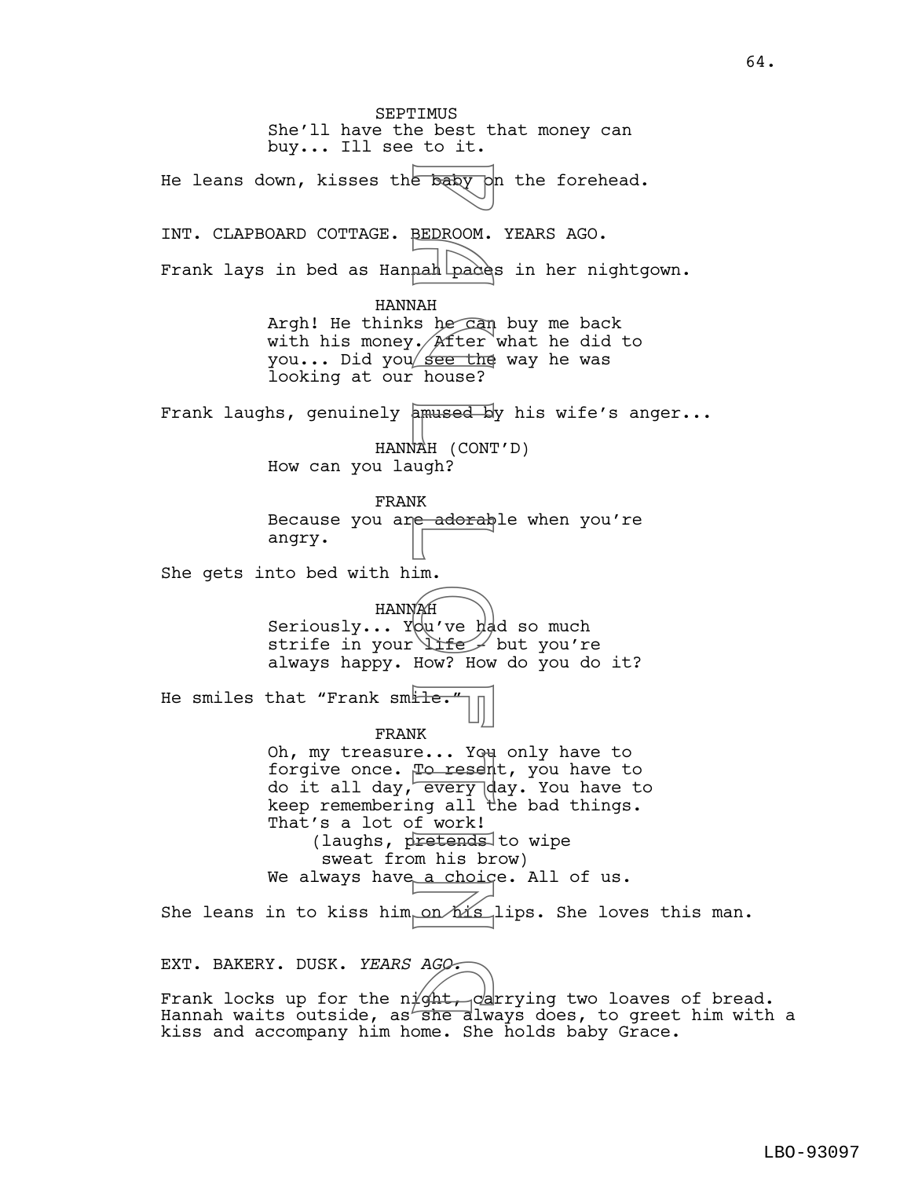SEPTIMUS She'll have the best that money can buy... Ill see to it. He leans down, kisses the baby on the forehead. INT. CLAPBOARD COTTAGE. BEDROOM. YEARS AGO. Frank lays in bed as Hannah paces in her nightgown. HANNAH Argh! He thinks he can buy me back with his money.  $/$  After what he did to you... Did you see the way he was looking at our house? Frank laughs, genuinely amused by his wife's anger... HANNAH (CONT'D) How can you laugh? FRANK Because you are adorable when you're angry. She gets into bed with him. HANNAH Seriously... You've had so much strife in your life but you're always happy. How? How do you do it? He smiles that "Frank smile. FRANK Oh, my treasure... You only have to forgive once. To resent, you have to do it all day, every day. You have to keep remembering all the bad things. That's a lot of work! (laughs, pretends to wipe sweat from his brow) We always have a choice. All of us. She leans in to kiss him on  $M$ is lips. She loves this man. EXT. BAKERY. DUSK. *YEARS AGO.* e baby<br>
BEDROOM.<br>
nah pade:<br>
MAH s he can<br>
MAH s house?<br>
amused binds?<br>
amused binds?<br>
amused binds?<br>
HAH (CONT ugh?<br>
K ugh?<br>
IK in.<br>
Im.<br>
IME dow? How? How?<br>
Life if work!<br>
Life if work!<br>
To resempt all twork!<br>
Foresempt

EXT. BAKERY. DUSK. *YEARS AGO.*<br>Frank locks up for the night, carrying two loaves of bread.

Hannah waits outside, as she always does, to greet him with a kiss and accompany him home. She holds baby Grace.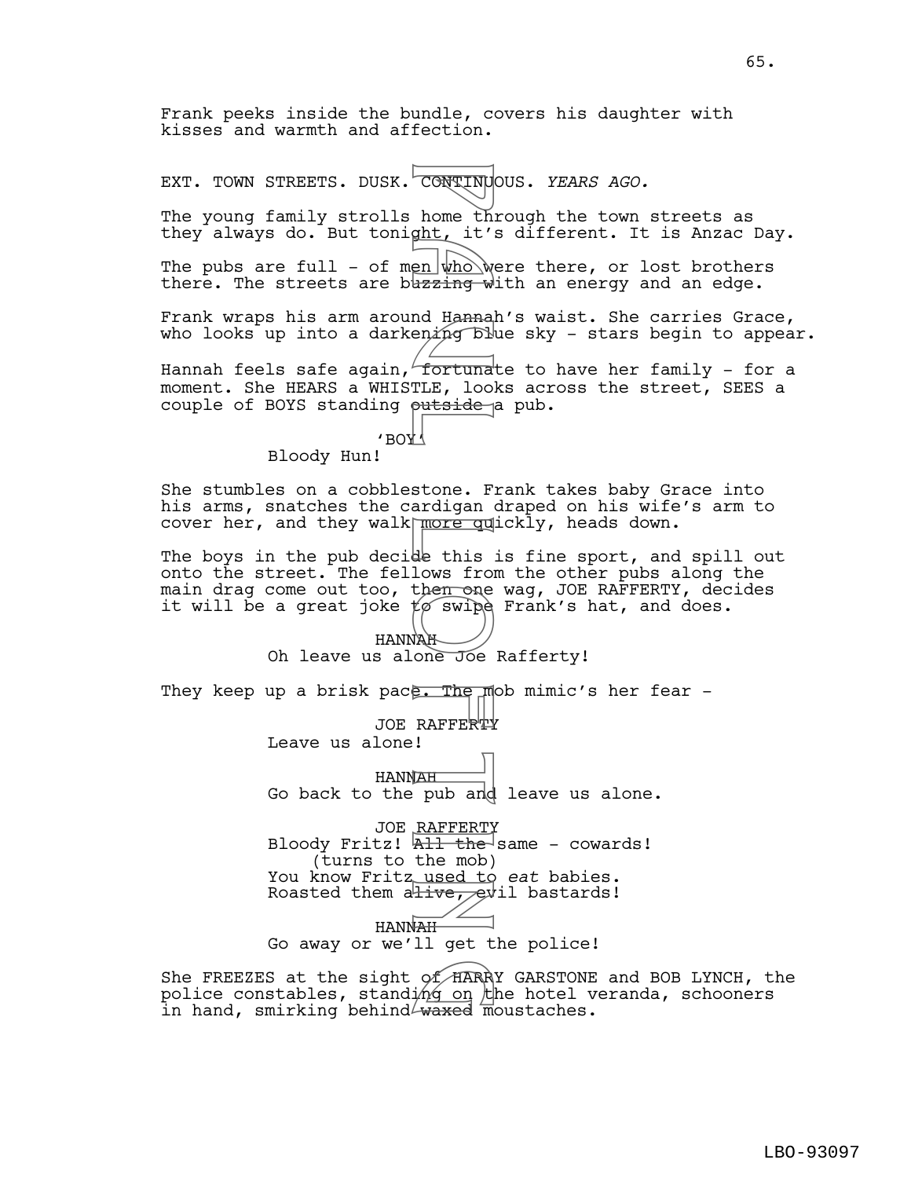Frank peeks inside the bundle, covers his daughter with kisses and warmth and affection.

EXT. TOWN STREETS. DUSK. CONTINUOUS. *YEARS AGO.*

The young family strolls home through the town streets as they always do. But tonight, it's different. It is Anzac Day.

The pubs are full - of men  $\ket{\psi h o}$  were there, or lost brothers there. The streets are bursing with an energy and an edge.

Frank wraps his arm around Hannah's waist. She carries Grace, who looks up into a darkening  $D$  who stars begin to appear.

Hannah feels safe again, fortunate to have her family - for a moment. She HEARS a WHISTLE, looks across the street, SEES a couple of BOYS standing putside a pub.

> $\sqrt{3}$ BO $\sqrt{4}$ Bloody Hun!

She stumbles on a cobblestone. Frank takes baby Grace into his arms, snatches the cardigan draped on his wife's arm to cover her, and they walk more quickly, heads down.

The boys in the pub decide this is fine sport, and spill out onto the street. The fellows from the other pubs along the main drag come out too, then one wag, JOE RAFFERTY, decides it will be a great joke  $t\varphi$  swipe Frank's hat, and does.

> HANNAH Oh leave us alone Joe Rafferty!

They keep up a brisk pace. The mob mimic's her fear  $-$ 

JOE RAFFERTY

Leave us alone!

HANNAH Go back to the pub and leave us alone.

JOE <u>RAFFERT</u>Y Bloody Fritz! <del>All the </del>same – cowards! (turns to the mob) You know Fritz used to eat babies. Roasted them ative, evil bastards! CONTINUM<br>
home this it's whome this<br>
uzzing whome this it's whome whome whome whome whome and fortuna<br>
fortuna fortuna<br>
fortuna fortuna<br>
stone. Figure 10<br>
stone The more delet his is in the more wipe<br>
de this from the more

HANNAH

Go away or we'll get the police!

She FREEZES at the sight of HARRY GARSTONE and BOB LYNCH, the police constables, standi $\not\!\!\!\!\!/\,\not\!\!\!\!/\,\not\!\!\!\!/\,\not\!\!\!\!/\,\not\!\!\!\!/\,\not\!\!\!\!/\,\not\!\!\!\!/\,\not\!\!\!\!/\,\not\!\!\!\!/\,\not\!\!\!\!/\,\not\!\!\!\!/\,\not\!\!\!\!/\,\not\!\!\!\!/\,\not\!\!\!\!/\,\not\!\!\!\!/\,\not\!\!\!\!/\,\not\!\!\!\!/\,\not\!\!\!\!/\,\not\!\!\!\!/\,\not\!\!\!\!/\,\not\!\!\!\!/\,\not\!\!\!\!/\,\not\!\!\!\!/\,\not\!\!\!\!/\,\not$ She FREEZES at the sight of HARRY GARSTONE<br>police constables, standing on the hotel v<br>in hand, smirking behind waxed moustaches.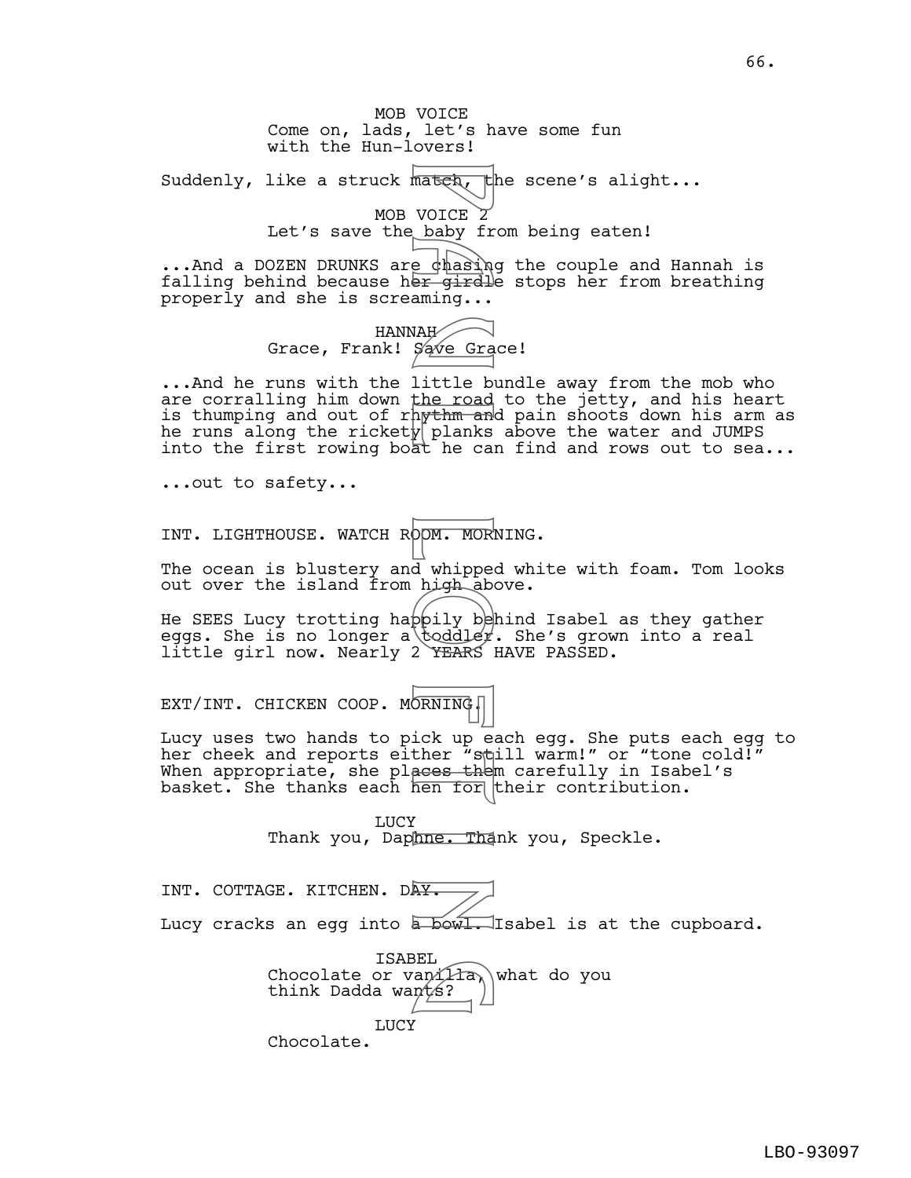MOB VOICE Come on, lads, let's have some fun with the Hun-lovers! Suddenly, like a struck mater, the scene's alight... MOB VOICE 2 Let's save the baby from being eaten! ...And a DOZEN DRUNKS are chasing the couple and Hannah is falling behind because her girdle stops her from breathing Mateh VOICE 2 fr<br>
VOICE baby fr<br>
e chasing...<br>
WAH<br>
Save Gra<br>
little bod<br>
little bod<br>
little bod<br>
little bod<br>
little bod<br>
planks<br>
he can<br>
whigh about<br>
d whipped<br>
d whipped<br>
d whipped<br>
2 rEARS<br>
2 rEARS<br>
2 rEARS<br>
DRNING<br>
ick

properly and she is screaming... HANNAH Grace, Frank! Save Grace!

...And he runs with the little bundle away from the mob who are corralling him down <u>the road</u> to the jetty, and his heart is thumping and out of rh<del>ythm an</del>d pain shoots down his arm as he runs along the rickety planks above the water and JUMPS into the first rowing boat he can find and rows out to sea...

...out to safety...

INT. LIGHTHOUSE. WATCH ROOM. MORNING.

The ocean is blustery and whipped white with foam. Tom looks out over the island from high above.

He SEES Lucy trotting happily behind Isabel as they gather eggs. She is no longer a toddley. She's grown into a real little girl now. Nearly 2 YEARS HAVE PASSED.

EXT/INT. CHICKEN COOP. MORNING.

Lucy uses two hands to pick up each egg. She puts each egg to her cheek and reports either "still warm!" or "tone cold!" When appropriate, she places them carefully in Isabel's basket. She thanks each hen for their contribution.

> **LUCY** Thank you, Daphne. Thank you, Speckle.

INT. COTTAGE. KITCHEN. DAY. Lucy cracks an egg into  $\overline{\text{bow1}}$ . Isabel is at the cupboard.

> ISABEL TSABEL<br>Chocolate or vanilla, what do you<br>think Dadda wants? think Dadda wants? LUCY Chocolate.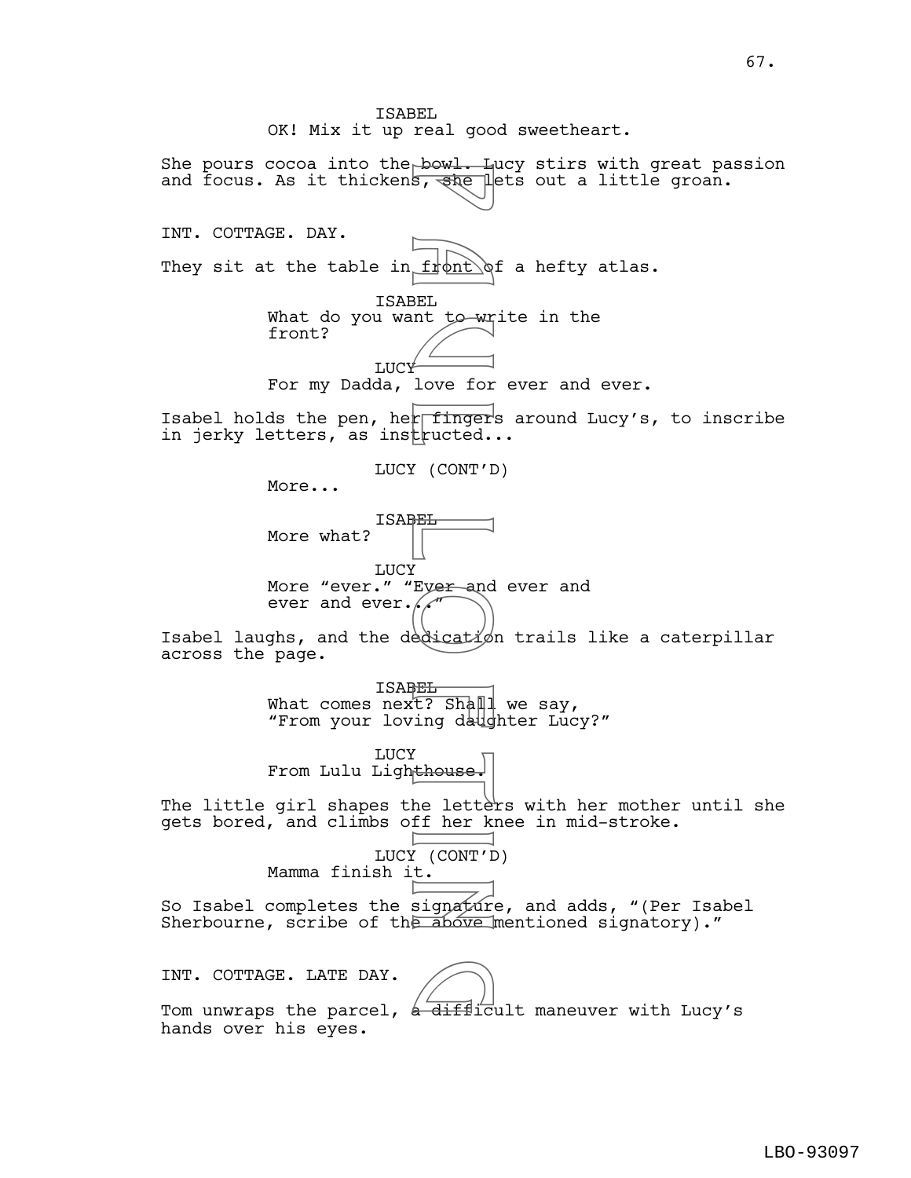She pours cocoa into the bowl. Lucy stirs with great passion and focus. As it thickens, she lets out a little groan. INT. COTTAGE. DAY. They sit at the table in  $f$   $\phi$ nt  $\delta$ f a hefty atlas. ISABEL What do you want to write in the front? LUCY For my Dadda, love for ever and ever. Isabel holds the pen, her fingers around Lucy's, to inscribe in jerky letters, as instructed... LUCY (CONT'D) More... ISABEL More what? LUCY More "ever." "Eyer and ever and ever and ever. $\sqrt{ }$ Isabel laughs, and the dedication trails like a caterpillar across the page. ISABEL What comes next? Shall we say, "From your loving daughter Lucy?" **LUCY** From Lulu Lighthouse. The little girl shapes the lettèrs with her mother until she gets bored, and climbs off her knee in mid-stroke. LUCY (CONT'D) Mamma finish it. So Isabel completes the signature, and adds, "(Per Isabel Sherbourne, scribe of the above mentioned signatory)." INT. COTTAGE. LATE DAY. INT. COTTAGE. LATE DAY.<br>Tom unwraps the parcel, a difficult maneuver with Lucy's hands over his eyes. Powled in the Windows, when the Magnetic State of the Magnetic Control of the Magnetic Control of the letter in the letter of the second control the signature of the control of the control of the control of the control of LBO-93097

ISABEL

OK! Mix it up real good sweetheart.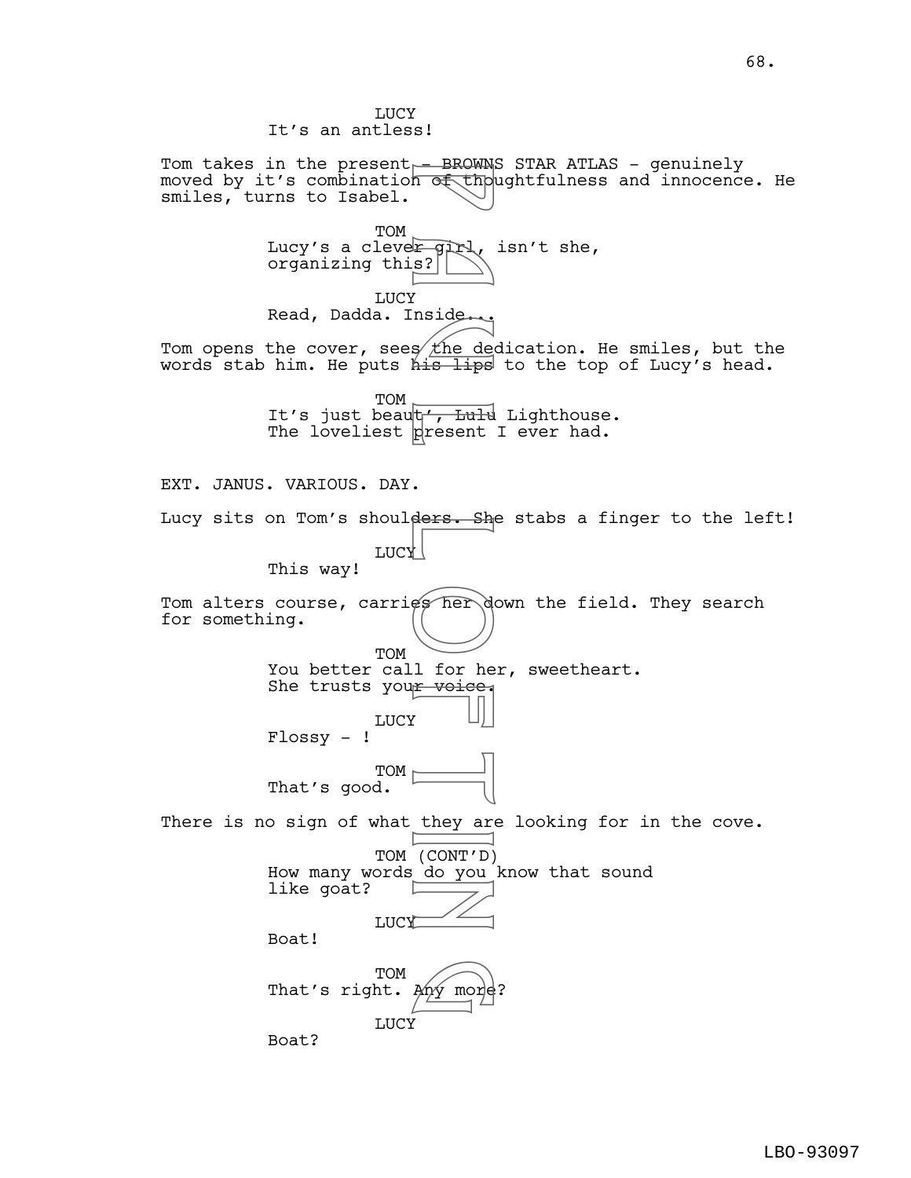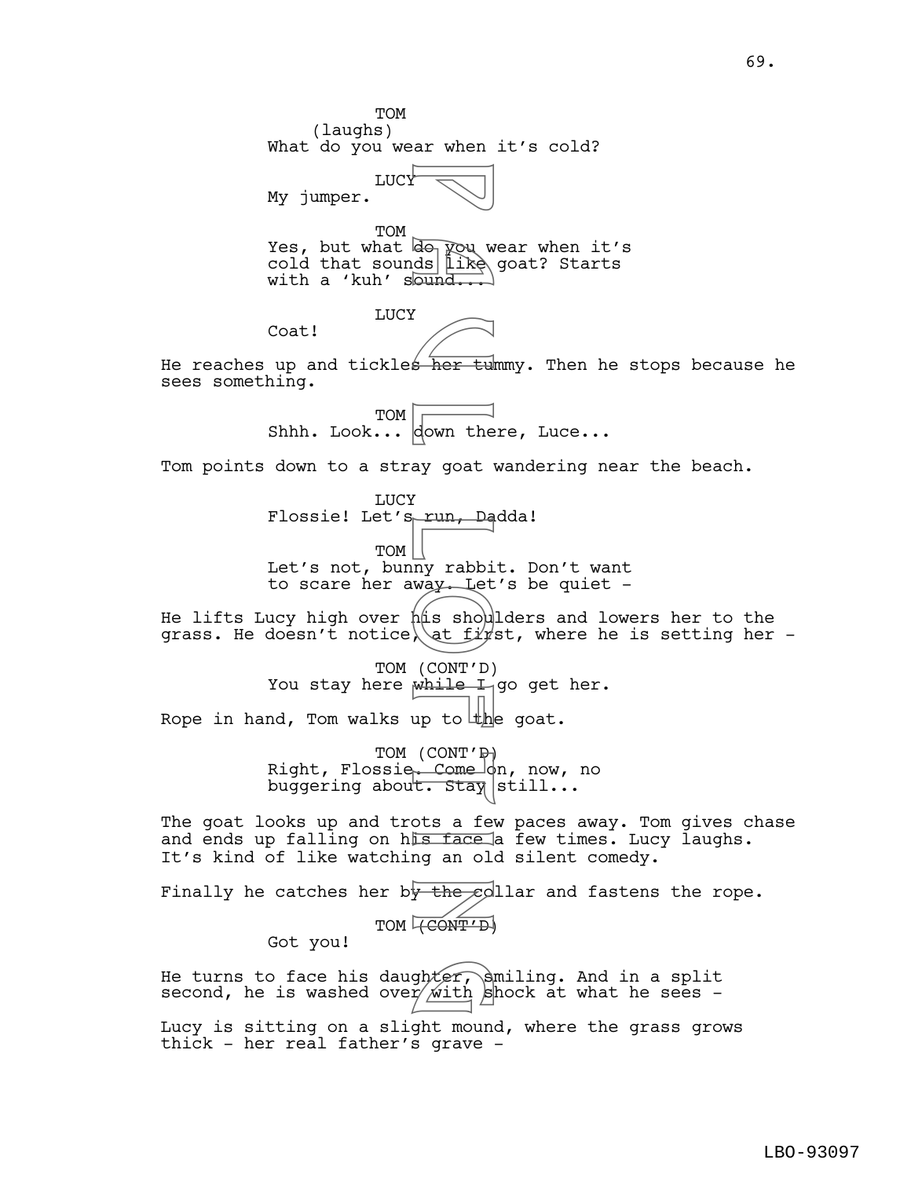TOM (laughs) What do you wear when it's cold? LUCY My jumper. TOM Yes, but what  $\overline{{\mathbb f}{\mathbb G}}$  wear when it's cold that sounds like goat? Starts with a 'kuh' sound... LUCY Coat! He reaches up and tickles  $\overline{her}$  tummy. Then he stops because he sees something. TOM Shhh. Look... down there, Luce... Tom points down to a stray goat wandering near the beach. LUCY Flossie! Let's run, Dadda! TOM Let's not, bunny rabbit. Don't want to scare her away. Let's be quiet - He lifts Lucy high over  $h$ # shoulders and lowers her to the grass. He doesn't notice, at  $f\bar{\psi}$ st, where he is setting her -TOM (CONT'D) You stay here while I go get her. Rope in hand, Tom walks up to the goat. TOM  $(CONT'F)$ Right, Flossie<del>, Come o</del>n, now, no buggering about. Stay still... The goat looks up and trots a few paces away. Tom gives chase and ends up falling on his face a few times. Lucy laughs. It's kind of like watching an old silent comedy. Finally he catches her by the collar and fastens the rope. TOM **(CONT'D)** Got you! He turns to face his daughter, smiling. And in a split second, he is washed over  $\sinh$  shock at what he sees -P a u l L o f t i n ghter,

Lucy is sitting on a slight mound, where the grass grows thick - her real father's grave -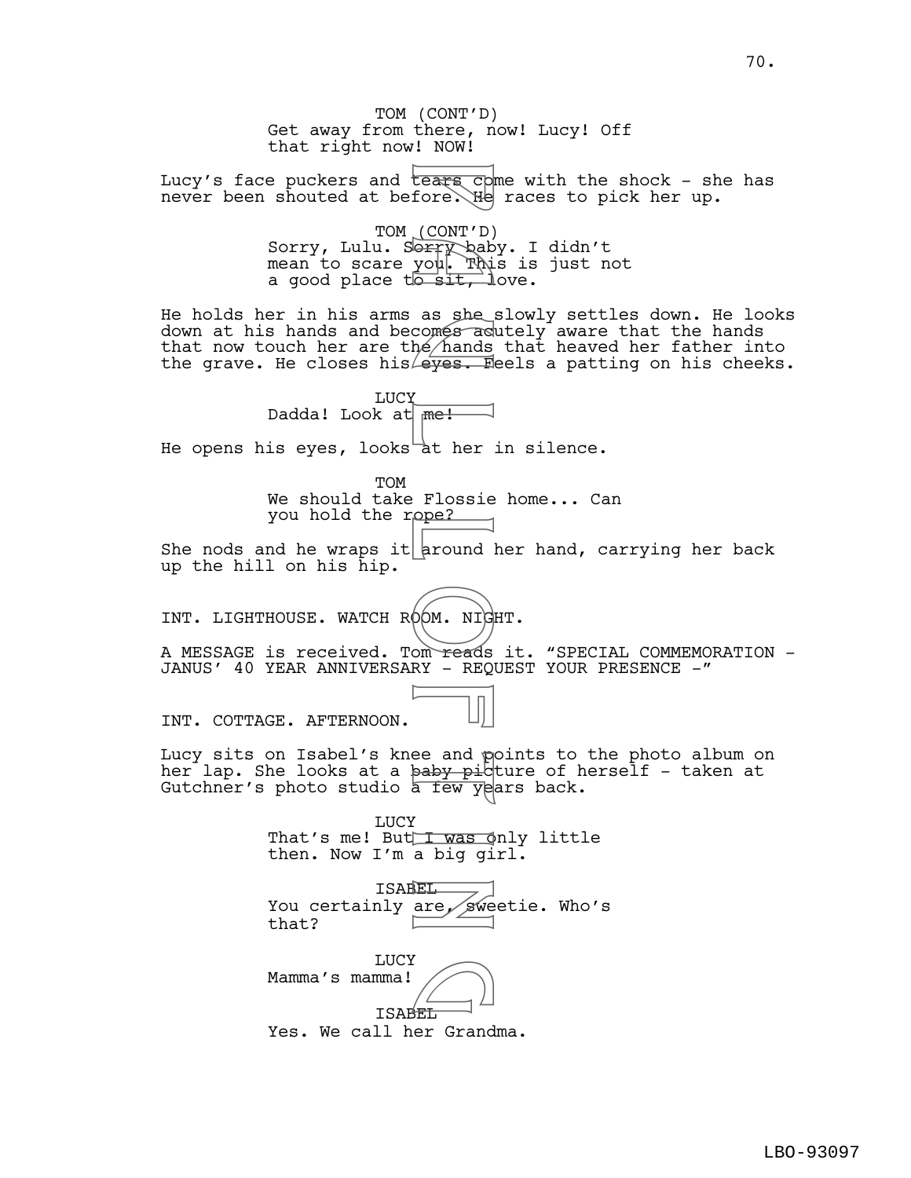TOM (CONT'D) Get away from there, now! Lucy! Off that right now! NOW! Lucy's face puckers and tears opme with the shock - she has never been shouted at before.  $He$  races to pick her up. TOM (CONT'D) Sorry, Lulu. Sorry baby. I didn't mean to scare you. This is just not a good place  $t\overline{b}$  sit, love. He holds her in his arms as she slowly settles down. He looks down at his hands and becomes acutely aware that the hands that now touch her are the hands that heaved her father into the grave. He closes his  $\epsilon$  . Feels a patting on his cheeks. LUCY Dadda! Look at <del>me!</del> He opens his eyes, looks at her in silence. TOM We should take Flossie home... Can you hold the rope? She nods and he wraps it around her hand, carrying her back up the hill on his hip. INT. LIGHTHOUSE. WATCH ROOM. NIGHT. A MESSAGE is received. Tom reads it. "SPECIAL COMMEMORATION -JANUS' 40 YEAR ANNIVERSARY - REQUEST YOUR PRESENCE -" INT. COTTAGE. AFTERNOON. Lucy sits on Isabel's knee and points to the photo album on her lap. She looks at a baby picture of herself - taken at Gutchner's photo studio a few years back. **LUCY** That's me! But I was only little then. Now I'm a big girl. ISABEL You certainly are, sweetie. Who's that? LUCY Mamma's mamma! ISABEL Yes. We call her Grandma. France Control<br>
For CONT'D<br>
Sears Control<br>
P a u l of Thi<br>
P a she with the sit, is a she with<br>
a she hands<br>
A me!<br>
a ther Flossie<br>
P a mound is a big git if was dig git!<br>
Flossie<br>
a baby pic a big git!<br>
Flossie<br>
a big git  $\bigodot$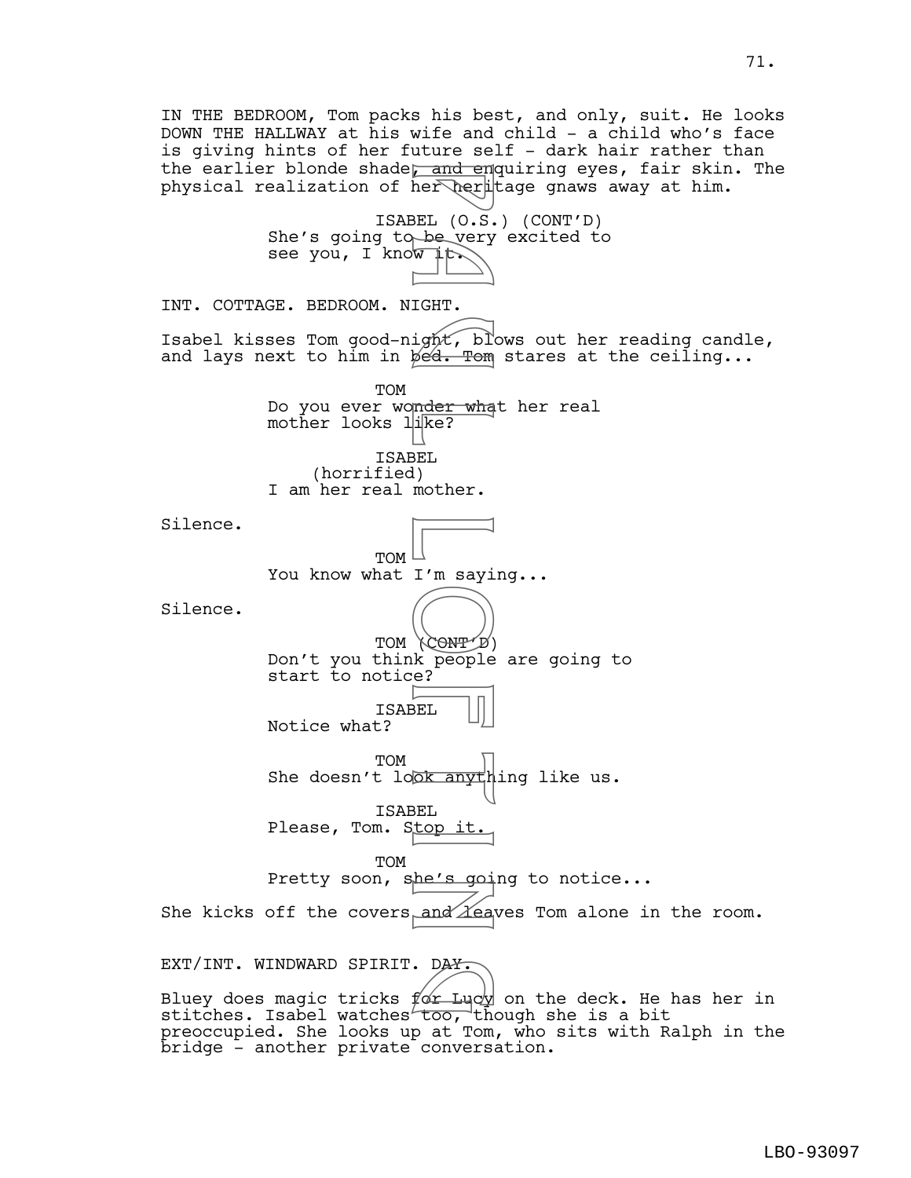IN THE BEDROOM, Tom packs his best, and only, suit. He looks DOWN THE HALLWAY at his wife and child - a child who's face is giving hints of her future self - dark hair rather than the earlier blonde shade<del>, and en</del>quiring eyes, fair skin. The physical realization of her her tage gnaws away at him. ISABEL (O.S.) (CONT'D) She's going to be very excited to see you, I know  $\downarrow \uparrow$ . INT. COTTAGE. BEDROOM. NIGHT. Isabel kisses Tom good-night, blows out her reading candle, and lays next to him in  $\cancel{\phi}$   $\overset{\frown}{\theta}$ . Tom stares at the ceiling... TOM Do you ever wonder what her real mother looks like? ISABEL (horrified) I am her real mother. Silence. TOM You know what I'm saying... Silence. TOM (CONT'D) Don't you think people are going to start to notice? ISABEL Notice what? TOM She doesn't look anything like us. ISABEL Please, Tom. Stop it. TOM Pretty soon, she's going to notice... She kicks off the covers and Leaves Tom alone in the room. EXT/INT. WINDWARD SPIRIT. DAY. Bluey does magic tricks  $f\!\!\not\!\alpha\!\!^{\prime\prime}$  Luc $\psi$  on the deck. He has her in EXT/INT. WINDWARD SPIRIT. DA<del>Y.</del><br>Bluey does magic tricks for Lucy on the deck. He h<br>stitches. Isabel watches too, though she is a bit preoccupied. She looks up at Tom, who sits with Ralph in the Fand en<br>
her her her line<br>
BEL (0.5.<br>
BEL (0.5.<br>
TGHT.<br>
ight, bl.<br>
ped. Tom<br>
mder wha<br>
ike?<br>
BEL<br>
I'm sayi<br>
(CONTP)<br>
K people<br>
EL top it.<br>
DEL top it.<br>
and Zea

bridge - another private conversation.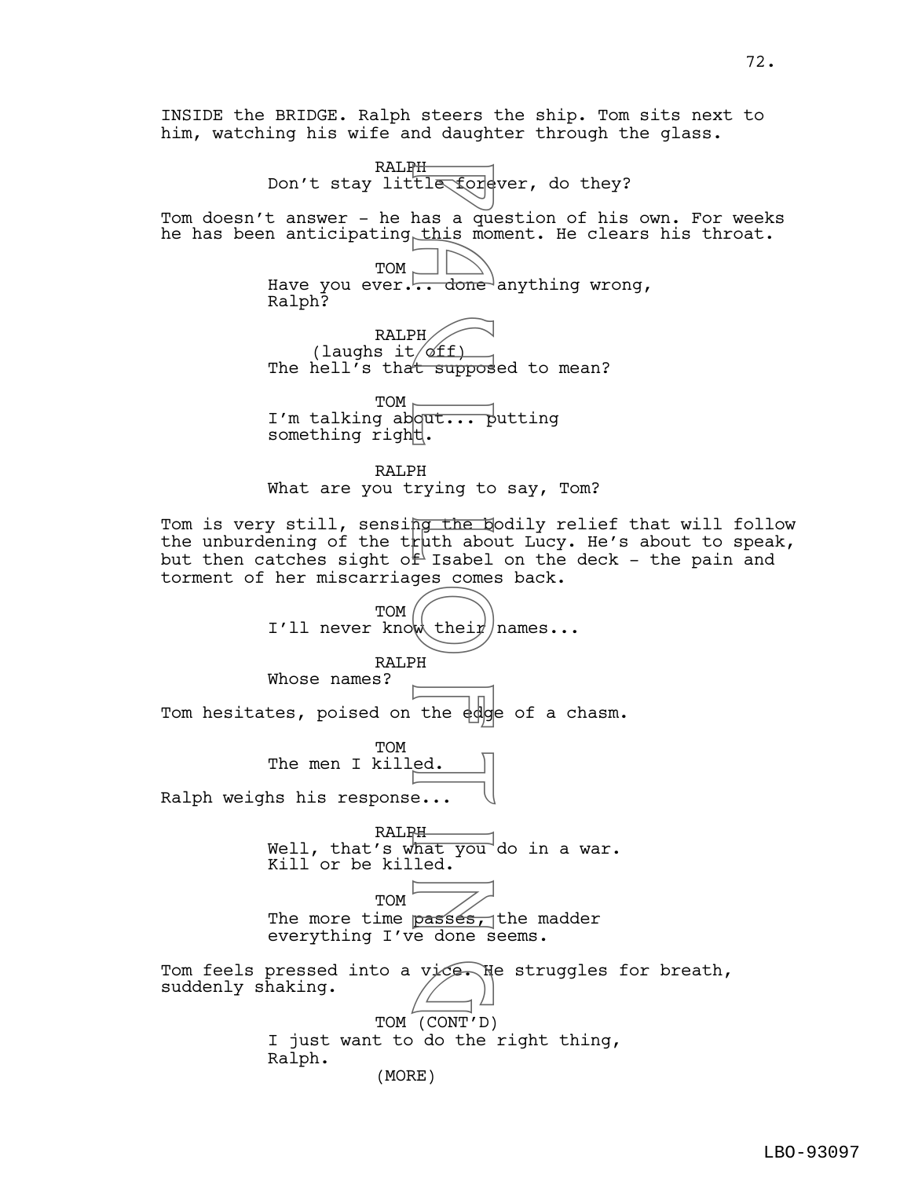INSIDE the BRIDGE. Ralph steers the ship. Tom sits next to him, watching his wife and daughter through the glass.

RALPH Don't stay little forever, do they? Tom doesn't answer - he has a question of his own. For weeks he has been anticipating this moment. He clears his throat. TOM Have you ever.  $\frac{1}{100}$  done anything wrong, Ralph? RALPH (laughs it  $of$ ff) The hell's that supposed to mean? TOM  $\vdash$ I'm talking about... putting something right. RALPH What are you trying to say, Tom? Tom is very still, sensi<del>ng the b</del>odily relief that will follow the unburdening of the truth about Lucy. He's about to speak, but then catches sight of Isabel on the deck - the pain and torment of her miscarriages comes back. TOM I'll never know their names... RALPH Whose names? Tom hesitates, poised on the edge of a chasm. TOM The men I killed. Ralph weighs his response... RALPH Well, that's what you do in a war. Kill or be killed.  $TOM$ The more time **passes**, the madder everything I've done seems. Tom feels pressed into a vice. He struggles for breath,<br>suddenly shaking. suddenly shaking. TOM (CONT'D) I just want to do the right thing, Ralph. H<br>
tle fore<br>
has a que<br>
this mondone<br>
PH<br>
done<br>
PH<br>
rying to<br>
The Letth about<br>
Figure of their<br>
PH<br>
The edge of their<br>
PH<br>
the edge<br>
ed.<br>
PH<br>
the edge of their<br>
PH<br>
the edge of their<br>
PH<br>
the edge of the state of their<br>
PH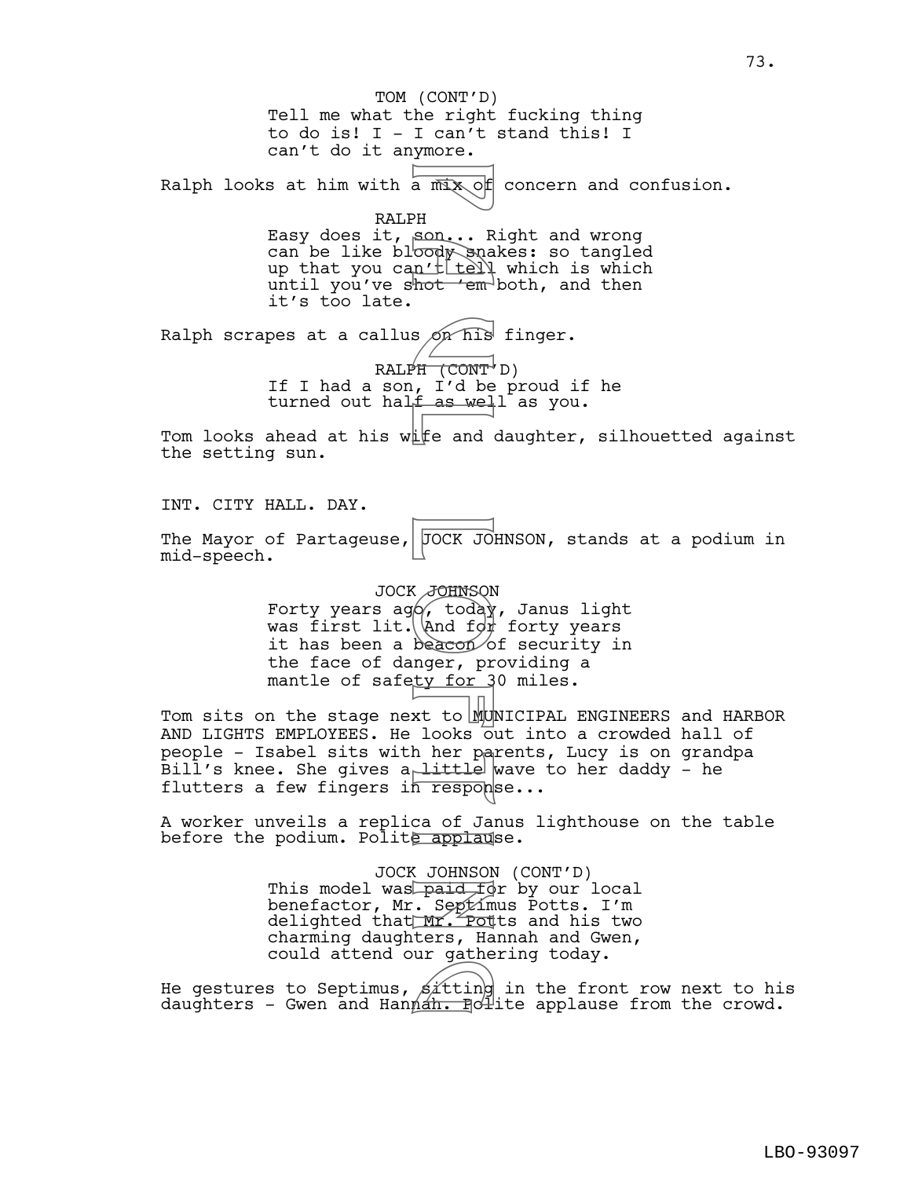Tell me what the right fucking thing to do is! I - I can't stand this! I can't do it anymore. Ralph looks at him with a  $\overline{m}$   $\infty$  of concern and confusion. RALPH Easy does it, son... Right and wrong can be like bloody snakes: so tangled up that you can't  $t$  tell which is which until you've shot ' $em$ -both, and then it's too late. Ralph scrapes at a callus  $\phi$ n his finger.  $RALPH (CONT' D)$ If I had a son, I'd be proud if he turned out hal<del>f as wel</del>l as you. Tom looks ahead at his wife and daughter, silhouetted against the setting sun. INT. CITY HALL. DAY. The Mayor of Partageuse,  $\sqrt{OCK}$  JOHNSON, stands at a podium in mid-speech. JOCK JOHNSON Forty years ago, today, Janus light was first lit.  $\lambda$ nd f $\phi$  forty years it has been a beacon of security in the face of danger, providing a mantle of safety for 30 miles. Tom sits on the stage next to MUNICIPAL ENGINEERS and HARBOR AND LIGHTS EMPLOYEES. He looks out into a crowded hall of people - Isabel sits with her parents, Lucy is on grandpa Bill's knee. She gives a little wave to her daddy - he flutters a few fingers in response... A worker unveils a replica of Janus lighthouse on the table before the podium. Polite applause. JOCK JOHNSON (CONT'D) This model was paid for by our local benefactor, Mr. Septimus Potts. I'm delighted that Mr. Potts and his two charming daughters, Hannah and Gwen, could attend our gathering today. He gestures to Septimus,  $\beta$ ittin $\rho$  in the front row next to his daughters to Septimus, sitting in the front row next to his<br>daughters - Gwen and Hannah. Polite applause from the crowd. TOM (CONT'D) a mix of<br>PH son...R<br>PH son...R<br>cody sna<br>n'itely<br>for 'em<br>s on his<br>s on his<br>F (CONT)<br>F as well<br>f as well<br>if and for beacon<br>of the day<br>nger, pr<br>son beacon<br>of and for beacon<br>nger, pr<br>ty for 3<br>xt to Mullimers are<br>ittle beacon<br>s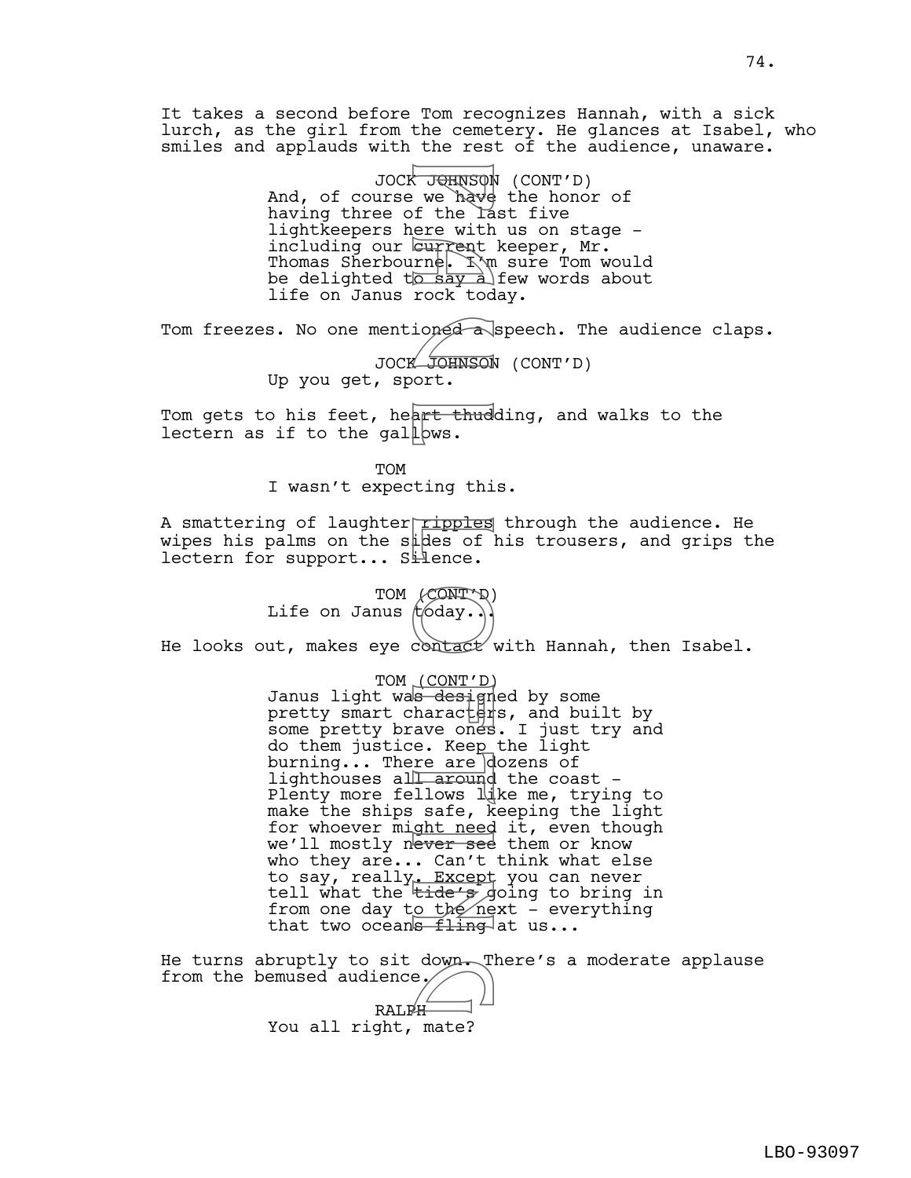It takes a second before Tom recognizes Hannah, with a sick lurch, as the girl from the cemetery. He glances at Isabel, who smiles and applauds with the rest of the audience, unaware.

> JOCK J<del>QI</del>NSON (CONT'D) And, of course we have the honor of having three of the last five lightkeepers here with us on stage including our current keeper, Mr. Thomas Sherbourne. I'm sure Tom would be delighted to say a few words about life on Janus rock today.

Tom freezes. No one mentioned a speech. The audience claps.

JOCK JOHNSON (CONT'D) Up you get, sport.

Tom gets to his feet, heart thudding, and walks to the lectern as if to the gallows.

> TOM I wasn't expecting this.

A smattering of laughter ripples through the audience. He wipes his palms on the sides of his trousers, and grips the lectern for support... Silence.

> TOM (CONT'D) Life on Janus  $t$  oday...

He looks out, makes eye contact with Hannah, then Isabel.

TOM (CONT'D) Janus light was designed by some pretty smart charact $\frac{1}{2}$ s, and built by some pretty brave ones. I just try and do them justice. Keep the light burning... There are dozens of lighthouses all around the coast -Plenty more fellows  $\frac{1}{k}$ ke me, trying to make the ships safe, keeping the light for whoever might need it, even though we'll mostly never see them or know who they are... Can't think what else to say, really<u>. Except</u> you can never tell what the <del>tide's</del> going to bring in from one day t<u>o the ne</u>xt - everything that two oceans fling at us... Fuents of the last of the save of the last of the last of the last of the say and rock tod ioned a unique section of the last lever see in a round like the same of the same of the same of the same of the same of the same o

He turns abruptly to sit down. There's a moderate applause<br>from the bemused audience. from the bemused audience. RALPH You all right, mate?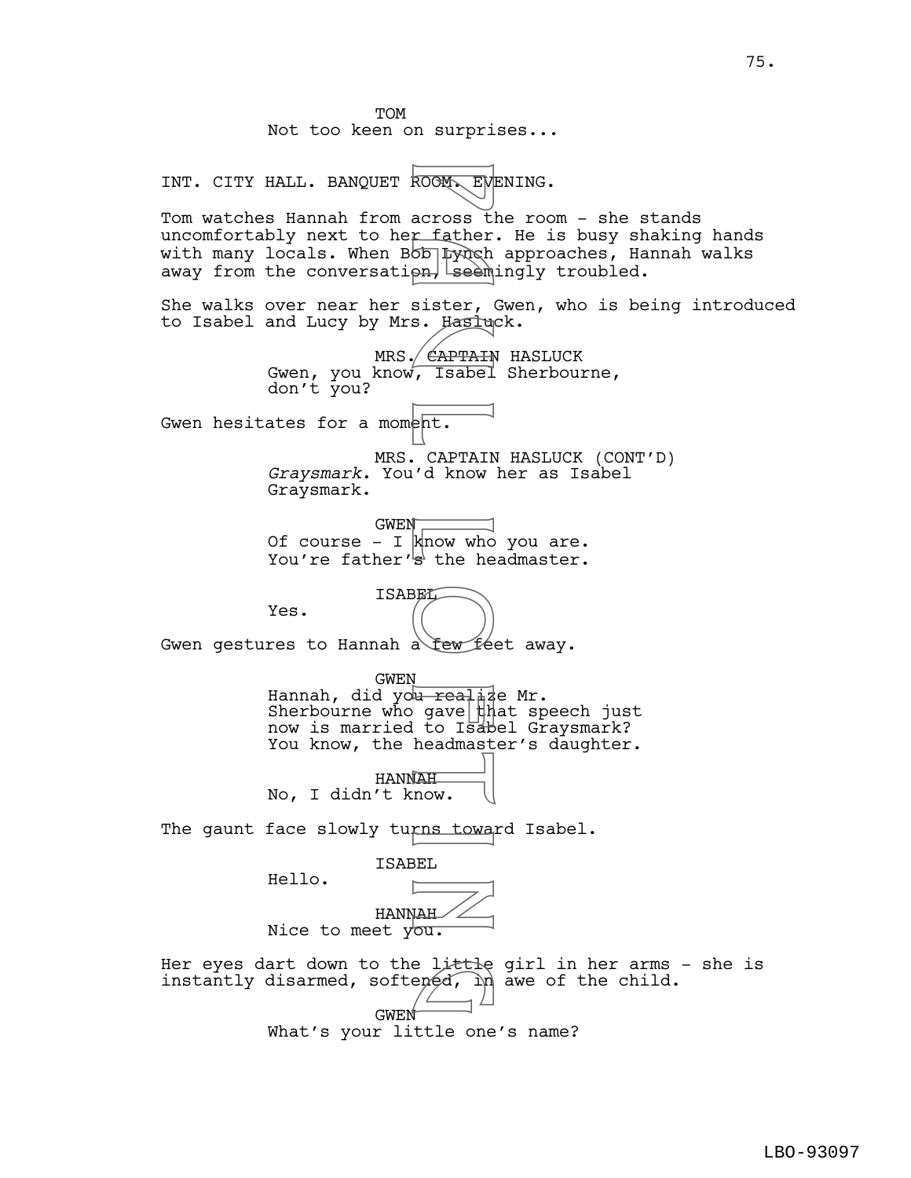TOM Not too keen on surprises... INT. CITY HALL. BANQUET ROOM. EVENING. Tom watches Hannah from across the room - she stands uncomfortably next to her father. He is busy shaking hands with many locals. When BOD Lynch approaches, Hannah walks away from the conversation, seemingly troubled. She walks over near her sister, Gwen, who is being introduced to Isabel and Lucy by Mrs. Hasluck. MRS. *CAPTAIN* HASLUCK Gwen, you know, Isabel Sherbourne, don't you? Gwen hesitates for a moment. MRS. CAPTAIN HASLUCK (CONT'D) *Graysmark*. You'd know her as Isabel Graysmark.  $GWEN$ Of course - I  $k$ now who you are. You're father's the headmaster. ISABEL Yes. Gwen gestures to Hannah a few feet away. GWEN Hannah, did yo<del>u reali</del>ze Mr. Sherbourne who gave  $\frac{1}{h}$ at speech just now is married to Isabel Graysmark? You know, the headmaster's daughter. HANNAH No, I didn't know. The gaunt face slowly turns toward Isabel. ISABEL Hello. HANNAH Nice to meet you. Her eyes dart down to the little girl in her arms - she is instantly disarmed, softened,  $\ln$  awe of the child. GWEN What's your little one's name? ROGM EW<br>across ti<br>across ti<br>across ti<br>ph sister, dealing is internally<br>in the fact of the head is<br>depth in the disable of the disable<br>dead is in gave in the head is<br>a few feeling is<br>a few feeling is in the head is in the h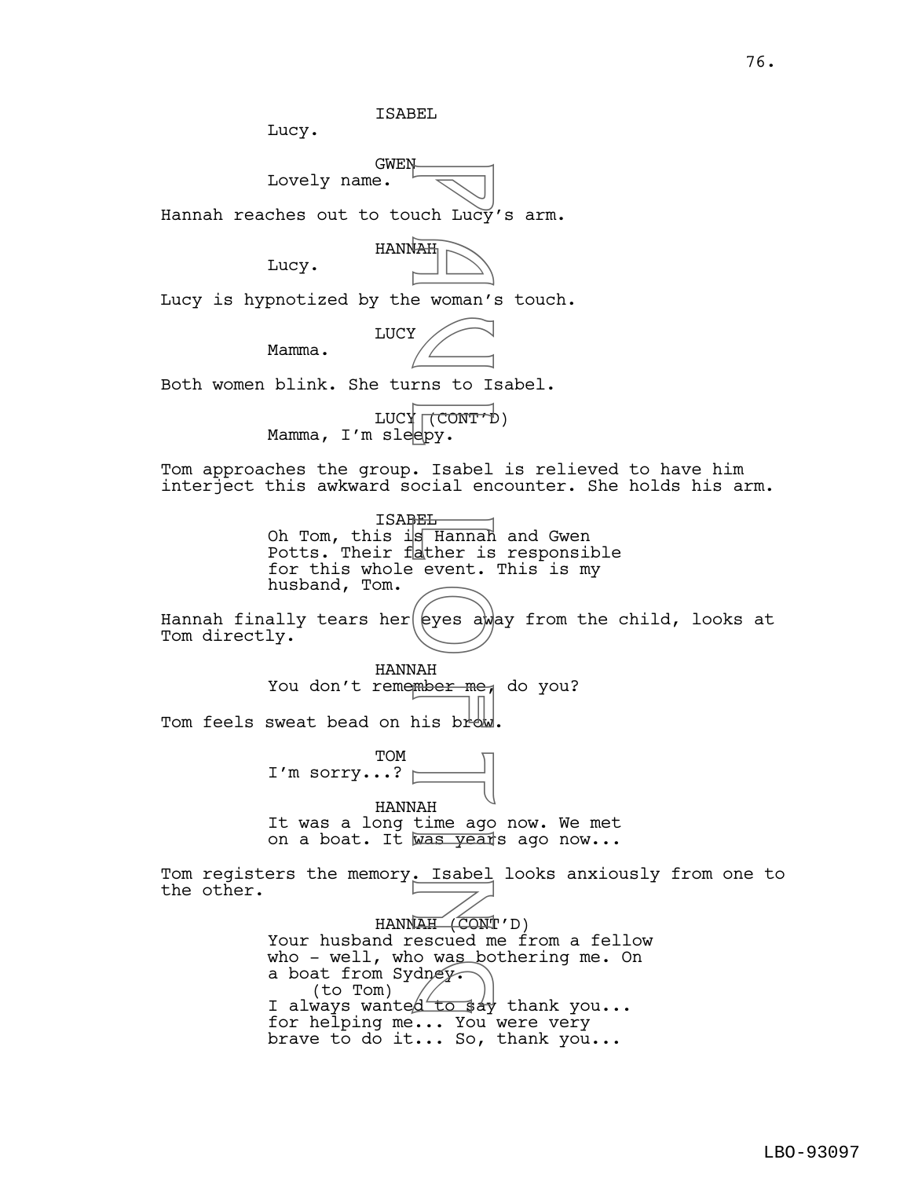ISABEL

Lucy.



Hannah reaches out to touch Lucy's arm.



Lucy is hypnotized by the woman's touch.

Mamma.

Lucy.

LUCY

Both women blink. She turns to Isabel.

LUCY (CONT'D) Mamma, I'm sleepy.

Tom approaches the group. Isabel is relieved to have him interject this awkward social encounter. She holds his arm.

> ISABEL Oh Tom, this is Hannah and Gwen Potts. Their father is responsible for this whole event. This is my husband, Tom.

Hannah finally tears her  $|$  eyes away from the child, looks at Tom directly.

HANNAH You don't remember me, do you? Tom feels sweat bead on his brow.

> TOM I'm sorry...?

HANNAH It was a long time ago now. We met on a boat. It was years ago now...

Tom registers the memory. Isabel looks anxiously from one to the other. HANNAH (CONT'D) Your husband rescued me from a fellow who - well, who was bothering me. On a boat from Sydney. (to Tom) who - well, who was bothering me. On<br>a boat from Sydney.<br>I always wanted to say thank you... When they<br>
e woman's<br>
rns to Is<br>
(CONT't epy.<br>
Is Hannah<br>
ather is<br>
event.<br>
(eyes aw)<br>
MAH<br>
mber me.<br>
(eyes aw)<br>
MAH<br>
mber me.<br>
(eyes aw)<br>
MAH<br>
mber me.<br>
his brown<br>
LIAH<br>
time ago<br>
. Isabel<br>
MAH<br>
time ago<br>
. Isabel<br>
. Isab

for helping me... You were very brave to do it... So, thank you...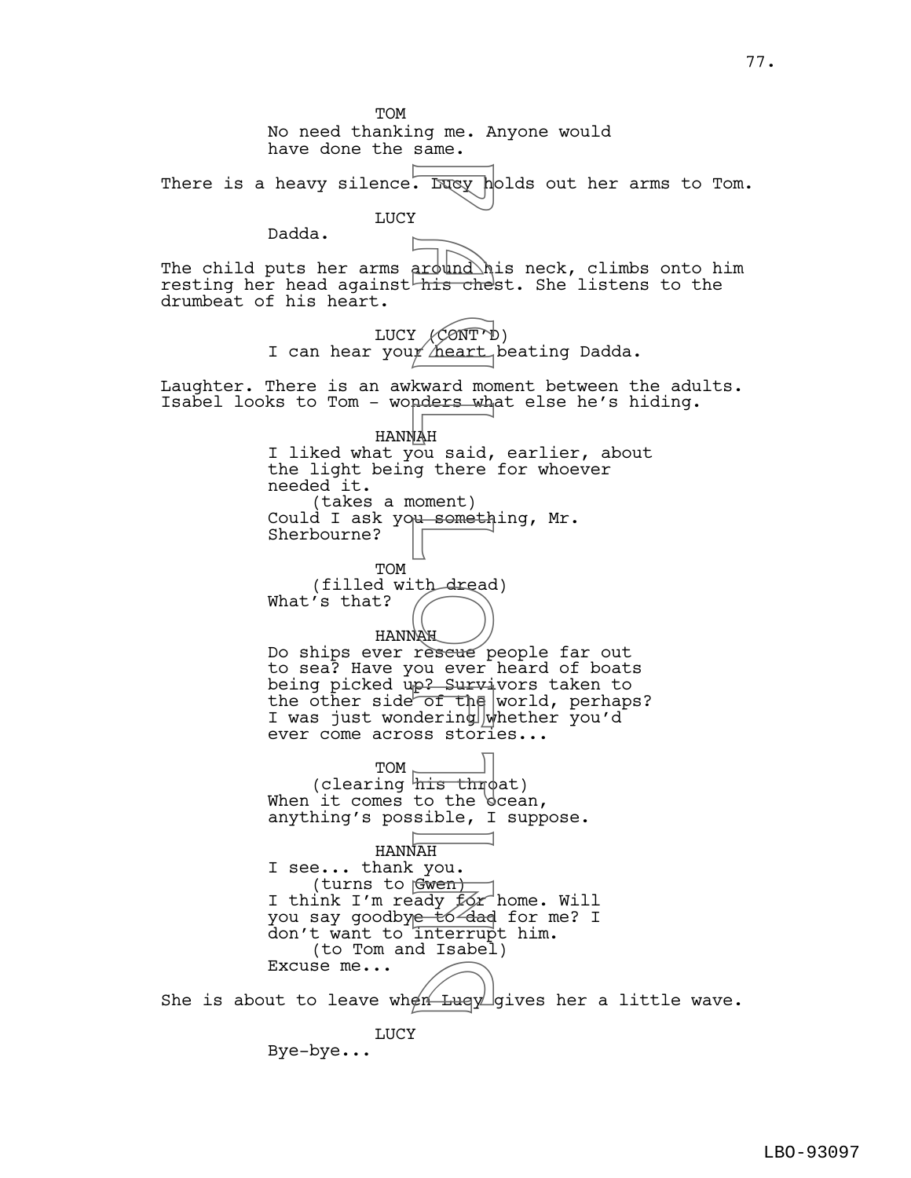TOM No need thanking me. Anyone would have done the same. There is a heavy silence. Lucy holds out her arms to Tom. LUCY Dadda. The child puts her arms around his neck, climbs onto him resting her head against his chest. She listens to the drumbeat of his heart. LUCY (CONT'D) I can hear your heart beating Dadda. Laughter. There is an awkward moment between the adults. Isabel looks to Tom - wonders what else he's hiding. HANNAH I liked what you said, earlier, about the light being there for whoever needed it. (takes a moment) Could I ask you something, Mr. Sherbourne? TOM (filled with dread) What's that? HANNAH Do ships ever reseue people far out to sea? Have you ever heard of boats being picked up? Survivors taken to the other side of the world, perhaps? I was just wondering whether you'd ever come across stories... TOM (clearing  $\frac{1}{2}$  throat) When it comes to the bcean, anything's possible, I suppose. HANNAH I see... thank you. (turns to Gwen) I think I'm ready for home. Will you say goodby<del>e tó dad</del> for me? I don't want to interrupt him. (to Tom and Isabel) Excuse me... Excuse me...<br>She is about to leave when Lucy gives her a little wave. LUCY Bye-bye... P a round<br>
P a visible of this chemical and this chemical contract<br>
P a meant<br>
P a said, g there<br>
NAH ou said, g there<br>
need in a someth<br>
P a survior the dering<br>
P survior the dering<br>
P survior the dering<br>
P to dering<br>
P t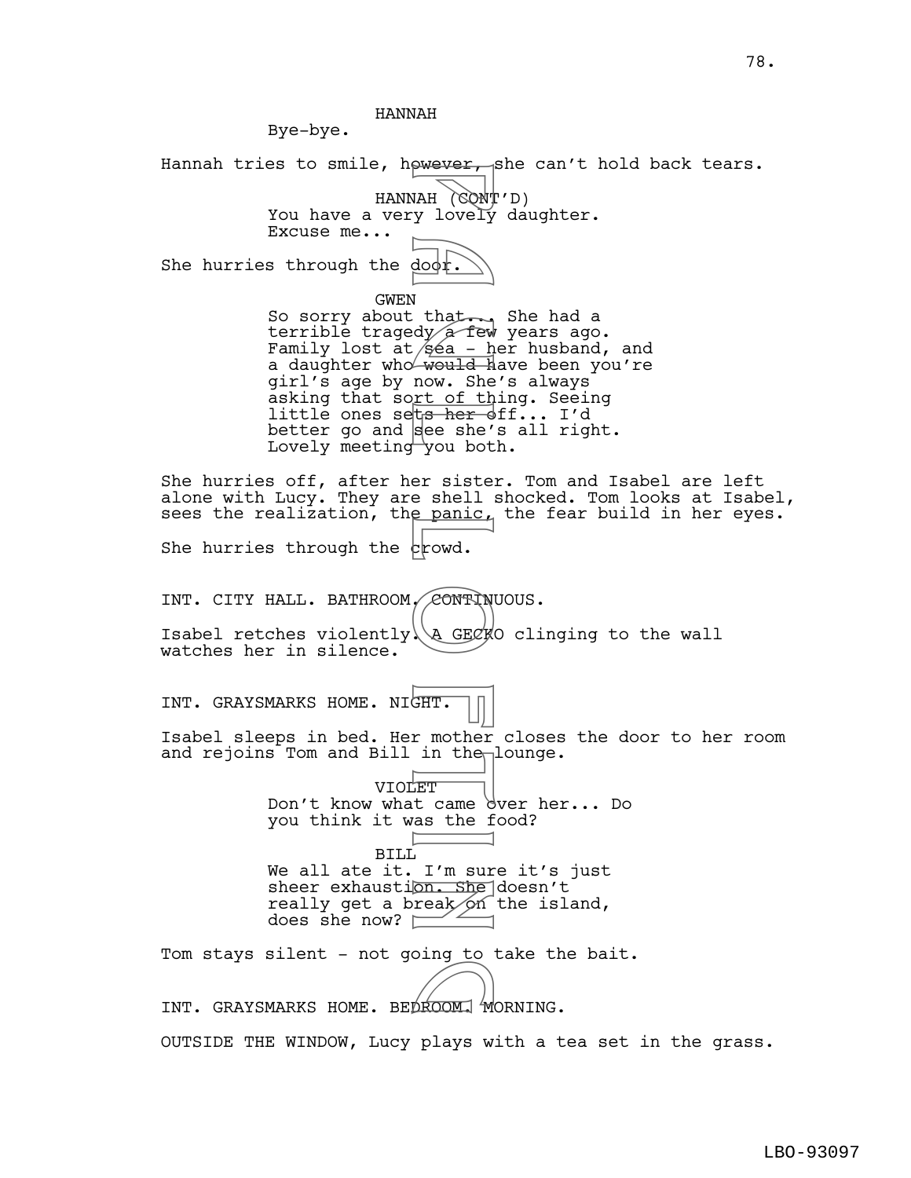HANNAH

Bye-bye. Hannah tries to smile, however, she can't hold back tears. HANNAH (CONT'D) You have a very lovely daughter. Excuse me... She hurries through the  $d$ o $\phi$ r. GWEN So sorry about that... She had a terrible tragedy  $\alpha$  few years ago. Family lost at  $\beta$ éa - her husband, and a daughter who would have been you're girl's age by now. She's always asking that sort of thing. Seeing little ones sets her off... I'd better go and  $\vert$ see she's all right. Lovely meeting you both. She hurries off, after her sister. Tom and Isabel are left alone with Lucy. They are shell shocked. Tom looks at Isabel, sees the realization, the panic, the fear build in her eyes. She hurries through the  $\epsilon$  rowd. INT. CITY HALL. BATHROOM, CONTINUOUS. Isabel retches violently  $\gtrsim$  GECKO clinging to the wall watches her in silence. INT. GRAYSMARKS HOME. NIGHT. Isabel sleeps in bed. Her mother closes the door to her room and rejoins Tom and Bill in the lounge. VIOLET Don't know what came dver her... Do you think it was the food? BILL We all ate it. I'm sure it's just sheer exhaustion. She doesn't really get a break on the island, does she now?  $\square$ Tom stays silent - not going to take the bait. INT. GRAYSMARKS HOME. BEDROOM. MORNING. OUTSIDE THE WINDOW, Lucy plays with a tea set in the grass. Wever,<br>
WAH (CONT)<br>
Wever,<br>
Wever,<br>
NAH (CONT)<br>
Vever,<br>
NAH (CONT)<br>
N<br>
Wever,<br>
Wever,<br>
Wever,<br>
Wever,<br>
P a shere in the panic,<br>
CONT)<br>
N<br>
CONT)<br>
A GECK<br>
A GECK<br>
A GECK<br>
A GECK<br>
CONT)<br>
A GECK<br>
A GECK<br>
A GECK<br>
A GECK<br>
A GECK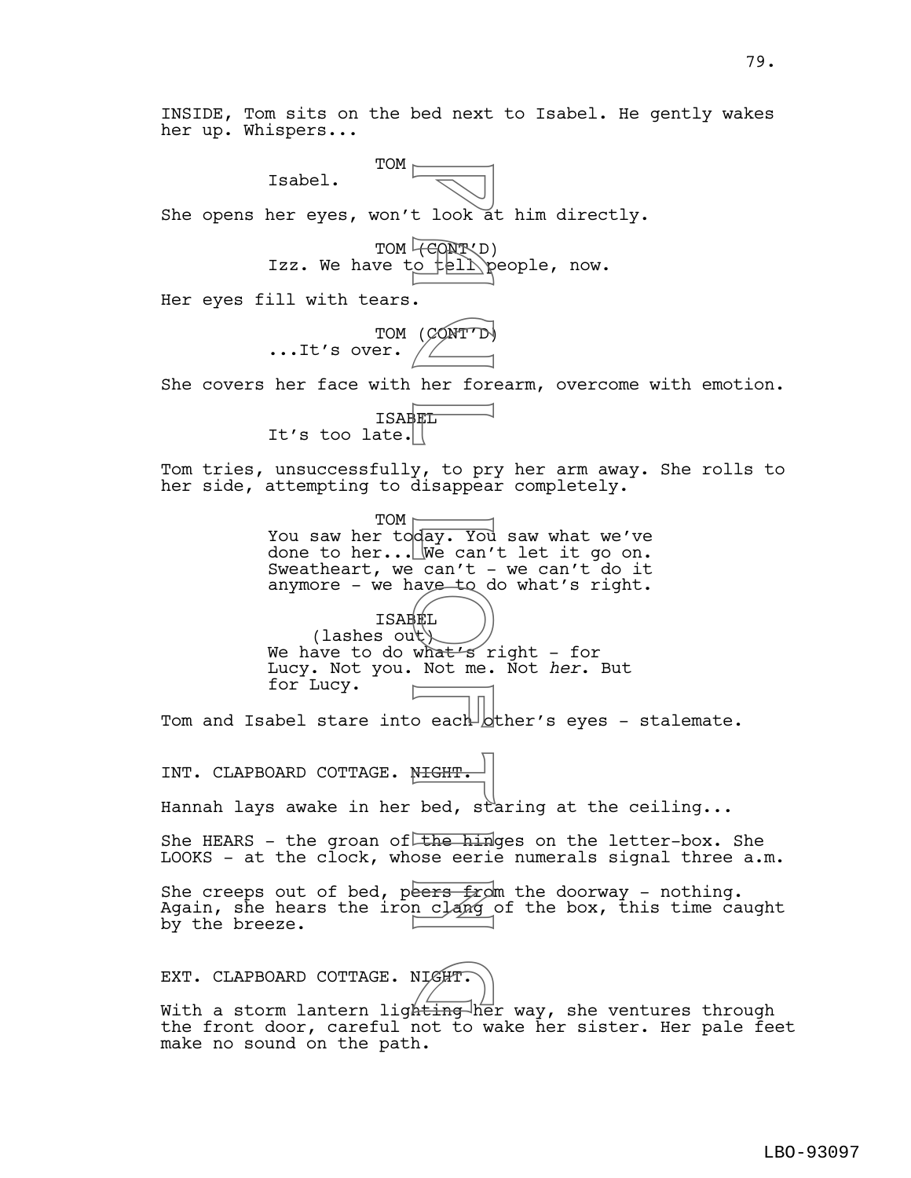INSIDE, Tom sits on the bed next to Isabel. He gently wakes her up. Whispers...

Isabel.

She opens her eyes, won't look at him directly.

TOM  $\Box$ 

TOM **(CONT**VD) Izz. We have to tell people, now.

Her eyes fill with tears.

TOM (CONT'D) ...It's over.

She covers her face with her forearm, overcome with emotion.

ISABEL It's too late.

Tom tries, unsuccessfully, to pry her arm away. She rolls to her side, attempting to disappear completely.

 $TOM$ You saw her today. You saw what we've done to her... We can't let it go on. Sweatheart, we can't  $-$  we can't do it anymore - we have to do what's right. ISABEL (lashes out) t look a<br>
(CONTTD)<br>
. (CONTTD)<br>
her for the limit of the form of the state of the limit<br>
what's revertod we can't -<br>
ave to day. You we can't -<br>
what's revertod by<br>
MIGHT. bed, state erience eeries<br>
from clang<br>
n clang

We have to do what's right - for Lucy. Not you. Not me. Not *her*. But for Lucy.

Tom and Isabel stare into each  $b$ ther's eyes - stalemate.

INT. CLAPBOARD COTTAGE. NIGHT.

Hannah lays awake in her bed, staring at the ceiling...

She HEARS - the groan of the hinges on the letter-box. She LOOKS - at the clock, whose eerie numerals signal three a.m.

She creeps out of bed, peers  $f$  and the doorway - nothing. Again, she hears the iron clang of the box, this time caught by the breeze.

EXT. CLAPBOARD COTTAGE. NIGHT.

EXT. CLAPBOARD COTTAGE. NIGHT.<br>With a storm lantern ligh<del>ting </del>her way, she ventures through the front door, careful not to wake her sister. Her pale feet make no sound on the path.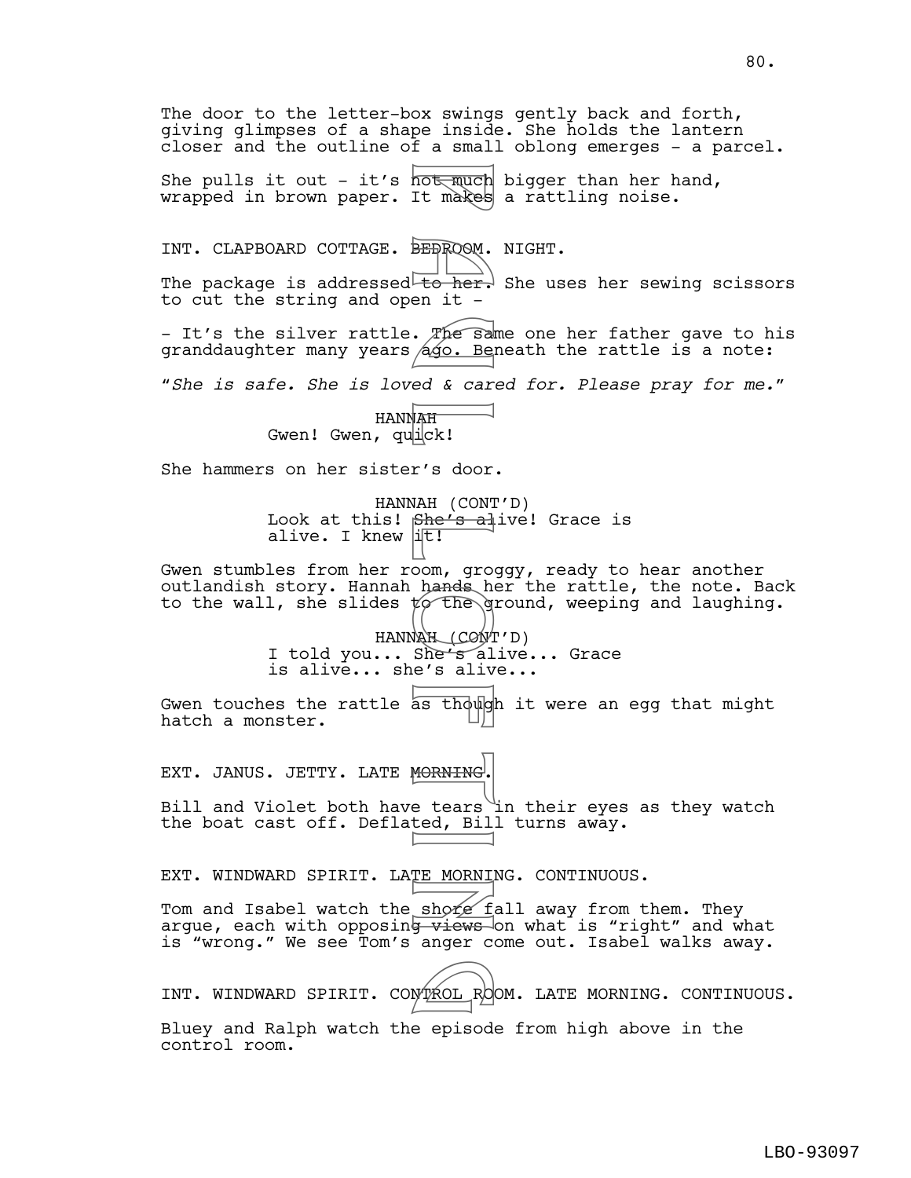The door to the letter-box swings gently back and forth, giving glimpses of a shape inside. She holds the lantern closer and the outline of a small oblong emerges - a parcel. She pulls it out - it's  $\overline{\text{host\_much}}$  bigger than her hand, wrapped in brown paper. It makes a rattling noise. INT. CLAPBOARD COTTAGE. BEDROOM. NIGHT. The package is addressed to her. She uses her sewing scissors to cut the string and open it -- It's the silver rattle. The same one her father gave to his granddaughter many years *ago.* Beneath the rattle is a note: "*She is safe. She is loved & cared for. Please pray for me.*" HANNAH Gwen! Gwen, qualck! She hammers on her sister's door. HANNAH (CONT'D) Look at this! She's alive! Grace is alive. I knew  $\mathbf{I}$ Gwen stumbles from her room, groggy, ready to hear another outlandish story. Hannah hands her the rattle, the note. Back to the wall, she slides  $t$  the ground, weeping and laughing. HANNAH (CONT'D) I told you... She's alive... Grace is alive... she's alive... Gwen touches the rattle as though it were an egg that might hatch a monster. EXT. JANUS. JETTY. LATE MORNING. Bill and Violet both have tears in their eyes as they watch the boat cast off. Deflated, Bill turns away. EXT. WINDWARD SPIRIT. LATE MORNING. CONTINUOUS. Tom and Isabel watch the shore fall away from them. They argue, each with opposin<del>g views </del>on what is "right" and what is "wrong." We see Tom's anger come out. Isabel walks away. INT. WINDWARD SPIRIT. CONTROL ROOM. LATE MORNING. CONTINUOUS. Bluey and Ralph watch the episode from high above in the control room. Not much<br>BEBROOM.<br>BEBROOM.<br>BEBROOM.<br>Leo her.<br>490. Bel<br>ed & car.<br>dago. Bel<br>ed & car.<br>MAH (CONT She's alived it!<br>oom, groom.<br>hands he groom.<br>Leo hands he groom.<br>Leo hands he groom.<br>Leo hands he groom.<br>Leo hands he groom.<br>Leo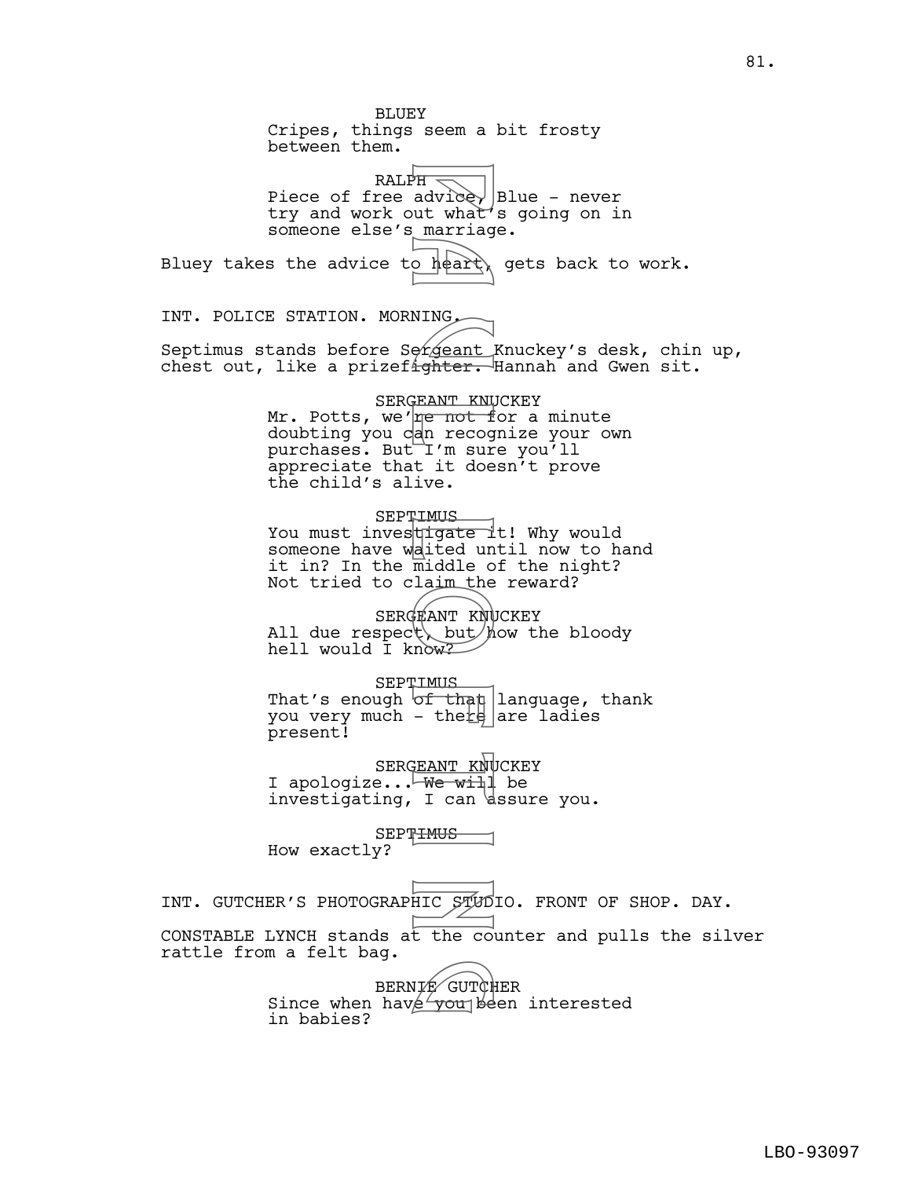BLUEY Cripes, things seem a bit frosty between them.  $RALPH =$ Piece of free advice, Blue - never try and work out what's going on in someone else's marriage. Bluey takes the advice to  $h$  $\phi$ art) gets back to work. INT. POLICE STATION. MORNING. Septimus stands before Sergeant Knuckey's desk, chin up, chest out, like a prizefighter. Hannah and Gwen sit. SERGEANT KNUCKEY Mr. Potts, we're not for a minute doubting you can recognize your own purchases. But<sup>-</sup>I'm sure you'll appreciate that it doesn't prove the child's alive. **SEPTIMUS** You must inves<mark>tigate i</mark>t! Why would someone have waited until now to hand it in? In the middle of the night? Not tried to claim the reward? SERGEANT KNUCKEY All due respect but how the bloody hell would I know? **SEPTIMUS** That's enough  $\sigma f$  than language, thank you very much - there  $|$  are ladies present! SERGEANT KNUCKEY I apologize...<del>UWe wil</del>l be investigating, I can dssure you. SEPTIMUS How exactly? INT. GUTCHER'S PHOTOGRAPHIC STUDIO. FRONT OF SHOP. DAY. CONSTABLE LYNCH stands at the counter and pulls the silver rattle from a felt bag. BERNIE GUTCHER BERNIF GUTCHER<br>Since when have you been interested in babies? PH advicert<br>
ut what marriag<br>
o heart,<br>
NING<br>
o heart,<br>
present PH and alle in the start of the start of the start of the start of the start of the start of the start of the start of the start of the start of the start of

81.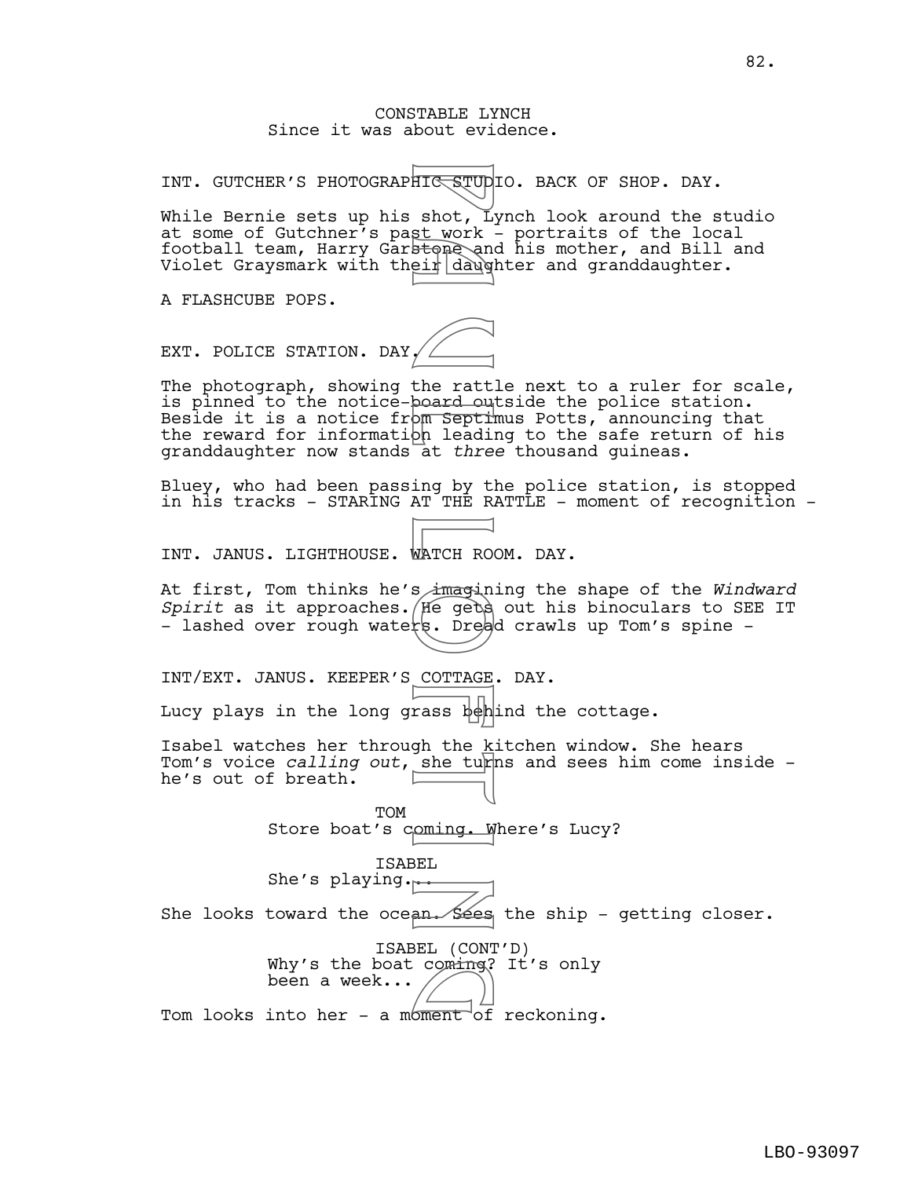## CONSTABLE LYNCH Since it was about evidence.

INT. GUTCHER'S PHOTOGRAPHIC STUDIO. BACK OF SHOP. DAY.

While Bernie sets up his shot, Lynch look around the studio at some of Gutchner's past work - portraits of the local football team, Harry Garstone and his mother, and Bill and Violet Graysmark with their daughter and granddaughter.

A FLASHCUBE POPS.

EXT. POLICE STATION. DAY.

The photograph, showing the rattle next to a ruler for scale, is pinned to the notice-board outside the police station. Beside it is a notice from Septimus Potts, announcing that the reward for information leading to the safe return of his granddaughter now stands at *three* thousand guineas. FITE STUD shot, L.<br>
st work<br>
st work<br>
stone and dawgled<br>
ein dawgled<br>
the ratt dawgled<br>
om septh<br>
om leading by the septh<br>
om leading by THE MATCH ROC<br>
stranged in three<br>
standard stranged in the sheaf of the kine<br>
corrace

Bluey, who had been passing by the police station, is stopped in his tracks - STARING AT THE RATTLE - moment of recognition -

INT. JANUS. LIGHTHOUSE. WATCH ROOM. DAY.

At first, Tom thinks he's imagining the shape of the *Windward Spirit* as it approaches. He gets out his binoculars to SEE IT - lashed over rough waters. Dread crawls up Tom's spine -

INT/EXT. JANUS. KEEPER'S COTTAGE. DAY.

Lucy plays in the long grass behind the cottage.

Isabel watches her through the kitchen window. She hears Tom's voice *calling out*, she turns and sees him come inside he's out of breath.

> **TOM** Store boat's coming. Where's Lucy?

ISABEL She's playing... She looks toward the ocean. Sees the ship - getting closer.

> ISABEL (CONT'D) Why's the boat coming? It's only<br>been a week...<br>into ber a minorial recksping been a week...

Tom looks into her – a moment of reckoning.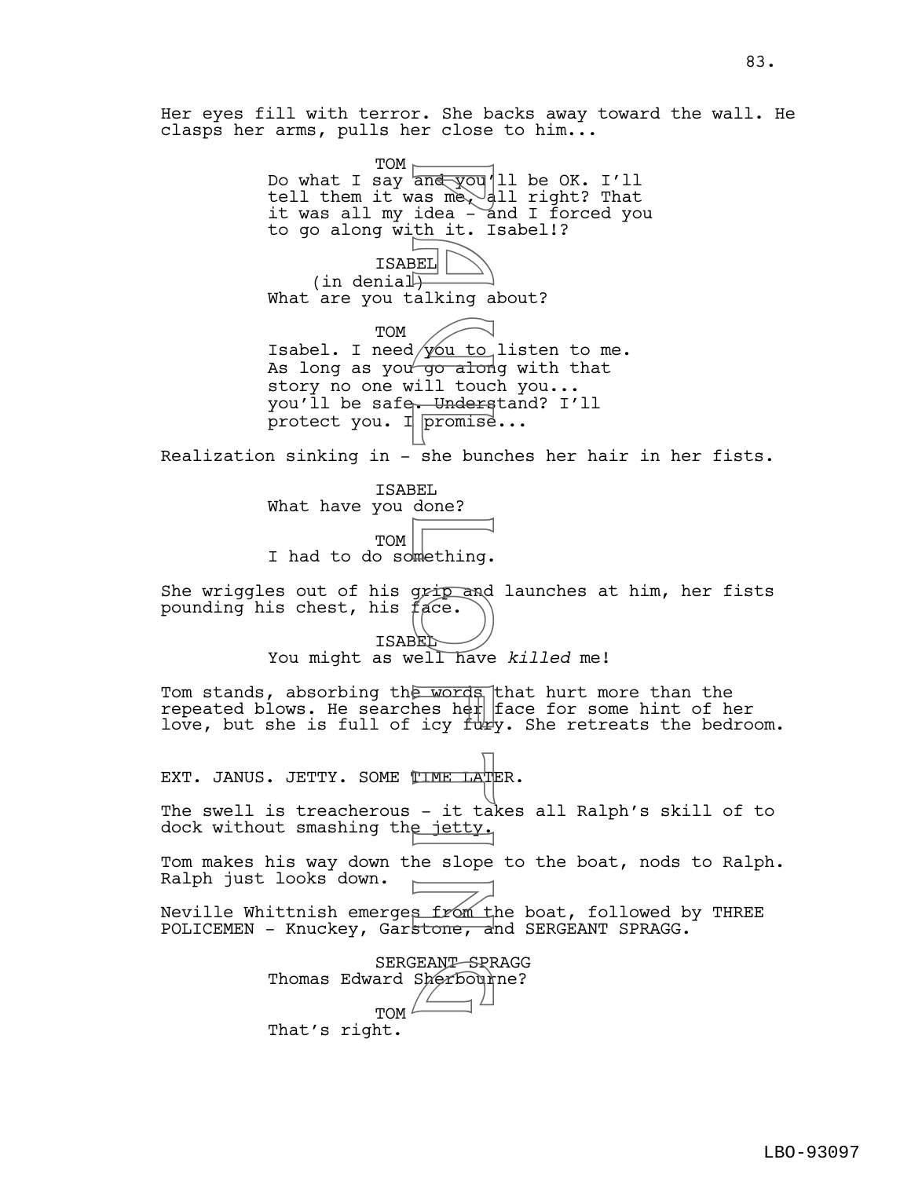Her eyes fill with terror. She backs away toward the wall. He clasps her arms, pulls her close to him...

TOM Do what I say an<del>d you</del>'ll be OK. I'll tell them it was me $\sim$  all right? That it was all my idea - and I forced you to go along with it. Isabel!? ISABEL (in denial $\overline{+}$ What are you talking about? TOM Isabel. I need  $\frac{1}{10}$  to listen to me. As long as you  $\frac{1}{90}$  along with that story no one will touch you... you'll be safe. Understand? I'll protect you. I  $\boxed{\text{promise}} \dots$ Realization sinking in - she bunches her hair in her fists. ISABEL What have you done? TOM I had to do something. She wriggles out of his grip and launches at him, her fists pounding his chest, his face. ISABEL You might as well have *killed* me! Tom stands, absorbing the words that hurt more than the repeated blows. He searches her face for some hint of her love, but she is full of icy  $\text{tuky.}$  She retreats the bedroom. EXT. JANUS. JETTY. SOME TIME LATER. The swell is treacherous - it takes all Ralph's skill of to dock without smashing the jetty. Tom makes his way down the slope to the boat, nods to Ralph. Ralph just looks down. Neville Whittnish emerges from the boat, followed by THREE POLICEMEN - Knuckey, Garstone, and SERGEANT SPRAGG. SERGEANT SPRAGG Thomas Edward Sherbourne? **TOM** That's right. and you<br>
as me, a<br>
idea - a<br>
idea - it is in the set of the set of the set of the set of the set of the set of the set of the set of the set of the set of the set of the set of the set of the set of the set of the set of t g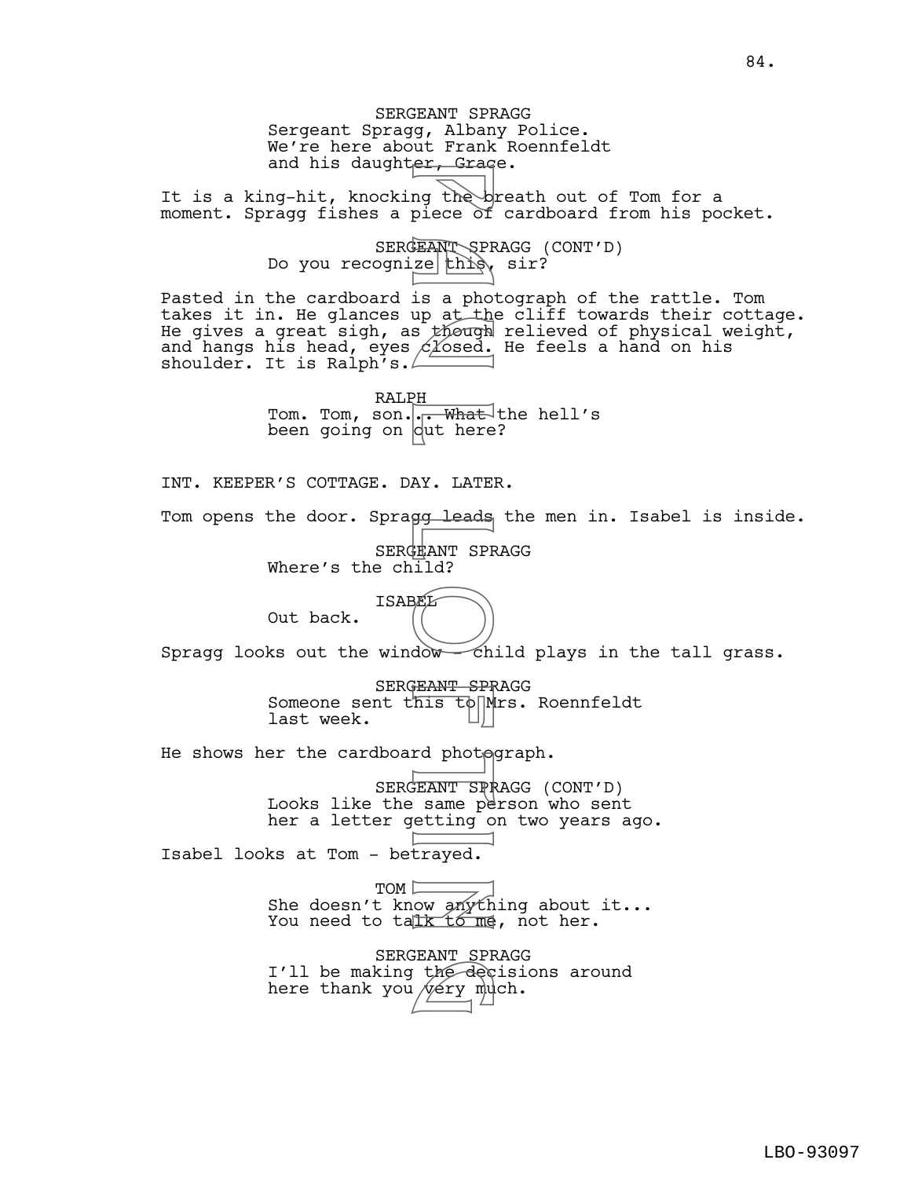SERGEANT SPRAGG Sergeant Spragg, Albany Police. We're here about Frank Roennfeldt and his daughter, Grage. It is a king-hit, knocking the breath out of Tom for a moment. Spragg fishes a piece of cardboard from his pocket. SERGEANT SPRAGG (CONT'D) Do you recognize this, sir? Pasted in the cardboard is a photograph of the rattle. Tom takes it in. He glances up at the cliff towards their cottage. He gives a great sigh, as though relieved of physical weight, and hangs his head, eyes  $c$  /  $\delta$  and a hand on his shoulder. It is Ralph's. $\angle$ RALPH Tom. Tom, son... What the hell's been going on dut here? INT. KEEPER'S COTTAGE. DAY. LATER. Tom opens the door. Spragg leads the men in. Isabel is inside. SERGEANT SPRAGG Where's the  $ch\bar{1}ld$ ? ISABEL Out back. Spragg looks out the window  $\sim$  child plays in the tall grass. SERGEANT SPRAGG Someone sent this to Mrs. Roennfeldt last week. He shows her the cardboard photograph. SERGEANT SPRAGG (CONT'D) Looks like the same person who sent her a letter getting on two years ago. Isabel looks at Tom - betrayed. TOM<sup>I</sup> She doesn't know anything about it... You need to talk to  $m$ e, not her. SERGEANT SPRAGG I'll be making the decisions around here thank you very much. er, siad<br>
ng theore of<br>
EANT SP a photograph<br>
is a photograph<br>
CLOsed.<br>
PH a though<br>
CLOsed.<br>
PH a unit here<br>
AY. LATE!<br>
SP leads<br>
HEANT SP and LEANT SP and PH and Did be the same performed.<br>
FEANT SP and photograph<br>
FEANT FIRM PIL<br>The dec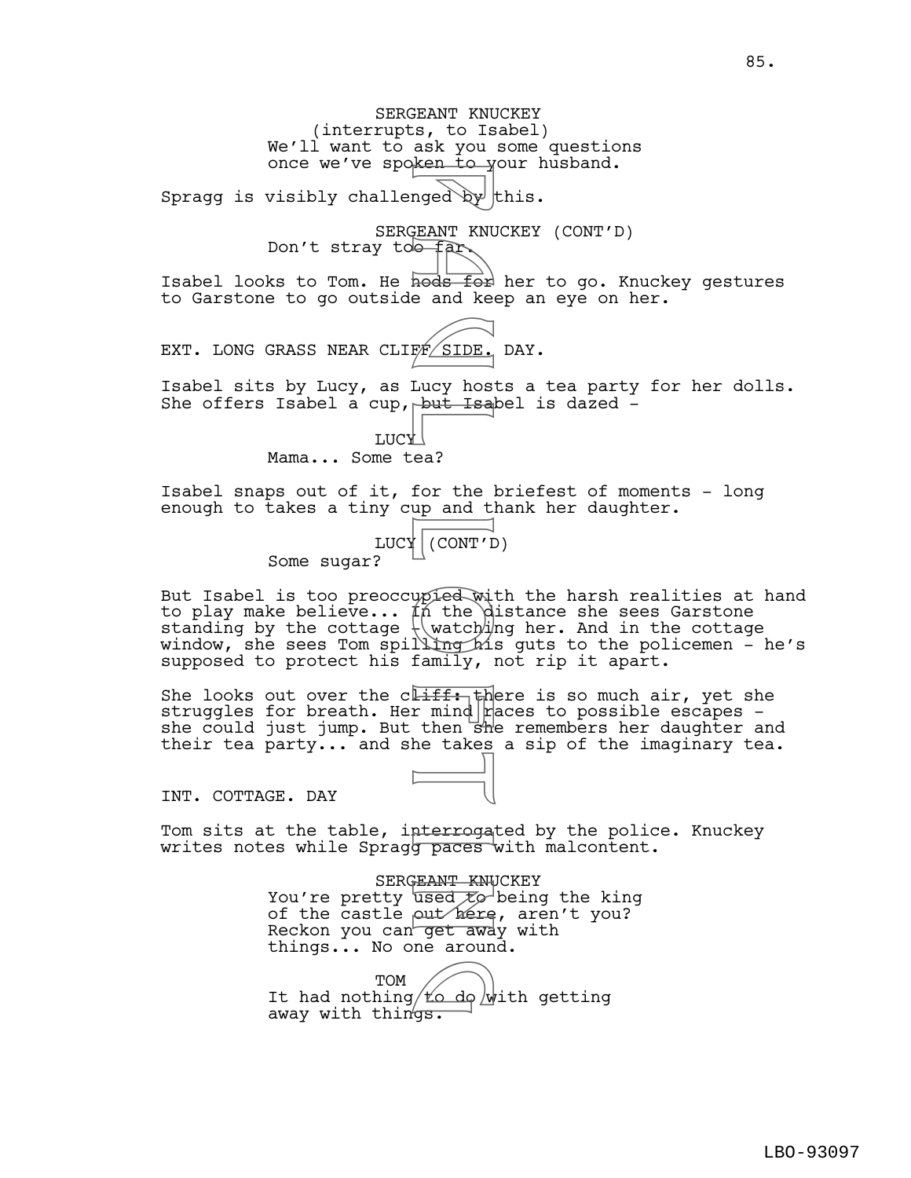SERGEANT KNUCKEY (interrupts, to Isabel) We'll want to ask you some questions once we've spoken to your husband. Spragg is visibly challenged  $\mathbb{Q}^{\mathcal{F}}$  this. SERGEANT KNUCKEY (CONT'D) Don't stray to  $f$ ar. Isabel looks to Tom. He  $\frac{\text{node} \cdot \text{Test}}{\text{height}}$  her to go. Knuckey gestures to Garstone to go outside and keep an eye on her. EXT. LONG GRASS NEAR CLIFF SIDE. DAY. Isabel sits by Lucy, as Lucy hosts a tea party for her dolls. She offers Isabel a cup, but Isabel is dazed -**TUCY** Mama... Some tea? Isabel snaps out of it, for the briefest of moments - long enough to takes a tiny cup and thank her daughter. LUCY (CONT'D) Some sugar? But Isabel is too preoccupied with the harsh realities at hand to play make believe...  $\sharp \tilde{n}$  the distance she sees Garstone standing by the cottage  $\setminus$  watch $\nexists p$  her. And in the cottage window, she sees Tom spilli<del>ng h</del>is guts to the policemen – he's supposed to protect his family, not rip it apart. She looks out over the cliff: there is so much air, yet she struggles for breath. Her mind  $r$  aces to possible escapes she could just jump. But then she remembers her daughter and mged by<br>mged by<br>EANT KNU and keep and keep and keep and keep and the<br>Lucy host Haal (CONT'L<br>ea? for the lup and tlump haily, lucy in the duming haily, lucy is<br>the watch in the duming haily, lucy here<br>ised to be takes<br>staMT

INT. COTTAGE. DAY

Tom sits at the table, interrogated by the police. Knuckey writes notes while Sprag<del>g paces</del> with malcontent.

their tea party... and she takes a sip of the imaginary tea.

SERGEANT KNUCKEY You're pretty used  $\mathcal{F}\varphi$  being the king of the castle out here, aren't you? Reckon you can get away with things... No one around.

TOM TOM<br>It had nothing to do with getting away with things.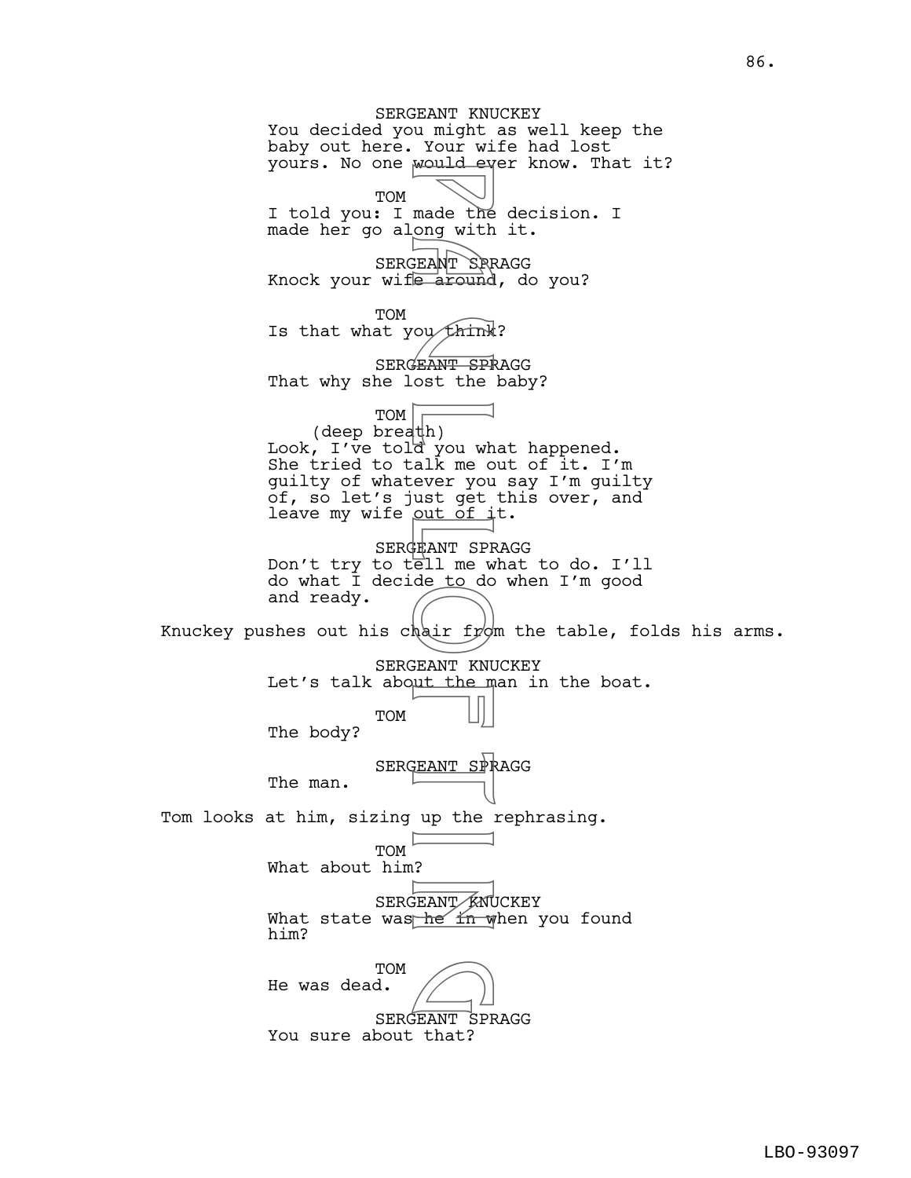SERGEANT KNUCKEY You decided you might as well keep the baby out here. Your wife had lost yours. No one would ever know. That it? TOM I told you: I made the decision. I made her go along with it. SERGEANT SPRAGG Knock your wife around, do you? TOM Is that what you  $\text{think?}$ SERGEANT SPRAGG That why she lost the baby? TOM (deep breath) Look, I've told you what happened. She tried to talk me out of it. I'm guilty of whatever you say I'm guilty of, so let's just get this over, and leave my wife out of it. SERGEANT SPRAGG Don't try to tell me what to do. I'll do what I decide to do when I'm good and ready. Knuckey pushes out his chair from the table, folds his arms. SERGEANT KNUCKEY Let's talk about the man in the boat. TOM The body? SERGEANT SPRAGG The man. Tom looks at him, sizing up the rephrasing. TOM What about him? SERGEANT KNUCKEY What state was he in when you found him? **TOM** He was dead. SERGEANT SPRAGG You sure about that? made the<br>
made the<br>
BEANT SPE<br>
BEANT SPE<br>
COUTRING TO THE MANT SPE<br>
COUTRING TO THE MANT SPE<br>
HEANT SPE<br>
HEANT SPE<br>
HEANT SPE<br>
HEANT SPE<br>
HEANT SPE<br>
HEANT SPE<br>
HEANT SPE<br>
HEANT SPE<br>
HEANT SPE<br>
HEANT SPE<br>
HEANT SPE<br>
HEANT S  $\bigcirc$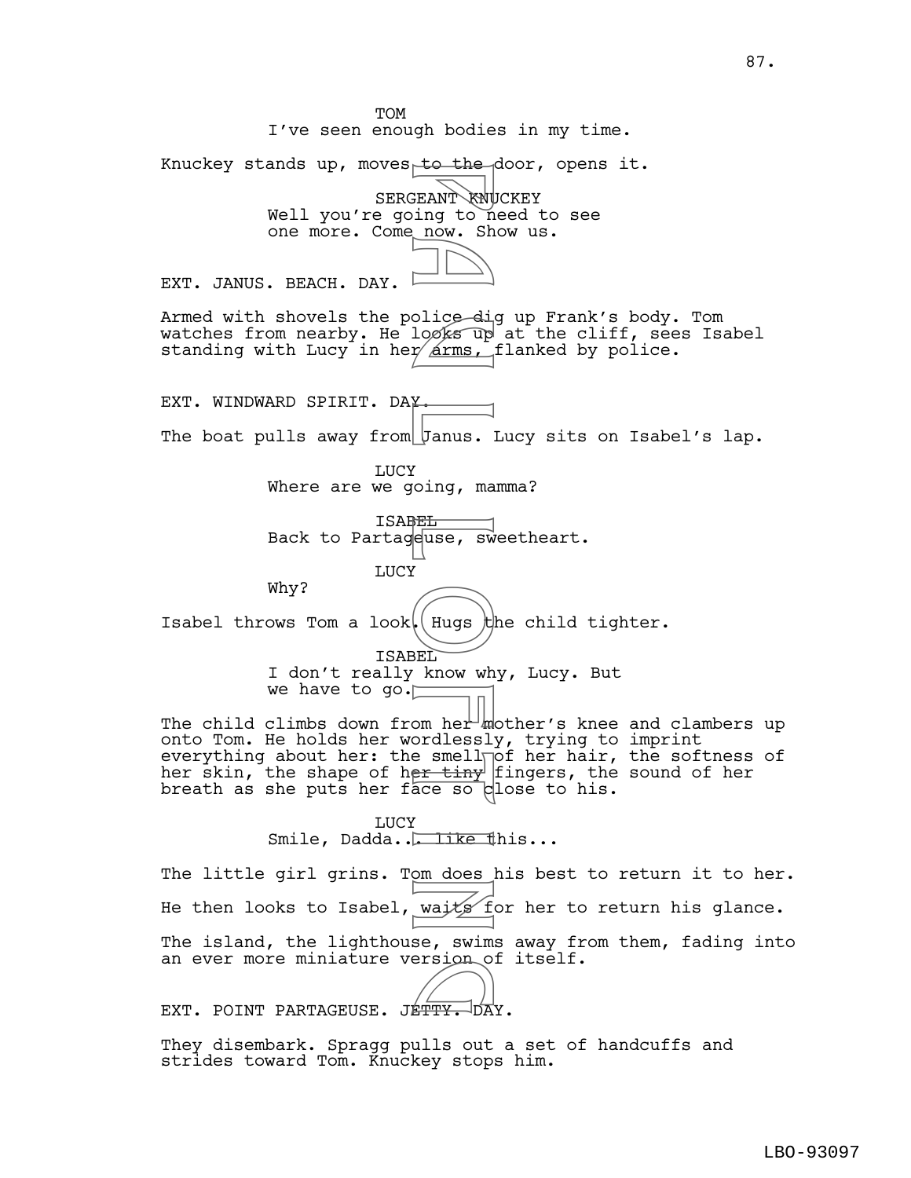TOM I've seen enough bodies in my time. Knuckey stands up, moves to the door, opens it. SERGEANT KNUCKEY Well you're going to need to see one more. Come now. Show us. EXT. JANUS. BEACH. DAY. Armed with shovels the police dig up Frank's body. Tom watches from nearby. He looks up at the cliff, sees Isabel standing with Lucy in her arms, flanked by police. EXT. WINDWARD SPIRIT. DAY. The boat pulls away from Janus. Lucy sits on Isabel's lap. LUCY Where are we going, mamma? ISABEL Back to Partageuse, sweetheart. LUCY Why? Isabel throws Tom a look. Hugs the child tighter. ISABEL I don't really know why, Lucy. But we have to go. The child climbs down from her mother's knee and clambers up onto Tom. He holds her wordlessly, trying to imprint everything about her: the smell $\overline{\mathsf{p}}$ of her hair, the softness of her skin, the shape of h<del>er tiny</del> fingers, the sound of her breath as she puts her face so close to his. LUCY Smile, Dadda... like this... The little girl grins. Tom does his best to return it to her. He then looks to Isabel, waits for her to return his glance. The island, the lighthouse, swims away from them, fading into an ever more miniature version of itself. an ever more miniature version of<br>EXT. POINT PARTAGEUSE. JE<del>TTY.</del> DAY. P a u l L o f t i n

They disembark. Spragg pulls out a set of handcuffs and strides toward Tom. Knuckey stops him.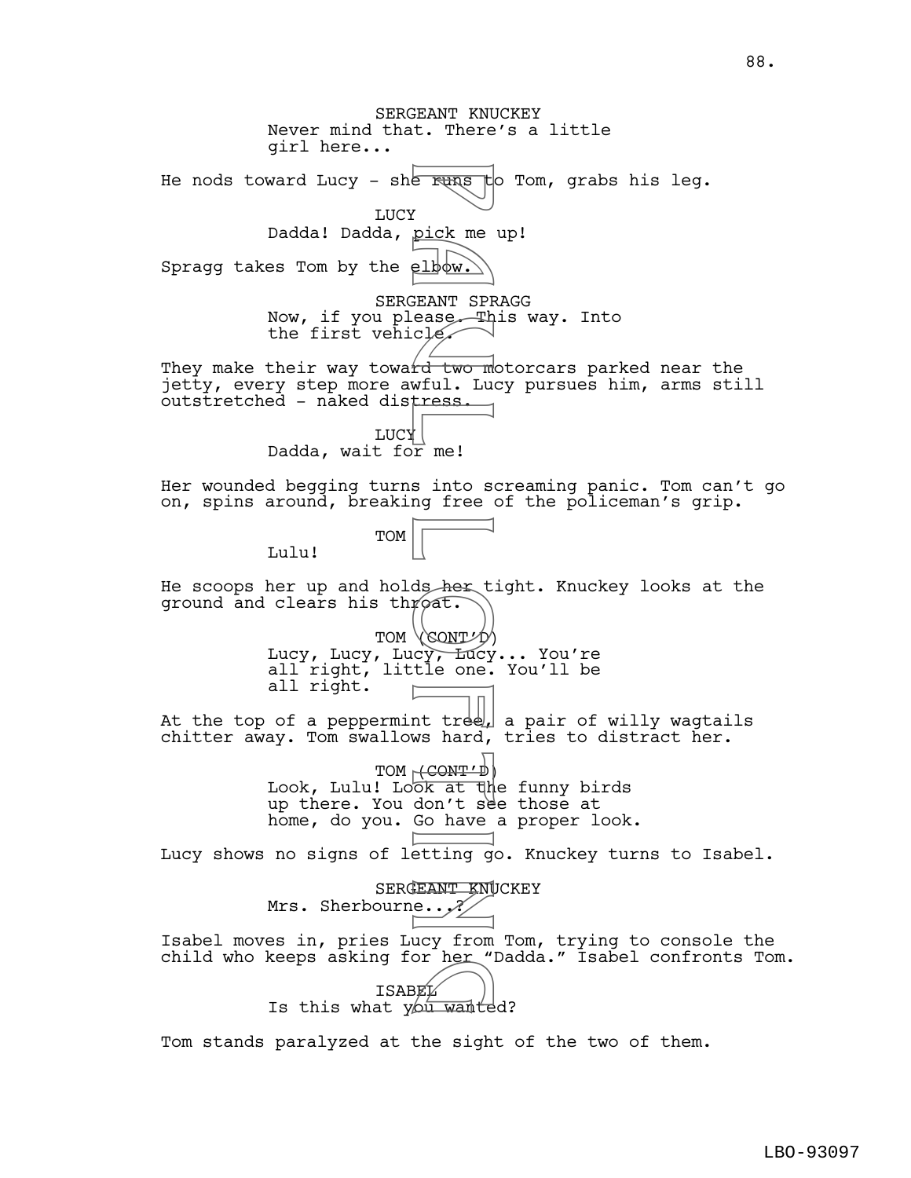SERGEANT KNUCKEY Never mind that. There's a little girl here... He nods toward Lucy - she runs to Tom, grabs his leg. **LUCY** Dadda! Dadda, pick me up! Spragg takes Tom by the elbow. SERGEANT SPRAGG Now, if you please. This way. Into the first vehicle They make their way toward two motorcars parked near the jetty, every step more awful. Lucy pursues him, arms still outstretched - naked distress. LUCY Dadda, wait for  $me!$ Her wounded begging turns into screaming panic. Tom can't go on, spins around, breaking free of the policeman's grip. TOM Lulu! He scoops her up and holds her tight. Knuckey looks at the ground and clears his throat. TOM (CONT') Lucy, Lucy, Lucy, Lucy... You're all right, little one. You'll be all right. At the top of a peppermint tr $\infty$ , a pair of willy wagtails chitter away. Tom swallows hard, tries to distract her. TOM  $\text{CONT'}$ Look, Lulu! Look at the funny birds up there. You don't see those at home, do you. Go have a proper look. Lucy shows no signs of letting go. Knuckey turns to Isabel. SERGEANT KNUCKEY Mrs. Sherbourne...? Isabel moves in, pries Lucy from Tom, trying to console the child who keeps asking for her "Dadda." Isabel confronts Tom. ISABEL Every asking for her back<br>Is this what you wanted? P a u l L o f t i n

Tom stands paralyzed at the sight of the two of them.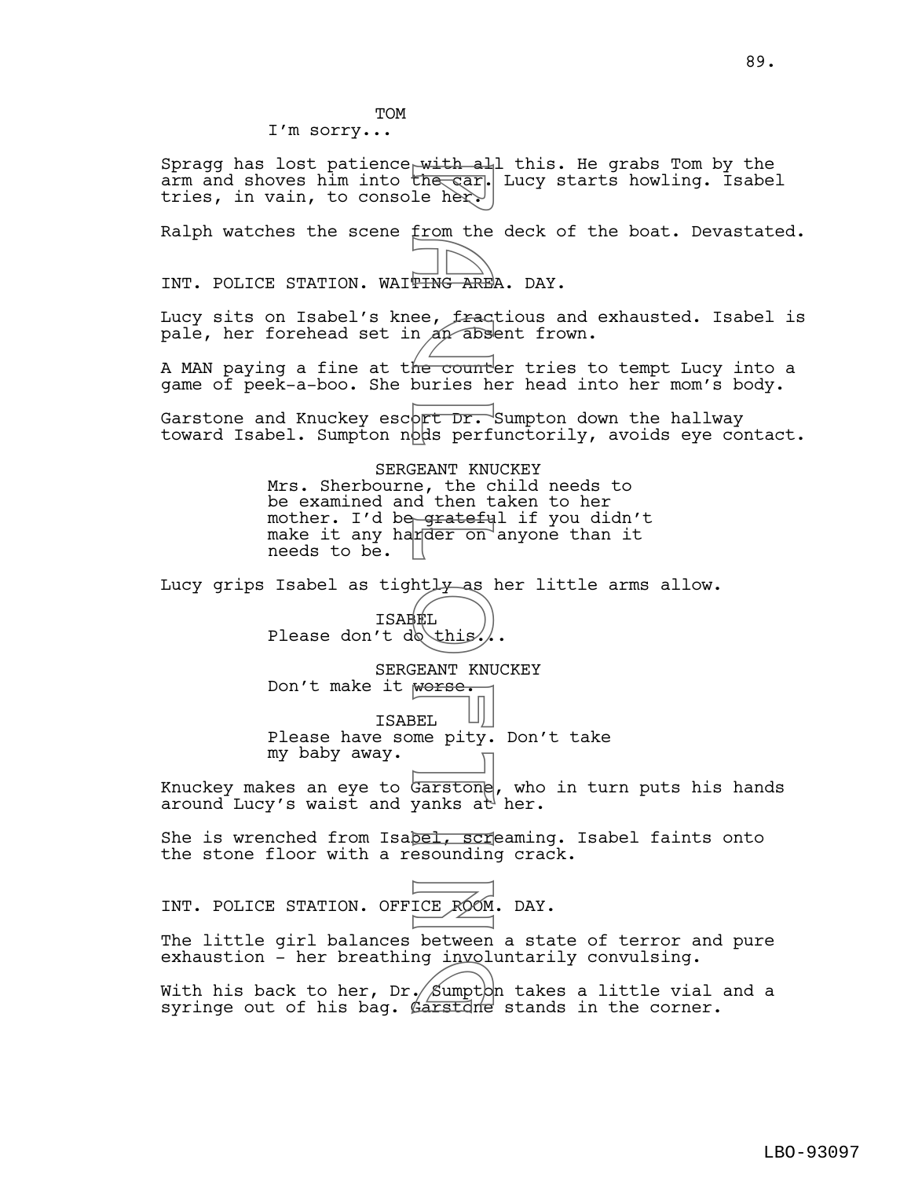Spragg has lost patience  $w$ ith all this. He grabs Tom by the arm and shoves him into the car. Lucy starts howling. Isabel tries, in vain, to console her.

Ralph watches the scene from the deck of the boat. Devastated.

INT. POLICE STATION. WAITING AREA. DAY.

Lucy sits on Isabel's knee, fractious and exhausted. Isabel is pale, her forehead set in an absent frown.

A MAN paying a fine at t<del>he count</del>er tries to tempt Lucy into a game of peek-a-boo. She buries her head into her mom's body.

Garstone and Knuckey escort Dr. Sumpton down the hallway toward Isabel. Sumpton nods perfunctorily, avoids eye contact.

SERGEANT KNUCKEY Mrs. Sherbourne, the child needs to be examined and then taken to her mother. I'd be<del>gratefu</del>l if you didn't make it any harder on anyone than it needs to be. With a<br>the car, the car,<br>le from the count<br>me count buries here.<br>per an absent KNU of the count<br>buries here.<br>EXANT KNU of the starter of the start of the start of the start of the start of the start of the start of the sta

Lucy grips Isabel as tightly as her little arms allow.

ISABEL Please don't do this.

SERGEANT KNUCKEY Don't make it worse. ISABEL

Please have some pity. Don't take my baby away.

Knuckey makes an eye to G<del>arston</del>e, who in turn puts his hands around Lucy's waist and yanks at her.

She is wrenched from Isabel, screaming. Isabel faints onto the stone floor with a resounding crack.

|  | INT. POLICE STATION. OFFICE ROOM. DAY. |  |  |
|--|----------------------------------------|--|--|
|  |                                        |  |  |

The little girl balances between a state of terror and pure exhaustion - her breathing involuntarily convulsing.

With his back to her, Dr. $\cancel{\pi}$ Sumpt $\triangleright$ n takes a little vial and a syringe out of his bag. Garstane stands in the corner. ng Invoi<br>Carstdne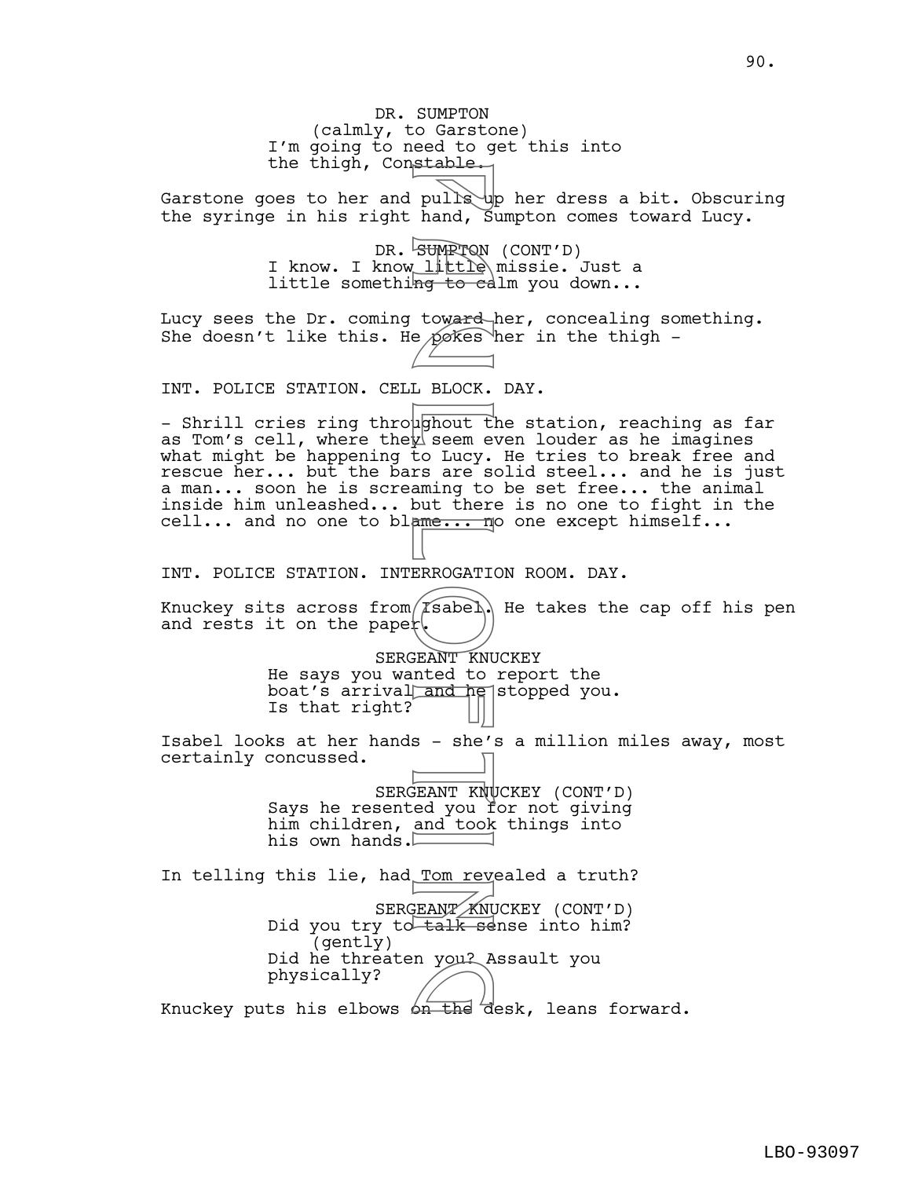DR. SUMPTON (calmly, to Garstone) I'm going to need to get this into the thigh, Constable. Garstone goes to her and pulls up her dress a bit. Obscuring the syringe in his right hand, Sumpton comes toward Lucy. DR. SUMPTON (CONT'D) I know. I know little missie. Just a little something to calm you down... Lucy sees the Dr. coming toward her, concealing something. She doesn't like this. He pokes her in the thigh -INT. POLICE STATION. CELL BLOCK. DAY. - Shrill cries ring throughout the station, reaching as far as Tom's cell, where the $\frac{1}{2}$  seem even louder as he imagines what might be happening to Lucy. He tries to break free and rescue her... but the bars are solid steel... and he is just a man... soon he is screaming to be set free... the animal inside him unleashed... but there is no one to fight in the cell... and no one to blame... no one except himself... INT. POLICE STATION. INTERROGATION ROOM. DAY. Knuckey sits across from/ $\Gamma$ sabel. He takes the cap off his pen and rests it on the paper. SERGEANT KNUCKEY He says you wanted to report the boat's arrival and he stopped you. Is that right? Isabel looks at her hands - she's a million miles away, most certainly concussed. SERGEANT KNUCKEY (CONT'D) Says he resented you for not giving him children, and took things into his own hands. In telling this lie, had Tom revealed a truth? SERGEANT KNUCKEY (CONT'D) Did you try to talk sense into him? (gently) Did he threaten you? Assault you physically? bid he threaten you: Assault you<br>physically?<br>Knuckey puts his elbows on the desk, leans forward. pulls hand, Summer and Reporters of the search of the pokes of the pokes of the pokes of the pokes of the search of the search of the search of the search of the search of the search of the search of the search of the sear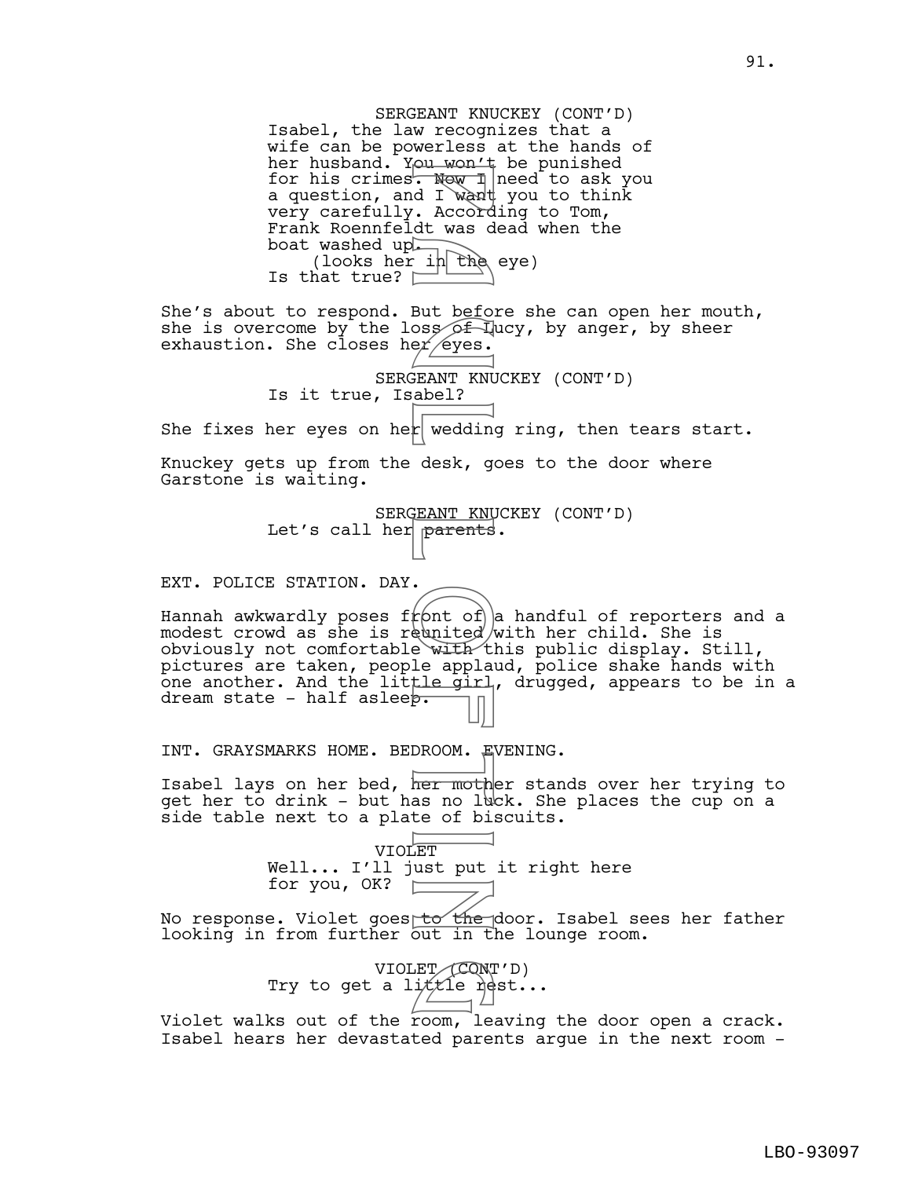SERGEANT KNUCKEY (CONT'D) Isabel, the law recognizes that a wife can be powerless at the hands of her husband. You won't be punished for his crimes<del>. Now I</del> need to ask you a question, and I want you to think very carefully. According to Tom, Frank Roennfeldt was dead when the boat washed up. (looks her in the eye) Is that true?  $\square$ She's about to respond. But before she can open her mouth, she is overcome by the loss  $\sqrt{2}$  lucy, by anger, by sheer exhaustion. She closes her eyes. SERGEANT KNUCKEY (CONT'D) Is it true, Isabel? She fixes her eyes on her wedding ring, then tears start. Knuckey gets up from the desk, goes to the door where Garstone is waiting. SERGEANT KNUCKEY (CONT'D) Let's call her parents. EXT. POLICE STATION. DAY. Hannah awkwardly poses f $f$ ont of a handful of reporters and a modest crowd as she is reunited with her child. She is obviously not comfortable with this public display. Still, pictures are taken, people applaud, police shake hands with one another. And the little girl, drugged, appears to be in a dream state - half asleep. INT. GRAYSMARKS HOME. BEDROOM. EVENING. Isabel lays on her bed, her mother stands over her trying to get her to drink - but has no luck. She places the cup on a side table next to a plate of biscuits. VIOLET Well... I'll just put it right here<br>for you, OK?  $\boxed{\phantom{\text{20mm}}\phantom{\text{20mm}}\phantom{\text{20mm}}\phantom{\text{20mm}}}}$ for you, OK? No response. Violet goes to the door. Isabel sees her father looking in from further out in the lounge room. VIOLET (CONT'D) Try to get a li $t$ tle rest... Violet walks out of the room, leaving the door open a crack. From New 1<br>
Rev 1<br>
d I want<br>
d I want<br>
. Accord<br>
. Accord<br>
. Accord<br>
. Accord<br>
. But before<br>
. But before<br>
. But before<br>
. The din desk, got in the with the spiral<br>
. The spiral<br>
. The spiral<br>
. The spiral<br>
. The spiral<br>
. ET (CON)<br>.ittle re

Isabel hears her devastated parents argue in the next room -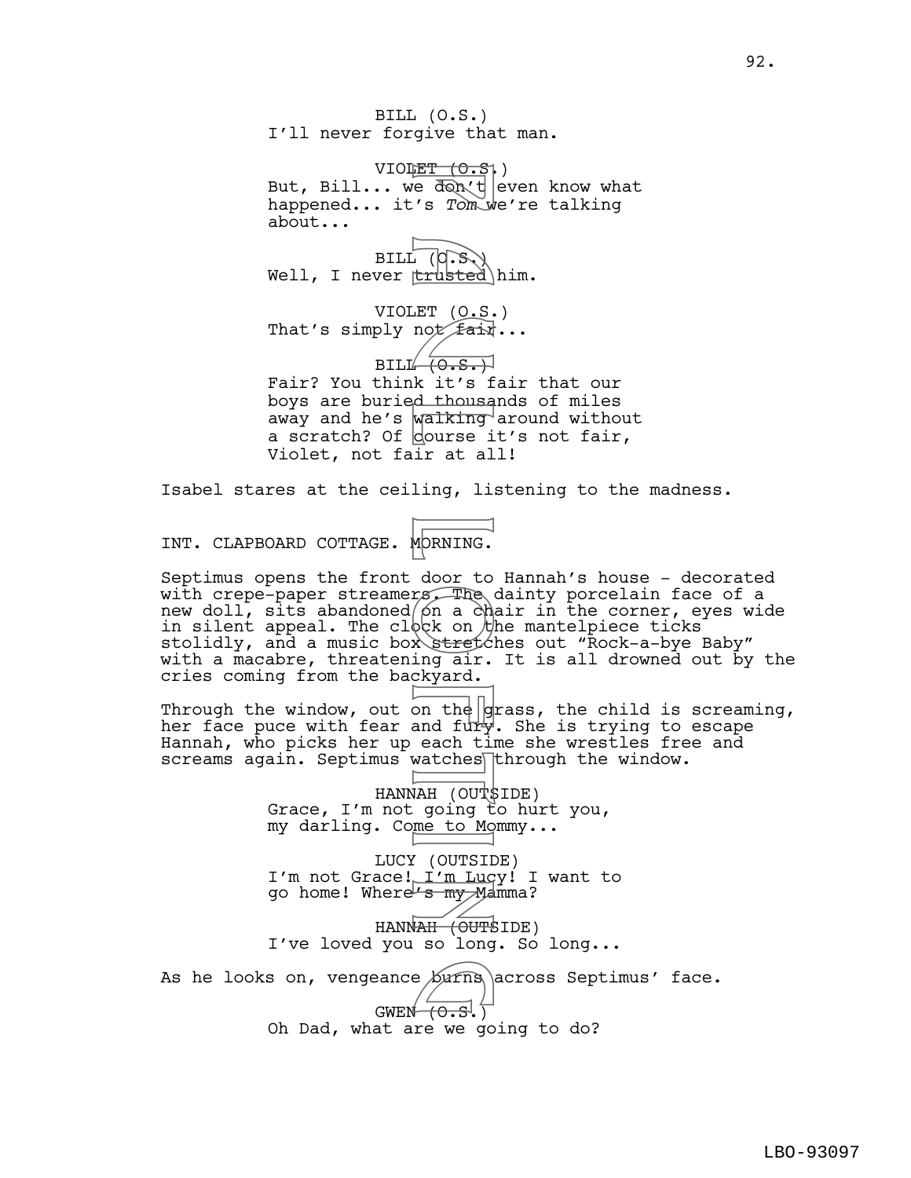BILL (O.S.) I'll never forgive that man.

VIOLET  $(0.5)$ But, Bill... we don't even know what happened... it's *Tom* we're talking about...

BILL (O.S.) Well, I never trusted him.

VIOLET (O.S.) That's simply not  $f$ air...

 $BILLH(0.S.)$ Fair? You think it's fair that our boys are buried thousands of miles away and he's walking around without a scratch? Of course it's not fair, Violet, not fair at all!

Isabel stares at the ceiling, listening to the madness.

INT. CLAPBOARD COTTAGE. MORNING.

Septimus opens the front door to Hannah's house - decorated with crepe-paper streamers. The dainty porcelain face of a new doll, sits abandoned/on a chair in the corner, eyes wide in silent appeal. The cl $\lozenge \lozenge$ k on  $\lozenge$ he mantelpiece ticks stolidly, and a music box stretches out "Rock-a-bye Baby" with a macabre, threatening air. It is all drowned out by the cries coming from the backyard. FI (O.S. trusted)<br>
FI (O.S. trusted)<br>
FI (O.S. Fair of Fair )<br>
FI (O.S. Fair )<br>
EI (O.S. Fair of Fair )<br>
MORNING.<br>
door to The a channel in the mock on the act on the act of the second<br>
contract on the and fury act in the

Through the window, out on the  $|$ grass, the child is screaming, her face puce with fear and fury. She is trying to escape Hannah, who picks her up each time she wrestles free and  $s$ creams again. Septimus watches through the window.

> HANNAH (OUT\$IDE) Grace, I'm not going to hurt you, my darling. Come to Mommy...

LUCY (OUTSIDE) I'm not Grace! I'm Lucy! I want to go home! Where's my Mamma?

HANN<del>AH (OUTS</del>IDE) I've loved you so long. So long...

As he looks on, vengeance  $\frac{\sqrt{v}}{\sqrt{v}}$  across Septimus' face.

## GWEN  $(0.5.)$

Oh Dad, what are we going to do?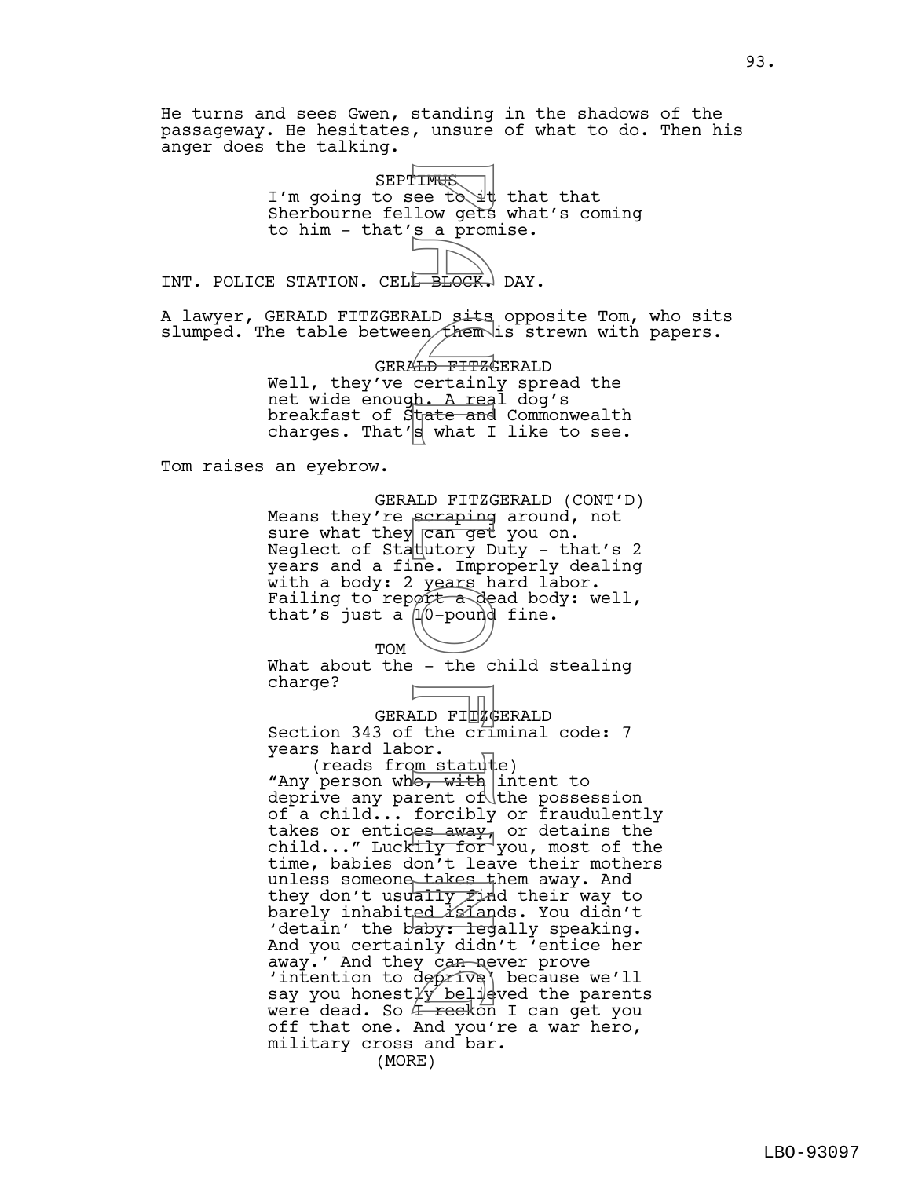He turns and sees Gwen, standing in the shadows of the passageway. He hesitates, unsure of what to do. Then his anger does the talking.

> **SEPTIMUS** I'm going to see to  $\forall t$  that that Sherbourne fellow gets what's coming to him - that's a promise.

INT. POLICE STATION. CELL BLOCK. DAY.

A lawyer, GERALD FITZGERALD sits opposite Tom, who sits slumped. The table between them is strewn with papers.

> GERALD FITZGERALD Well, they've certainly spread the net wide enoug<u>h. A rea</u>l dog's breakfast of State and Commonwealth charges. That's what I like to see.

Tom raises an eyebrow.

GERALD FITZGERALD (CONT'D) Means they're scraping around, not sure what they can get you on. Neglect of Statutory Duty - that's 2 years and a fine. Improperly dealing with a body: 2 years hard labor. Failing to report a dead body: well, that's just a  $1/0$ -pound fine.

TOM What about the - the child stealing charge?

GERALD FI**T**&GERALD

1 П

Section 343 of the criminal code: 7 years hard labor.

(reads from statute) "Any person who, with intent to deprive any parent of the possession of a child... forcibly or fraudulently takes or entices away, or detains the child..." Lucktly for you, most of the time, babies don't leave their mothers unless someone takes them away. And they don't usually find their way to barely inhabited *isla*nds. You didn't 'detain' the baby: legally speaking. And you certainly didn't 'entice her away.' And they can never prove 'intention to deprive' because we'll away.' And they can never prove<br>'intention to deprive\ because we'll<br>say you honestly believed the parents<br>were dead. So 4 reckon I can get you were dead. So 4 reckon I can get you off that one. And you're a war hero, military cross and bar. (MORE) PINGS<br>
ee tow gets<br>
low gets<br>
low gets<br>
prock.<br>
ALD sits<br>
PEDCK.<br>
ALD sits<br>
denote in the more into the wars he<br>
ware and the correct of the correct into the correct into the ward<br>
low the correct of the correct of the cor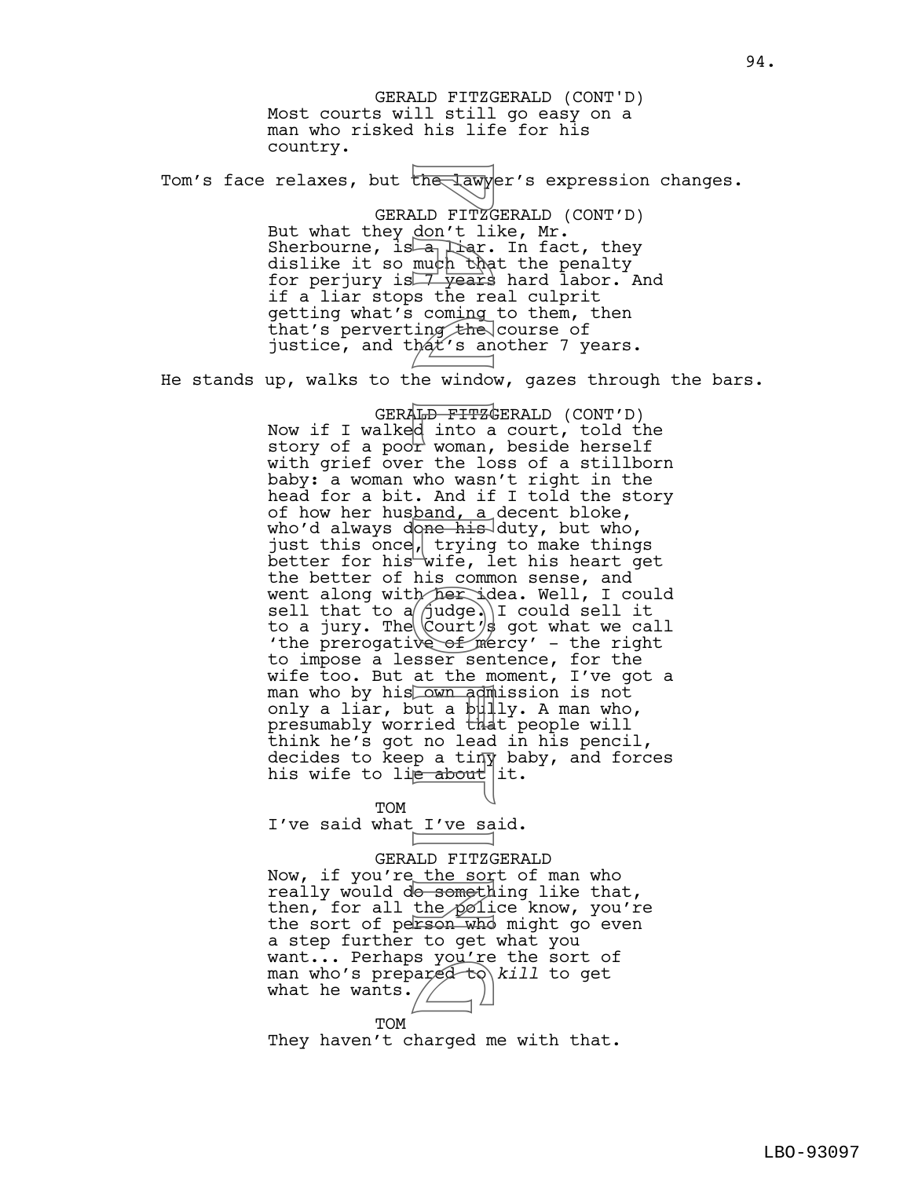Most courts will still go easy on a man who risked his life for his country. Tom's face relaxes, but the lawyer's expression changes. GERALD FITZGERALD (CONT'D) But what they don't like, Mr. Sherbourne, is  $a_1$  liar. In fact, they dislike it so much that the penalty for perjury is  $\overline{7}$  years hard labor. And if a liar stops the real culprit getting what's coming to them, then that's perverting the course of justice, and that's another 7 years. He stands up, walks to the window, gazes through the bars. GERALD FITZGERALD (CONT'D) Now if I walked into a court, told the story of a poo $\Gamma$  woman, beside herself with grief over the loss of a stillborn baby: a woman who wasn't right in the head for a bit. And if I told the story of how her husband, a decent bloke, who'd always done his duty, but who, just this once, trying to make things better for his wife, let his heart get the better of his common sense, and went along with her idea. Well, I could sell that to a $\beta$ udge. I could sell it to a jury. The  $\lfloor$  Court/s got what we call 'the prerogative of mercy' - the right to impose a lesser sentence, for the wife too. But at the moment, I've got a man who by his own admission is not only a liar, but a bully. A man who, presumably worried that people will think he's got no lead in his pencil, decides to keep a tiny baby, and forces his wife to li<del>e about</del> lit. GERALD FITZGERALD (CONT'D) The law of the law of the law of the law of the much that we see the coming the coming that's an ing that's an ing the vindow what's an ing the low as a the low as a the who was a the who was a the wind that the sorrow of

**TOM** I've said what I've said.

## GERALD FITZGERALD

Now, if you're the sort of man who really would do something like that, then, for all the  $p$  ice know, you're the sort of person who might go even a step further to get what you want... Perhaps you're the sort of want... Fernaps you le the sort of<br>man who's prepared to kill to get<br>what he wants. what he wants.  $/$ 

TOM

They haven't charged me with that.

94.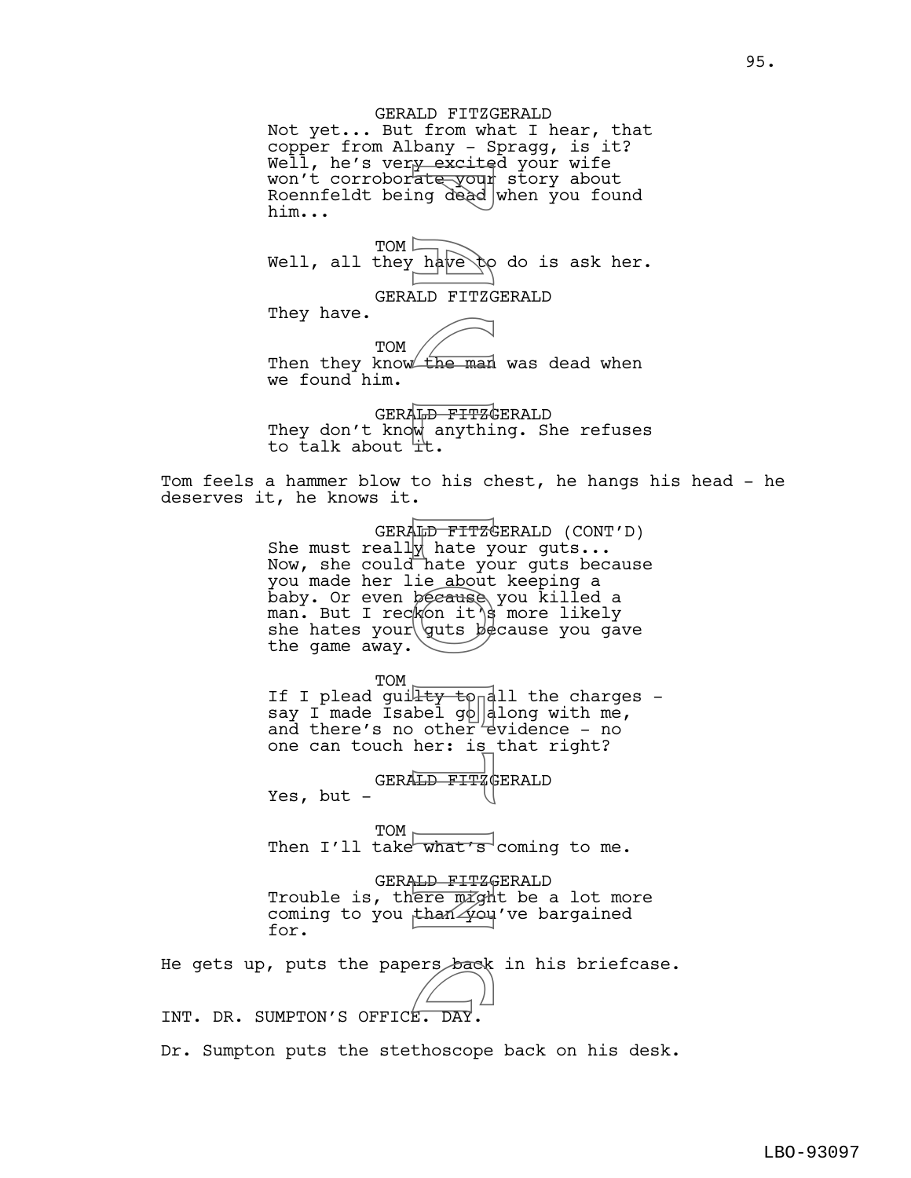GERALD FITZGERALD Not yet... But from what I hear, that copper from Albany - Spragg, is it? Well, he's ver<u>y excite</u>d your wife won't corrobor<del>ate your</del> story about Roennfeldt being dead when you found him...

TOM  $\Box$ Well, all they have  $\uparrow \circ$  do is ask her.

GERALD FITZGERALD

They have.

TOM Then they know the man was dead when we found him.

GERALD FITZGERALD They don't know anything. She refuses to talk about it.

Tom feels a hammer blow to his chest, he hangs his head - he deserves it, he knows it.

GERALD FITZGERALD (CONT'D) She must reall $\not\parallel$  hate your guts... Now, she could hate your guts because you made her lie about keeping a baby. Or even because you killed a man. But I reckon it's more likely she hates your guts  $b$ ecause you gave the game away. Fractic your<br>
nate your<br>
naple of the man<br>
HD FITZC and the man<br>
HD FITZC and the man<br>
HD FITZC hate yout<br>
hat is decause<br>
from it also because<br>
from it is decause<br>
the gout species<br>
the species<br>
HD FITZC<br>
Decause<br>
the spe

TOM If I plead guilty to all the charges say I made Isabel g $\phi$  along with me, and there's no other  $\forall$  evidence - no one can touch her: is that right?

GERALD FITZGERALD

Yes, but -

TOM Then I'll take what's coming to me.

GERALD FITZGERALD Trouble is, there  $\overline{m}$   $\overline{q}$ th be a lot more coming to you than  $\sqrt{2}$ ou've bargained for.

He gets up, puts the papers back in his briefcase.<br>
He sure any contract contract of the state of the sure of the sure of the state of the state of the state of t

INT. DR. SUMPTON'S OFFICE.

Dr. Sumpton puts the stethoscope back on his desk.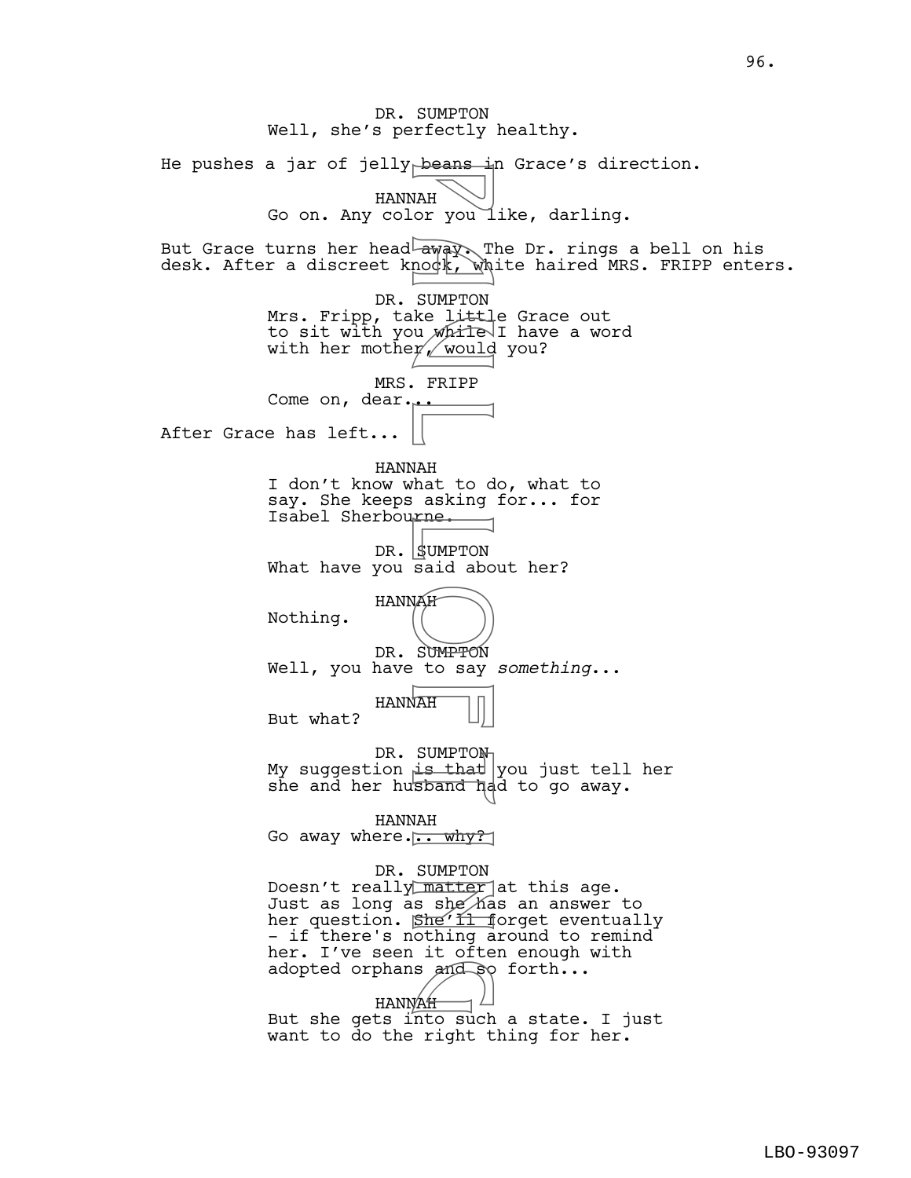DR. SUMPTON Well, she's perfectly healthy. He pushes a jar of jelly beans in Grace's direction. HANNAH Go on. Any color you like, darling. But Grace turns her head away. The Dr. rings a bell on his desk. After a discreet knock, white haired MRS. FRIPP enters. DR. SUMPTON Mrs. Fripp, take little Grace out to sit with you *while* I have a word with her mothe $\gamma$ , would you? MRS. FRIPP Come on, dear... After Grace has left... HANNAH I don't know what to do, what to say. She keeps asking for... for Isabel Sherbourne. DR. SUMPTON What have you said about her? HANNAH Nothing. DR. SUMPTON Well, you have to say *something*... HANNAH But what? DR. SUMPTON My suggestion is that you just tell her she and her husband had to go away. HANNAH Go away where... why? DR. SUMPTON Doesn't really matter at this age. Just as long as she has an answer to her question. She'<del>ll f</del>orget eventually - if there's nothing around to remind her. I've seen it often enough with adopted orphans and so forth...<br>
HANNAH HANNAH But she gets into such a state. I just want to do the right thing for her. Peans<br>
WAH or you<br>
NAH or you<br>
SUMPTON<br>
REP a UNAH or yould<br>
P a u Mailey<br>
P a UMPTON<br>
P a umpTON<br>
SUMPTON<br>
SUMPTON<br>
LAH SUMPTON<br>
LAH SUMPTON<br>
LAH SUMPTON<br>
LAH SUMPTON<br>
LAH SUMPTON<br>
LAH SUMPTON<br>
LAH SUMPTON<br>
LAH SUMPTON<br>
L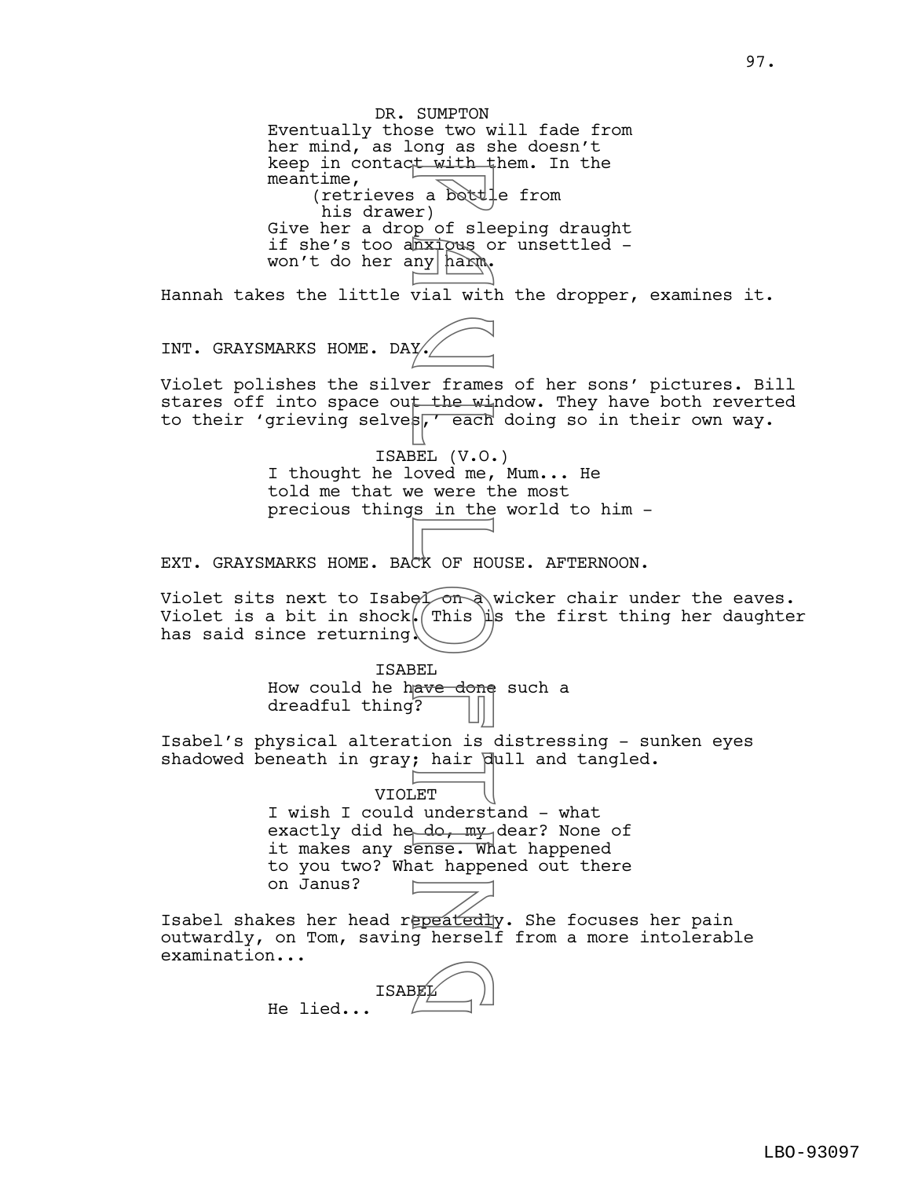DR. SUMPTON Eventually those two will fade from her mind, as long as she doesn't keep in contact with them. In the meantime, (retrieves a bottle from his drawer) Give her a drop of sleeping draught if she's too anxiqus or unsettled won't do her any harm. Hannah takes the little vial with the dropper, examines it. INT. GRAYSMARKS HOME. DAY. Violet polishes the silver frames of her sons' pictures. Bill stares off into space out the window. They have both reverted to their 'grieving selves, each doing so in their own way. ISABEL (V.O.) I thought he loved me, Mum... He told me that we were the most precious things in the world to him - EXT. GRAYSMARKS HOME. BACK OF HOUSE. AFTERNOON. Violet sits next to Isabel  $\sigma$  wicker chair under the eaves. Violet is a bit in shock. This  $\lim_{n \to \infty}$  the first thing her daughter has said since returning. ISABEL How could he have done such a dreadful thing? Isabel's physical alteration is distressing - sunken eyes shadowed beneath in gray; hair dull and tangled. VIOLET I wish I could understand - what exactly did he do, my dear? None of it makes any sense. What happened to you two? What happened out there on Janus? Isabel shakes her head repeatedly. She focuses her pain outwardly, on Tom, saving herself from a more intolerable examination... ISABEL He lied... For the windown of sleep<br>
in a bottle sleep of sleep and with<br>
vial with the windown<br>
vial with the windown<br>
BEL (V.O. due, respected to the sleep of the sleep of the sleep of the sleep of the sleep of the sleep of the sle  $\mathbb{E}$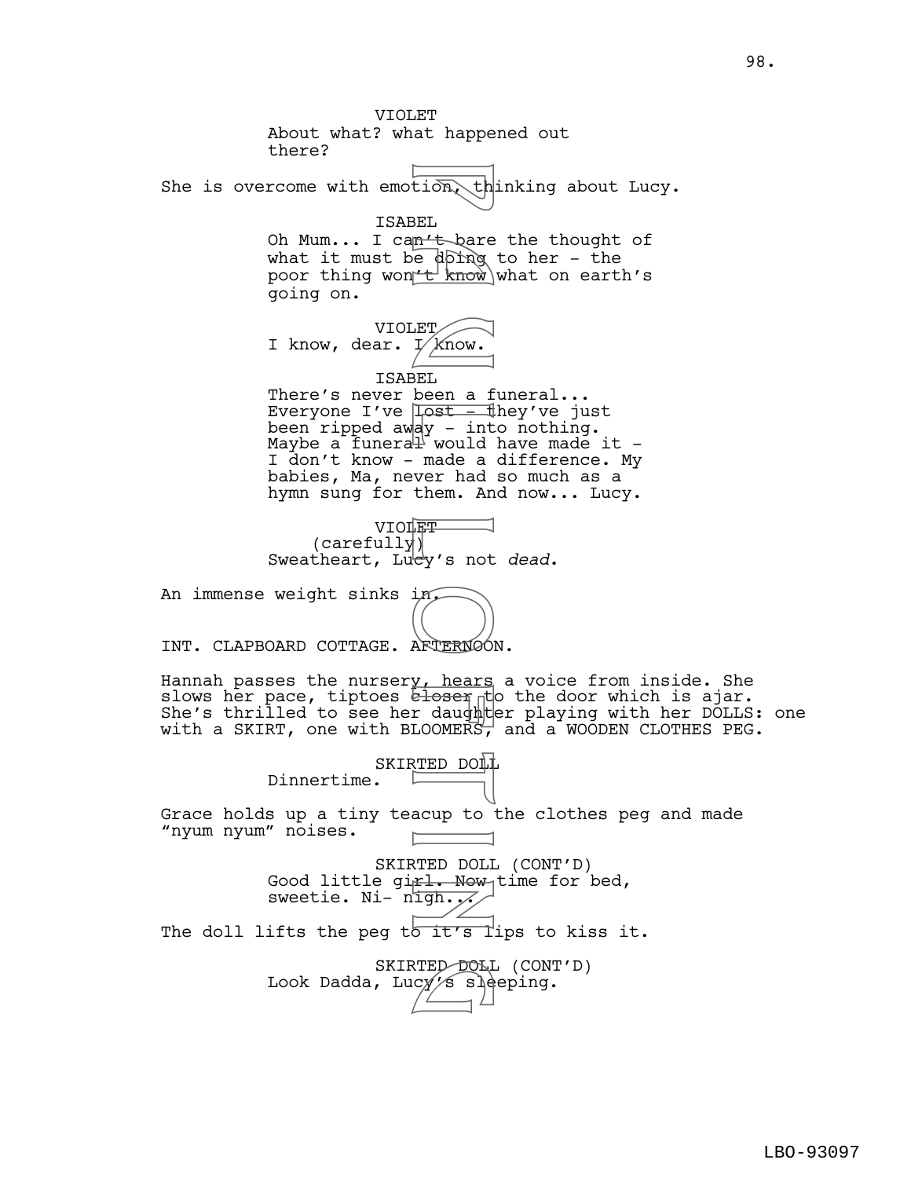VIOLET About what? what happened out there? She is overcome with emotion, thinking about Lucy. ISABEL Oh Mum... I can't bare the thought of what it must be  $\phi$  oranged to her - the poor thing won't know what on earth's going on. VIOLET I know, dear.  $\frac{1}{k}$  know. ISABEL There's never been a funeral... Everyone I've  $\sqrt{\text{last} - \text{th}}$ ey've just been ripped away - into nothing. Maybe a funera $\mathbb{H}$  would have made it -I don't know - made a difference. My babies, Ma, never had so much as a hymn sung for them. And now... Lucy. VIOLET<sub>U</sub> (carefully) Sweatheart, Lucy's not *dead*. An immense weight sinks in INT. CLAPBOARD COTTAGE. AFTERNOON. Hannah passes the nurser<u>y, hears</u> a voice from inside. She slows her pace, tiptoes eloser to the door which is ajar. She's thrilled to see her daughter playing with her DOLLS: one with a SKIRT, one with BLOOMERS, and a WOODEN CLOTHES PEG. SKIRTED DOLL Dinnertime. Grace holds up a tiny teacup to the clothes peg and made "nyum nyum" noises. SKIRTED DOLL (CONT'D) Good little girl. Now time for bed, sweetie. Ni-  $n'$ igh... The doll lifts the peg to it's lips to kiss it. SKIRTED DOLL (CONT'D) Look Dadda, Luc $y^{\prime}$ s sleeping. Figure 1<br>
BEL are doing<br>
BEL been a f<br>
BEL been a f<br>
BEL been a f<br>
BEL been a f<br>
Dast in would<br>
made a up to<br>
PRIPY's not<br>
FRIPY's not<br>
PRIPY's not<br>
PRIPY's not<br>
PRIPY's not<br>
PRIPY's not<br>
PRIPY's not<br>
PRIPY's not<br>
PRIPY's RTED DOLI<br>Cy's sle<br>Communication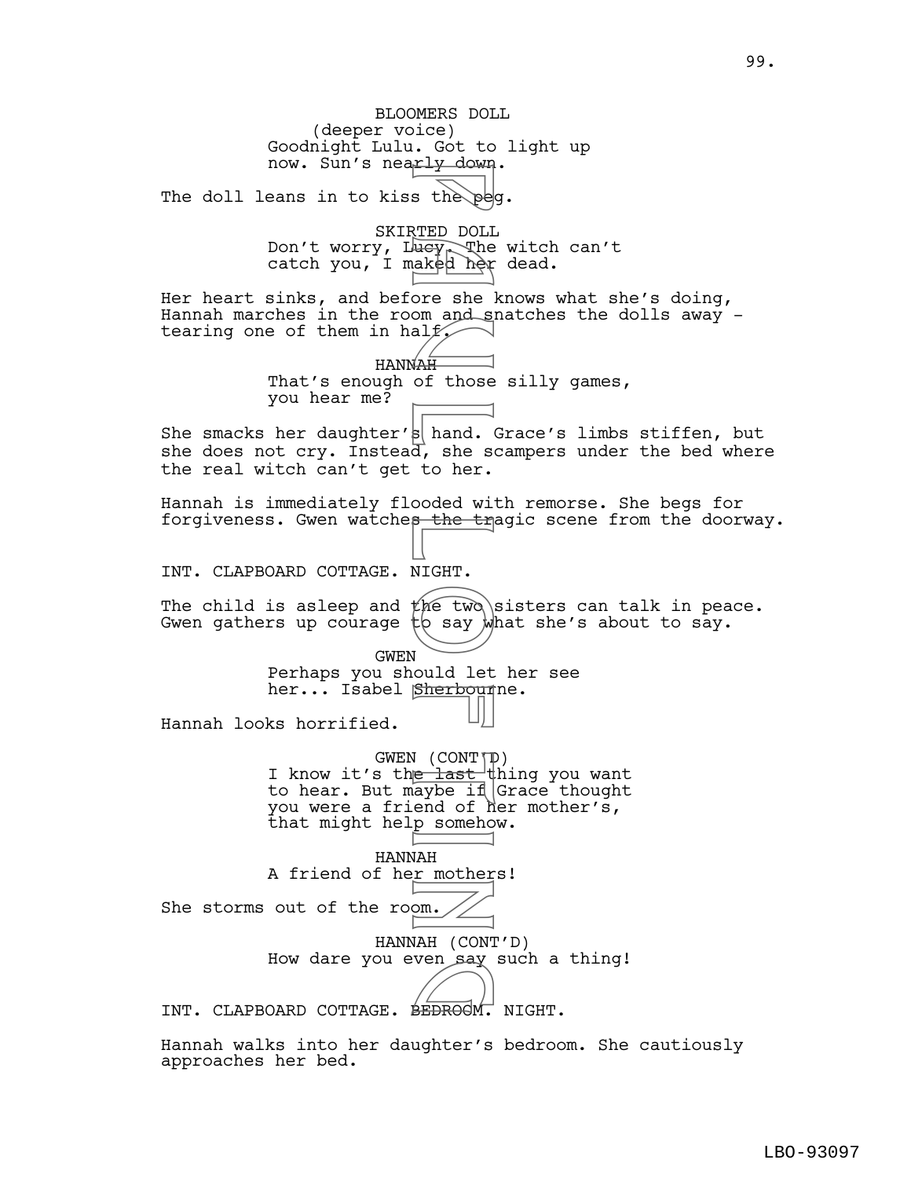BLOOMERS DOLL (deeper voice) Goodnight Lulu. Got to light up now. Sun's nearly down. The doll leans in to kiss the peq. SKIRTED DOLL Don't worry, Lucy, The witch can't catch you, I maked her dead. Her heart sinks, and before she knows what she's doing, Hannah marches in the room and snatches the dolls away tearing one of them in half. HANNAH That's enough of those silly games, you hear me? She smacks her daughter's hand. Grace's limbs stiffen, but she does not cry. Instead, she scampers under the bed where the real witch can't get to her. Hannah is immediately flooded with remorse. She begs for forgiveness. Gwen watches the tragic scene from the doorway. INT. CLAPBOARD COTTAGE. NIGHT. The child is asleep and the two sisters can talk in peace. Gwen gathers up courage  $\natural$  say what she's about to say. GWEN Perhaps you should let her see her... Isabel Sherbounne. Hannah looks horrified.  $GWEN (CONT(TP))$ I know it's th<del>e last </del>thing you want to hear. But maybe if Grace thought you were a friend of her mother's, that might help somehow. HANNAH A friend of her mothers! She storms out of the room. HANNAH (CONT'D) How dare you even say such a thing! HOW GATE YOU EVEN BAY SUCH A<br>INT. CLAPBOARD COTTAGE. BEDROOM. NIGHT. s the period of the state of the state of the state of the state of the state of the state of the state of the state of the state of the state of the state of the state of the state of the state of the state of the state o

Hannah walks into her daughter's bedroom. She cautiously approaches her bed.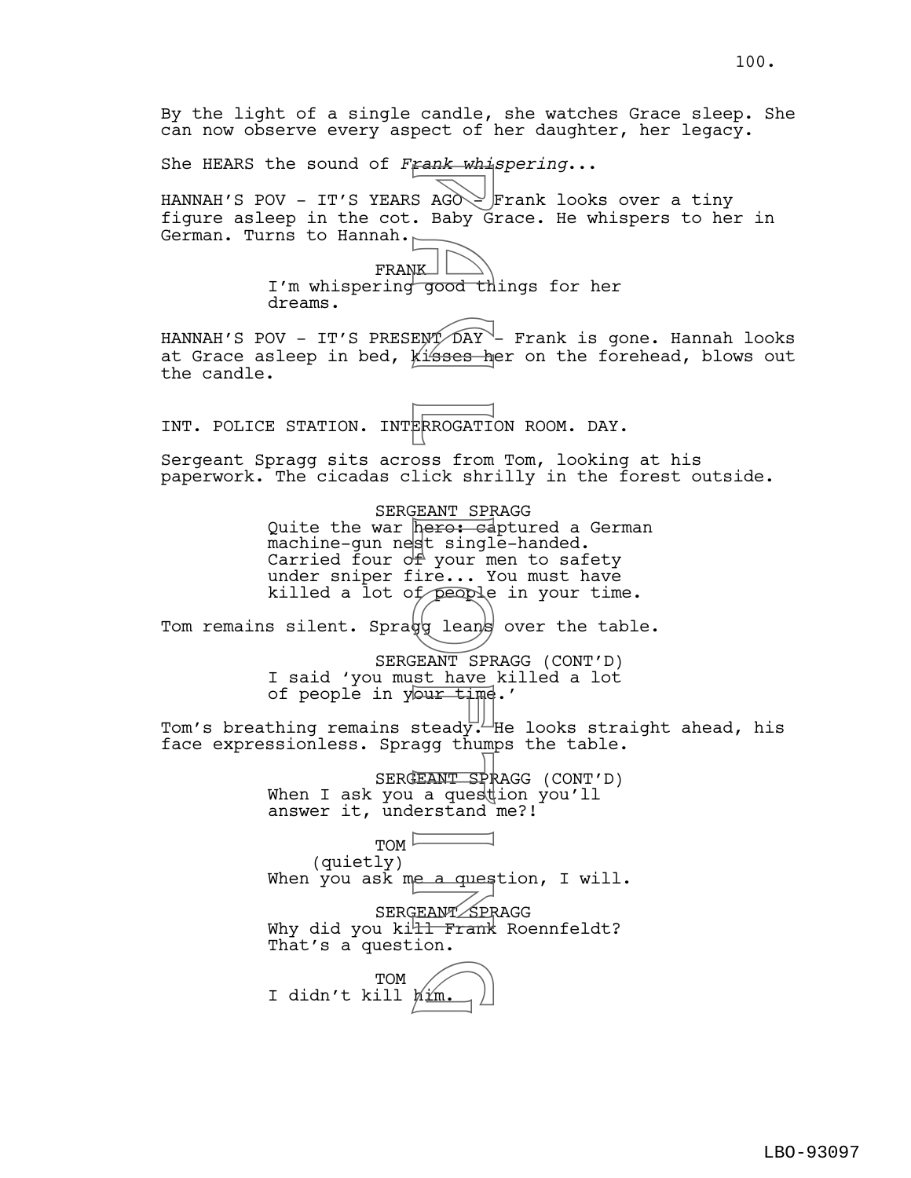By the light of a single candle, she watches Grace sleep. She can now observe every aspect of her daughter, her legacy. She HEARS the sound of *Frank whispering*... HANNAH'S POV - IT'S YEARS AGO Frank looks over a tiny figure asleep in the cot. Baby Grace. He whispers to her in German. Turns to Hannah. FRANK I'm whispering good things for her dreams. HANNAH'S POV - IT'S PRESENT DAY - Frank is gone. Hannah looks at Grace asleep in bed, kisses her on the forehead, blows out the candle. INT. POLICE STATION. INTERROGATION ROOM. DAY. Sergeant Spragg sits across from Tom, looking at his paperwork. The cicadas click shrilly in the forest outside. SERGEANT SPRAGG Quite the war hero: captured a German machine-gun nest single-handed. Carried four  $o \notin$  your men to safety under sniper fire... You must have killed a lot of people in your time. Tom remains silent. Spragg leans over the table. SERGEANT SPRAGG (CONT'D) I said 'you must have killed a lot of people in your time.' Tom's breathing remains steady. He looks straight ahead, his face expressionless. Spragg thumps the table. SERGEANT SPRAGG (CONT'D) When I ask you a question you'll answer it, understand me?!  $TOM$ (quietly) When you ask me a question, I will. SERGEANT SPRAGG Why did you ki<del>ll Frank</del> Roennfeldt? That's a question. TOM TOM<br>I didn't kill him. Fank with with the sady G<br>
S AGO C Baby G<br>
Baby G and The season of the season of the season of the season inclusive and season include the season of the season of the season of the season of the season of the season of th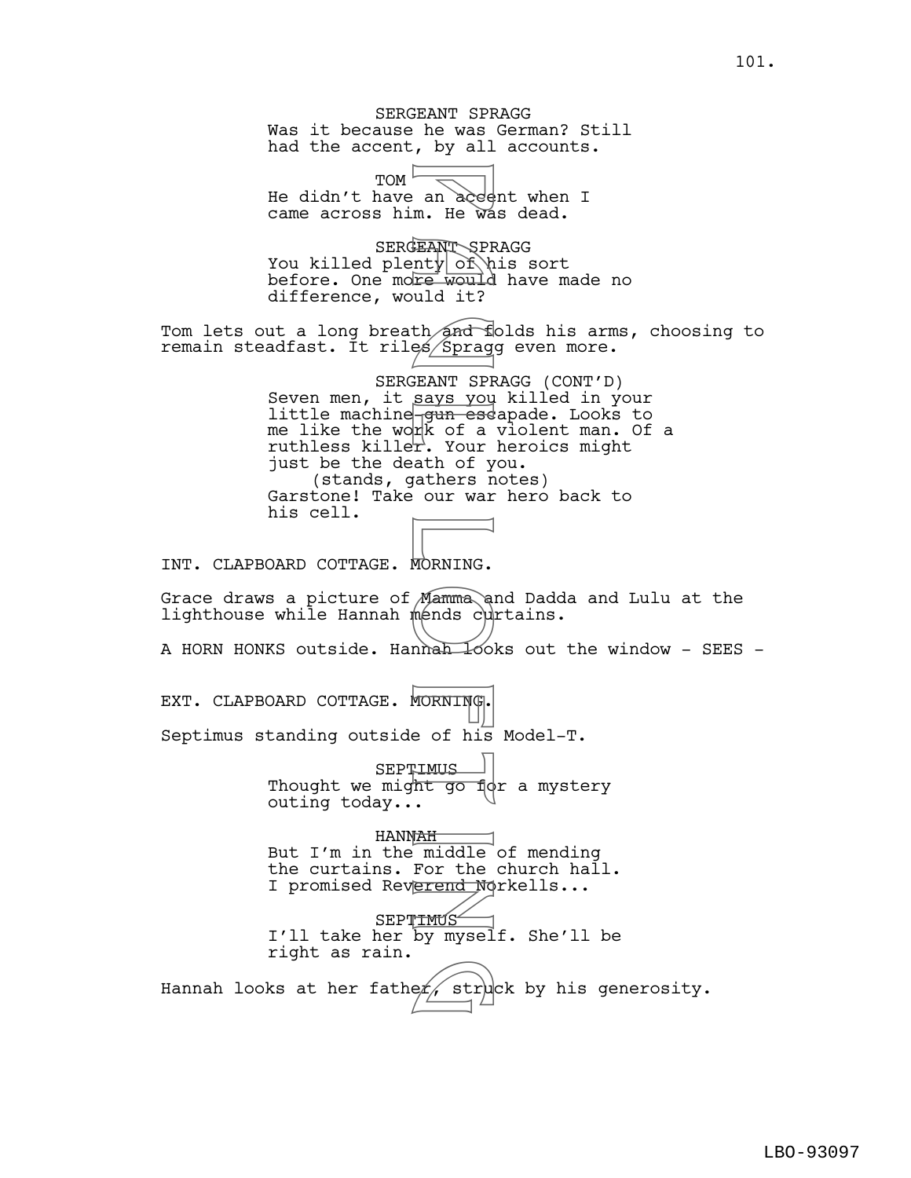SERGEANT SPRAGG Was it because he was German? Still had the accent, by all accounts.

 $TOM$ He didn't have an acednt when I came across him. He was dead.

SERGEANT SPRAGG You killed plenty of his sort before. One more would have made no difference, would it?

Tom lets out a long breath and folds his arms, choosing to remain steadfast. It riles/Spragg even more.

SERGEANT SPRAGG (CONT'D) Seven men, it says you killed in your little machine gun escapade. Looks to me like the wor $\not|$ k of a v $\overline{\text{.}}$  olent man. Of a ruthless killer. Your heroics might just be the death of you. (stands, gathers notes) Garstone! Take our war hero back to his cell. an accession. He was made would it?<br>B an accession of the would it?<br>the sessing search of the says you<br>says you ease of a<br>reference of the search of the search of the search of the monds culture<br>mends cultures of his<br>runge

INT. CLAPBOARD COTTAGE. MORNING.

Grace draws a picture of Mamma and Dadda and Lulu at the lighthouse while Hannah mends curtains.

A HORN HONKS outside. Hannah looks out the window - SEES -

EXT. CLAPBOARD COTTAGE. MORNING.

Septimus standing outside of his Model-T.

**SEPTIMUS** Thought we might go fight a mystery outing today...

HANNAH But I'm in the middle of mending the curtains. For the church hall. I promised Reverend Norkells... SEPTIMUS I'll take her by myself. She'll be right as rain.

Hannah looks at her fathe $\not\!\!\!\!/$  struck by his generosity.  $er$  $stru$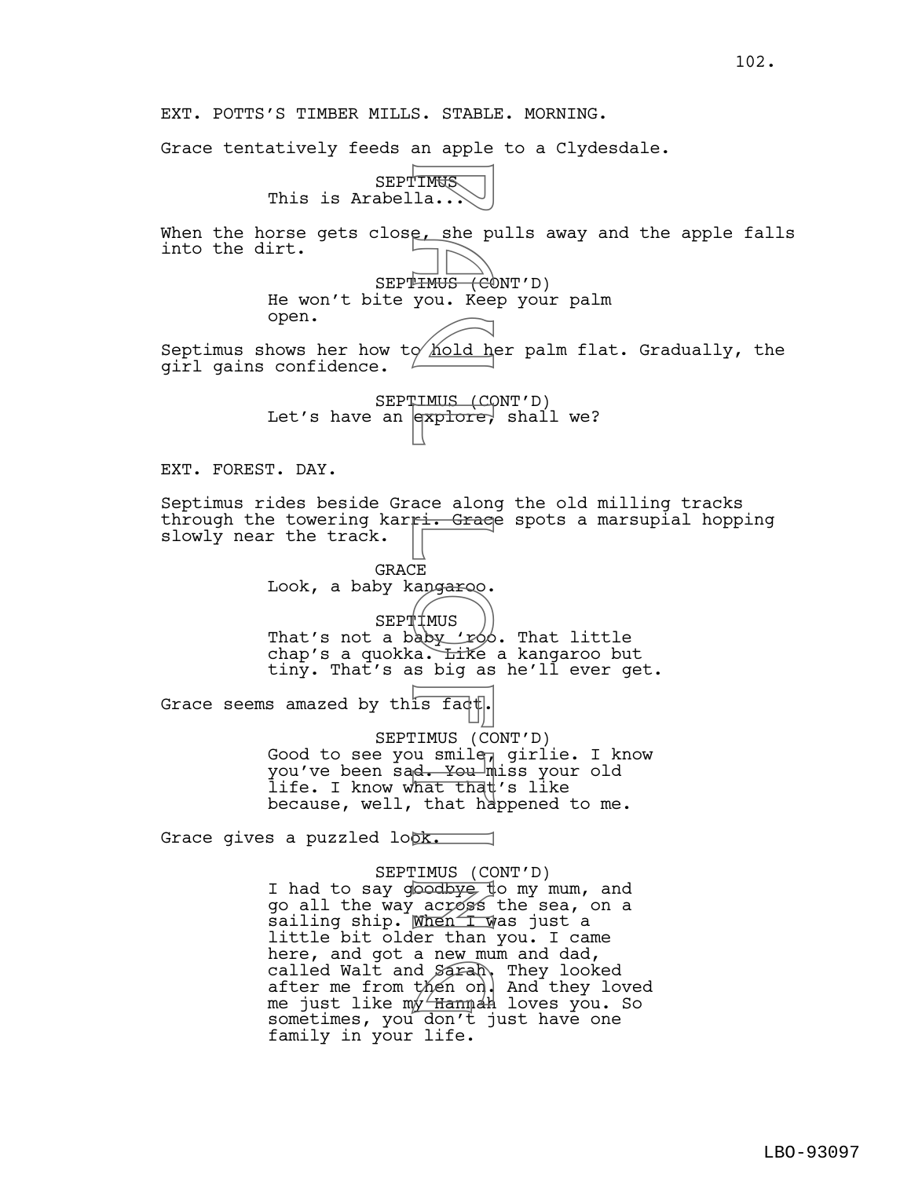EXT. POTTS'S TIMBER MILLS. STABLE. MORNING.

Grace tentatively feeds an apple to a Clydesdale.

SEPTIMUS This is Arabella...

When the horse gets close, she pulls away and the apple falls into the dirt. SEPT<del>IMUS (C</del>ONT'D) He won't bite you. Keep your palm open. Septimus shows her how to hold her palm flat. Gradually, the girl gains confidence. SEPTIMUS (CONT'D) Let's have an  $\left| \right|$  and  $\left| \right|$  shall we? EXT. FOREST. DAY. Septimus rides beside Grace along the old milling tracks through the towering karri. Graee spots a marsupial hopping slowly near the track. **GRACE** Look, a baby kangaroo. SEPTIMUS That's not a baby 'roo. That little chap's a quokka. Like a kangaroo but tiny. That's as big as he'll ever get. Grace seems amazed by this fact SEPTIMUS (CONT'D) Good to see you smile, girlie. I know you've been sad. You miss your old life. I know what that's like because, well, that happened to me. Grace gives a puzzled look. SEPTIMUS (CONT'D) I had to say goodbye to my mum, and go all the way across the sea, on a sailing ship. When I was just a little bit older than you. I came here, and got a new mum and dad, called Walt and Sarah, They looked after me from then on. And they loved me just like my Hannah loves you. So sometimes, you don't just have one family in your life. FIMUS la...<br>
e, she pi<br>
HIMUS (CC)<br>
you. Kee<br>
you. Kee<br>
you. Kee<br>
you. Kee<br>
you. Kee<br>
TIMUS (CC)<br>
TIMUS (CC)<br>
TIMUS (CC)<br>
LE angaroo,<br>
LE angaroo,<br>
LE angaroo,<br>
LE angaroo,<br>
LE angaroo,<br>
LE angaroo,<br>
LE angaroo,<br>
LE angaro d *Sarah*<br>then on.<br>y Hamnah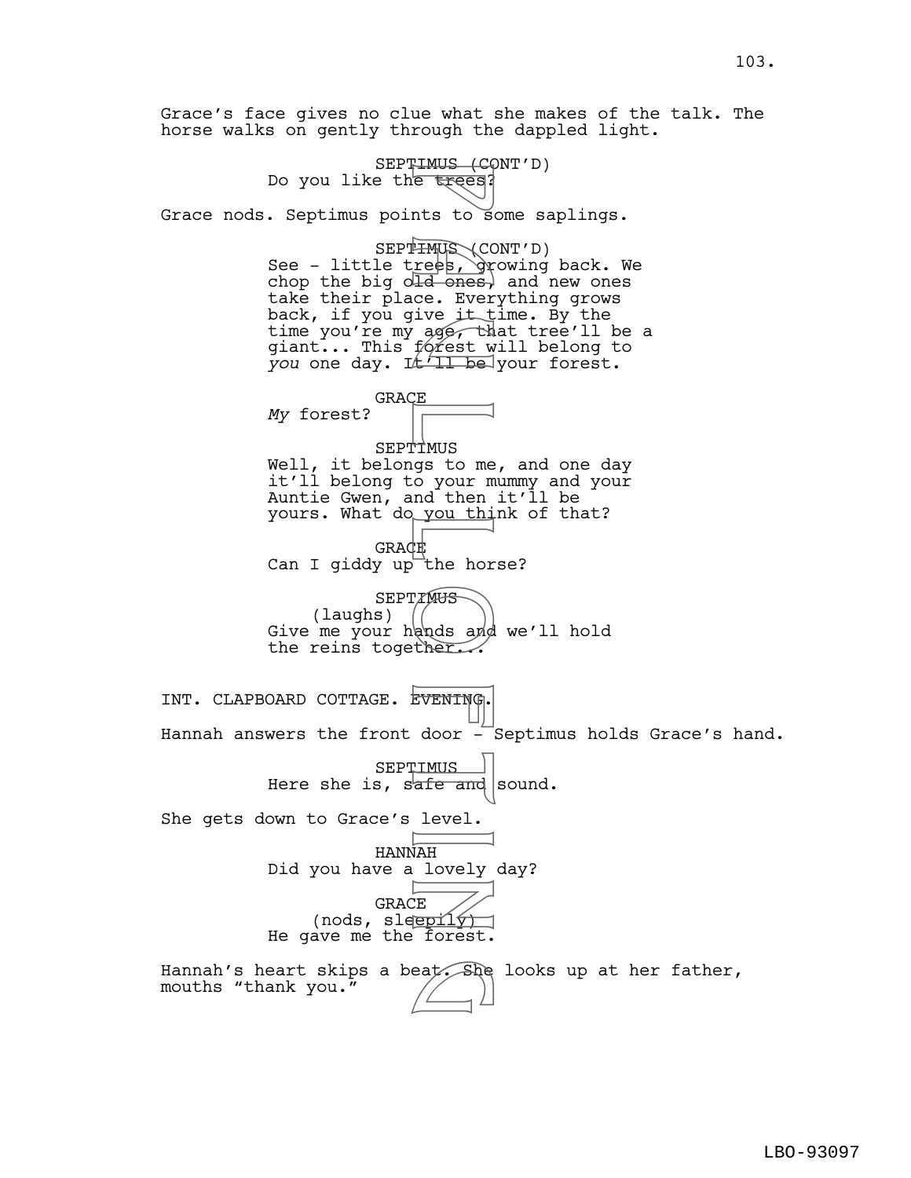SEPTIMUS (CONT'D) Free trees, the trees, the trees, the control of the set of the way of the set of the way of the set of the way of the set of the control of the control of the control of the control of the control of the control of the co Do you like the trees? Grace nods. Septimus points to some saplings. SEPT<del>IMUS</del> (CONT'D) See - little trees, growing back. We chop the big old ones, and new ones take their place. Everything grows back, if you give it time. By the time you're my age, that tree'll be a giant... This fórest will belong to you one day. It I be your forest. GRACE *My* forest? SEPTIMUS Well, it belongs to me, and one day it'll belong to your mummy and your Auntie Gwen, and then it'll be yours. What do you think of that? **GRACE** Can I giddy up the horse? **SEPTIMUS** (laughs)  $\frac{1}{2}$ Give me your hands and we'll hold the reins together. INT. CLAPBOARD COTTAGE. EVENING. Hannah answers the front door  $-$  Septimus holds Grace's hand. **SEPTIMUS** Here she is, safe and sound. She gets down to Grace's level. HANNAH Did you have a lovely day? GRACE (nods, sleepily) He gave me the forest. Hannah's heart skips a beat. She looks up at her father,<br>mouths "thank you." mouths "thank you."

Grace's face gives no clue what she makes of the talk. The

horse walks on gently through the dappled light.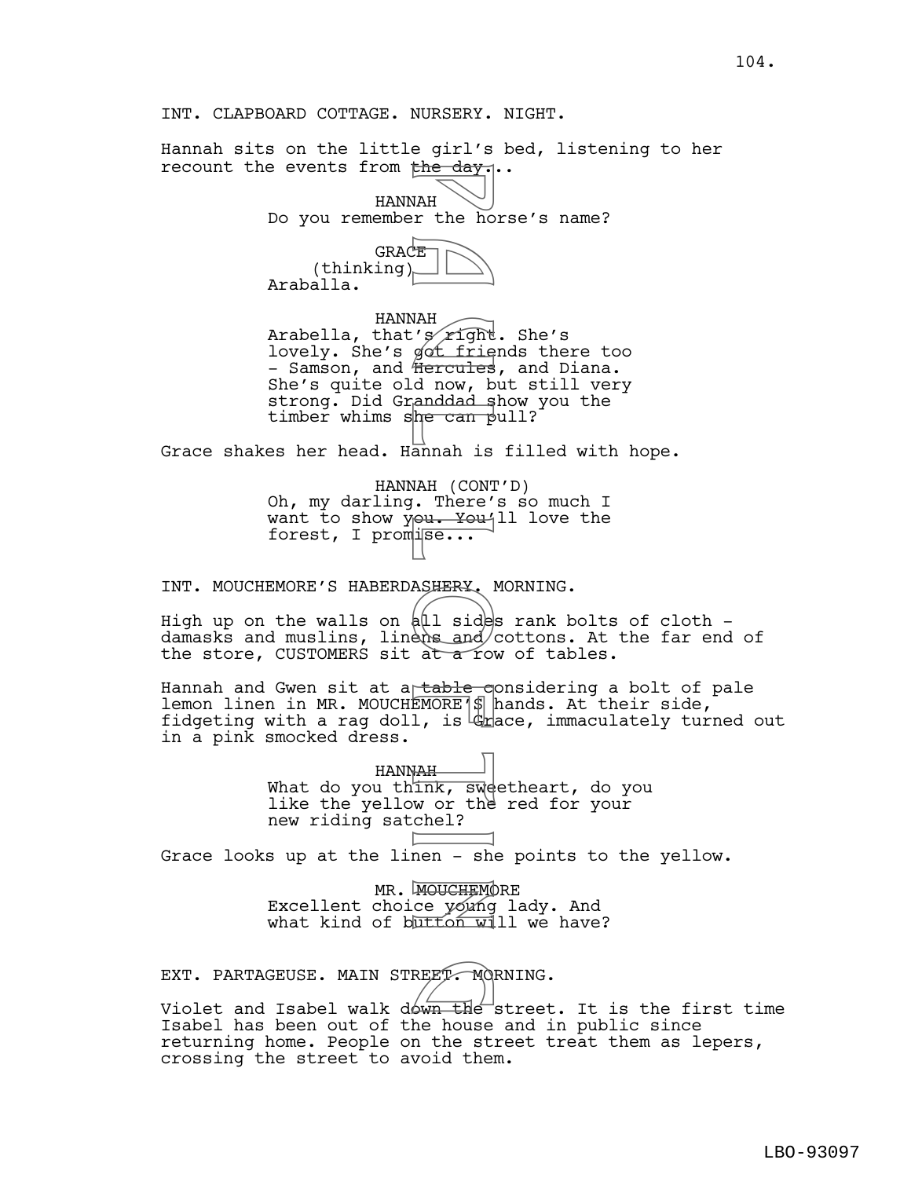Hannah sits on the little girl's bed, listening to her recount the events from the day...

> HANNAH Do you remember the horse's name?



HANNAH Arabella, that's *r*ight. She's lovely. She's got friends there too - Samson, and Hercules, and Diana. She's quite old now, but still very strong. Did Granddad show you the timber whims she can pull? The day.<br>
WAH is the hold of the hold of the day.<br>
The day, being the first of the can pandad space of the can panal is and the control of the space of the space of the space of the space of the space of the space of the s

Grace shakes her head. Hannah is filled with hope.

HANNAH (CONT'D) Oh, my darling. There's so much I want to show you. You'll love the forest, I promise...

INT. MOUCHEMORE'S HABERDASHERY. MORNING.

High up on the walls on  $\frac{1}{4}$  sides rank bolts of cloth damasks and muslins, linens and/cottons. At the far end of the store, CUSTOMERS sit at  $\alpha$  row of tables.

Hannah and Gwen sit at a table considering a bolt of pale lemon linen in MR. MOUCHEMORE'S hands. At their side, fidgeting with a rag doll, is  $\frac{d}{dx}$  ace, immaculately turned out in a pink smocked dress.

> HANNAH What do you thi<del>nk, sw</del>eetheart, do you like the yellow or the red for your new riding satchel?

Grace looks up at the linen - she points to the yellow.

MR. MOUCHEMORE Excellent choice young lady. And what kind of button  $\overline{w1}$ ll we have?

EXT. PARTAGEUSE. MAIN STREET. MORNING.<br>Violet and Isabel walk down the street Violet and Isabel walk down the street. It is the first time Isabel has been out of the house and in public since returning home. People on the street treat them as lepers, crossing the street to avoid them.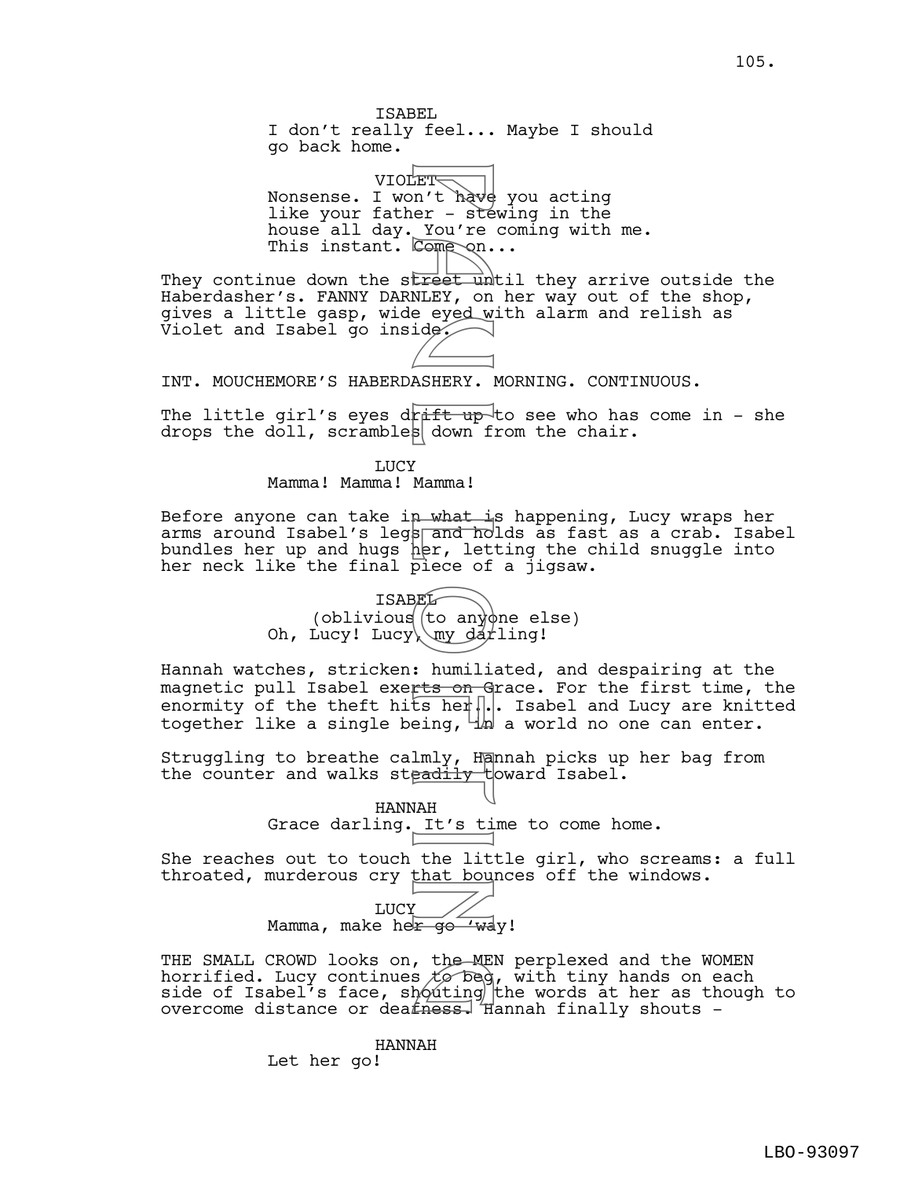ISABEL I don't really feel... Maybe I should go back home.

VIOLET<del>V</del> Nonsense. I won't have you acting like your father - stewing in the house all day. You're coming with me. This instant. Come on... ET a't have<br>
er – ste<br>
You're<br>
Come on<br>
Liest un<br>
NLEY, on<br>
NLEY, on<br>
NLEY, on<br>
NAH and her, let<br>
SEL (to any dar<br>
Piece of the lit<br>
Piece of the lit<br>
Piece of the lit<br>
Piece of the lit<br>
Piece of the lit<br>
Hadily<br>
UAH It's

They continue down the street until they arrive outside the Haberdasher's. FANNY DARNLEY, on her way out of the shop, gives a little gasp, wide eyed with alarm and relish as  $\overline{v}$ iolet and Isabel go inside.

INT. MOUCHEMORE'S HABERDASHERY. MORNING. CONTINUOUS.

The little girl's eyes drift up to see who has come in - she drops the doll, scrambles down from the chair.

> LUCY Mamma! Mamma! Mamma!

Before anyone can take in what is happening, Lucy wraps her arms around Isabel's legs and holds as fast as a crab. Isabel bundles her up and hugs her, letting the child snuggle into her neck like the final piece of a jigsaw.



Hannah watches, stricken: humiliated, and despairing at the magnetic pull Isabel exerts on Grace. For the first time, the enormity of the theft hits her... Isabel and Lucy are knitted together like a single being,  $\frac{1}{n}$  a world no one can enter.

Struggling to breathe calmly, Hannah picks up her bag from the counter and walks steadily toward Isabel.

> HANNAH Grace darling. It's time to come home.

She reaches out to touch the little girl, who screams: a full throated, murderous cry that bounces off the windows.

LUCY Mamma, make her go 'way!

THE SMALL CROWD looks on, the MEN perplexed and the WOMEN horrified. Lucy continues  $t\circ$  beg, with tiny hands on each side of Isabel's face, shouting the words at her as though to overcome distance or dea $f$ ness. Hannah finally shouts -, the ME<br>s *to* beg<br>houting<br>fness H

HANNAH

Let her go!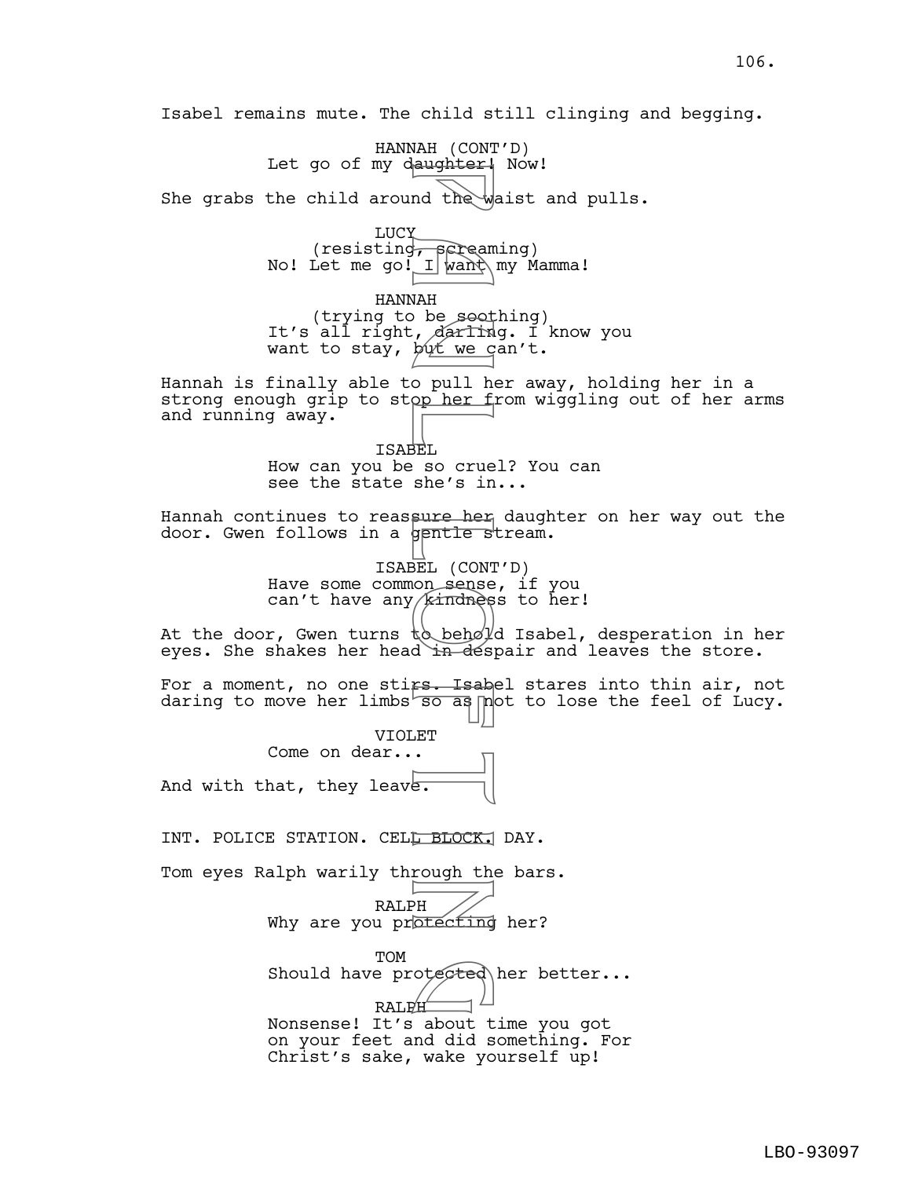Isabel remains mute. The child still clinging and begging.

HANNAH (CONT'D)

Let go of my daughter! Now! She grabs the child around the waist and pulls. LUCY (resisting, screaming) No! Let me go! I want\my Mamma! HANNAH (trying to be soothing) It's all right, darling. I know you want to stay, but we can't. Hannah is finally able to pull her away, holding her in a strong enough grip to stop her from wiggling out of her arms and running away. ISABEL How can you be so cruel? You can see the state she's in... Hannah continues to reassure her daughter on her way out the door. Gwen follows in a gentle stream. ISABEL (CONT'D) Have some common sense, if you can't have any *[kindness* to her! At the door, Gwen turns  $t_0 = \frac{1}{\sqrt{2}}$  Isabel, desperation in her eyes. She shakes her head in despair and leaves the store. For a moment, no one sti<del>rs. Isab</del>el stares into thin air, not daring to move her limbs  $\overline{\text{so as}}$  not to lose the feel of Lucy. VIOLET Come on dear... And with that, they leave. INT. POLICE STATION. CELL BLOCK. DAY. Tom eyes Ralph warily through the bars. RALPH Why are you protecting her? TOM  $S$ hould have protected her better... RALPH Nonsense! It's about time you got on your feet and did something. For Christ's sake, wake yourself up! Aughter<br>
nd the will want<br>
NAH<br>
NAH<br>
De soot darling<br>
De soot vers in op her fill<br>
De soot in the soot of the source<br>
SEL (CONT sense single soot din desperation)<br>
SEL (CONT sense single solution)<br>
din desperation<br>
FR BLOC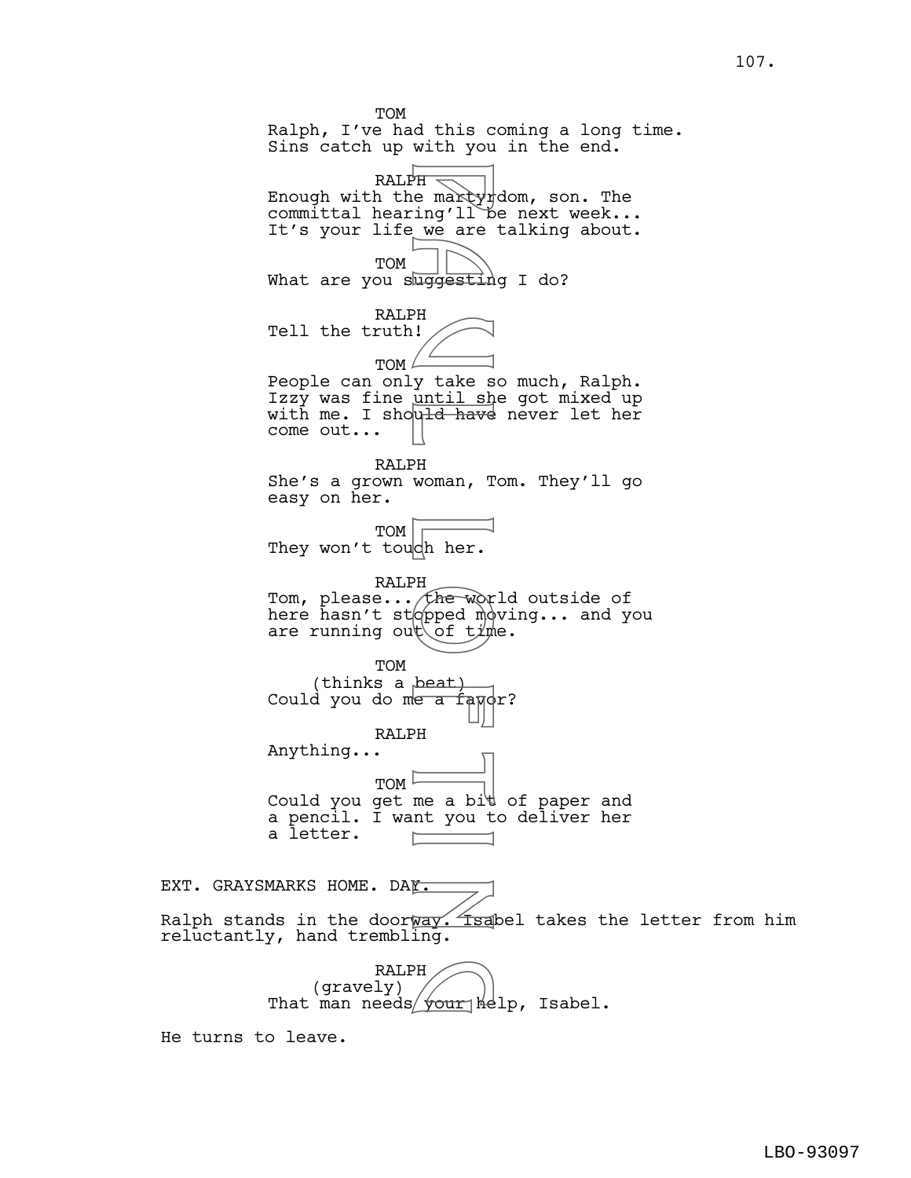TOM Ralph, I've had this coming a long time. Sins catch up with you in the end. PH e martyr<br>
ing'll be are<br>
ing'll be are<br>
uring'll be are<br>
uring take s<br>
uring take s<br>
uring the word model<br>
PH woman, T<br>
woman, T<br>
woman, T<br>
(her.<br>
PH of time of time<br>
peat)<br>
PH fleword model<br>
ing.<br>
PH fleword model<br>
ing ralph  $\equiv$ Enough with the martyrdom, son. The committal hearing'll be next week... It's your life we are talking about. TOM What are you suggesting I do? RALPH Tell the truth! TOM  $\angle$ People can only take so much, Ralph. Izzy was fine until she got mixed up with me. I should have never let her come out... RALPH She's a grown woman, Tom. They'll go easy on her. TOM They won't touch her. RALPH Tom, please... the world outside of here hasn't stopped moving... and you are running out of time. TOM (thinks a beat) Could you do me a famor? RALPH Anything...  $TOM$ Could you get me a bit of paper and a pencil. I want you to deliver her a letter. F EXT. GRAYSMARKS HOME. DAY.

Ralph stands in the doorway. Isabel takes the letter from him reluctantly, hand trembling.

> RALPH (gravely) RALPH<br>(gravely)<br>That man needs your help, Isabel.

He turns to leave.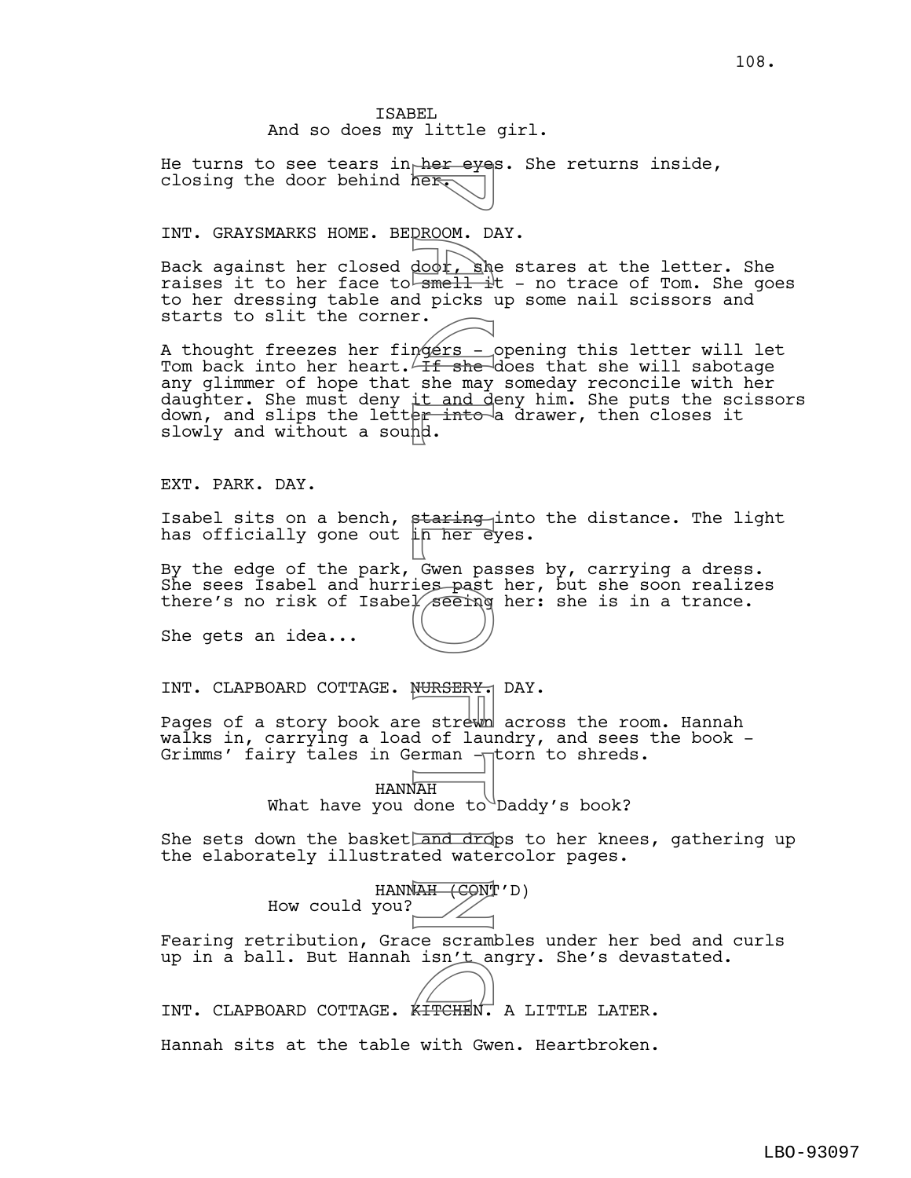He turns to see tears in her eyes. She returns inside, closing the door behind her.

## INT. GRAYSMARKS HOME. BEDROOM. DAY.

Back against her closed door, she stares at the letter. She raises it to her face to  $\frac{1+1}{2}$  - no trace of Tom. She goes to her dressing table and picks up some nail scissors and starts to slit the corner.

A thought freezes her fingers - opening this letter will let Tom back into her heart. If she does that she will sabotage any glimmer of hope that she may someday reconcile with her daughter. She must deny it and deny him. She puts the scissors down, and slips the letter into a drawer, then closes it slowly and without a sound. Next Control Control Control Control Control Control Control Control Control Control Control Control Control Control Control Control Control Control Control Control Control Control Control Control Control Control Control C

EXT. PARK. DAY.

Isabel sits on a bench, staring into the distance. The light has officially gone out i<del>n her e</del>yes.

By the edge of the park, Gwen passes by, carrying a dress. She sees Isabel and hurries past her, but she soon realizes there's no risk of Isabel seeing her: she is in a trance.

She gets an idea...

INT. CLAPBOARD COTTAGE. NURSERY. DAY.

Pages of a story book are strewh across the room. Hannah walks in, carrying a load of laundry, and sees the book -Grimms' fairy tales in German  $\neg$ torn to shreds.

> HANNAH What have you done to Daddy's book?

She sets down the basket and drops to her knees, gathering up the elaborately illustrated watercolor pages.

|                | HANNAH (CONT'D) |
|----------------|-----------------|
| How could you? |                 |
|                |                 |

Fearing retribution, Grace scrambles under her bed and curls up in a ball. But Hannah isn't angry. She's devastated.

INT. CLAPBOARD COTTAGE. KITCHEN. A LITTLE LATER.

Hannah sits at the table with Gwen. Heartbroken.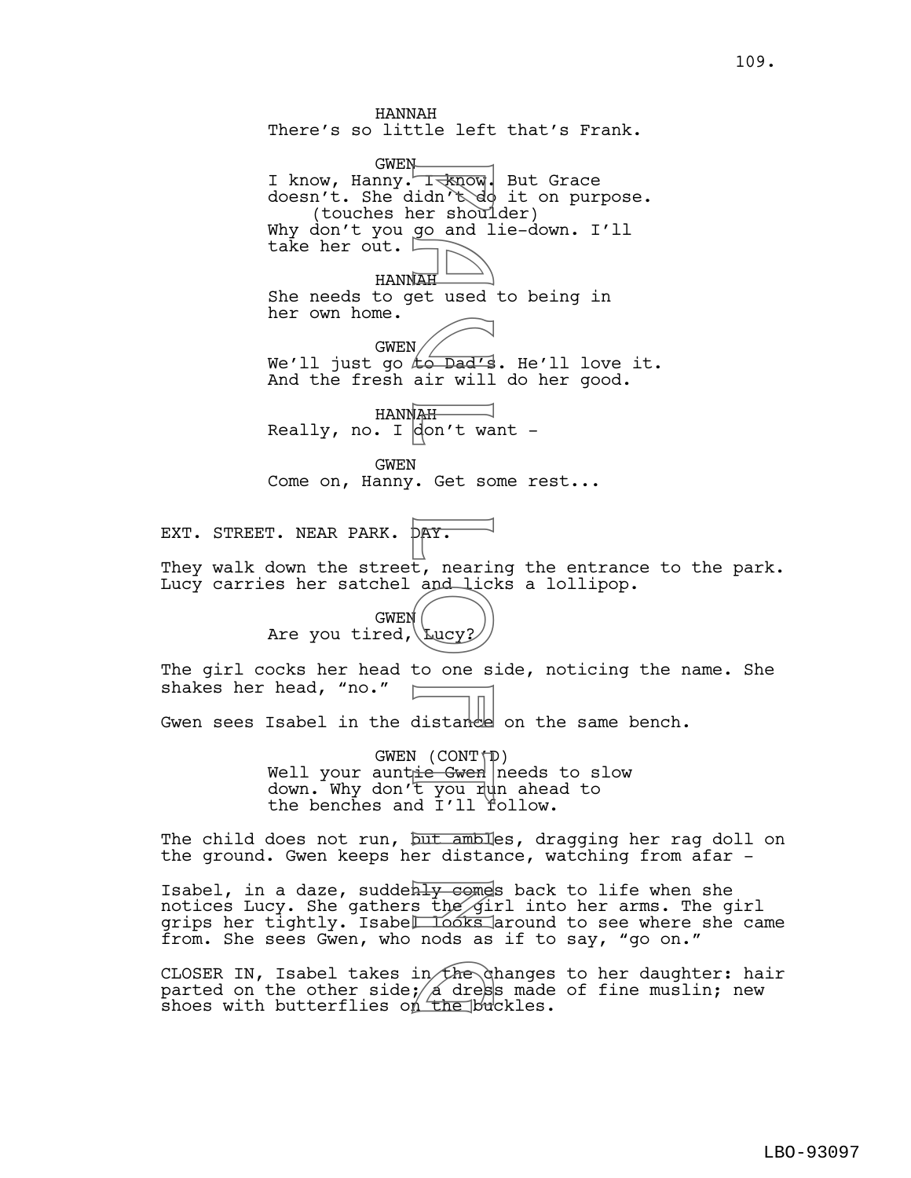HANNAH There's so little left that's Frank. GWEN I know, Hanny. I know, But Grace doesn't. She didn't do it on purpose. (touches her shoulder) Why don't you go and lie-down. I'll take her out. HANNAH She needs to get used to being in her own home. GWEN We'll just go to Dad's. He'll love it. And the fresh air will do her good. HANNAH Really, no. I don't want -GWEN Come on, Hanny. Get some rest... EXT. STREET. NEAR PARK. DAY. They walk down the street, nearing the entrance to the park. Lucy carries her satchel and licks a lollipop. GWEN Are you tired,  $\text{Lucy}$ ? The girl cocks her head to one side, noticing the name. She shakes her head, "no." Gwen sees Isabel in the distance on the same bench. GWEN  $(CONT \uparrow \bar{\mathbb{D}})$ Well your auntie Gwen needs to slow down. Why don't you run ahead to the benches and I'll follow. The child does not run, but ambies, dragging her rag doll on the ground. Gwen keeps her distance, watching from afar - Isabel, in a daze, suddenly comes back to life when she notices Lucy. She gathers the  $\sinh$  into her arms. The girl grips her tightly. Isabel Looks around to see where she came from. She sees Gwen, who nods as if to say, "go on." CLOSER IN, Isabel takes in the changes to her daughter: hair Transmider shouldn't do<br>
idn't do and 1<br>
go and 1<br>
go and 1<br>
go and 1<br>
go and 1<br>
air will<br>
air will<br>
air will<br>
air will<br>
air will<br>
air will<br>
air will<br>
air will<br>
air will<br>
air will<br>
air will<br>
air will<br>
air will<br>
air will<br>
a

parted on the other side;  $\cancel{\!}$  dress made of fine muslin; new CLOSER IN, Isabel takes in the changes<br>parted on the other side; a dress made<br>shoes with butterflies on the buckles.

109.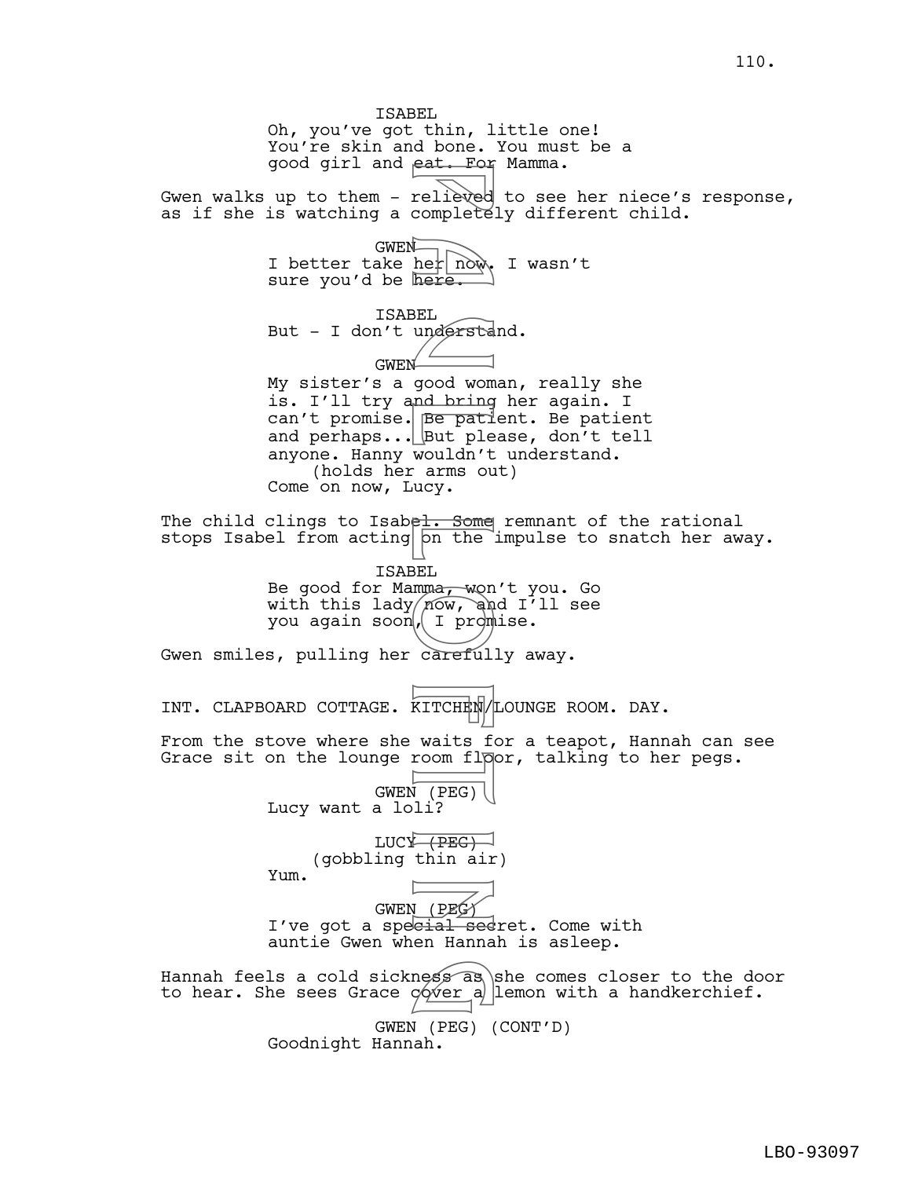ISABEL Oh, you've got thin, little one! You're skin and bone. You must be a good girl and eat. For Mamma. Gwen walks up to them - relieved to see her niece's response, as if she is watching a completely different child. GWEN I better take her now, I wasn't sure you'd be here. ISABEL But - I don't understand. GWEN My sister's a good woman, really she is. I'll try and bring her again. I can't promise. Be patient. Be patient and perhaps...  $\Delta$  but please, don't tell anyone. Hanny wouldn't understand. (holds her arms out) Come on now, Lucy. The child clings to Isabel. Some remnant of the rational stops Isabel from acting on the impulse to snatch her away. ISABEL Be good for Mamma<del>, w</del>on't you. Go with this lady/ $\widetilde{p\circ w}$ , and I'll see you again soon, I promise. Gwen smiles, pulling her carefully away. INT. CLAPBOARD COTTAGE. KITCHEN/LOUNGE ROOM. DAY. From the stove where she waits for a teapot, Hannah can see Grace sit on the lounge room fl $\beta$ or, talking to her pegs. GWEN (PEG) Lucy want a loli?  $LUCY \rightarrow \overline{(BEC)}$ (gobbling thin air) Yum. GWEN (PEG) I've got a speeial sedret. Come with auntie Gwen when Hannah is asleep. Hannah feels a cold sickness as she comes closer to the door to hear. She sees Grace  $\phi$  ver a lemon with a handkerchief. GWEN (PEG) (CONT'D) Goodnight Hannah. relieved<br>
relieved<br>
here.<br>
BEL<br>
understa<br>
BEL<br>
understa<br>
good wom<br>
here.<br>
BEL<br>
understa<br>
good wom<br>
pe pati<br>
put ple<br>
wouldn't arms ou<br>
wouldn't arms ou<br>
wouldn't arms ou<br>
wouldn't arms ou<br>
FOR The BEL<br>
BEL<br>
MOW, an<br>
BEL<br>
M ness as<br>cover a

110.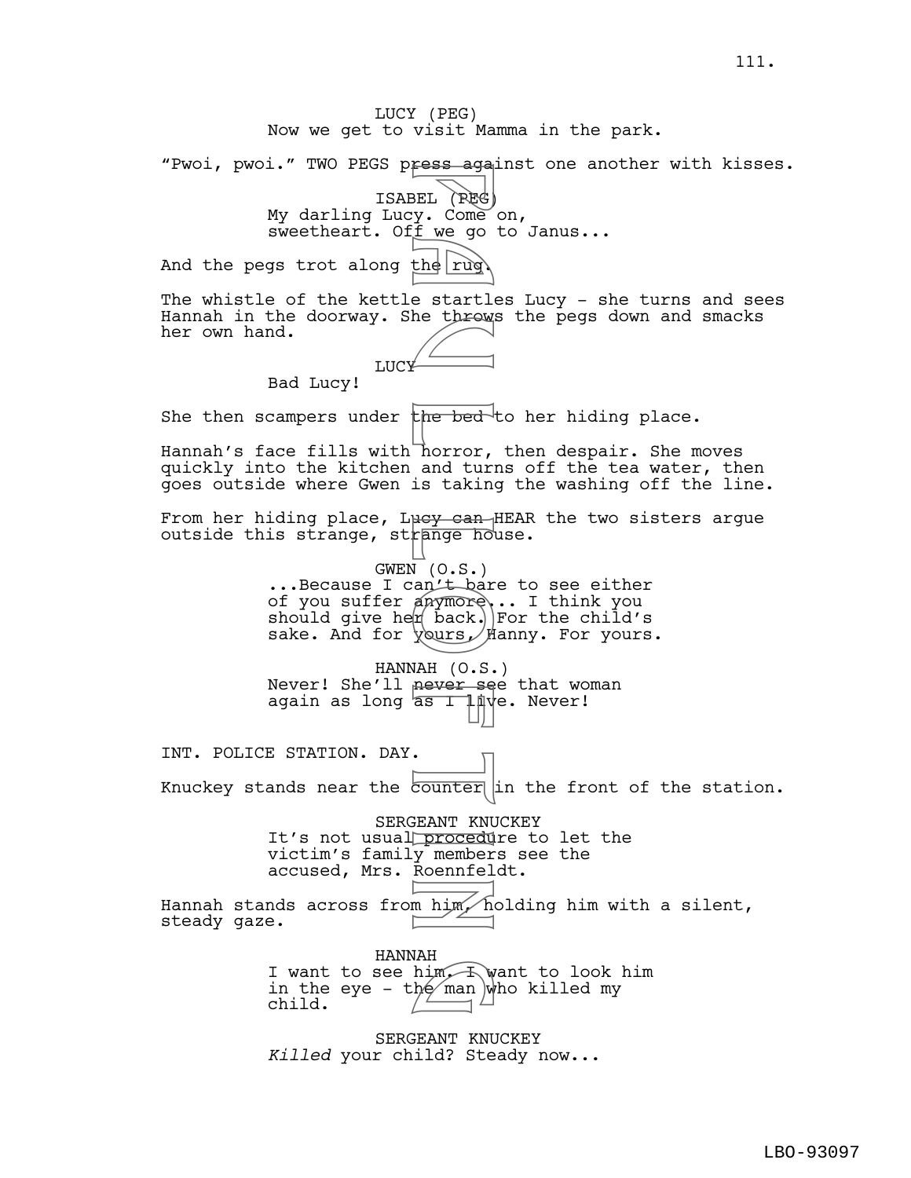LUCY (PEG) Now we get to visit Mamma in the park. "Pwoi, pwoi." TWO PEGS press against one another with kisses. ISABEL (PEG) My darling Lucy. Come on, sweetheart. Off we go to Janus... And the pegs trot along the rug The whistle of the kettle startles Lucy - she turns and sees Hannah in the doorway. She throws the pegs down and smacks her own hand. **LUCY** Bad Lucy! She then scampers under  $th$ e bed to her hiding place. Hannah's face fills with horror, then despair. She moves quickly into the kitchen and turns off the tea water, then goes outside where Gwen is taking the washing off the line. From her hiding place, Lucy can HEAR the two sisters argue outside this strange, strange house. GWEN (O.S.) ...Because I can't bare to see either of you suffer anymore... I think you should give he $\natural$  back.) For the child's sake. And for *yours* / Hanny. For yours. HANNAH (O.S.) Never! She'll never see that woman again as long  $\overline{a}$ s I live. Never! INT. POLICE STATION. DAY. Knuckey stands near the  $\overline{\text{counter}}$  in the front of the station. SERGEANT KNUCKEY It's not usual procedure to let the victim's family members see the accused, Mrs. Roennfeldt. Hannah stands across from him, holding him with a silent, steady gaze. HANNAH I want to see him. I want to look him in the eye – the  $\mod$  who killed my child. SERGEANT KNUCKEY *Killed* your child? Steady now... Fess aga<br>
BEL (PEG)<br>
BEL (PEG)<br>
DEL (PEG)<br>
the function of the function<br>
the startle throws<br>
the throws<br>
is taking the bed<br>
horror, and turn<br>
is taking<br>
we can the bed<br>
horror, and turn<br>
is taking<br>  $VQ = 0.5$ , and the pack,  $hlim_{x \to h} f(x)$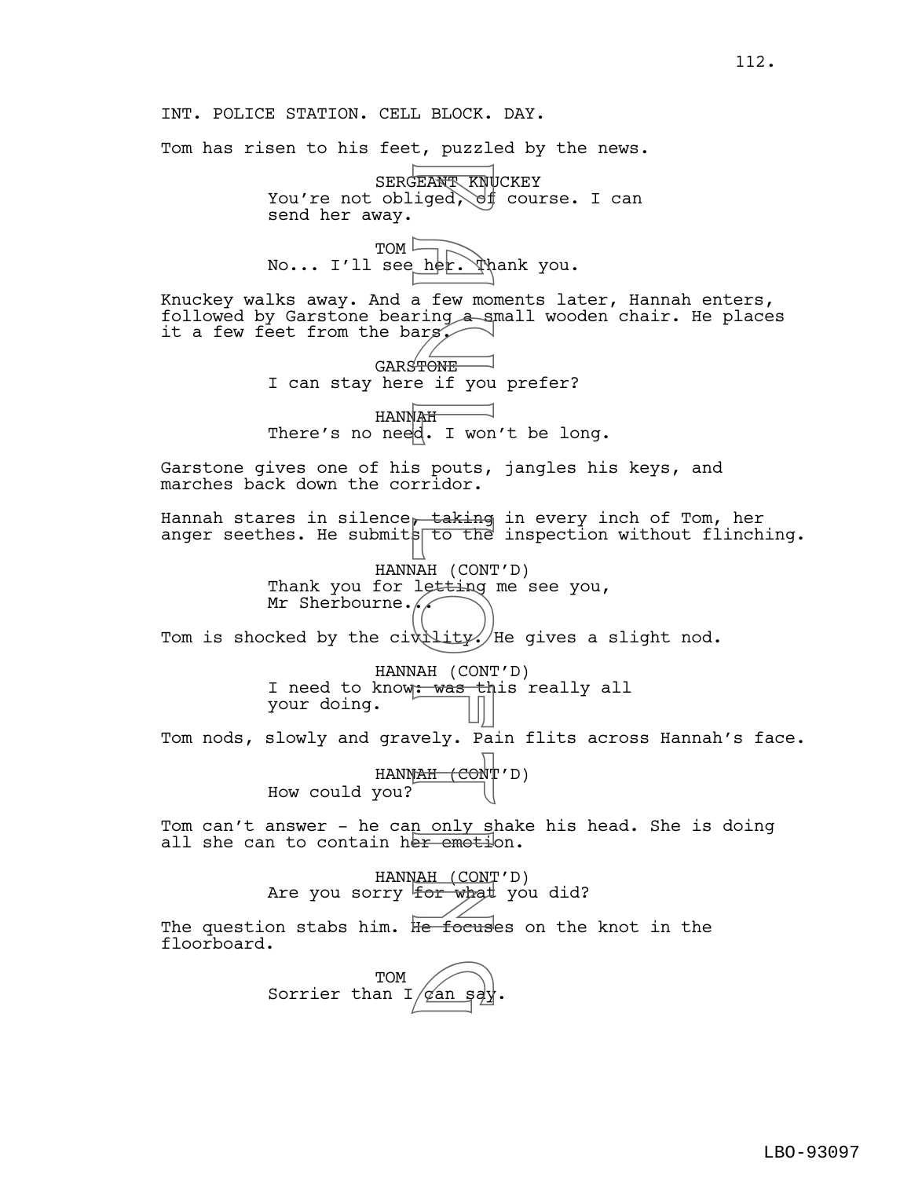INT. POLICE STATION. CELL BLOCK. DAY. Tom has risen to his feet, puzzled by the news. SERGEANT KNUCKEY You're not obliged,  $\forall f$  course. I can send her away. TOM No... I'll see\_her. Thank you. Knuckey walks away. And a few moments later, Hannah enters, followed by Garstone bearing a small wooden chair. He places it a few feet from the barg. GARSTONE I can stay here if you prefer? HANNAH There's no need. I won't be long. Garstone gives one of his pouts, jangles his keys, and marches back down the corridor. Hannah stares in silence, taking in every inch of Tom, her anger seethes. He submits to the inspection without flinching. HANNAH (CONT'D) Thank you for letting me see you, Mr Sherbourne. $\sqrt{\phantom{a}}$ Tom is shocked by the civility. He gives a slight nod. HANNAH (CONT'D) I need to know: was this really all your doing. Tom nods, slowly and gravely. Pain flits across Hannah's face. HANN<del>AH (CON</del>T'D) How could you? Tom can't answer - he can only shake his head. She is doing all she can to contain her emotion. HANNAH (CONT'D) Are you sorry for what you did? The question stabs him. H<del>e focus</del>es on the knot in the floorboard. TOM  $Sorrier than I$   $\widehat{qan sg}$ . FRANT KNU<br>
FRANT KNU<br>
iged, of<br>
a few mong a sing<br>
ars<br>
FONE e if you<br>
ars<br>
FONE e if you<br>
FONE e if you<br>
sports,<br>
a pouts,<br>
a pouts,<br>
a pouts,<br>
a pouts,<br>
a pouts,<br>
a pouts,<br>
a pouts,<br>
a pouts,<br>
a pouts,<br>
a pouts,<br>
a pouts

112.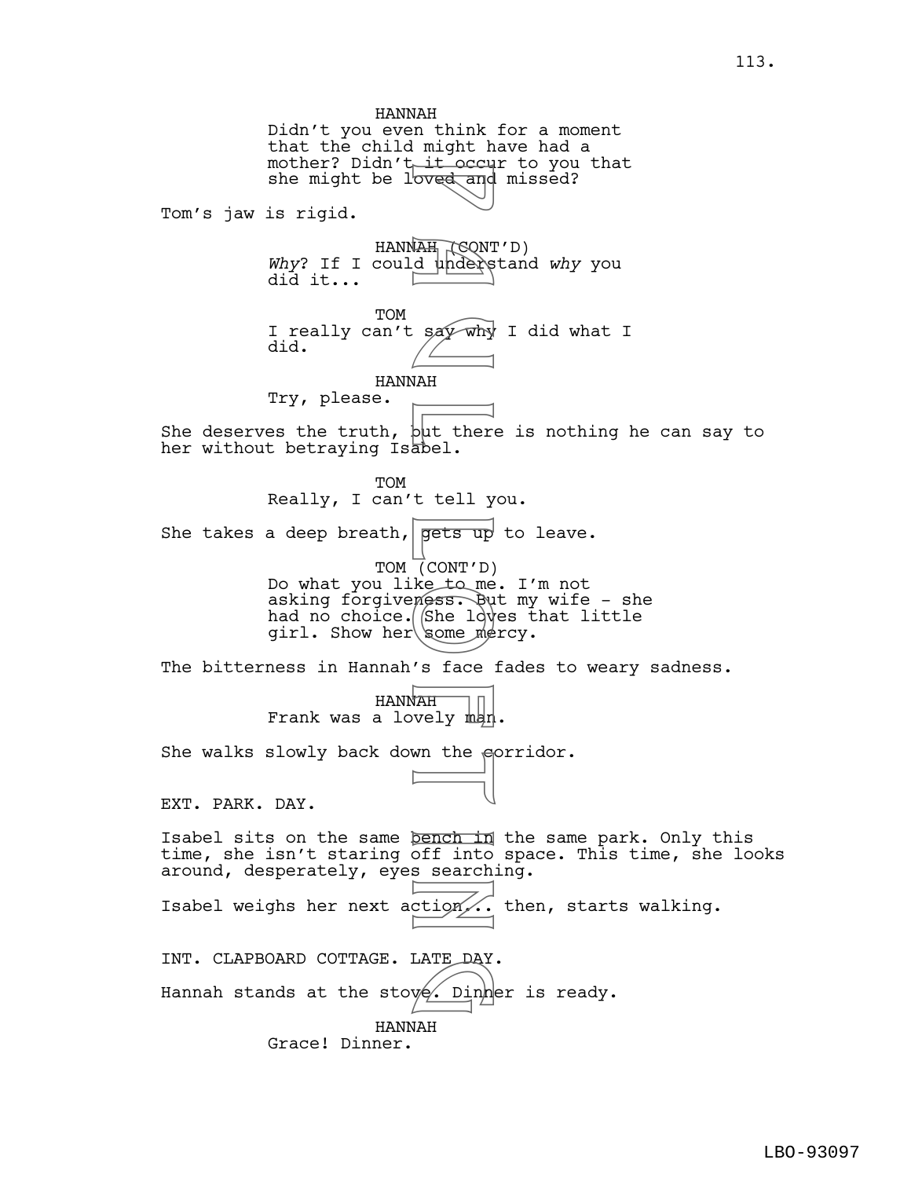HANNAH Didn't you even think for a moment that the child might have had a mother? Didn't it occur to you that she might be loved and missed? Tom's jaw is rigid. HANN<del>AH (C</del>QNT'D) Why? If I could understand why you did it... TOM I really can't say why I did what I did. HANNAH Try, please. She deserves the truth,  $\frac{1}{2}$ t there is nothing he can say to her without betraying Isabel. TOM Really, I can't tell you. She takes a deep breath, gets up to leave. TOM (CONT'D) Do what you like to me. I'm not asking forgiveness. But my wife - she had no choice.  $S$ he loves that little girl. Show her some mercy. The bitterness in Hannah's face fades to weary sadness. HANNAH Frank was a lovely man. She walks slowly back down the sprridor. EXT. PARK. DAY. Isabel sits on the same bench in the same park. Only this time, she isn't staring off into space. This time, she looks around, desperately, eyes searching. Isabel weighs her next action... then, starts walking. INT. CLAPBOARD COTTAGE. LATE DAY. Hannah stands at the stov $\phi'$ . Din ${\tt h}$ er is ready. HANNAH Grace! Dinner. For and the say why<br>
MAH (CONT )<br>
Say why<br>
MAH abel.<br>
Lell y<br>
gets up<br>
(CONT 'D)<br>
ke tell y<br>
gets up<br>
(CONT 'D)<br>
ke tell y<br>
some mess. Buy<br>
some mess. Buy<br>
some mess. Buy<br>
some mess. Buy<br>
some mess. Buy<br>
some mess. Buy<br>
so LATE DAY<br>Ve. Dinh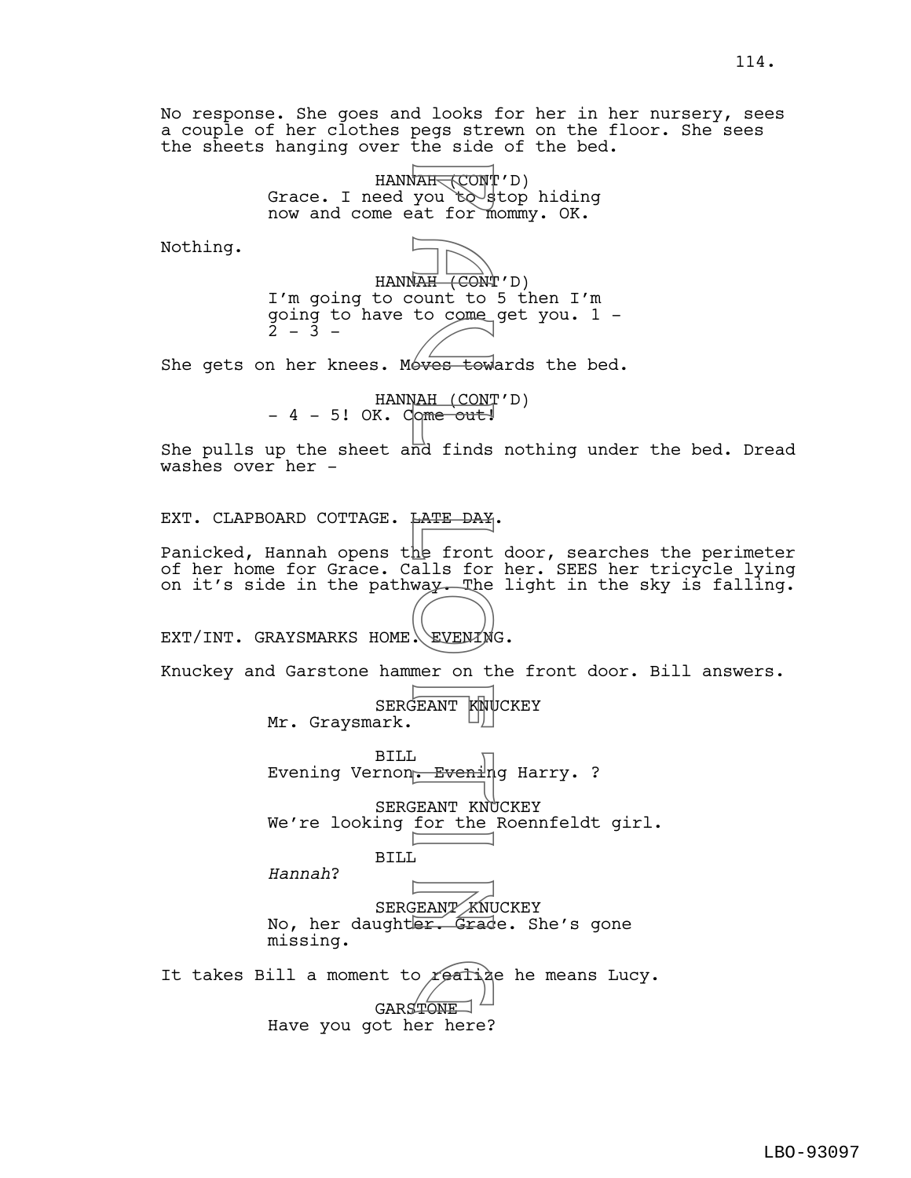No response. She goes and looks for her in her nursery, sees a couple of her clothes pegs strewn on the floor. She sees the sheets hanging over the side of the bed.

> HANN<del>AH (</del>CONT'<sup>'</sup>D) Grace. I need you to stop hiding now and come eat for mommy. OK.

Nothing.

HANNAH (CONT'D) I'm going to count to 5 then I'm going to have to come get you. 1 -  $2 - 3 -$ WARE CONT<br>
You to get for m<br>
A UNITY CONT<br>
CONT<br>
CONT<br>
CONT<br>
CONT<br>
CONT<br>
CONT<br>
CONT<br>
CONT<br>
CONT<br>
CONT<br>
CONT<br>
CONT<br>
CONT<br>
CONT<br>
CONT<br>
CONT<br>
CONT<br>
CONT<br>
CONT<br>
CONT<br>
CONT<br>
CONT<br>
CONT<br>
CONT<br>
CONT<br>
CONT<br>
CONT<br>
CONT<br>
CONT<br>
CONT<br>

She gets on her knees. Moves towards the bed.

HANNAH (CONT'D)  $-4 - 5!$  OK. Come out!

She pulls up the sheet and finds nothing under the bed. Dread washes over her -

EXT. CLAPBOARD COTTAGE. LATE DAY.

Panicked, Hannah opens the front door, searches the perimeter of her home for Grace. Calls for her. SEES her tricycle lying on it's side in the pathway. The light in the sky is falling.

EXT/INT. GRAYSMARKS HOME. EVENING.

Knuckey and Garstone hammer on the front door. Bill answers.

SERGEANT KNUCKEY Mr. Graysmark.

BILL Evening Vernon<del>. Eveni</del>ng Harry. ?

SERGEANT KNUCKEY We're looking for the Roennfeldt girl.

*Hannah*?

SERGEANT KNUCKEY No, her daughter. Grade. She's gone missing.

It takes Bill a moment to realize he means Lucy. GARSTONE Have you got her here?

BILL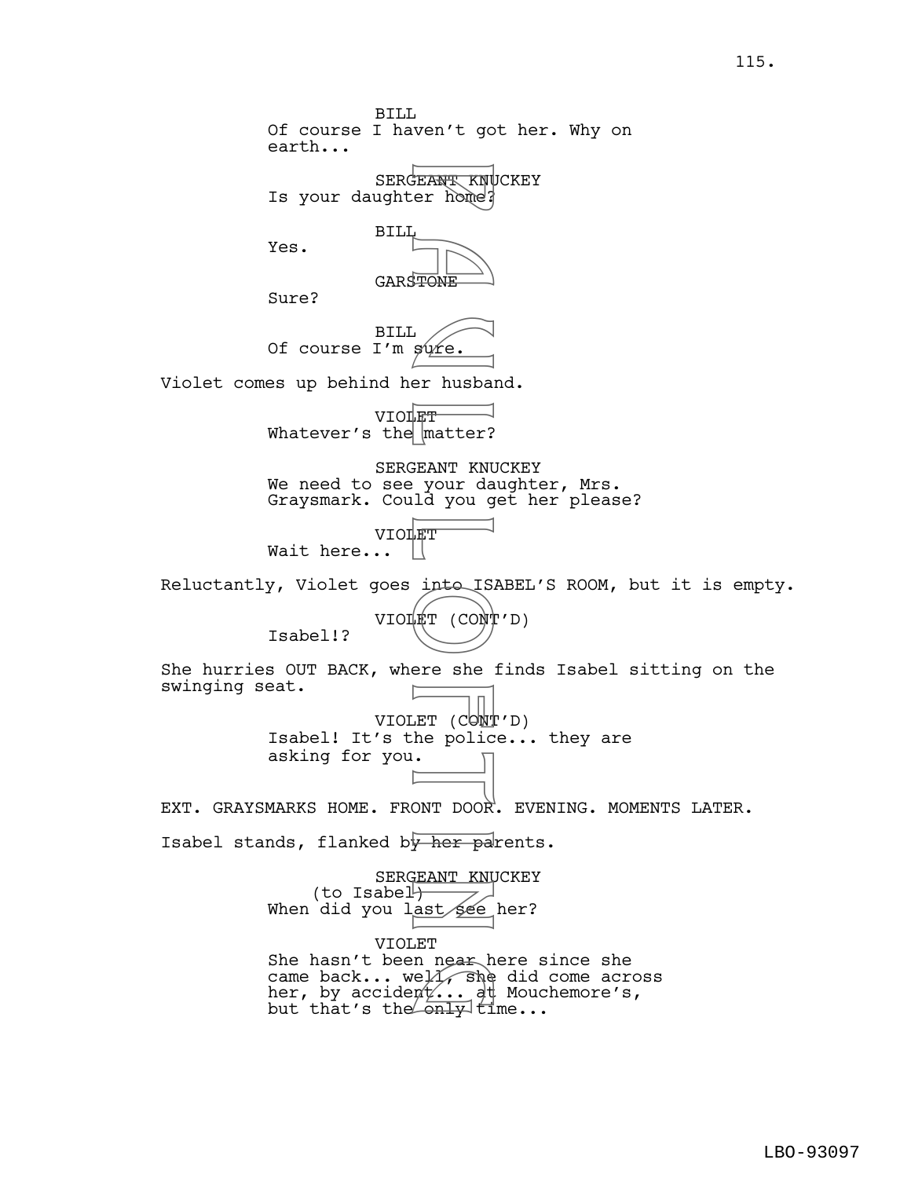BILL Of course I haven't got her. Why on earth... SERGEANT KNUCKEY Is your daughter home? BILL Yes. GARSTONE Sure? BILL Of course I'm sure. Violet comes up behind her husband. VIOLET Whatever's the matter? SERGEANT KNUCKEY We need to see your daughter, Mrs. Graysmark. Could you get her please? VIOLET Wait here...  $||$ Reluctantly, Violet goes into ISABEL'S ROOM, but it is empty. VIOLET (CONT'D) Isabel!? She hurries OUT BACK, where she finds Isabel sitting on the swinging seat. VIOLET (CONT'D) Isabel! It's the police... they are asking for you. EXT. GRAYSMARKS HOME. FRONT DOOR. EVENING. MOMENTS LATER. Isabel stands, flanked by her parents. SERGEANT KNUCKEY (to Isabel $\mathcal{V}$ When did you last see her? VIOLET She hasn't been near here since she came back... well, she did come across her, by accident... at Mouchemore's, she hash't been hear here s<br>came back... well, she did<br>her, by accident... at Mouc<br>but that's the only time... FRANT KNU<br>
FEANT KNU<br>
P TONE<br>
P MONE<br>
P MONE<br>
P MONE<br>
P MONE<br>
P MONE<br>
P MONE<br>
P MONE<br>
P MONE<br>
P MONE<br>
P MONE<br>
P MONE<br>
P MONE<br>
P MONE<br>
P MONE<br>
P MONE<br>
P MONE<br>
P MONE<br>
P MONE<br>
P MONE<br>
P MONE<br>
P MONE<br>
P MONE<br>
P MONE<br>
P MONE<br>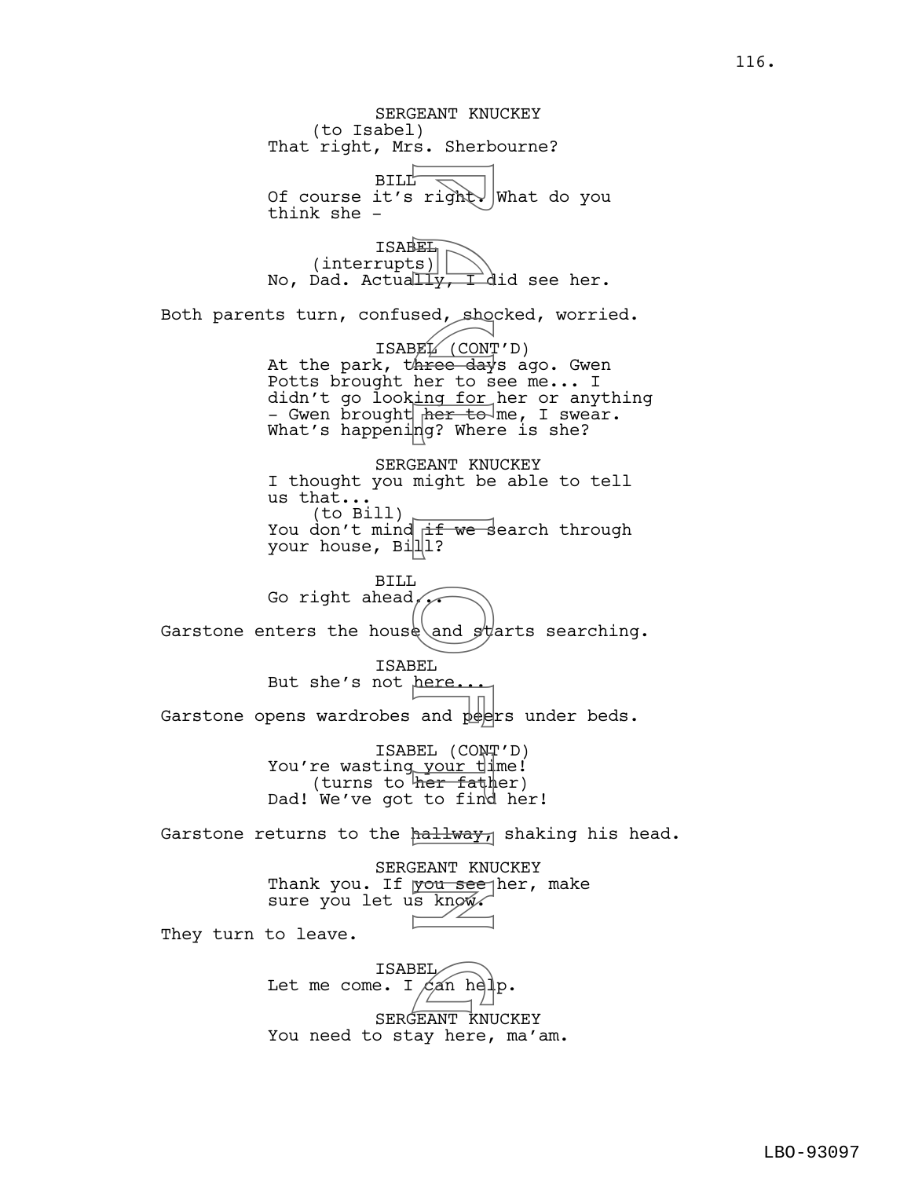SERGEANT KNUCKEY (to Isabel) That right, Mrs. Sherbourne? **BILL** Of course it's right. What do you think she - **ISABEL** (interrupts) No, Dad. Actually, I did see her. Both parents turn, confused, shocked, worried. ISABEL (CONT'D) At the park, three days ago. Gwen Potts brought her to see me... I didn't go look<u>ing for</u> her or anything - Gwen brought her to me, I swear. What's happening? Where is she? SERGEANT KNUCKEY I thought you might be able to tell us that... (to Bill) You don't mind if we search through your house, Bill? BILL Go right ahead, Garstone enters the house and  $\sharp$  and searching. ISABEL But she's not here... Garstone opens wardrobes and peers under beds. ISABEL (CONT'D) You're wasting your time! (turns to her father) Dad! We've got to find her! Garstone returns to the  $h$ allway, shaking his head. SERGEANT KNUCKEY Thank you. If you see her, make sure you let us know. They turn to leave. ISABEL Let me come. I  $\sin$  help. SERGEANT KNUCKEY You need to stay here, ma'am. Fight<br>
Fight<br>
Fight<br>
Sed, show and because in the star of the star where day<br>
ing for to sing for the paper where  $\frac{1}{1}$ <br>
FIGHT<br>
SEL (CONT might be star)<br>
SEL (CONT might be star)<br>
SEL (CONT might be star of ind hallway BEL<br>Can hel

116.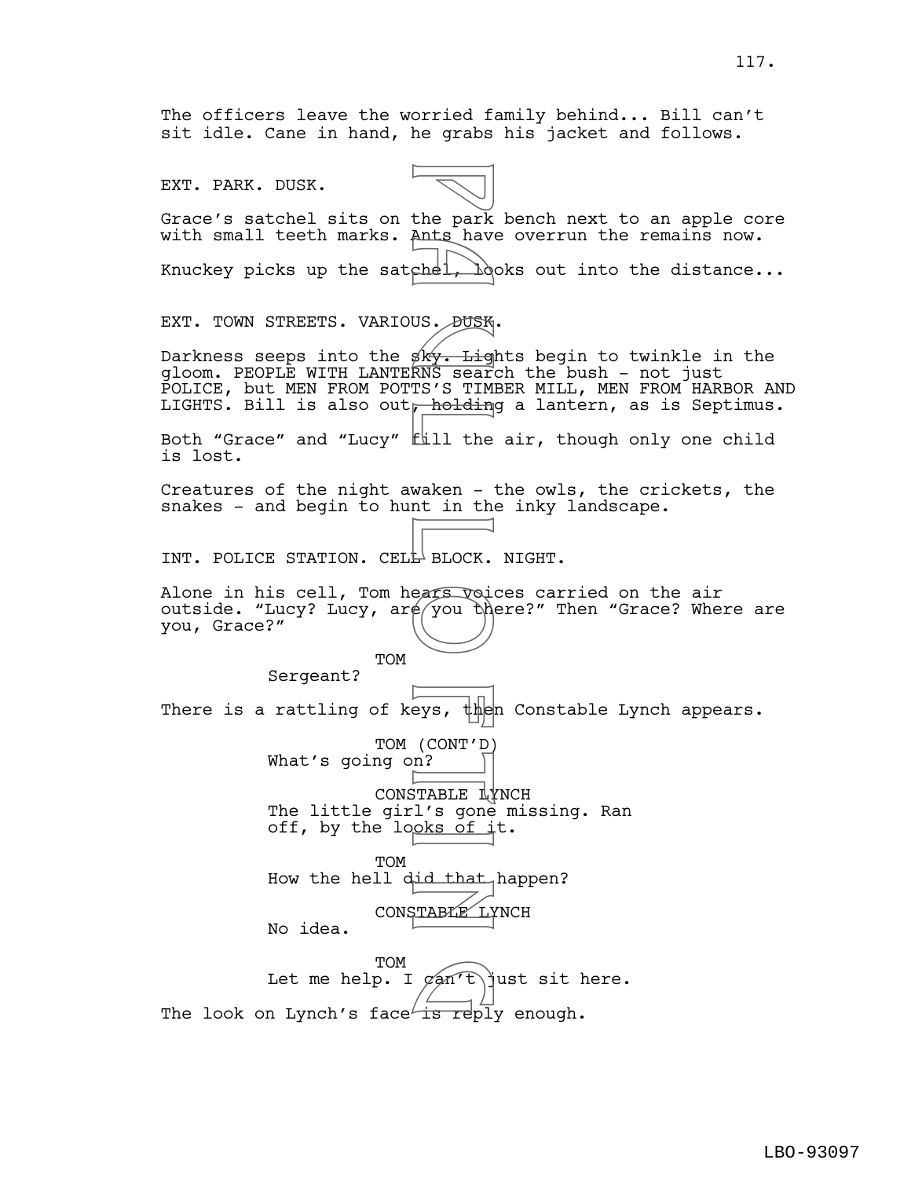The officers leave the worried family behind... Bill can't sit idle. Cane in hand, he grabs his jacket and follows.

Grace's satchel sits on the park bench next to an apple core

EXT. PARK. DUSK.

with small teeth marks. Ants have overrun the remains now. Knuckey picks up the satchel,  $\lambda$ oks out into the distance... EXT. TOWN STREETS. VARIOUS. DUSK. Darkness seeps into the  $s^k$ . Lights begin to twinkle in the gloom. PEOPLE WITH LANTERNS search the bush - not just POLICE, but MEN FROM POTTS'S TIMBER MILL, MEN FROM HARBOR AND LIGHTS. Bill is also out, holding a lantern, as is Septimus. Both "Grace" and "Lucy" fill the air, though only one child is lost. Creatures of the night awaken - the owls, the crickets, the snakes - and begin to hunt in the inky landscape. INT. POLICE STATION. CELL BLOCK. NIGHT. Alone in his cell, Tom hears voices carried on the air outside. "Lucy? Lucy,  $\text{arg}(y)$  there?" Then "Grace? Where are you, Grace?" TOM Sergeant? There is a rattling of keys, then Constable Lynch appears. TOM (CONT'D) What's going on? CONSTABLE LYNCH The little girl's gone missing. Ran off, by the looks of  $\pm t$ . TOM How the hell did that happen? CONSTABLE LYNCH No idea. **TOM** Let me help. I  $\varphi$ an't $\limsup$ t sit here. The look on Lynch's face is reply enough. the park<br>
ants have<br>
chel, boysky. Light<br>
Fill the waken - holding<br>
fill the waken - holding<br>
fill the waken - holding<br>
fill the waken - holding<br>
Fill the MOCK.<br>
ears void<br>
PERICAL BLOCK.<br>
ears void<br>
PERICAL PERICAL PRODUC  $\left(\frac{\text{carr}}{\text{carn}}\right)$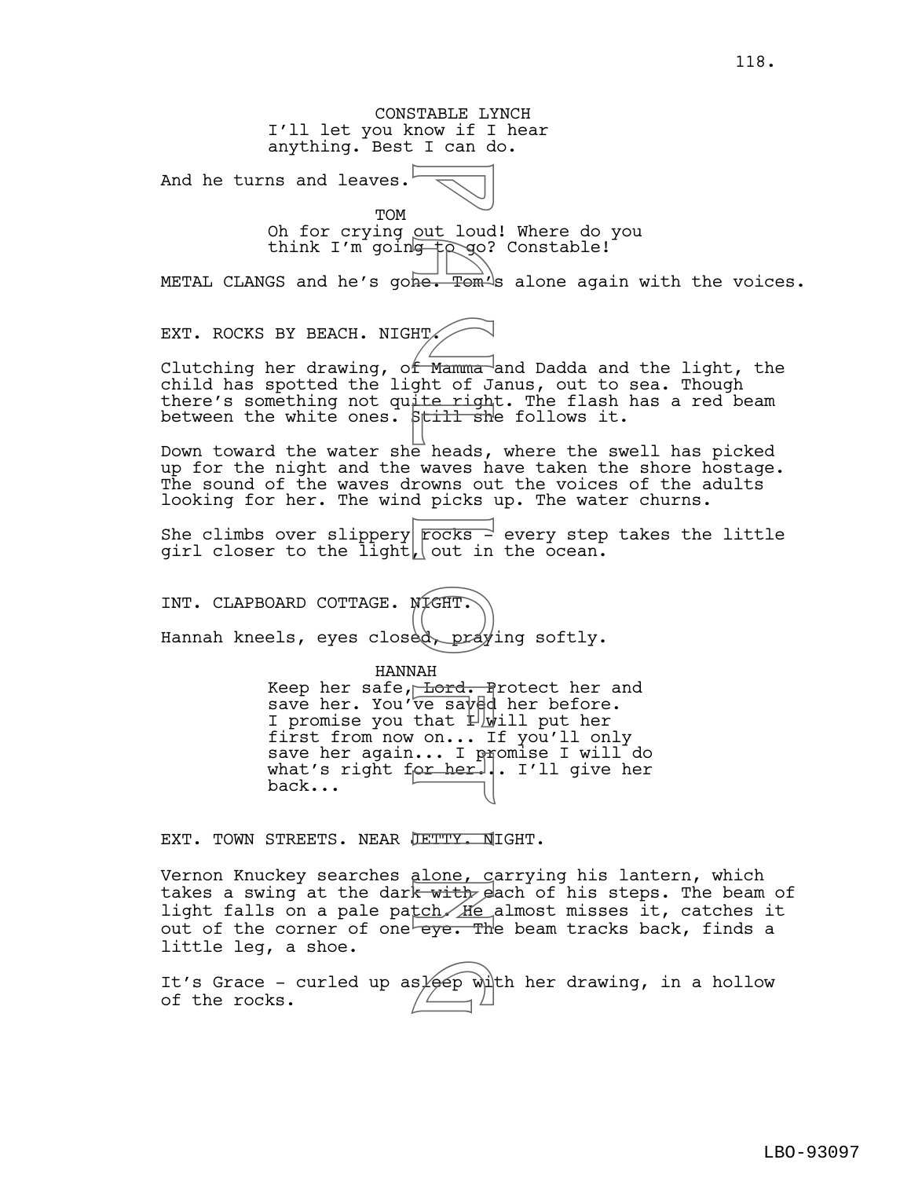CONSTABLE LYNCH I'll let you know if I hear anything. Best I can do. And he turns and leaves. TOM Oh for crying out loud! Where do you think I'm going  $\log$  Constable! METAL CLANGS and he's gone. Tom's alone again with the voices. EXT. ROCKS BY BEACH. NIGHT. Clutching her drawing, o<del>f Mamma a</del>nd Dadda and the light, the child has spotted the light of Janus, out to sea. Though there's something not quite right. The flash has a red beam between the white ones.  $\beta$ till she follows it. Down toward the water she heads, where the swell has picked up for the night and the waves have taken the shore hostage. The sound of the waves drowns out the voices of the adults looking for her. The wind picks up. The water churns. She climbs over slippery  $\sqrt{p}$  rocks  $\rightarrow$  every step takes the little girl closer to the light, out in the ocean. INT. CLAPBOARD COTTAGE. NIGHT. Hannah kneels, eyes closed, praying softly. HANNAH Keep her safe, Lord. Protect her and save her. You've saved her before. I promise you that  $1 \text{ with } 1$  put her first from now on... If you'll only save her again... I p<del>r</del>omise I will do what's right for her... I'll give her back... EXT. TOWN STREETS. NEAR JETTY. NIGHT. Vernon Knuckey searches alone, carrying his lantern, which takes a swing at the dark with each of his steps. The beam of light falls on a pale patch He almost misses it, catches it out of the corner of one eye. The beam tracks back, finds a little leg, a shoe. It's Grace - curled up as $\cancel{e}$ ep with her drawing, in a hollow of the rocks. out loud<br>
Framma<br>
He. Tom<br>
He. Tom<br>
He. Tom<br>
Still she heads,<br>
waves had picks<br>
rocks in Focks<br>
(Continued, Dray)<br>
MAH<br>
Ve saved that Lond, In Microsoft<br>
VAH<br>
Ve saved that Lond, In Microsoft<br>
Continued, Dray<br>
MAH<br>
Ve save s/eep wi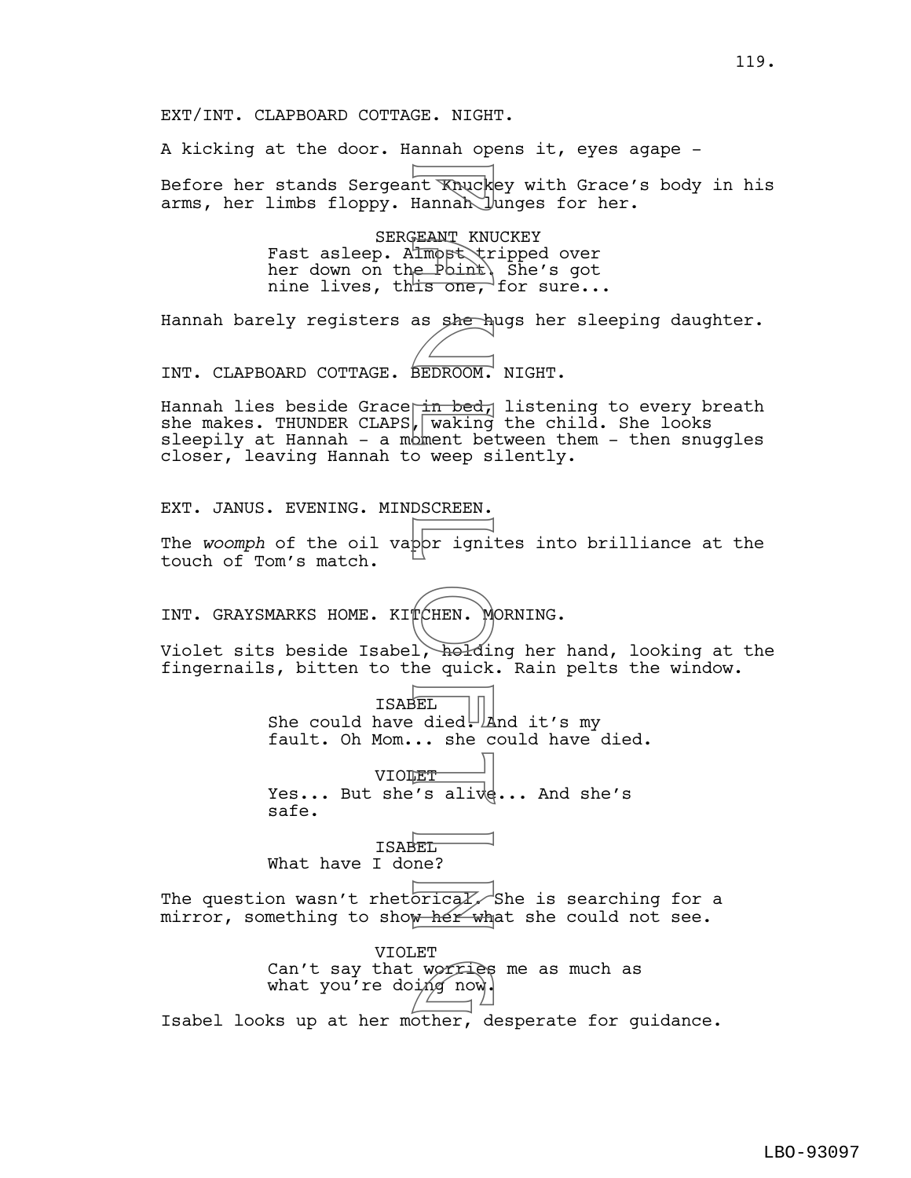A kicking at the door. Hannah opens it, eyes agape - Before her stands Sergeant Knuckey with Grace's body in his arms, her limbs floppy. Hannah Junges for her.

> SERGEANT KNUCKEY Fast asleep. Almost tripped over her down on the Point. She's got nine lives, thts one, for sure...

Hannah barely registers as she hugs her sleeping daughter.

INT. CLAPBOARD COTTAGE. BEDROOM. NIGHT.

Hannah lies beside Grace in bed, listening to every breath she makes. THUNDER CLAPS, waking the child. She looks sleepily at Hannah - a moment between them - then snuggles closer, leaving Hannah to weep silently. Final Khuck<br>
Hannah<br>
Hannah<br>
Hannah<br>
E Point<br>
L'E Point<br>
L'E Point<br>
L'E Point<br>
De REDROOM.<br>
The BEDROOM.<br>
The Second Second<br>
Descries (Heli Adil)<br>
De L'E died.<br>
A died.<br>
A died.<br>
BEL died.<br>
A died.<br>
BEL died.<br>
BEL died.<br>
B

EXT. JANUS. EVENING. MINDSCREEN.

The *woomph* of the oil vapor ignites into brilliance at the touch of Tom's match.

INT. GRAYSMARKS HOME. KITCHEN. MORNING.

Violet sits beside Isabel, holding her hand, looking at the fingernails, bitten to the quick. Rain pelts the window.

> ISABEL She could have died.  $\mathbb{A}$ nd it's my fault. Oh Mom... she could have died.

VIOLET Yes... But she's alive... And she's safe.

ISABEL What have I done?

The question wasn't rhetorically She is searching for a mirror, something to show her what she could not see.

VIOLET Can't say that worries me as much as what you're doing now. Isabel looks up at her mother, desperate for guidance. worries<br>ing now.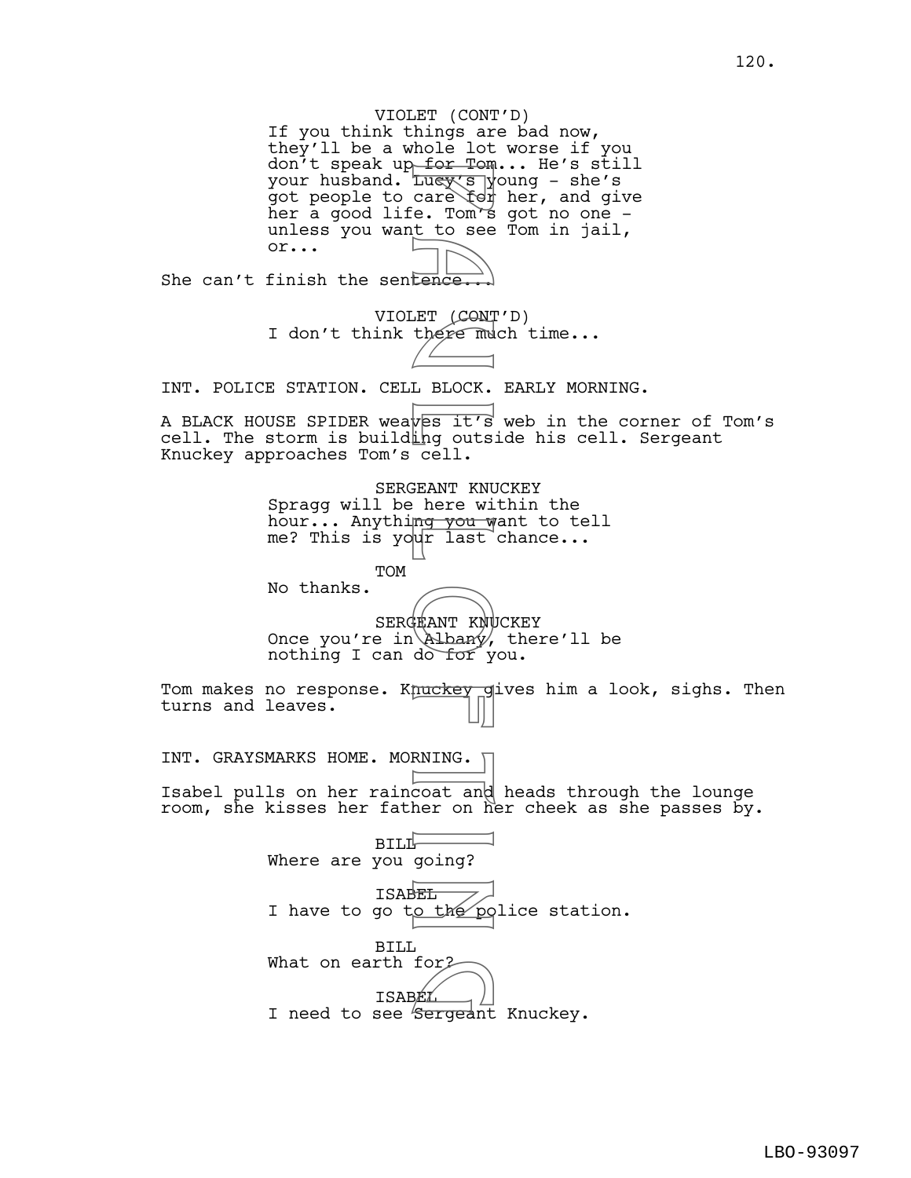VIOLET (CONT'D) If you think things are bad now, they'll be a whole lot worse if you don't speak up<del> for Tom</del>... He's still your husband. <del>Lucy's y</del>oung – she's got people to care for her, and give her a good life. Tom's got no one unless you want to see Tom in jail, or... She can't finish the sentence. VIOLET (CONT'D) I don't think there much time... INT. POLICE STATION. CELL BLOCK. EARLY MORNING. A BLACK HOUSE SPIDER weaves it's web in the corner of Tom's cell. The storm is building outside his cell. Sergeant Knuckey approaches Tom's cell. SERGEANT KNUCKEY Spragg will be here within the hour... Anything you want to tell me? This is your last chance... TOM No thanks. SERGEANT KNUCKEY Once you're in Albany, there'll be nothing I can do for you. Tom makes no response. Knuckey gives him a look, sighs. Then turns and leaves. INT. GRAYSMARKS HOME. MORNING. [ Isabel pulls on her raincoat and heads through the lounge room, she kisses her father on her cheek as she passes by.  $BILL$ Where are you going? ISABEL I have to go to the police station. BILL What on earth for<sub>2</sub> ISABEL What on earth for<br>
ISABEL<br>
I need to see Sergeant Knuckey. For four duess of the search of the search of the search of the search of the search of the search of the search of the search of the search of the search of the search of the search of the search of the search of the sear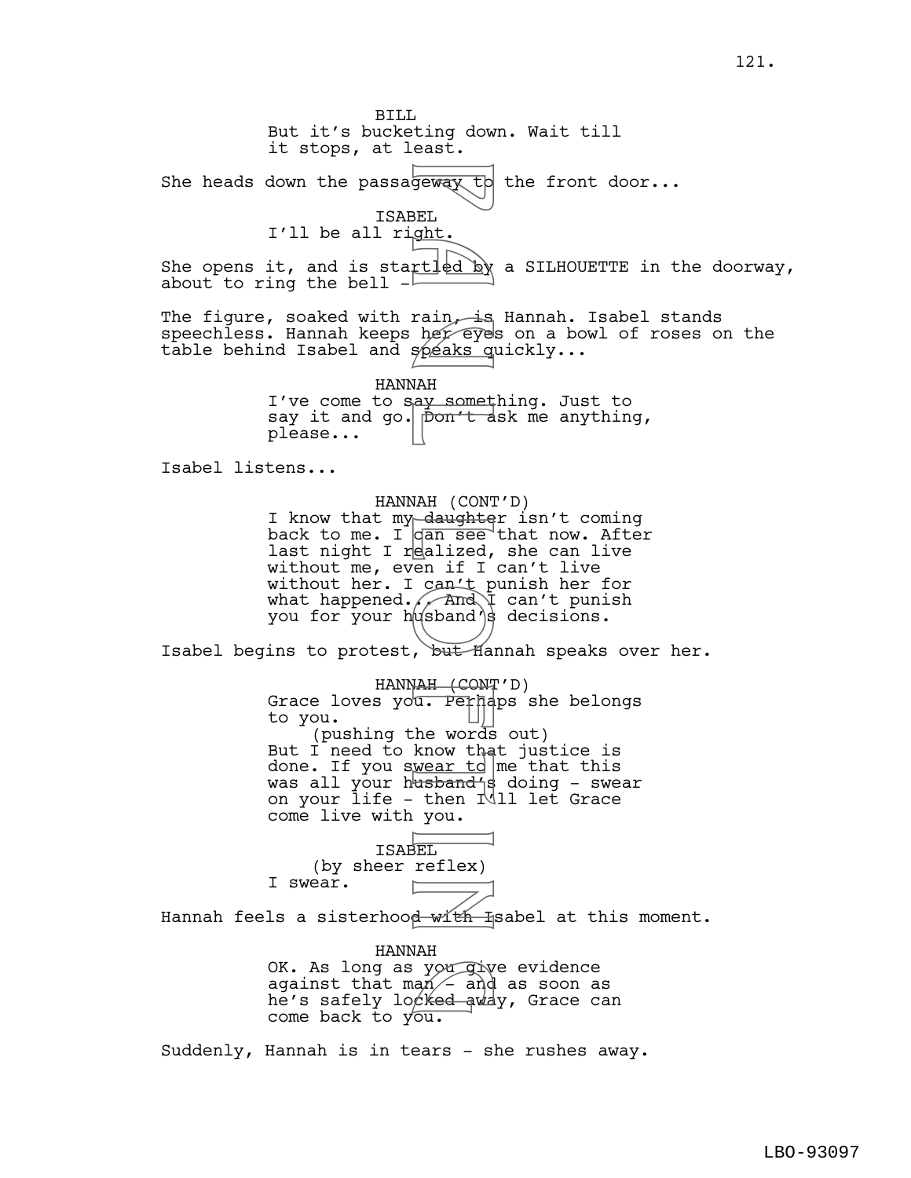BILL But it's bucketing down. Wait till it stops, at least. She heads down the passageway to the front door... ISABEL I'll be all right. She opens it, and is startled by a SILHOUETTE in the doorway, about to ring the bell  $-$ The figure, soaked with rain, is Hannah. Isabel stands speechless. Hannah keeps her eyes on a bowl of roses on the table behind Isabel and speaks quickly... HANNAH I've come to say something. Just to say it and go. pon't ask me anything, please... Isabel listens... HANNAH (CONT'D) I know that my daughter isn't coming back to me. I  $\sigma$  an see that now. After last night I realized, she can live without me, even if I can't live without her. I can't punish her for what happened. $\sqrt{2\pi}$  can't punish you for your  $h$ usband's decisions. Isabel begins to protest, but Hannah speaks over her. HANNAH (CONT'D) Grace loves you. Perhaps she belongs to you. (pushing the words out) But I need to know that justice is done. If you swear to me that this was all your h<del>usband'</del>s doing - swear on your life - then I'll let Grace come live with you. ISABEL (by sheer reflex) I swear. Hannah feels a sisterhood with Isabel at this moment. HANNAH OK. As long as you give evidence against that man  $-$  and as soon as OK. As long as you give evidence<br>against that man - and as soon as<br>he's safely locked away, Grace can come back to you. Suddenly, Hannah is in tears - she rushes away. For the speaks of the speaks of the speaks of the speaks of the speaks of the speaks of the speaks of the speaks of the speaks of the speaks of the speaks of the speaks of the speaks of the speaks of the words all span of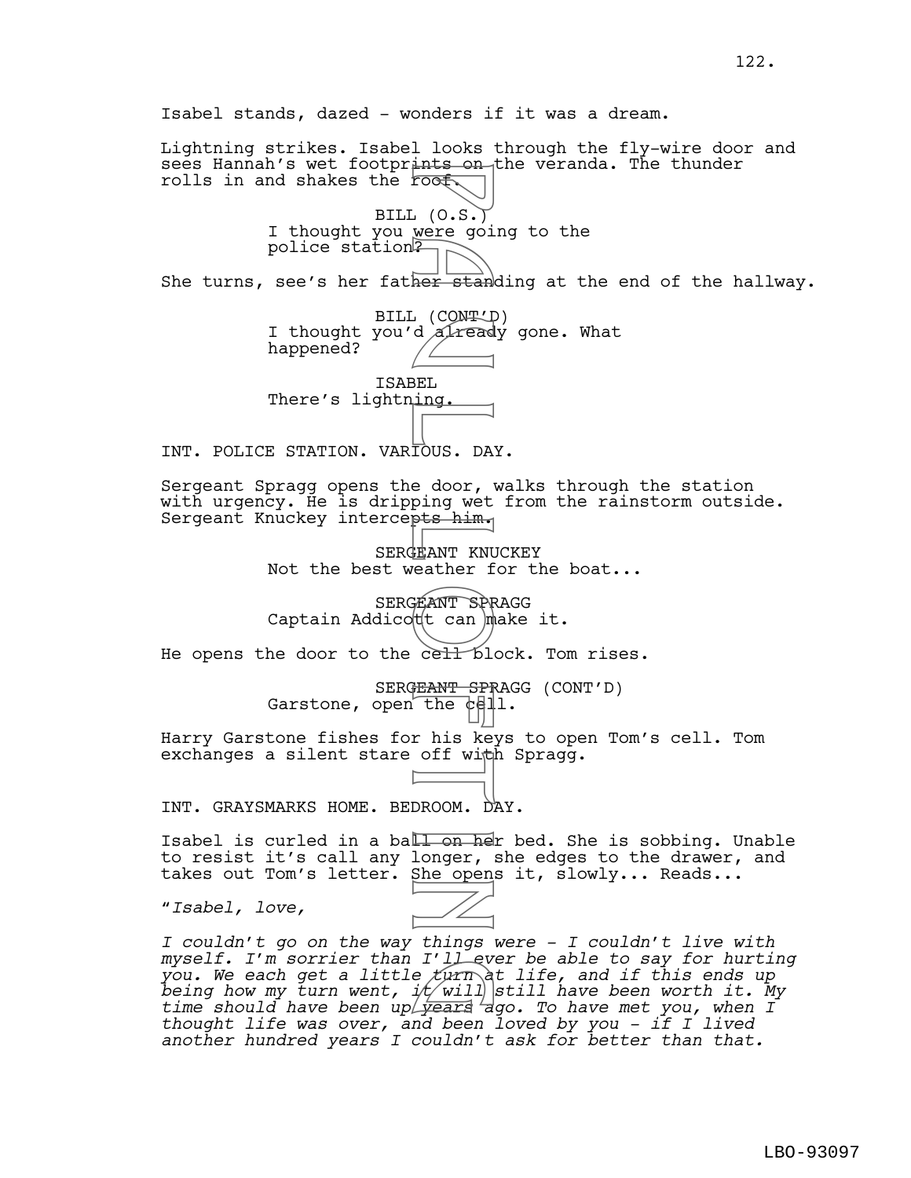Isabel stands, dazed - wonders if it was a dream. Lightning strikes. Isabel looks through the fly-wire door and sees Hannah's wet footprints on the veranda. The thunder rolls in and shakes the roof. BILL (O.S.) I thought you were going to the police station? She turns, see's her father standing at the end of the hallway. BILL (CONT'D) I thought you'd *already* gone. What happened? ISABEL There's lightning. INT. POLICE STATION. VARIOUS. DAY. Sergeant Spragg opens the door, walks through the station with urgency. He is dripping wet from the rainstorm outside. Sergeant Knuckey intercepts him. SERGEANT KNUCKEY Not the best weather for the boat... SERGEANT SPRAGG Captain Addicott can make it. He opens the door to the cell block. Tom rises. SERGEANT SPRAGG (CONT'D) Garstone, open the  $c$ -Harry Garstone fishes for his keys to open Tom's cell. Tom exchanges a silent stare off with Spragg. INT. GRAYSMARKS HOME. BEDROOM. DAY. Isabel is curled in a ball on her bed. She is sobbing. Unable to resist it's call any longer, she edges to the drawer, and takes out Tom's letter. She opens it, slowly... Reads... "*Isabel, love, I couldn't go on the way things were - I couldn't live with myself. I'm sorrier than I'll ever be able to say for hurting you. We each get a little turn at life, and if this ends up being how my turn went, i* $\not\!\!\!\!/ \!\!/\!\!/\;\:\!\! \varphi$ *will ave been worth it. My* time should have been up vears ago. To have met you, when I *thought life was over, and been loved by you - if I lived*  Foot (O.S.)<br>
Were going the stand<br>
B a ker stand<br>
B a ker stand<br>
B a ker stand<br>
B a ker stand<br>
B a ker stand<br>
B a ker stand<br>
B a ker stand<br>
B a ker stand<br>
B a ker stand<br>
B a ker stand<br>
B a ker stand<br>
B a ker stand<br>
B a ker *I'llev<br>e turn*<br>*it will*<br>*Lyears a* 

*another hundred years I couldn't ask for better than that.* 

122.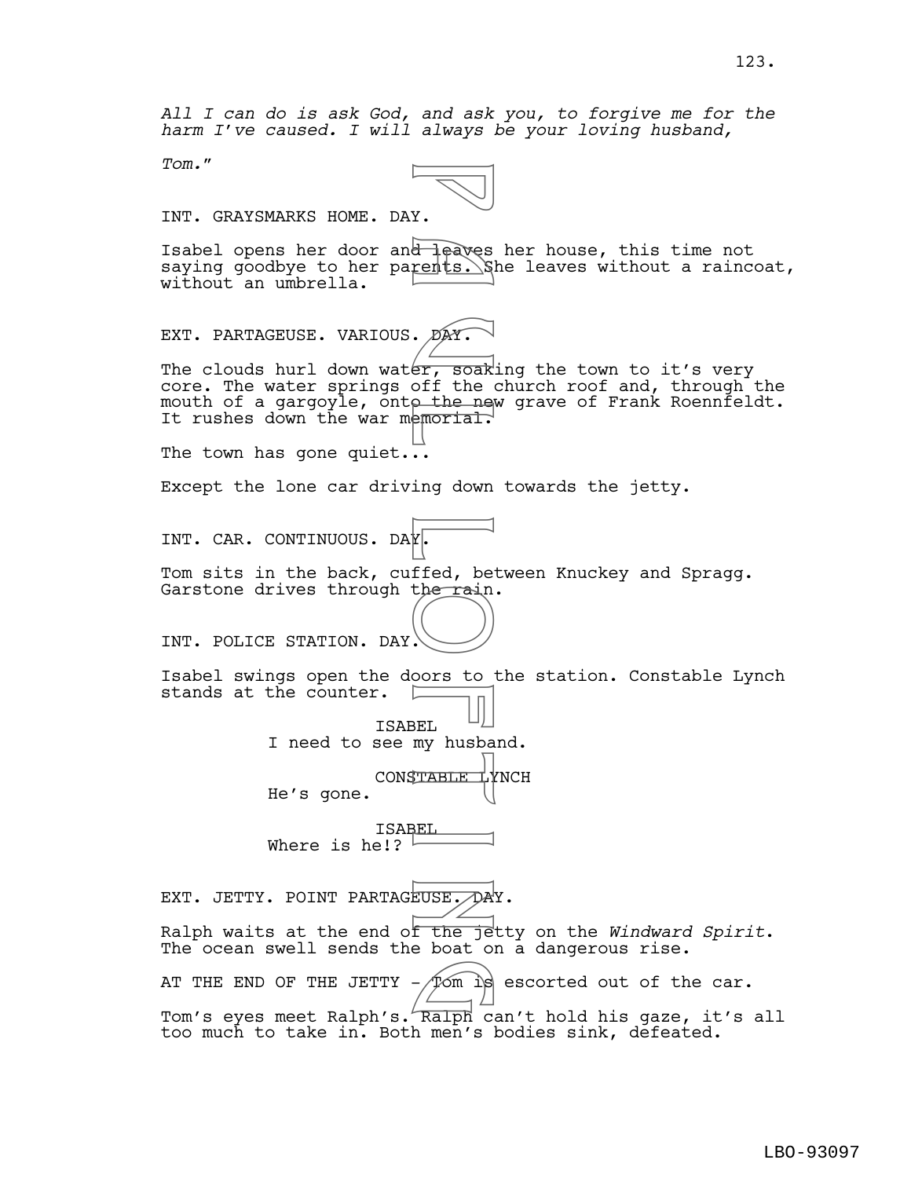*All I can do is ask God, and ask you, to forgive me for the harm I've caused. I will always be your loving husband,* 

*Tom.*"



INT. GRAYSMARKS HOME. DAY.

Isabel opens her door and leaves her house, this time not saying goodbye to her parents. She leaves without a raincoat, without an umbrella.

EXT. PARTAGEUSE. VARIOUS. DAY.

The clouds hurl down water, soaking the town to it's very core. The water springs off the church roof and, through the mouth of a gargoyle, onto the new grave of Frank Roennfeldt. It rushes down the war memorial.

The town has gone quiet...

Except the lone car driving down towards the jetty.

INT. CAR. CONTINUOUS. DAY.

Tom sits in the back, cuffed, between Knuckey and Spragg. Garstone drives through the rain.

INT. POLICE STATION. DAY.

Isabel swings open the doors to the station. Constable Lynch stands at the counter.

> ISABEL I need to see my husband.

> > CONSTABLE LYNCH

He's gone.

ISABEL Where is he!?  $\overline{ }$ 

EXT. JETTY. POINT PARTAGEUSE. DAY. Ralph waits at the end of the jetty on the *Windward Spirit*. The ocean swell sends the boat on a dangerous rise. AT THE END OF THE JETTY -  $\cancel{\tau}$ om is escorted out of the car. Tom's eyes meet Ralph's. Ralph can't hold his gaze, it's all too much to take in. Both men's bodies sink, defeated. Y.<br>
The directs. Si<br>
The morial.<br>
PAY.<br>
Soff the new down<br>
ing down<br>
Ing down<br>
The rain<br>
Cors to<br>
OOTS to<br>
BEL<br>
BEL<br>
BEL<br>
BEL<br>
PERIE DAY.<br>
BEL<br>
PERIE DAY.<br>
BEL<br>
PERIE DAY.<br>
BEL<br>
PERIE DAY.  $\frac{1}{\sqrt{2\pi}}$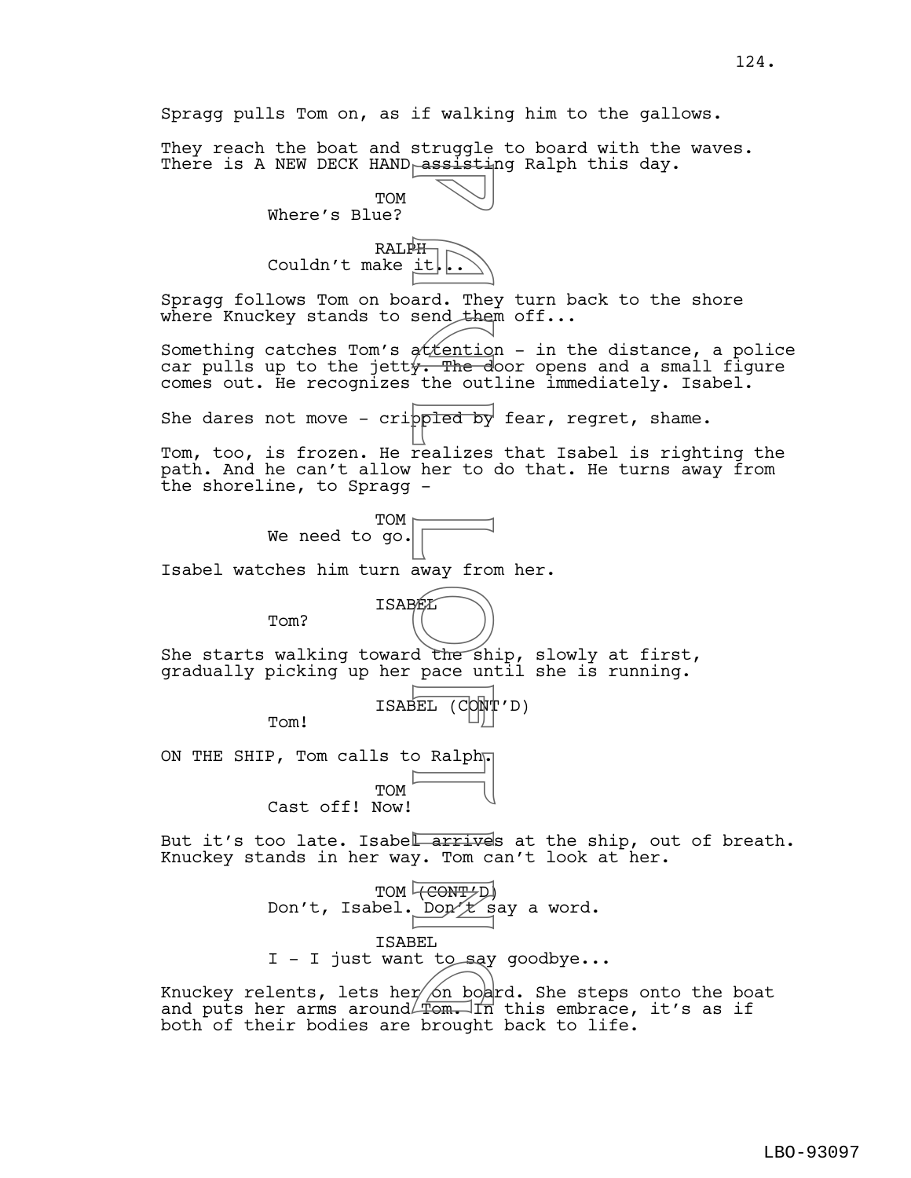Spragg pulls Tom on, as if walking him to the gallows.

They reach the boat and struggle to board with the waves. There is A NEW DECK HAND assisting Ralph this day.

> TOM Where's Blue?



Spragg follows Tom on board. They turn back to the shore where Knuckey stands to send them off...

Something catches Tom's  $\frac{\partial f}{\partial n}$  - in the distance, a police car pulls up to the jett $\frac{1}{2}$ . The door opens and a small figure comes out. He recognizes the outline immediately. Isabel.

She dares not move - crippled by fear, regret, shame.

Tom, too, is frozen. He realizes that Isabel is righting the path. And he can't allow her to do that. He turns away from the shoreline, to Spragg -

> TOM We need to go.

Isabel watches him turn away from her.



She starts walking toward the ship, slowly at first, gradually picking up her pace until she is running.



ON THE SHIP, Tom calls to Ralph<sub>r</sub>

Tom?

Tom!

**TOM** 

Cast off! Now!

But it's too late. Isabel arrives at the ship, out of breath. Knuckey stands in her way. Tom can't look at her.



Knuckey relents, lets her $\cancel{\circ}$ n board. She steps onto the boat and puts her arms around Tom. In this embrace, it's as if<br>and puts her arms around Tom. In this embrace, it's as if both of their bodies are brought back to life.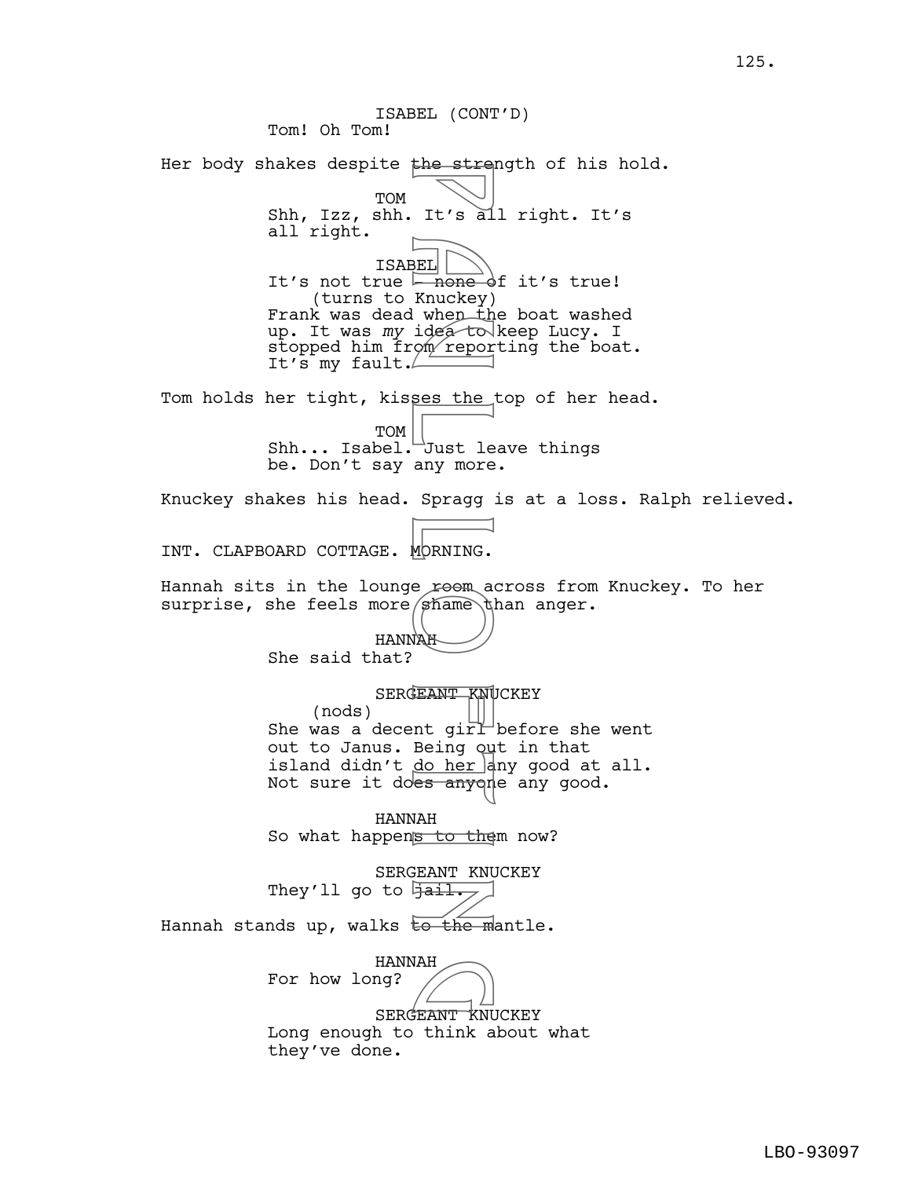ISABEL (CONT'D) Tom! Oh Tom! Her body shakes despite the strength of his hold. TOM Shh, Izz, shh. It's all right. It's all right. ISABEL It's not true  $\overline{\phantom{a}}$  none of it's true! (turns to Knuckey) Frank was dead when the boat washed up. It was *my* idea to keep Lucy. I stopped him from reporting the boat. It's my fault. Tom holds her tight, kisses the top of her head. TOM Shh... Isabel. Just leave things be. Don't say any more. Knuckey shakes his head. Spragg is at a loss. Ralph relieved. INT. CLAPBOARD COTTAGE. MORNING. Hannah sits in the lounge reem across from Knuckey. To her surprise, she feels more  $s$  hame than anger. HANNAH She said that? SERGEANT KNUCKEY (nods) She was a decent  $\vec{p}$  oirl before she went out to Janus. Being out in that island didn't <u>do her</u> any good at all. Not sure it does anyone any good. HANNAH So what happens to them now? SERGEANT KNUCKEY They'll go to  $\frac{1}{1}$ Hannah stands up, walks to the mantle. HANNAH For how long? HANNAH<br>19?<br>SERGEANT KNUCKEY Long enough to think about what they've done. Figures of the street of the street of the Knuckey)<br>
BEL none of tepor<br>
ses the Just lear more<br>
Spragg<br>
Dust lear more<br>
Spragg<br>
Dust lear more<br>
Spragg<br>
(MORNING.<br>
E reem and dust lear more spragged of the space of the spac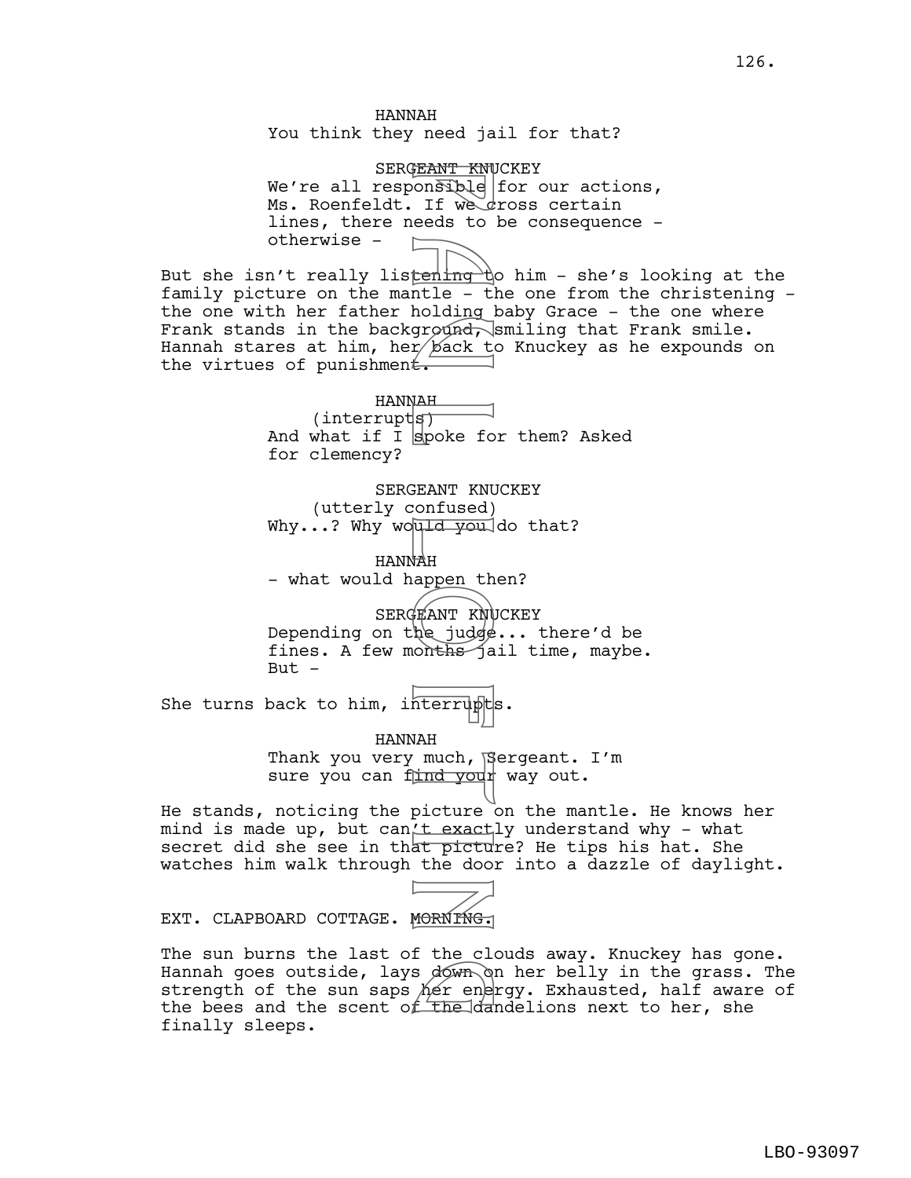HANNAH You think they need jail for that?

SERGEANT KNUCKEY We're all responsible for our actions, Ms. Roenfeldt. If we dross certain lines, there needs to be consequence otherwise -

But she isn't really listend the him - she's looking at the family picture on the mantle - the one from the christening the one with her father holding baby Grace - the one where Frank stands in the background, smiling that Frank smile. Hannah stares at him, her back to Knuckey as he expounds on the virtues of punishment. FRANT KNU<br>
FRANT KNU<br>
If we distorted to the tends to the fact to fact to fact to fack to fack to fack to the boding of the space of the space of the space of the door of the door of the door of the door of the door of the

HANNAH  $(interrypt|s)$ And what if I spoke for them? Asked for clemency?

SERGEANT KNUCKEY (utterly confused) Why...? Why would you do that?

HANNAH - what would happen then?

SERGEANT KNUCKEY Depending on the judge... there'd be fines. A few months jail time, maybe. But  $-$ 

She turns back to him, interrupts.

HANNAH Thank you very much, Sergeant. I'm sure you can find your way out.

He stands, noticing the picture on the mantle. He knows her mind is made up, but can't exactly understand why - what secret did she see in that picture? He tips his hat. She watches him walk through the door into a dazzle of daylight.



The sun burns the last of the clouds away. Knuckey has gone. Hannah goes outside, lays down on her belly in the grass. The<br>strength of the sun saps her energy. Exhausted, half aware of<br>the bees and the scent of the dandelions next to her, she strength of the sun saps her energy. Exhausted, half aware of the bees and the scent of the dandelions next to her, she finally sleeps.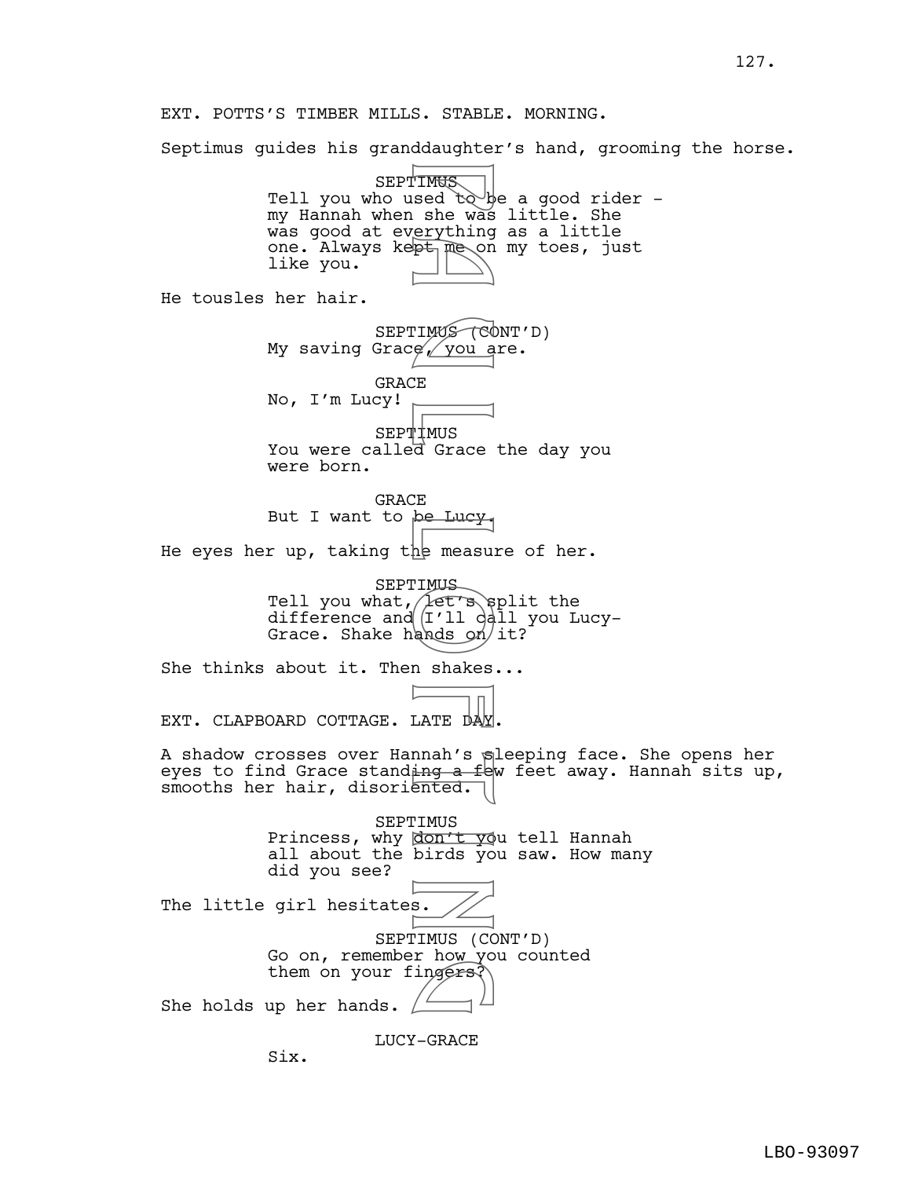Septimus guides his granddaughter's hand, grooming the horse.

**SEPTIMUS** Tell you who used  $to$  be a good rider  $$ my Hannah when she was little. She was good at everything as a little one. Always kept me on my toes, just like you. He tousles her hair. SEPTIMUS (CONT'D) My saving Grace, you are. GRACE No, I'm Lucy! SEPTIMUS You were called Grace the day you were born. **GRACE** But I want to be Lucy. He eyes her up, taking the measure of her. SEPTIMUS Tell you what, Let's split the difference and (I'll call you Lucy-Grace. Shake hands  $\frac{6}{1}$ t? She thinks about it. Then shakes... EXT. CLAPBOARD COTTAGE. LATE DA A shadow crosses over Hannah's sleeping face. She opens her eyes to find Grace standing a few feet away. Hannah sits up, smooths her hair, disoriented. SEPTIMUS Princess, why don't you tell Hannah all about the birds you saw. How many did you see? The little girl hesitates. SEPTIMUS (CONT'D) Go on, remember how you counted them on your fingers? She holds up her hands. F TMUS<br>
sed to he was<br>
serything<br>
pt me on<br>
pt me on<br>
pt me on<br>
pt me on<br>
P you a<br>
C on<br>
P wou a<br>
C on<br>
P a ferminal on<br>
P measu:<br>
TMUS<br>
dands on<br>
n shakes<br>
n shakes<br>
n shakes<br>
n shakes<br>
n shakes<br>
n shakes<br>
n shakes<br>
n sha

LUCY-GRACE

Six.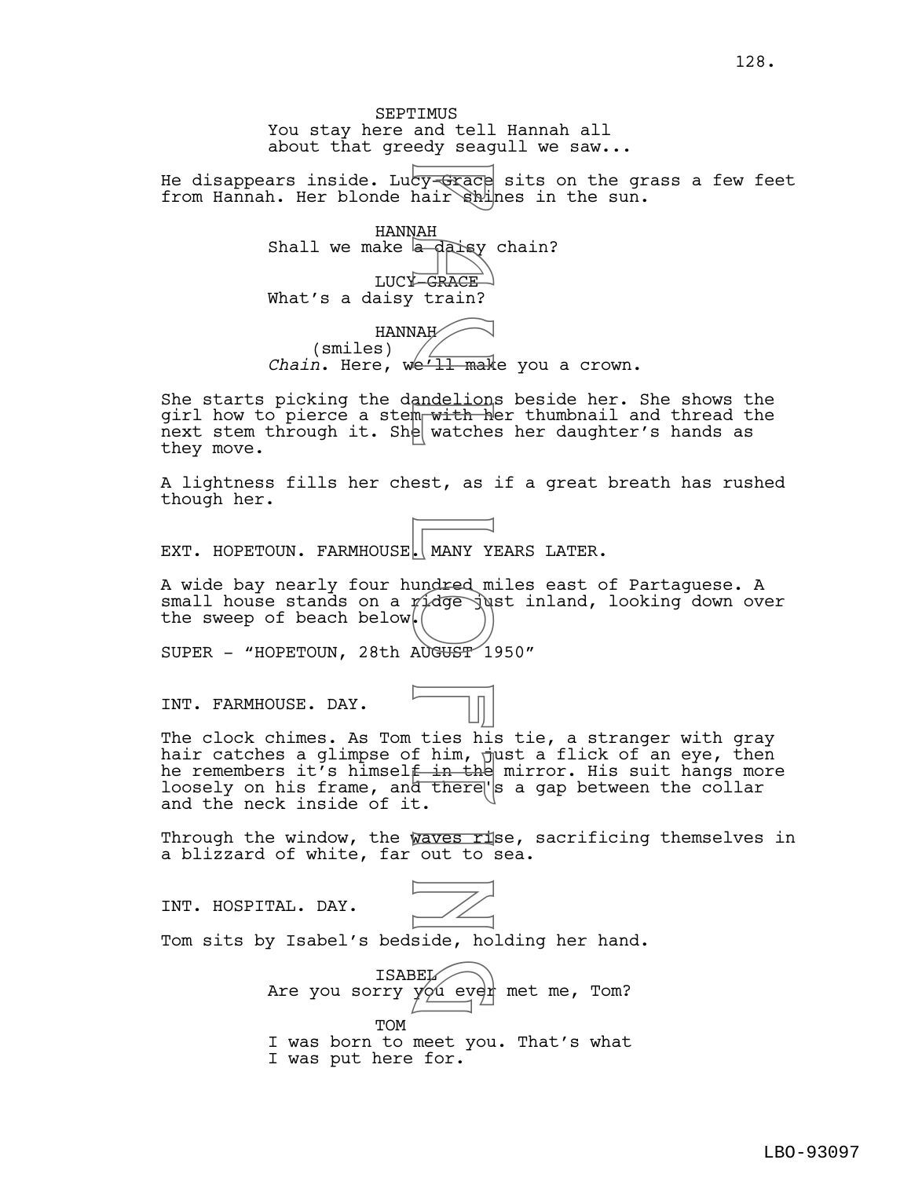SEPTIMUS You stay here and tell Hannah all about that greedy seagull we saw...

He disappears inside. Lucy-Grace sits on the grass a few feet from Hannah. Her blonde hair shines in the sun.

HANNAH Shall we make  $\frac{1}{2}$  daisy chain? LUCY GRACE What's a daisy train? HANNAH (smiles) For the state of the state of the state of the state of the state of the state of the state of the state of the state of the state of the state of the state of the state of the state of the state of the state of the state

*Chain*. Here, we'll make you a crown.

She starts picking the dandelions beside her. She shows the girl how to pierce a stem with her thumbnail and thread the next stem through it. She watches her daughter's hands as they move.

A lightness fills her chest, as if a great breath has rushed though her.

EXT. HOPETOUN. FARMHOUSE, MANY YEARS LATER.

A wide bay nearly four hundred miles east of Partaguese. A small house stands on a  $p_1$ dge just inland, looking down over the sweep of beach below.

SUPER - "HOPETOUN, 28th AUGUST 1950"

INT. FARMHOUSE. DAY.



The clock chimes. As Tom ties his tie, a stranger with gray hair catches a glimpse of him,  $\frac{1}{2}$ ust a flick of an eye, then he remembers it's himsel<del>f in the</del> mirror. His suit hangs more loosely on his frame, and there's a gap between the collar and the neck inside of it.

Through the window, the waves rise, sacrificing themselves in a blizzard of white, far out to sea.

INT. HOSPITAL. DAY.



Tom sits by Isabel's bedside, holding her hand.

ISABEL Are you sorry yóú ever met me, Tom? TOM I was born to meet you. That's what BEL<br>you ever

I was put here for.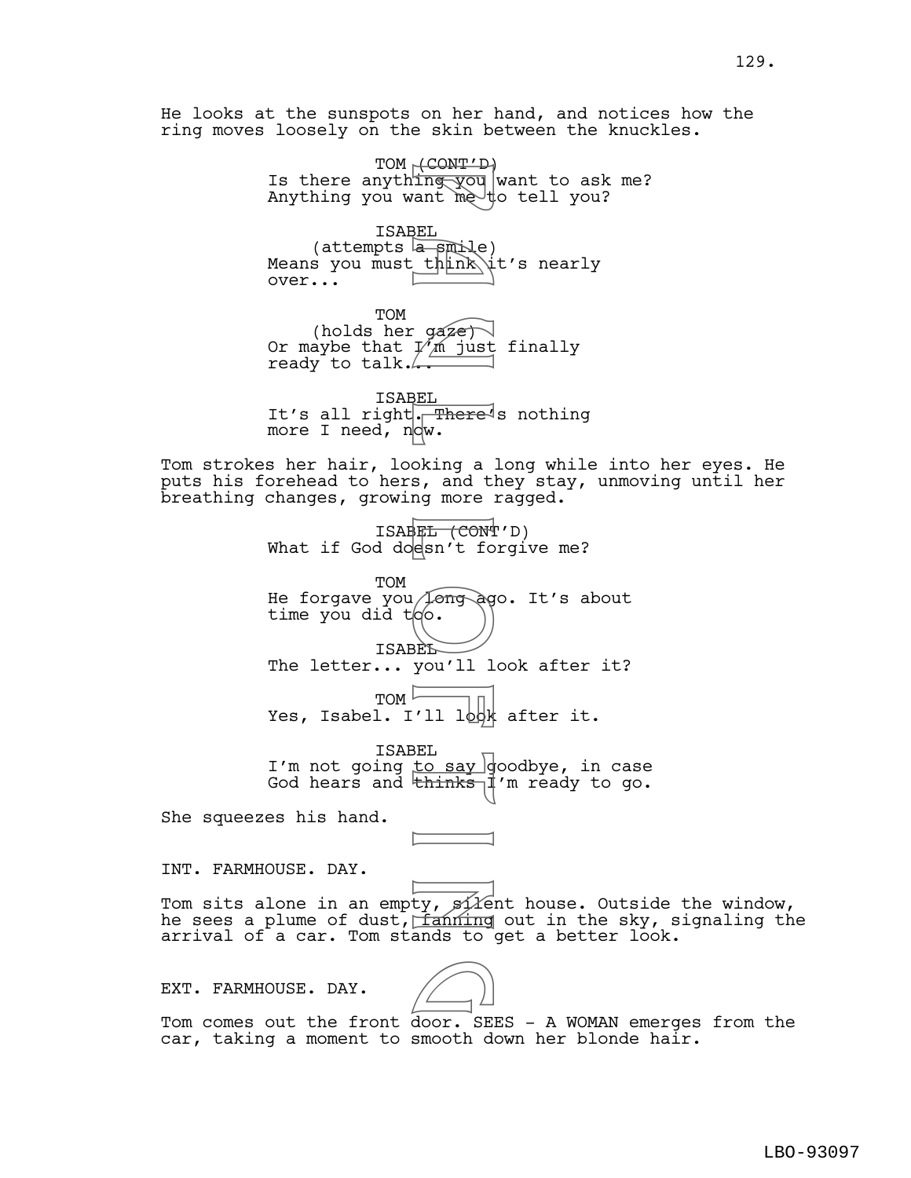He looks at the sunspots on her hand, and notices how the ring moves loosely on the skin between the knuckles.

> TOM <del>(CONT'D)</del> Is there anythi<del>ng you</del> want to ask me? Anything you want me to tell you?

ISABEL  $(\text{attempts} \mid \text{amile})$ Means you must think it's nearly over... Product in the set of the set of the set of the set of the set of the set of the set of the set of the set of the set of the set of the set of the set of the set of the set of the set of the set of the set of the set of th

TOM (holds her gaze) Or maybe that  $1/\gamma$ m just finally ready to talk.

ISABEL It's all right. There's nothing more I need,  $n|dw$ .

Tom strokes her hair, looking a long while into her eyes. He puts his forehead to hers, and they stay, unmoving until her breathing changes, growing more ragged.

> ISABEL (CONT'D) What if God doesn't forgive me?

TOM He forgave you long ago. It's about time you did too.

ISABEL The letter... you'll look after it?

 $TOM$ Yes, Isabel. I'll look after it.

ISABEL I'm not going <u>to say g</u>oodbye, in case God hears and <del>thinks I</del>'m ready to go.

She squeezes his hand.

INT. FARMHOUSE. DAY.

Tom sits alone in an empty,  $f(x)$  house. Outside the window, he sees a plume of dust,  $f$ anning out in the sky, signaling the arrival of a car. Tom stands to get a better look.

EXT. FARMHOUSE. DAY.



Tom comes out the front door. SEES - A WOMAN emerges from the car, taking a moment to smooth down her blonde hair.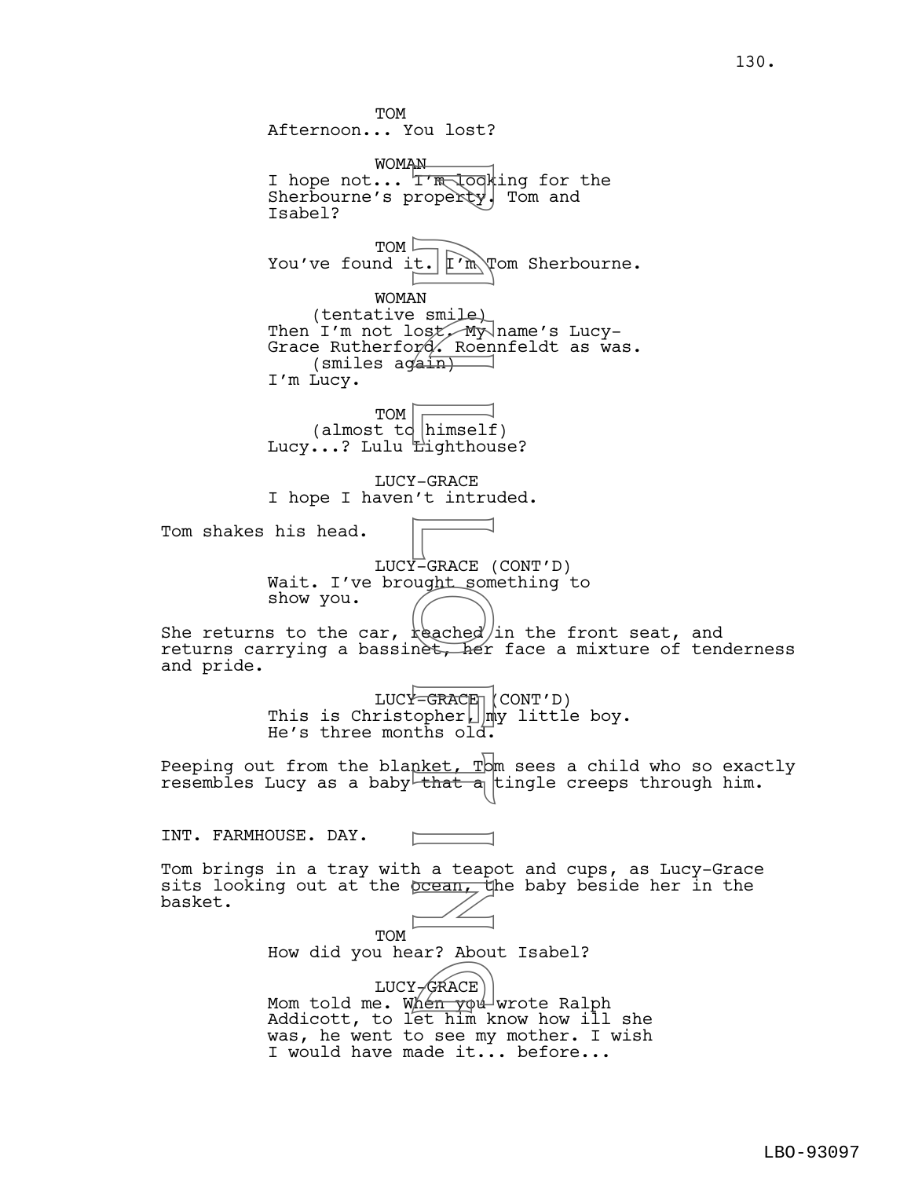TOM Afternoon... You lost? WOMAN I hope not... TIR looking for the Sherbourne's property. Tom and Isabel? TOM You've found it.  $\lbrack \mathbb{r} \rbrack$   $\mathbb{R} \rbrack$   $\mathbb{R} \rbrack$  and Sherbourne. WOMAN (tentative smile) Then I'm not lost, My name's Lucy-Grace Rutherford. Roennfeldt as was. (smiles again) I'm Lucy. TOM (almost td himself) Lucy...? Lulu **Lighthouse?** LUCY-GRACE I hope I haven't intruded. Tom shakes his head. LUCY-GRACE (CONT'D) Wait. I've brought something to show you. She returns to the car,  $\frac{1}{2}$   $\frac{1}{2}$  (in the front seat, and returns carrying a bassinet, her face a mixture of tenderness and pride.  $LUC^{\vee}-GRACE \parallel (CONT'D)$ This is Christopher $\Box$ my little boy. He's three months old. Peeping out from the blanket,  $T$ om sees a child who so exactly resembles Lucy as a baby that a tingle creeps through him. INT. FARMHOUSE. DAY. Tom brings in a tray with a teapot and cups, as Lucy-Grace sits looking out at the prean, the baby beside her in the basket. **TOM** How did you hear? About Isabel? LUCY-GRACE Mom told me. When you wrote Ralph Addicott, to let him know how ill she was, he went to see my mother. I wish I would have made it... before... Francok<br>
Trapoerty<br>
P a unit of the smile<br>
N a smile<br>
Ost My<br>
(ain)<br>
himself<br>
Lighthou<br>
(-GRACE unit som<br>
(-GRACE unit som<br>
(-GRACE unit som<br>
(-GRACE unit som<br>
(-GRACE unit som<br>
(-GRACE unit som<br>
(-GRACE unit som<br>
that a<br>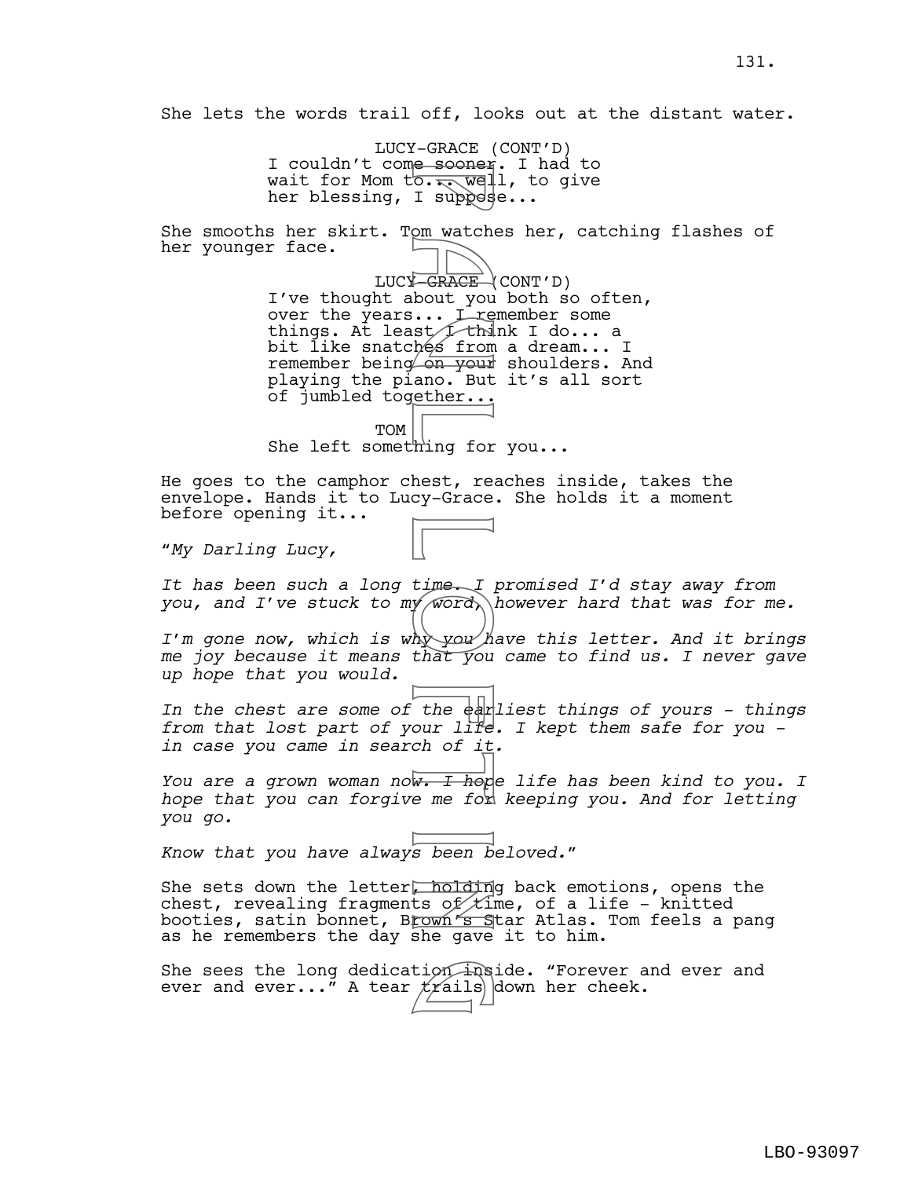She lets the words trail off, looks out at the distant water.

LUCY-GRACE (CONT'D) I couldn't come soonen. I had to wait for Mom to... well, to give her blessing, I suppesse...

She smooths her skirt. Tom watches her, catching flashes of her younger face.

LUCY<del>-GRACE</del> (CONT'D) I've thought about you both so often, over the years... I remember some things. At least I think I do... a bit l̃ike snatchés from a dream... I remember being on your shoulders. And playing the piano. But it's all sort of jumbled together... e sooner<br>
o. T. weppes<br>
I. suppes<br>
D. T. weppes<br>
D. T. Websites<br>
D. T. Websites<br>
D. T. T. Head on Fig. 1<br>
Time I. T. Head<br>
Max you hat you<br>
the earlier<br>
time I. T. Head<br>
the earlier<br>
the earlier<br>
the earlier<br>
the earlier<br>

TOM She left something for you...

He goes to the camphor chest, reaches inside, takes the envelope. Hands it to Lucy-Grace. She holds it a moment before opening it...

"*My Darling Lucy,* 

*It has been such a long time. I promised I'd stay away from you, and I've stuck to my word, however hard that was for me.*

*I'm gone now, which is why you have this letter. And it brings me joy because it means that you came to find us. I never gave up hope that you would.* 

*In the chest are some of the earliest things of yours - things from that lost part of your life. I kept them safe for you in case you came in search of it.*

*You are a grown woman now. I hope life has been kind to you. I*  hope that you can forgive me for keeping you. And for letting *you go.*

*Know that you have always been beloved.*"

She sets down the letter, holding back emotions, opens the chest, revealing fragments of  $t$ ime, of a life – knitted booties, satin bonnet, B<u>rown's S</u>tar Atlas. Tom feels a pang as he remembers the day she gave it to him.

She sees the long dedication inside. "Forever and ever and<br>ever and ever..." A tear *trails* down her cheek. ever and ever..." A tear  $f(x)$  down her cheek.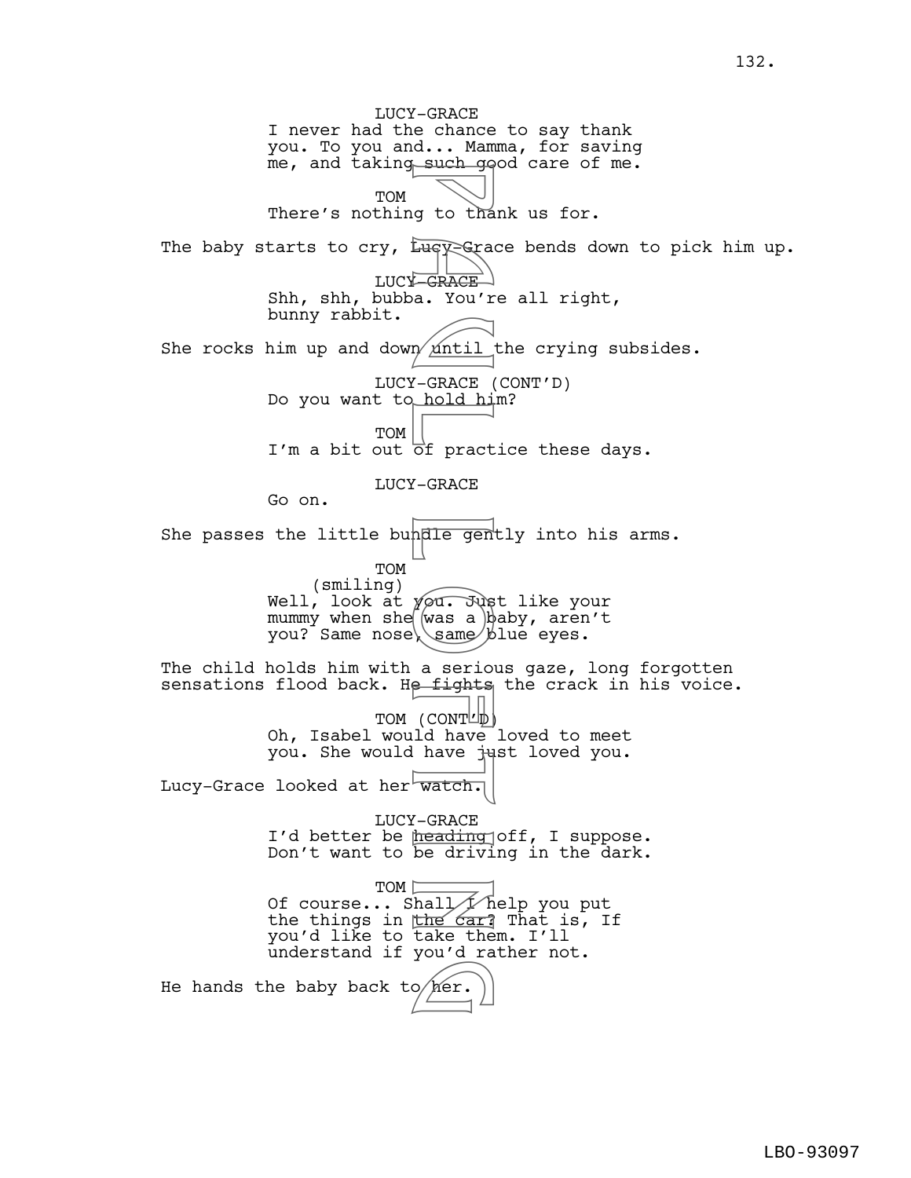LUCY-GRACE I never had the chance to say thank you. To you and... Mamma, for saving me, and taking such good care of me. TOM There's nothing to thank us for. The baby starts to cry,  $Lugy$ -Grace bends down to pick him up. LUCY GRACE Shh, shh, bubba. You're all right, bunny rabbit. She rocks him up and down  $\sinh$  the crying subsides. LUCY-GRACE (CONT'D) Do you want to hold him? TOM I'm a bit out of practice these days. LUCY-GRACE Go on. She passes the little bundle gently into his arms. TOM (smiling) Well, look at yo<del>u. Just</del> like your mummy when she  $\left[\right.\left\langle \mathrm{was}\right.\left.\mathrm{a}\right.\left.\right)$   $\left.\mathrm{b} \mathrm{aby}\right.\left\{ \mathrm{aren}\right.\left\{ \mathrm{t}\right.\left\{ \mathrm{the}\right.\left\{ \mathrm{the}\right.\left\{ \mathrm{the}\right.\left\{ \mathrm{the}\right.\left\{ \mathrm{the}\right.\left\{ \mathrm{the}\right.\left\{ \mathrm{the}\right.\left\{ \mathrm{the}\right.\left\{ \mathrm{the}\right.\left\{ \mathrm{the}\right.\left\{ \mathrm{the}\right.\left\{ \mathrm{the}\right.\left\{ \mathrm{the}\right.\left\{ \mathrm{the}\right.\$ you? Same nose\\same/blue eyes. The child holds him with a serious gaze, long forgotten sensations flood back. He fights the crack in his voice. TOM (CONTL<sup>b)</sup> Oh, Isabel would have loved to meet you. She would have just loved you. Lucy-Grace looked at her watch. LUCY-GRACE I'd better be <u>heading</u> off, I suppose. Don't want to be driving in the dark. TOM D Of course... Shall Thelp you put the things in the car? That is, If you'd like to take them. I'll understand if you'd rather not. He hands the baby back to  $/$ her. g to that<br>
tuey Grack a. You'r<br>
n <u>Antil</u><br>
1-GRACE (hold hide of pract<br>
7-GRACE (dold hide of pract<br>
7-GRACE (was a serior)<br>
Malle generating<br>
1-GRACE (CONTL)<br>
1-GRACE heading<br>
1-GRACE heading<br>
1-GRACE heading<br>
1-GRACE hea  $\left(\frac{\text{per}}{\text{per}}\right)$